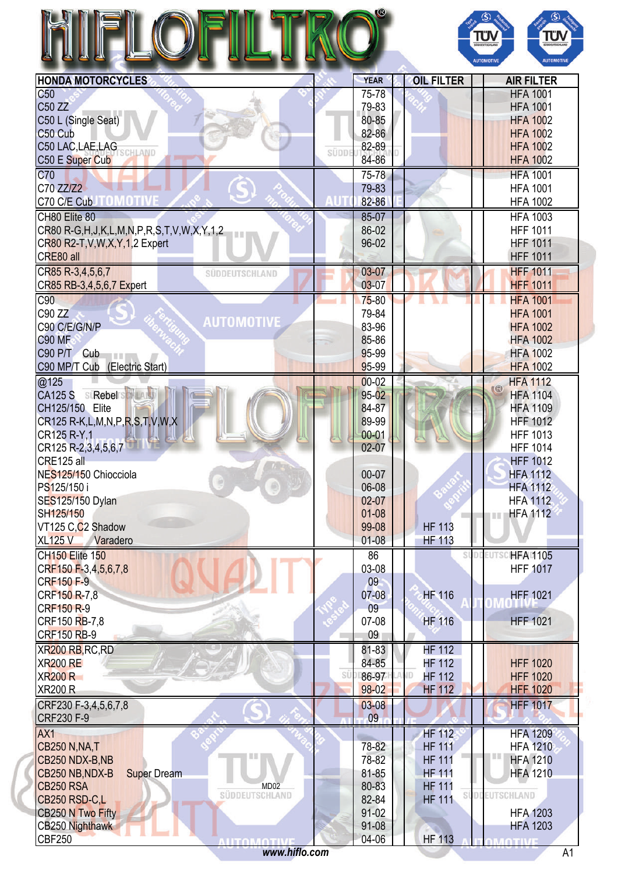|                                                                                                                                                                                      |       |                |    |                   | TÜV<br><b>SÜDDEUTSCHLAND</b><br><b>AUTOMOTIV</b> | ΤΰΝ<br><b>AUTOMOTIVE</b>     |
|--------------------------------------------------------------------------------------------------------------------------------------------------------------------------------------|-------|----------------|----|-------------------|--------------------------------------------------|------------------------------|
| <b>HONDA MOTORCYCLES</b>                                                                                                                                                             |       | <b>YEAR</b>    |    | <b>OIL FILTER</b> |                                                  | <b>AIR FILTER</b>            |
| C <sub>50</sub>                                                                                                                                                                      |       | 75-78          |    |                   |                                                  | <b>HFA 1001</b>              |
| C50 ZZ                                                                                                                                                                               |       | 79-83          |    |                   |                                                  | <b>HFA 1001</b>              |
| C50 L (Single Seat)                                                                                                                                                                  |       | 80-85          |    |                   |                                                  | <b>HFA 1002</b>              |
| C50 Cub                                                                                                                                                                              |       | 82-86          |    |                   |                                                  | <b>HFA 1002</b>              |
| C50 LAC, LAE, LAG<br>HLAND                                                                                                                                                           | SÜDDI | 82-89          |    |                   |                                                  | <b>HFA 1002</b>              |
| C50 E Super Cub                                                                                                                                                                      |       | 84-86          |    |                   |                                                  | <b>HFA 1002</b>              |
| C70                                                                                                                                                                                  |       | 75-78          |    |                   |                                                  | <b>HFA 1001</b>              |
| C70 ZZ/Z2                                                                                                                                                                            |       | 79-83          |    |                   |                                                  | <b>HFA 1001</b>              |
| C70 C/E CubJTOMOTIVE                                                                                                                                                                 |       | 82-86          |    |                   |                                                  | <b>HFA 1002</b>              |
| CH80 Elite 80                                                                                                                                                                        |       | 85-07          |    |                   |                                                  | <b>HFA 1003</b>              |
| CR80 R-G, H, J, K, L, M, N, P, R, S, T, V, W, X, Y, 1, 2                                                                                                                             |       | 86-02          |    |                   |                                                  | <b>HFF 1011</b>              |
| CR80 R2-T, V, W, X, Y, 1, 2 Expert                                                                                                                                                   |       | 96-02          |    |                   |                                                  | <b>HFF 1011</b>              |
| CRE80 all                                                                                                                                                                            |       |                |    |                   |                                                  | <b>HFF 1011</b>              |
| CR85 R-3,4,5,6,7<br>SÜDDEUTSCHLAND                                                                                                                                                   |       | $03 - 07$      |    |                   |                                                  | <b>HFF 1011</b>              |
| CR85 RB-3,4,5,6,7 Expert                                                                                                                                                             |       | $03 - 07$      |    |                   |                                                  | <b>HFF 1011</b>              |
| C90                                                                                                                                                                                  |       | $75 - 80$      |    |                   |                                                  | <b>HFA 1001</b>              |
| C90 ZZ                                                                                                                                                                               |       | 79-84          |    |                   |                                                  | <b>HFA 1001</b>              |
| <b>AUTOMOTIVE</b><br>C90 C/E/G/N/P                                                                                                                                                   |       | 83-96          |    |                   |                                                  | <b>HFA 1002</b>              |
| <b>C90 MF</b>                                                                                                                                                                        |       | 85-86          |    |                   |                                                  | <b>HFA 1002</b>              |
| C90 P/T Cub                                                                                                                                                                          |       | 95-99          |    |                   |                                                  | <b>HFA 1002</b>              |
| C90 MP/T Cub (Electric Start)                                                                                                                                                        |       | 95-99          |    |                   |                                                  | <b>HFA 1002</b>              |
| @125                                                                                                                                                                                 |       | $00 - 02$      |    |                   |                                                  | <b>HFA 1112</b><br><b>KB</b> |
| CA125 S SIRebel SHILL                                                                                                                                                                |       | $95 - 02$      |    |                   |                                                  | <b>HFA 1104</b>              |
| CH125/150 Elite                                                                                                                                                                      |       | 84-87          |    |                   |                                                  | <b>HFA 1109</b>              |
| CR125 R-K, L, M, N, P, R, S, T, V, W, X                                                                                                                                              |       | 89-99          |    |                   |                                                  | <b>HFF 1012</b>              |
| CR125 R-Y,1                                                                                                                                                                          |       | $00 - 01$      |    |                   |                                                  | <b>HFF 1013</b>              |
| CR125 R-2,3,4,5,6,7                                                                                                                                                                  |       | 02-07          |    |                   |                                                  | <b>HFF 1014</b>              |
| CRE125 all                                                                                                                                                                           |       |                |    |                   |                                                  | <b>HFF 1012</b>              |
| NES125/150 Chiocciola                                                                                                                                                                |       | 00-07          |    |                   |                                                  | <b>HFA 1112</b>              |
| PS125/150 i                                                                                                                                                                          |       | 06-08          |    |                   |                                                  | <b>HFA 1112</b>              |
| <b>SES125/150 Dylan</b>                                                                                                                                                              |       | $02-07$        |    |                   |                                                  | <b>HFA 1112</b>              |
| SH125/150                                                                                                                                                                            |       | $01 - 08$      |    |                   |                                                  | <b>HFA 1112</b><br>Ш         |
| VT125 C,C <sub>2</sub> Shadow                                                                                                                                                        |       | 99-08          |    | <b>HF 113</b>     |                                                  |                              |
| <b>XL125 V</b><br>Varadero                                                                                                                                                           |       | $01 - 08$      |    | <b>HF 113</b>     |                                                  |                              |
| <b>CH150 Elite 150</b>                                                                                                                                                               |       | 86             |    |                   |                                                  | SUDDEUTSCHFAU105             |
| CRF150 F-3,4,5,6,7,8                                                                                                                                                                 |       | 03-08          |    |                   |                                                  | <b>HFF 1017</b>              |
| <b>CRF150 F-9</b>                                                                                                                                                                    |       | 09             |    |                   |                                                  |                              |
| CRF150 R-7,8                                                                                                                                                                         |       | $07 - 08$      |    | <b>HF 116</b>     |                                                  | <b>HFF 1021</b>              |
| <b>CRF150 R-9</b>                                                                                                                                                                    |       | 09             |    |                   |                                                  |                              |
| CRF150 RB-7,8                                                                                                                                                                        |       | 07-08          |    | <b>HF 116</b>     |                                                  | <b>HFF 1021</b>              |
| <b>CRF150 RB-9</b>                                                                                                                                                                   |       | 09             |    |                   |                                                  |                              |
| XR200 RB, RC, RD                                                                                                                                                                     |       | 81-83          |    | <b>HF 112</b>     |                                                  |                              |
| <b>XR200 RE</b>                                                                                                                                                                      | SÜ    | 84-85          |    | <b>HF 112</b>     |                                                  | <b>HFF 1020</b>              |
| XR200 R                                                                                                                                                                              |       | 86-97<br>98-02 | ΙD | <b>HF 112</b>     |                                                  | <b>HFF 1020</b>              |
|                                                                                                                                                                                      |       |                |    | <b>HF 112</b>     |                                                  | <b>HFF 1020</b>              |
|                                                                                                                                                                                      |       |                |    |                   |                                                  |                              |
|                                                                                                                                                                                      |       | $03-08$        |    |                   |                                                  | <b>HFF 1017</b>              |
|                                                                                                                                                                                      |       | 09             |    |                   |                                                  |                              |
|                                                                                                                                                                                      |       |                |    | <b>HF 112</b>     |                                                  | <b>HFA 1209</b>              |
|                                                                                                                                                                                      |       | 78-82          |    | <b>HF 111</b>     |                                                  | <b>HFA 1210</b>              |
|                                                                                                                                                                                      |       | 78-82          |    | <b>HF 111</b>     |                                                  | <b>HFA 1210</b>              |
| <b>Super Dream</b>                                                                                                                                                                   |       | 81-85          |    | <b>HF 111</b>     |                                                  | <b>HFA 1210</b>              |
| MD <sub>02</sub>                                                                                                                                                                     |       | 80-83          |    | <b>HF 111</b>     |                                                  |                              |
| SÜDDEUTSCHLAND                                                                                                                                                                       |       | 82-84          |    | <b>HF 111</b>     |                                                  | SUDDEUTSCHLAND               |
| <b>XR200 R</b><br>CRF230 F-3,4,5,6,7,8<br>CRF230 F-9<br>AX1<br><b>CB250 N, NA, T</b><br>CB250 NDX-B, NB<br>CB250 NB, NDX-B<br><b>CB250 RSA</b><br>CB250 RSD-C,L<br>CB250 N Two Fifty |       | $91-02$        |    |                   |                                                  | <b>HFA 1203</b>              |
| CB250 Nighthawk<br><b>CBF250</b><br><b>ALITOMOTIVE</b>                                                                                                                               |       | 91-08<br>04-06 |    | <b>HF 113</b>     |                                                  | <b>HFA 1203</b>              |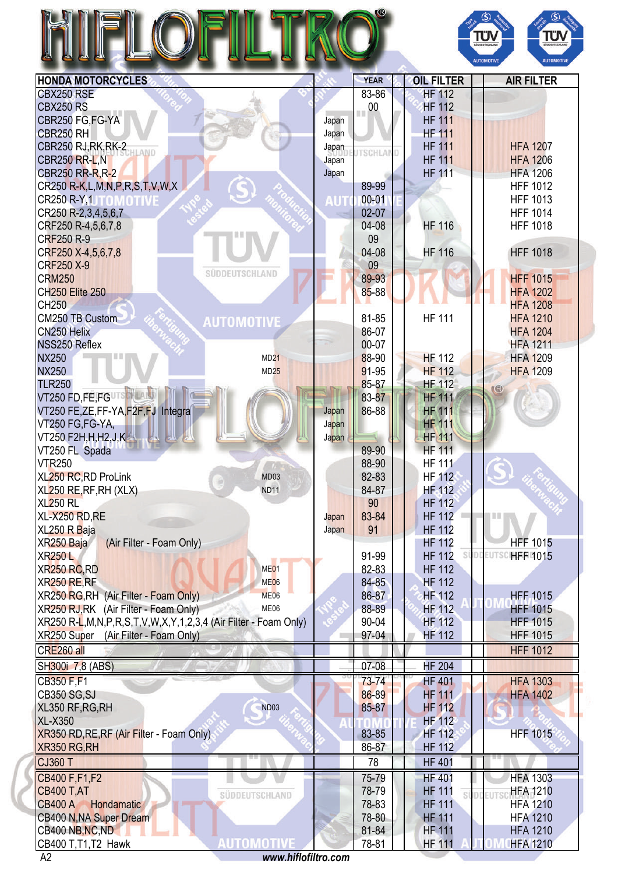|                                         |      |            | O.                          |                   | <b>IUN</b> | SÜDDEUTSCHLAND<br><b>AUTOMOTIVE</b> | G<br>π<br>suppeurs<br><b>AUTON</b> |
|-----------------------------------------|------|------------|-----------------------------|-------------------|------------|-------------------------------------|------------------------------------|
| <b>HONDA MOTORCYCLES</b>                |      |            | <b>YEAR</b>                 | <b>OIL FILTER</b> |            |                                     | <b>AIR FILTER</b>                  |
| CBX250 RSE                              |      |            | 83-86                       | <b>HF 112</b>     |            |                                     |                                    |
| <b>CBX250 RS</b>                        |      |            | $\overline{\phantom{0}}$ 00 | <b>HF 112</b>     |            |                                     |                                    |
| CBR250 FG, FG-YA                        |      | Japan      |                             | <b>HF 111</b>     |            |                                     |                                    |
| CBR250 RH                               |      | Japan      |                             | <b>HF 111</b>     |            |                                     |                                    |
| CBR250 RJ, RK, RK-2                     |      | Japan      | <b>ITSCHLAND</b>            | <b>HF 111</b>     |            |                                     | <b>HFA 1207</b>                    |
| <b>CBR250 RR-L, N</b>                   |      | Japan      |                             | <b>HF 111</b>     |            |                                     | <b>HFA 1206</b>                    |
| <b>CBR250 RR-R, R-2</b>                 |      | Japan      |                             | <b>HF 111</b>     |            |                                     | <b>HFA 1206</b>                    |
| CR250 R-K, L, M, N, P, R, S, T, V, W, X |      |            | 89-99                       |                   |            |                                     | <b>HFF 1012</b>                    |
| CR250 R-Y,1<br><b>OMOTIV</b>            |      | <b>AUT</b> | $00 - 01$                   |                   |            |                                     | <b>HFF 1013</b>                    |
| CR250 R-2,3,4,5,6,7                     |      |            | $02-07$                     |                   |            |                                     | <b>HFF 1014</b>                    |
| CRF250 R-4,5,6,7,8                      |      |            | 04-08                       | <b>HF 116</b>     |            |                                     | <b>HFF 1018</b>                    |
| CRF250 R-9                              |      |            | 09<br>04-08                 | <b>HF 116</b>     |            |                                     | <b>HFF 1018</b>                    |
| CRF250 X-4,5,6,7,8<br><b>CRF250 X-9</b> |      |            | 09                          |                   |            |                                     |                                    |
| SÜDDEUTSCHLAND<br><b>CRM250</b>         |      |            | 89-93                       |                   |            |                                     | <b>HFF 1015</b>                    |
| <b>CH250 Elite 250</b>                  |      |            | 85-88                       |                   |            |                                     | <b>HFA 1202</b>                    |
| <b>CH250</b>                            |      |            |                             |                   |            |                                     | <b>HFA 1208</b>                    |
| CM250 TB Custom                         |      |            | 81-85                       | <b>HF 111</b>     |            |                                     | <b>HFA 1210</b>                    |
| <b>AUTOMOTIVE</b><br>CN250 Helix        |      |            | 86-07                       |                   |            |                                     | <b>HFA 1204</b>                    |
| NSS250 Reflex                           |      |            | 00-07                       |                   |            |                                     | <b>HFA 1211</b>                    |
| <b>NX250</b>                            | MD21 |            | 88-90                       | <b>HF 112</b>     |            |                                     | <b>HFA 1209</b>                    |
| <b>NX250</b>                            | MD25 |            | 91-95                       | <b>HF 112</b>     |            |                                     | <b>HFA 1209</b>                    |
| <b>TLR250</b>                           |      |            | 85-87                       | <b>HF 112</b>     |            | <b>6</b>                            |                                    |
| VT250 FD, FE, FGUTS NUMBER              |      |            | 83-87                       | <b>HF 111</b>     |            |                                     |                                    |
| VT250 FE,ZE,FF-YA,F2F,FJ Integra        |      | Japan      | 86-88                       | <b>HF 111</b>     |            |                                     |                                    |
| VT250 FG,FG-YA,                         |      | Japan      |                             | <b>HF 111</b>     |            |                                     |                                    |
| VT250 F2H, H, H2, J, K                  |      | Japan      |                             | <b>HF 111</b>     |            |                                     |                                    |
| VT250 FL Spada                          |      |            | 89-90                       | <b>HF 111</b>     |            |                                     |                                    |
| <b>VTR250</b>                           |      |            | 88-90                       | <b>HF 111</b>     |            |                                     |                                    |
| <b>XL250 RC, RD ProLink</b>             | MD03 |            | 82-83                       | <b>HF 112</b>     |            |                                     |                                    |

| XR250 Super<br>(Air Filter - Foam Only)   | 97-04     | <b>HF 112</b> | <b>HFF 1015</b> |
|-------------------------------------------|-----------|---------------|-----------------|
| CRE260 all                                |           |               | <b>HFF 1012</b> |
| SH300i 7,8 (ABS)                          | 07-08     | <b>HF 204</b> |                 |
| CB350 F,F1                                | $73 - 74$ | <b>HF401</b>  | <b>HFA 1303</b> |
| <b>CB350 SG,SJ</b>                        | 86-89     | <b>HF 111</b> | <b>HFA 1402</b> |
| XL350 RF, RG, RH<br><b>ND03</b>           | 85-87     | <b>HF 112</b> |                 |
| <b>XL-X350</b>                            |           | <b>HF 112</b> |                 |
| XR350 RD, RE, RF (Air Filter - Foam Only) | 83-85     | HF 112        | <b>HFF 1015</b> |
| XR350 RG, RH                              | 86-87     | <b>HF 112</b> |                 |
| <b>CJ360 T</b>                            | 78        | <b>HF 401</b> |                 |
| CB400 F, F1, F2                           | 75-79     | <b>HF 401</b> | <b>HFA 1303</b> |
| <b>CB400 T,AT</b><br>SUDDEUTSCHLAND       | 78-79     | <b>HF 111</b> | <b>HFA 1210</b> |
| <b>CB400 A</b><br>Hondamatic              | 78-83     | <b>HF 111</b> | <b>HFA 1210</b> |
| CB400 N, NA Super Dream                   | 78-80     | <b>HF 111</b> | <b>HFA 1210</b> |
| CB400 NB, NC, ND                          | 81-84     | <b>HF 111</b> | <b>HFA 1210</b> |
| CB400 T.T1.T2 Hawk                        | 78-81     | <b>HF 111</b> | <b>HFA 1210</b> |

XL250 RE,RF,RH (XLX) ND11 ND11 84-87 HF 112 XL250 RL 90 HF 112 XL-X250 RD, RE Japan 83-84 HF 112 XL250 R Baja Japan 91 HF 112

XR250 RC,RD ME01 ME01 82-83 HF 112 XR250 RE,RF MEDIAN MEDIAN MEDIAN MEDIAN MEDIAN MEDIAN MEDIAN 84-85 HR MF 112

XR250 Baja (Air Filter - Foam Only) According to the Material Hernand HF 112 HFF 1015 XR250 L 8 HF 112 SUDDEVISCHEFF 1015

XR250 RG,RH (Air Filter - Foam Only) ME06 ME06 86-87 | 86-87 HF 112 | HF 1015 XR250 RJ,RK (Air Filter - Foam Only) ME06 ME06 88-89 | 88-89 HF 112 HF 1015 XR250 R-L,M,N,P,R,S,T,V,W,X,Y,1,2,3,4 (Air Filter - Foam Only) 90-04 | | HF 112 HF 1015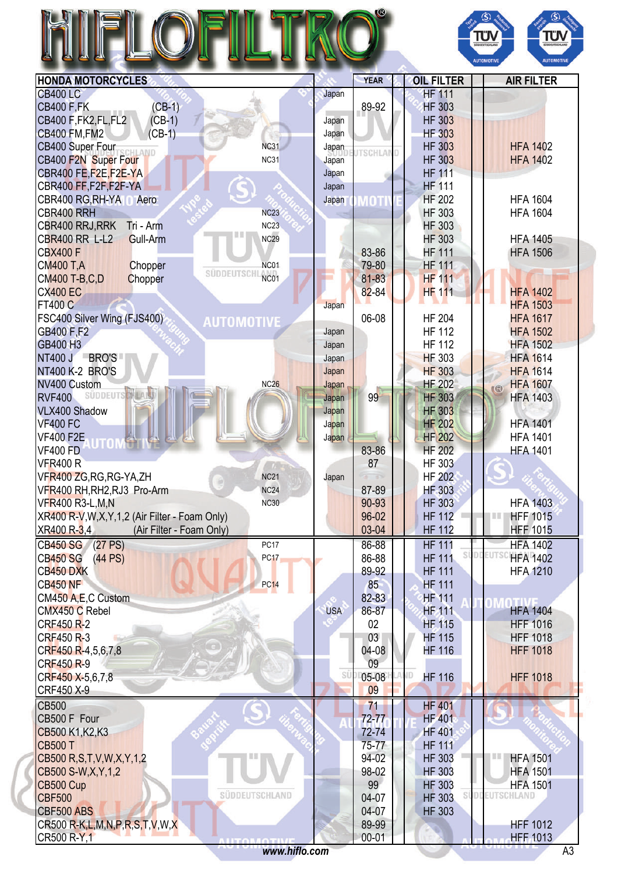|                                                               |            |                 |                      | $\circledS$<br>$\circledS$<br>ΤÜΝ<br>TÜV<br><b>SUDDEUTSCHLAND</b><br>SÚDDEUTSCHLAN<br><b>AUTOMOTIVE</b><br><b>AUTOMOTIVE</b> |
|---------------------------------------------------------------|------------|-----------------|----------------------|------------------------------------------------------------------------------------------------------------------------------|
| <b>HONDA MOTORCYCLES</b>                                      |            | <b>YEAR</b>     | <b>OIL FILTER</b>    | <b>AIR FILTER</b>                                                                                                            |
| <b>CB400 LC</b>                                               | Japan      |                 | <b>HF 111</b>        |                                                                                                                              |
| $(CB-1)$<br><b>CB400 F,FK</b>                                 |            | 89-92           | <b>HF 303</b>        |                                                                                                                              |
| $(CB-1)$<br>CB400 F, FK2, FL, FL2                             | Japan      |                 | <b>HF 303</b>        |                                                                                                                              |
| <b>CB400 FM, FM2</b><br>$(CB-1)$                              | Japan      |                 | <b>HF 303</b>        |                                                                                                                              |
| <b>NC31</b><br>CB400 Super Four<br>CHLAND                     | Japan      |                 | <b>HF 303</b>        | <b>HFA 1402</b>                                                                                                              |
| CB400 F2N Super Four<br><b>NC31</b>                           | Japan      | <b>JTSCHLAN</b> | <b>HF 303</b>        | <b>HFA 1402</b>                                                                                                              |
| CBR400 FE,F2E,F2E-YA                                          | Japan      |                 | <b>HF 111</b>        |                                                                                                                              |
| CBR400 FF,F2F,F2F-YA                                          | Japan      |                 | <b>HF 111</b>        |                                                                                                                              |
| CBR400 RG, RH-YA<br>Aero                                      | Japan      | MOTI            | <b>HF 202</b>        | <b>HFA 1604</b>                                                                                                              |
| CBR400 RRH<br><b>NC23</b>                                     |            |                 | <b>HF 303</b>        | <b>HFA 1604</b>                                                                                                              |
| NC23<br>CBR400 RRJ, RRK<br>Tri - Arm                          |            |                 | <b>HF 303</b>        |                                                                                                                              |
| <b>CBR400 RR L-L2</b><br>Gull-Arm<br><b>NC29</b>              |            |                 | <b>HF 303</b>        | <b>HFA 1405</b>                                                                                                              |
| <b>CBX400 F</b>                                               |            | 83-86           | <b>HF 111</b>        | <b>HFA 1506</b>                                                                                                              |
| <b>CM400 T,A</b><br>Chopper<br>NC01                           |            | 79-80           | <b>HF 111</b>        |                                                                                                                              |
| SÜDDEUTSCHI<br><b>NC01</b><br><b>CM400 T-B,C,D</b><br>Chopper |            | 81-83           | <b>HF 111</b>        |                                                                                                                              |
| <b>CX400 EC</b>                                               |            | $82 - 84$       | <b>HF 111</b>        | <b>HFA 1402</b>                                                                                                              |
| <b>FT400 C</b>                                                | Japan      |                 |                      | <b>HFA 1503</b>                                                                                                              |
| FSC400 Silver Wing (FJS400)<br><b>AUTOMOTIVE</b>              |            | 06-08           | <b>HF 204</b>        | <b>HFA 1617</b>                                                                                                              |
| GB400 F,F2                                                    | Japan      |                 | <b>HF 112</b>        | <b>HFA 1502</b>                                                                                                              |
| GB400 H3                                                      | Japan      |                 | <b>HF 112</b>        | <b>HFA 1502</b>                                                                                                              |
| NT400 J BRO'S                                                 | Japan      |                 | <b>HF 303</b>        | <b>HFA 1614</b>                                                                                                              |
| <b>NT400 K-2 BRO'S</b>                                        | Japan      |                 | <b>HF 303</b>        | <b>HFA 1614</b>                                                                                                              |
| NV400 Custom<br>NC <sub>26</sub>                              | Japan      |                 | <b>HF 202</b>        | <b>HFA 1607</b><br>$\widehat{\mathbb{R}}$                                                                                    |
| <b>SUDDEUT</b><br><b>RVF400</b>                               | Japan      | 99              | <b>HF 303</b>        | <b>HFA 1403</b>                                                                                                              |
| <b>VLX400 Shadow</b>                                          | Japan      |                 | <b>HF 303</b>        |                                                                                                                              |
| <b>VF400 FC</b>                                               | Japan      |                 | <b>HF 202</b>        | <b>HFA 1401</b>                                                                                                              |
| <b>VF400 F2E</b>                                              | Japan      |                 | <b>HF 202</b>        | <b>HFA 1401</b>                                                                                                              |
| <b>VF400 FD</b>                                               |            | 83-86           | <b>HF 202</b>        | <b>HFA 1401</b>                                                                                                              |
| <b>VFR400 R</b>                                               |            | 87              | <b>HF 303</b>        |                                                                                                                              |
| VFR400 ZG, RG, RG-YA, ZH<br><b>NC21</b>                       | Japan      |                 | <b>HF 202</b>        |                                                                                                                              |
| VFR400 RH, RH2, RJ3 Pro-Arm<br><b>NC24</b>                    |            | 87-89           | HF 303               |                                                                                                                              |
| <b>VFR400 R3-L,M,N</b><br><b>NC30</b>                         |            | 90-93           | <b>HF 303</b>        | <b>HFA 1403</b>                                                                                                              |
| XR400 R-V, W, X, Y, 1, 2 (Air Filter - Foam Only)             |            | 96-02           | <b>HF 112</b>        | <b>HFF 1015</b><br>TIL                                                                                                       |
| (Air Filter - Foam Only)<br>XR400 R-3,4                       |            | 03-04           | <b>HF 112</b>        | <b>HFF 1015</b>                                                                                                              |
| CB450 SG (27 PS)<br><b>PC17</b>                               |            | 86-88           | <b>HF 111</b>        | <b>HFA 1402</b>                                                                                                              |
| <b>CB450 SG</b><br>(44 PS)<br><b>PC17</b>                     |            | 86-88           | <b>HF 111</b>        | <b>DDEUTSC</b><br><b>HFA 1402</b>                                                                                            |
| CB450 DXK                                                     |            | 89-92           | <b>HF 111</b>        | <b>HFA 1210</b>                                                                                                              |
| <b>CB450 NF</b><br><b>PC14</b>                                |            | 85              | <b>HF 111</b>        |                                                                                                                              |
| CM450 A, E, C Custom                                          |            | 82-83           | <b>HF 111</b>        |                                                                                                                              |
| CMX450 C Rebel                                                | <b>USA</b> | 86-87           | <b>HF 111</b>        | <b>HFA 1404</b>                                                                                                              |
| <b>CRF450 R-2</b>                                             |            | 02              | <b>HF 115</b>        | <b>HFF 1016</b>                                                                                                              |
| CRF450 R-3                                                    |            | 03              | <b>HF 115</b>        | <b>HFF 1018</b>                                                                                                              |
| CRF450 R-4,5,6,7,8                                            |            | 04-08           | <b>HF 116</b>        | <b>HFF 1018</b>                                                                                                              |
| <b>CRF450 R-9</b>                                             |            | 09              |                      |                                                                                                                              |
| CRF450 X-5,6,7,8                                              | SÜ         | 05-08           | ID.<br><b>HF 116</b> | <b>HFF 1018</b>                                                                                                              |
| CRF450 X-9                                                    |            | 09              |                      |                                                                                                                              |
| <b>CB500</b>                                                  |            | 71              | <b>HF 401</b>        |                                                                                                                              |
| CB500 F Four                                                  |            | $72 - 77$       | <b>HF 401</b>        |                                                                                                                              |
| CB500 K1, K2, K3                                              |            | 72-74           | <b>HF 401</b>        |                                                                                                                              |
| <b>CB500 T</b>                                                |            | 75-77           | <b>HF 111</b>        |                                                                                                                              |
| CB500 R, S, T, V, W, X, Y, 1, 2                               |            | 94-02           | <b>HF 303</b>        | <b>HFA 1501</b>                                                                                                              |
| CB500 S-W, X, Y, 1, 2                                         |            | 98-02           | <b>HF 303</b>        | <b>HFA 1501</b>                                                                                                              |
| CB500 Cup                                                     |            | 99              | <b>HF 303</b>        | <b>HFA 1501</b>                                                                                                              |
| SÜDDEUTSCHLAND<br><b>CBF500</b>                               |            | 04-07           | <b>HF 303</b>        | <b>DDEUTSCHLAND</b>                                                                                                          |
| CBF500 ABS                                                    |            | 04-07           | <b>HF 303</b>        |                                                                                                                              |
| CR500 R-K, L, M, N, P, R, S, T, V, W, X                       |            | 89-99           |                      | <b>HFF 1012</b>                                                                                                              |
| CR500 R-Y,1<br><b>ALITORAOTIVE</b>                            |            | $00 - 01$       |                      | <b>HFF 1013</b>                                                                                                              |
| www.hiflo.com                                                 |            |                 |                      | A3                                                                                                                           |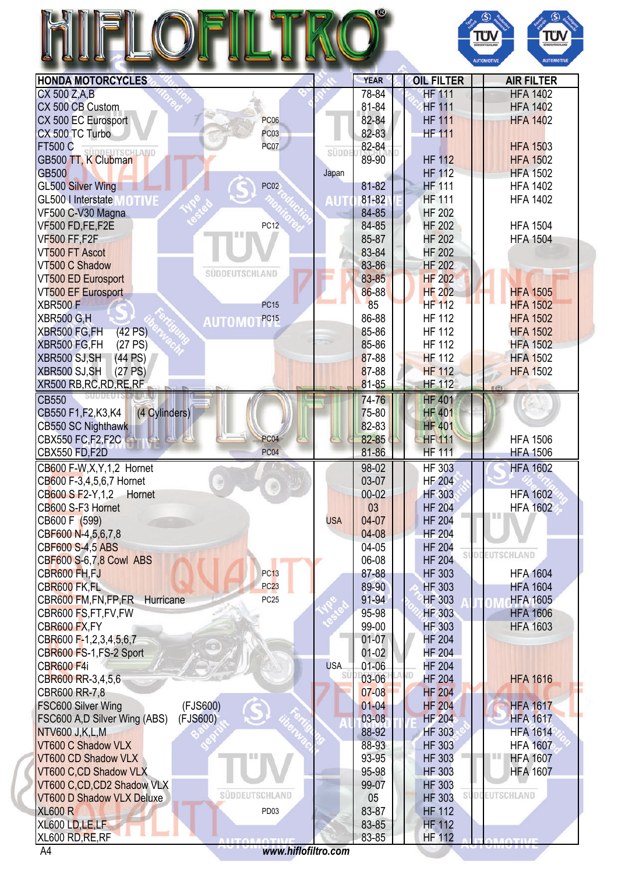|                                                        |            |                |                                | πυ<br>DOEUTSCHLAN<br><b>AUTOMOTIVE</b><br><b>AUTOMOTIVE</b> |
|--------------------------------------------------------|------------|----------------|--------------------------------|-------------------------------------------------------------|
| <b>HONDA MOTORCYCLES</b>                               |            | <b>YEAR</b>    | <b>OIL FILTER</b>              | <b>AIR FILTER</b>                                           |
| CX 500 Z,A,B                                           |            | 78-84          | <b>HF 111</b>                  | <b>HFA 1402</b>                                             |
| CX 500 CB Custom                                       |            | 81-84          | <b>HF 111</b>                  | <b>HFA 1402</b>                                             |
| CX 500 EC Eurosport<br><b>PC06</b>                     |            | 82-84          | <b>HF 111</b>                  | <b>HFA 1402</b>                                             |
| CX 500 TC Turbo<br><b>PC03</b>                         |            | 82-83          | <b>HF 111</b>                  |                                                             |
| <b>FT500 C</b><br><b>PC07</b><br>SÜDDEUTSCHLAND        | SÜDDE      | 82-84          |                                | <b>HFA 1503</b>                                             |
| GB500 TT, K Clubman                                    |            | 89-90          | <b>HF 112</b>                  | <b>HFA 1502</b>                                             |
| <b>GB500</b>                                           | Japan      |                | <b>HF 112</b>                  | <b>HFA 1502</b>                                             |
| <b>GL500 Silver Wing</b><br>PC <sub>02</sub>           |            | 81-82          | <b>HF 111</b>                  | <b>HFA 1402</b>                                             |
| GL500   Interstate<br><b>MOTIVE</b>                    | <b>AUT</b> | 81-82          | <b>HF 111</b>                  | <b>HFA 1402</b>                                             |
| VF500 C-V30 Magna                                      |            | 84-85          | <b>HF 202</b>                  |                                                             |
| VF500 FD,FE,F2E<br><b>PC12</b><br>目目                   |            | 84-85          | <b>HF 202</b>                  | <b>HFA 1504</b>                                             |
| <b>VF500 FF,F2F</b>                                    |            | 85-87          | <b>HF 202</b>                  | <b>HFA 1504</b>                                             |
| VT500 FT Ascot                                         |            | 83-84<br>83-86 | <b>HF 202</b><br><b>HF 202</b> |                                                             |
| VT500 C Shadow<br>SÜDDEUTSCHLAND<br>VT500 ED Eurosport |            | 83-85          | <b>HF 202</b>                  |                                                             |
| <b>VT500 EF Eurosport</b>                              |            | 86-88          | <b>HF 202</b>                  | <b>HFA 1505</b>                                             |
| <b>XBR500F</b><br><b>PC15</b>                          |            | 85             | <b>HF 112</b>                  | <b>HFA 1502</b>                                             |
| <b>XBR500 G,H</b><br>PC <sub>15</sub>                  |            | 86-88          | <b>HF 112</b>                  | <b>HFA 1502</b>                                             |
| <b>AUTOMO</b><br>XBR500 FG,FH<br>(42 PS)               |            | 85-86          | <b>HF 112</b>                  | <b>HFA 1502</b>                                             |
| XBR500 FG,FH<br>(27 PS)                                |            | 85-86          | <b>HF 112</b>                  | <b>HFA 1502</b>                                             |
| XBR500 SJ, SH<br>(44 PS)                               |            | 87-88          | <b>HF 112</b>                  | <b>HFA 1502</b>                                             |
| XBR500 SJ, SH<br>(27 PS)                               |            | 87-88          | <b>HF 112</b>                  | <b>HFA 1502</b>                                             |
| XR500 RB, RC, RD, RE, RF                               |            | 81-85          | <b>HF 112</b>                  |                                                             |
| <b>CB550</b>                                           |            | 74-76          | <b>HF 401</b>                  |                                                             |
| CB550 F1, F2, K3, K4<br>(4 Cylinders)                  |            | 75-80          | <b>HF 401</b>                  |                                                             |
| CB550 SC Nighthawk                                     |            | 82-83          | <b>HF 401</b>                  |                                                             |
| <b>CBX550 FC,F2,F2C</b><br>PC <sub>04</sub>            |            | 82-85          | <b>HF 111</b>                  | <b>HFA 1506</b>                                             |
| PC <sub>04</sub><br><b>CBX550 FD, F2D</b>              |            | 81-86          | <b>HF 111</b>                  | <b>HFA 1506</b>                                             |
| CB600 F-W, X, Y, 1, 2 Hornet                           |            | 98-02          | <b>HF 303</b>                  | <b>HFA 1602</b>                                             |
| CB600 F-3,4,5,6,7 Hornet                               |            | 03-07          | <b>HF 204</b>                  |                                                             |
| CB600 S F2-Y, 1, 2<br>Hornet                           |            | $00 - 02$      | <b>HF 303</b>                  | <b>HFA 1602</b>                                             |
| CB600 S-F3 Hornet                                      |            | 03             | <b>HF 204</b>                  | <b>HFA 1602</b>                                             |
| CB600 F (599)                                          | <b>USA</b> | 04-07          | <b>HF 204</b>                  | I II II                                                     |
| CBF600 N-4,5,6,7,8                                     |            | 04-08          | <b>HF 204</b>                  |                                                             |
| <b>CBF600 S-4,5 ABS</b>                                |            | 04-05          | <b>HF 204</b>                  | EUTSCHLAND                                                  |
| CBF600 S-6,7,8 Cowl ABS                                |            | 06-08          | <b>HF 204</b>                  |                                                             |
| CBR600 FH,FJ<br><b>PC13</b>                            |            | 87-88          | <b>HF 303</b>                  | <b>HFA 1604</b>                                             |
| CBR600 FK,FL<br><b>PC23</b>                            |            | 89-90          | <b>HF 303</b>                  | <b>HFA 1604</b>                                             |
| CBR600 FM, FN, FP, FR Hurricane<br>PC <sub>25</sub>    |            | 91-94          | <b>HF 303</b>                  | <b>HFA 1605</b>                                             |
| CBR600 FS,FT,FV,FW                                     |            | 95-98<br>99-00 | HF 303                         | <b>HFA 1606</b>                                             |
| CBR600 FX, FY<br>CBR600 F-1,2,3,4,5,6,7                |            | $01-07$        | <b>HF 303</b><br><b>HF 204</b> | <b>HFA 1603</b>                                             |
| CBR600 FS-1, FS-2 Sport                                |            | $01-02$        | <b>HF 204</b>                  |                                                             |
| <b>CBR600 F4i</b>                                      | <b>USA</b> | $01 - 06$      | <b>HF 204</b>                  |                                                             |
| CBR600 RR-3,4,5,6                                      | Sl         | 03-06          | <b>HF 204</b>                  | <b>HFA 1616</b>                                             |
| CBR600 RR-7,8                                          |            | $07 - 08$      | <b>HF 204</b>                  |                                                             |
| (FJS600)<br>FSC600 Silver Wing                         |            | $01 - 04$      | <b>HF 204</b>                  | <b>HFA 1617</b>                                             |
| FSC600 A,D Silver Wing (ABS)<br>(FJS600)               |            | 03-08          | <b>HF 204</b>                  | <b>HFA 1617</b>                                             |
| <b>NTV600 J,K,L,M</b>                                  |            | 88-92          | <b>HF 303</b>                  | <b>HFA 1614</b>                                             |
| VT600 C Shadow VLX                                     |            | 88-93          | <b>HF 303</b>                  | <b>HFA 1607</b>                                             |
| VT600 CD Shadow VLX                                    |            | 93-95          | <b>HF 303</b>                  | <b>HFA 1607</b>                                             |
| VT600 C,CD Shadow VLX                                  |            | 95-98          | <b>HF 303</b>                  | <b>HFA 1607</b>                                             |
| VT600 C,CD,CD2 Shadow VLX                              |            | 99-07          | <b>HF 303</b>                  |                                                             |
| SÜDDEUTSCHLAND<br>VT600 D Shadow VLX Deluxe            |            | 05             | <b>HF 303</b>                  | <b>EUTSCHLAND</b>                                           |
| <b>XL600 R</b><br>PD <sub>03</sub>                     |            | 83-87          | <b>HF 112</b>                  |                                                             |
| XL600 LD, LE, LF                                       |            | 83-85          | <b>HF 112</b>                  |                                                             |
| XL600 RD, RE, RF                                       |            | 83-85          | <b>HF 112</b>                  |                                                             |
| www.hiflofiltro.com<br>A <sup>4</sup>                  |            |                |                                |                                                             |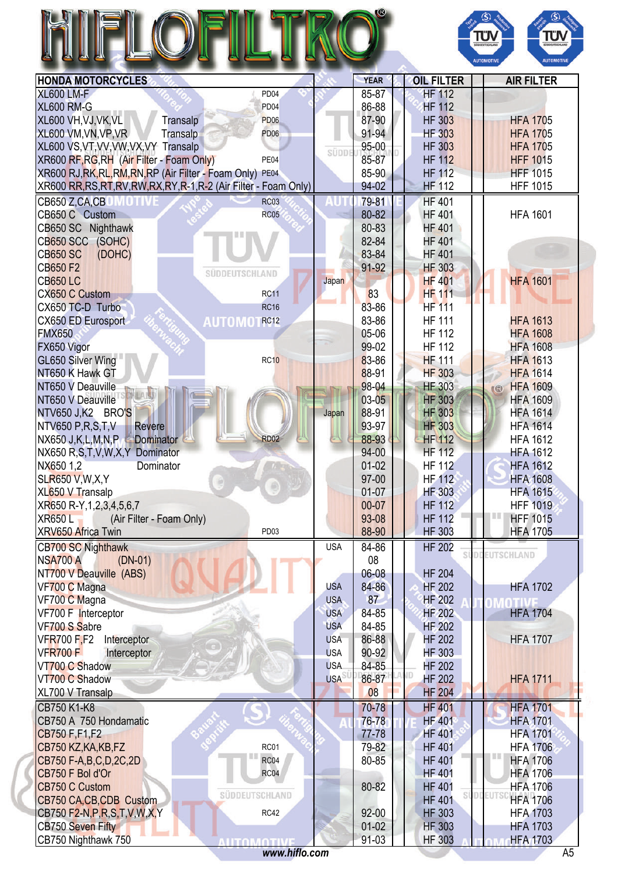|                                                                      |            |             |                     | ΤÜΝ<br><b>JODEUTSCHLAN</b><br><b>AUTOMOTIVE</b><br><b>AUTOMOTIVI</b> |
|----------------------------------------------------------------------|------------|-------------|---------------------|----------------------------------------------------------------------|
| <b>HONDA MOTORCYCLES</b>                                             |            | <b>YEAR</b> | <b>OIL FILTER</b>   | <b>AIR FILTER</b>                                                    |
| <b>XL600 LM-F</b><br>PD <sub>04</sub>                                |            | 85-87       | <b>HF 112</b>       |                                                                      |
|                                                                      |            |             |                     |                                                                      |
| <b>XL600 RM-G</b><br>PD <sub>04</sub>                                |            | 86-88       | <b>HF 112</b>       |                                                                      |
| XL600 VH, VJ, VK, VL<br>Transalp<br><b>PD06</b>                      |            | 87-90       | <b>HF 303</b>       | <b>HFA 1705</b>                                                      |
| XL600 VM, VN, VP, VR<br>Transalp<br><b>PD06</b>                      |            | 91-94       | <b>HF 303</b>       | <b>HFA 1705</b>                                                      |
| XL600 VS, VT, VV, VW, VX, VY Transalp                                | SÜDDE      | 95-00       | <b>HF 303</b>       | <b>HFA 1705</b>                                                      |
| XR600 RF, RG, RH (Air Filter - Foam Only)<br>PE04                    |            | 85-87       | <b>HF 112</b>       | <b>HFF 1015</b>                                                      |
| XR600 RJ, RK, RL, RM, RN, RP (Air Filter - Foam Only)<br><b>PE04</b> |            | 85-90       | <b>HF 112</b>       | <b>HFF 1015</b>                                                      |
| XR600 RR, RS, RT, RV, RW, RX, RY, R-1, R-2 (Air Filter - Foam Only)  |            | 94-02       | <b>HF 112</b>       | <b>HFF 1015</b>                                                      |
| CB650 Z,CA,CB<br><b>RC03</b><br>WUI                                  |            | 79-81       | <b>HF 401</b>       |                                                                      |
| CB650 C Custom<br><b>RC05</b>                                        |            | 80-82       | <b>HF 401</b>       | <b>HFA 1601</b>                                                      |
|                                                                      |            |             |                     |                                                                      |
| CB650 SC Nighthawk                                                   |            | 80-83       | <b>HF 401</b>       |                                                                      |
| CB650 SCC (SOHC)                                                     |            | 82-84       | <b>HF 401</b>       |                                                                      |
| <b>CB650 SC</b><br>(DOHC)                                            |            | 83-84       | <b>HF 401</b>       |                                                                      |
| <b>CB650 F2</b><br><b>SÜDDEUTSCHLAND</b>                             |            | 91-92       | <b>HF 303</b>       |                                                                      |
| <b>CB650 LC</b>                                                      | Japan      |             | <b>HF 401</b>       | <b>HFA 1601</b>                                                      |
| <b>CX650 C Custom</b><br><b>RC11</b>                                 |            | 83          | <b>HF 111</b>       |                                                                      |
| CX650 TC-D Turbo<br><b>RC16</b>                                      |            | 83-86       | <b>HF 111</b>       |                                                                      |
| CX650 ED Eurosport<br><b>AUTOMO</b><br><b>RC12</b>                   |            | 83-86       | <b>HF 111</b>       | <b>HFA 1613</b>                                                      |
| <b>FMX650</b>                                                        |            | 05-06       | <b>HF 112</b>       | <b>HFA 1608</b>                                                      |
| FX650 Vigor                                                          |            | 99-02       | <b>HF 112</b>       | <b>HFA 1608</b>                                                      |
|                                                                      |            |             | <b>HF 111</b>       |                                                                      |
| GL650 Silver Wing<br><b>RC10</b>                                     |            | 83-86       |                     | <b>HFA 1613</b>                                                      |
| NT650 K Hawk GT                                                      |            | 88-91       | <b>HF 303</b>       | <b>HFA 1614</b>                                                      |
| NT650 V Deauville                                                    |            | 98-04       | <b>HF 303</b>       | <b>HFA 1609</b><br>$\circ$                                           |
| NT650 V Deauville                                                    |            | $03 - 05$   | <b>HF 303</b>       | <b>HFA 1609</b>                                                      |
| NTV650 J,K2 BRO'S                                                    | Japan      | 88-91       | <b>HF 303</b>       | <b>HFA 1614</b>                                                      |
| <b>NTV650 P,R,S,T,V</b><br><b>Revere</b>                             |            | 93-97       | <b>HF 303</b>       | <b>HFA 1614</b>                                                      |
| NX650 J, K, L, M, N, P<br>Dominator<br><b>RD02</b>                   |            | 88-93       | <b>HF 112</b>       | <b>HFA 1612</b>                                                      |
| NX650 R,S,T,V,W,X,Y Dominator                                        |            | 94-00       | <b>HF 112</b>       | <b>HFA 1612</b>                                                      |
| NX650 1,2<br>Dominator                                               |            | $01 - 02$   | <b>HF 112</b>       | <b>HFA 1612</b>                                                      |
| <b>SLR650 V, W, X, Y</b>                                             |            | 97-00       | <b>HF 112</b>       | <b>HFA 1608</b>                                                      |
| XL650 V Transalp                                                     |            | $01-07$     | <b>HF 303</b>       | <b>HFA 1615</b>                                                      |
| XR650 R-Y, 1, 2, 3, 4, 5, 6, 7                                       |            | 00-07       | <b>HF 112</b>       | <b>HFF 1019</b>                                                      |
| <b>XR650L</b><br>(Air Filter - Foam Only)                            |            | 93-08       | <b>HF 112</b>       | Ш<br><b>HFF 1015</b>                                                 |
| XRV650 Africa Twin<br>PD <sub>03</sub>                               |            | 88-90       | <b>HF 303</b>       | <b>HFA 1705</b>                                                      |
|                                                                      |            |             |                     |                                                                      |
| <b>CB700 SC Nighthawk</b>                                            | <b>USA</b> | 84-86       | <b>HF 202</b><br>sí | <b>DDEUTSCHLAND</b>                                                  |
| <b>NSA700 A</b><br>$(DN-01)$                                         |            | 08          |                     |                                                                      |
| NT700 V Deauville (ABS)                                              |            | 06-08       | <b>HF 204</b>       |                                                                      |
| VF700 C Magna                                                        | <b>USA</b> | 84-86       | <b>HF 202</b>       | <b>HFA 1702</b>                                                      |
| VF700 C Magna                                                        | <b>USA</b> | 87          | <b>HF 202</b>       | M                                                                    |
| VF700 F Interceptor                                                  | <b>USA</b> | 84-85       | <b>HF 202</b>       | <b>HFA 1704</b>                                                      |
| VF700 S Sabre                                                        | <b>USA</b> | 84-85       | <b>HF 202</b>       |                                                                      |
| <b>VFR700 F,F2</b><br>Interceptor                                    | <b>USA</b> | 86-88       | <b>HF 202</b>       | <b>HFA 1707</b>                                                      |
| <b>VFR700 F</b><br>Interceptor                                       | <b>USA</b> | 90-92       | <b>HF 303</b>       |                                                                      |
| VT700 C Shadow                                                       | <b>USA</b> | 84-85       | <b>HF 202</b>       |                                                                      |
| VT700 C Shadow                                                       | <b>USA</b> | 86-87       | <b>HF 202</b>       | <b>HFA 1711</b>                                                      |
| XL700 V Transalp                                                     |            | 08          | <b>HF 204</b>       |                                                                      |
| CB750 K1-K8                                                          |            | 70-78       | <b>HF 401</b>       | <b>HFA 1701</b>                                                      |
| CB750 A 750 Hondamatic                                               |            | 76-78       | <b>HF 401</b>       | <b>HFA 1701</b>                                                      |
| CB750 F, F1, F2                                                      |            | 77-78       | <b>HF 401</b>       | <b>HFA 1701</b>                                                      |
| RC01<br>CB750 KZ, KA, KB, FZ                                         |            | 79-82       | <b>HF 401</b>       | <b>HFA 1706</b>                                                      |
| RC04                                                                 |            | 80-85       | <b>HF 401</b>       | <b>HFA 1706</b>                                                      |
| CB750 F-A,B,C,D,2C,2D                                                |            |             |                     |                                                                      |
| CB750 F Bol d'Or<br>RC04                                             |            |             | <b>HF 401</b>       | <b>HFA 1706</b>                                                      |
| CB750 C Custom<br>SÜDDEUTSCHLAND                                     |            | 80-82       | <b>HF 401</b>       | <b>HFA 1706</b>                                                      |
| CB750 CA, CB, CDB Custom                                             |            |             | <b>HF 401</b>       | <b>HFA 1706</b>                                                      |

CB750 Nighthawk 750 **CB750 Nighthawk 750 Participal Town TIVE** 191-03 HF 303 A FLAM (HFA 1703 *<www.hiflo.com>* A5

CB750 F2-N,P,R,S,T,V,W,X,Y RCALL RC42 HS 92-00 HF 303 HS HFA 1703 CB750 Seven Fifty **CDI CHARGE CB 2014** HF 303 HF A 1703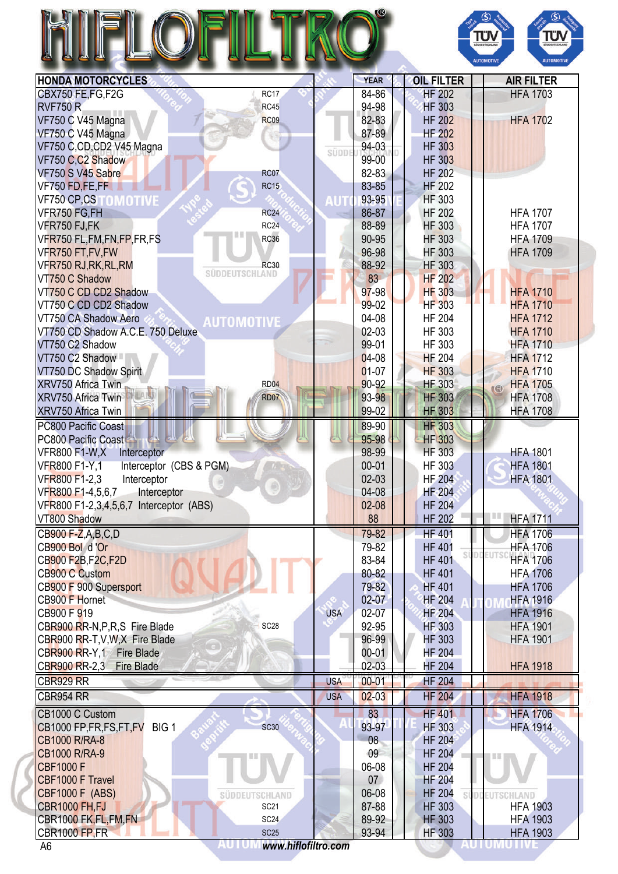## HIFLOFILTRO®



| <b>HONDA MOTORCYCLES</b>                                                   |            | <b>YEAR</b>    | <b>OIL FILTER</b>              | <b>AIR FILTER</b>                  |
|----------------------------------------------------------------------------|------------|----------------|--------------------------------|------------------------------------|
| CBX750 FE,FG,F2G<br>RC17                                                   |            | 84-86          | <b>HF 202</b>                  | <b>HFA 1703</b>                    |
| <b>RVF750 R</b><br><b>RC45</b>                                             |            | 94-98          | <b>HF 303</b>                  |                                    |
| VF750 C V45 Magna<br><b>RC09</b>                                           |            | 82-83          | <b>HF 202</b>                  | <b>HFA 1702</b>                    |
| VF750 C V45 Magna                                                          |            | 87-89          | <b>HF 202</b>                  |                                    |
| VF750 C,CD,CD2 V45 Magna                                                   |            | 94-03          | <b>HF 303</b>                  |                                    |
| VF750 C,C2 Shadow                                                          | süppi      | 99-00          | <b>HF 303</b>                  |                                    |
| VF750 S V45 Sabre<br><b>RC07</b>                                           |            | 82-83          | <b>HF 202</b>                  |                                    |
| <b>RC15</b><br>VF750 FD,FE,FF                                              |            | 83-85          | <b>HF 202</b>                  |                                    |
| <b>VF750 CP,CSTOMOTIVE</b>                                                 | AUT        | 93-95          | <b>HF 303</b>                  |                                    |
| VFR750 FG,FH<br><b>RC24</b>                                                |            | 86-87          | <b>HF 202</b>                  | <b>HFA 1707</b>                    |
|                                                                            |            |                |                                |                                    |
| <b>RC24</b><br>VFR750 FJ,FK                                                |            | 88-89          | <b>HF 303</b>                  | <b>HFA 1707</b>                    |
| VFR750 FL,FM,FN,FP,FR,FS<br><b>RC36</b>                                    |            | 90-95          | <b>HF 303</b>                  | <b>HFA 1709</b>                    |
| VFR750 FT, FV, FW                                                          |            | 96-98          | <b>HF 303</b>                  | <b>HFA 1709</b>                    |
| VFR750 RJ, RK, RL, RM<br><b>RC30</b><br>SÜDDEUTSCHLAND                     |            | 88-92          | <b>HF 303</b>                  |                                    |
| VT750 C Shadow                                                             |            | 83             | <b>HF 202</b>                  |                                    |
| VT750 C CD CD2 Shadow                                                      |            | 97-98          | <b>HF 303</b>                  | <b>HFA 1710</b>                    |
| VT750 C CD CD2 Shadow                                                      |            | 99-02          | <b>HF 303</b>                  | <b>HFA 1710</b>                    |
| VT750 CA Shadow Aero<br><b>AUTOMOTIVE</b>                                  |            | 04-08          | <b>HF 204</b>                  | <b>HFA 1712</b>                    |
| VT750 CD Shadow A.C.E. 750 Deluxe                                          |            | $02-03$        | HF 303                         | <b>HFA 1710</b>                    |
| VT750 C2 Shadow                                                            |            | 99-01          | HF 303                         | <b>HFA 1710</b>                    |
| VT750 C2 Shadow                                                            |            | $04-08$        | <b>HF 204</b>                  | <b>HFA 1712</b>                    |
| VT750 DC Shadow Spirit                                                     |            | $01-07$        | <b>HF 303</b>                  | <b>HFA 1710</b>                    |
| XRV750 Africa Twin<br><b>RD04</b>                                          |            | 90-92          | <b>HF 303</b>                  | <b>HFA 1705</b>                    |
|                                                                            |            |                |                                | (3)                                |
| XRV750 Africa Twin<br><b>RD07</b>                                          |            | 93-98          | <b>HF 303</b>                  | <b>HFA 1708</b>                    |
| XRV750 Africa Twin                                                         |            | 99-02          | <b>HF 303</b>                  | <b>HFA 1708</b>                    |
| PC800 Pacific Coast                                                        |            | 89-90          | <b>HF 303</b>                  |                                    |
| PC800 Pacific Coast                                                        |            | 95-98          | <b>HF 303</b>                  |                                    |
| <b>VFR800 F1-W,X</b><br>Interceptor                                        |            | 98-99          | <b>HF 303</b>                  | <b>HFA 1801</b>                    |
| Interceptor (CBS & PGM)<br><b>VFR800 F1-Y,1</b>                            |            | $00 - 01$      | <b>HF 303</b>                  | <b>HFA 1801</b>                    |
| VFR800 F1-2,3<br>Interceptor                                               |            | $02-03$        | <b>HF 204</b>                  | <b>HFA 1801</b>                    |
| VFR800 F1-4,5,6,7<br>Interceptor                                           |            | 04-08          | <b>HF 204</b>                  |                                    |
| VFR800 F1-2,3,4,5,6,7 Interceptor (ABS)                                    |            | $02 - 08$      | <b>HF 204</b>                  |                                    |
| VT800 Shadow                                                               |            | 88             | <b>HF 202</b>                  | <b>HFA 1711</b>                    |
|                                                                            |            |                |                                |                                    |
| CB900 F-Z,A,B,C,D                                                          |            | 79-82          | <b>HF 401</b>                  | <b>HFA 1706</b>                    |
| CB900 Bol d'Or                                                             |            | 79-82          | <b>HF 401</b>                  | <b>HFA 1706</b><br>DDEUT           |
| CB900 F2B, F2C, F2D                                                        |            | 83-84          | <b>HF 401</b>                  | <b>HFA 1706</b>                    |
| <b>CB900 C Custom</b>                                                      |            | 80-82          | <b>HF 401</b>                  | <b>HFA 1706</b>                    |
| CB900 F 900 Supersport                                                     |            | 79-82          | <b>HF 401</b>                  | <b>HFA 1706</b>                    |
| CB900 F Hornet                                                             |            | $02 - 07$      | <b>HF 204</b>                  | <b>HFA 1916</b>                    |
| CB900 F 919                                                                | <b>USA</b> | 02-07          | <b>HF 204</b>                  | <b>HFA 1916</b>                    |
| CBR900 RR-N, P, R, S Fire Blade<br><b>SC28</b>                             |            | 92-95          | <b>HF 303</b>                  | <b>HFA 1901</b>                    |
| CBR900 RR-T, V, W, X Fire Blade                                            |            | 96-99          | <b>HF 303</b>                  | <b>HFA 1901</b>                    |
| CBR900 RR-Y,1 Fire Blade                                                   |            | $00 - 01$      | <b>HF 204</b>                  |                                    |
| CBR900 RR-2,3 Fire Blade                                                   |            | $02-03$        | <b>HF 204</b>                  | <b>HFA 1918</b>                    |
|                                                                            |            |                |                                |                                    |
| CBR929 RR                                                                  | <b>USA</b> | $00 - 01$      | <b>HF 204</b>                  |                                    |
| <b>CBR954 RR</b>                                                           | <b>USA</b> | $02 - 03$      | <b>HF 204</b>                  | <b>HFA 1918</b>                    |
| CB1000 C Custom                                                            |            | 83             | <b>HF 401</b>                  | <b>HFA 1706</b>                    |
| <b>SC30</b><br>CB1000 FP, FR, FS, FT, FV BIG 1                             |            | 93-97          | <b>HF 303</b>                  | <b>HFA 1914</b>                    |
|                                                                            |            | 08             | <b>HF 204</b>                  |                                    |
|                                                                            |            |                |                                |                                    |
| <b>CB1000 R/RA-8</b>                                                       |            |                |                                |                                    |
| <b>CB1000 R/RA-9</b>                                                       |            | 09             | <b>HF 204</b>                  |                                    |
| <b>CBF1000 F</b>                                                           |            | 06-08          | <b>HF 204</b>                  |                                    |
| CBF1000 F Travel                                                           |            | 07             | <b>HF 204</b>                  |                                    |
| <b>CBF1000 F (ABS)</b><br>SÜDDEUTSCHLAND                                   |            | 06-08          | <b>HF 204</b>                  | IDE<br>EUTSCHLAND                  |
| <b>CBR1000 FH, FJ</b><br><b>SC21</b>                                       |            | 87-88          | <b>HF 303</b>                  | <b>HFA 1903</b>                    |
| CBR1000 FK, FL, FM, FN<br>SC <sub>24</sub><br>CBR1000 FP,FR<br><b>SC25</b> |            | 89-92<br>93-94 | <b>HF 303</b><br><b>HF 303</b> | <b>HFA 1903</b><br><b>HFA 1903</b> |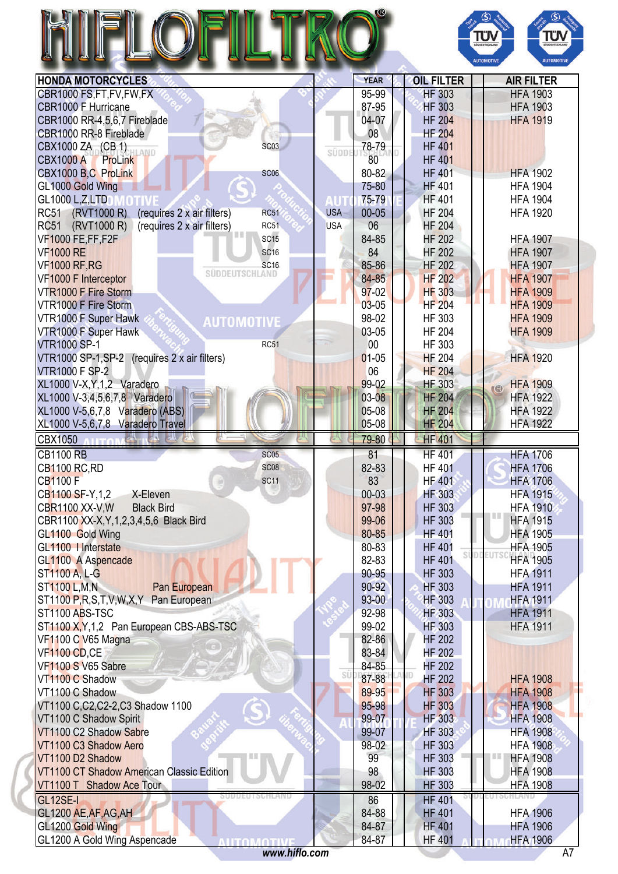| H<br>I<br>II |  |  |
|--------------|--|--|
|              |  |  |



| CBR1000 FS,FT,FV,FW,FX<br>CBR1000 F Hurricane<br>CBR1000 RR-4,5,6,7 Fireblade<br>CBR1000 RR-8 Fireblade<br><b>SC03</b><br>CBX1000 ZA (CB 1)<br><b>CBX1000 A</b><br>ProLink<br>CBX1000 B,C ProLink<br><b>SC06</b><br>GL1000 Gold Wing<br><b>GL1000 L,Z,LTD</b><br>(RVT1000 R)<br><b>RC51</b><br>(requires 2 x air filters)<br><b>RC51</b><br>RC51 (RVT1000 R)<br>(requires 2 x air filters)<br><b>RC51</b><br><b>VF1000 FE,FF,F2F</b><br>SC <sub>15</sub><br><b>VF1000 RE</b><br><b>SC16</b><br><b>VF1000 RF, RG</b><br><b>SC16</b><br>SÜDDEUTSCHLAND<br>VF1000 F Interceptor<br><b>VTR1000 F Fire Storm</b><br>VTR1000 F Fire Storm<br>VTR1000 F Super Hawk<br><b>AUTOMOTIVE</b><br>VTR1000 F Super Hawk<br><b>VTR1000 SP-1</b><br>RC51<br>VTR1000 SP-1, SP-2 (requires 2 x air filters)<br><b>VTR1000 F SP-2</b><br>XL1000 V-X, Y, 1, 2 Varadero<br>XL1000 V-3,4,5,6,7,8 Varadero<br>XL1000 V-5,6,7,8 Varadero (ABS)<br>XL1000 V-5,6,7,8 Varadero Travel<br>CBX1050<br>新行<br><b>HITOMA</b><br><b>CB1100 RB</b><br><b>SC05</b><br><b>SC08</b><br><b>CB1100 RC, RD</b><br><b>CB1100 F</b><br><b>SC11</b><br>CB1100 SF-Y,1,2<br>X-Eleven<br>CBR1100 XX-V, W<br><b>Black Bird</b><br>CBR1100 XX-X, Y, 1, 2, 3, 4, 5, 6 Black Bird | <b>SÜDDI</b><br><b>USA</b><br><b>USA</b>                | 95-99<br>87-95<br>04-07<br>08<br>78-79<br>80<br>80-82<br>75-80<br>75-79<br>$00 - 05$<br>06<br>84-85<br>84<br>85-86<br>84-85<br>$97-02$<br>$03 - 05$<br>98-02<br>03-05<br>00<br>$01-05$<br>06<br>99-02<br>03-08<br>05-08<br>05-08<br>79-80<br>81<br>82-83 | <b>HF 303</b><br><b>HF 303</b><br><b>HF 204</b><br><b>HF 204</b><br><b>HF 401</b><br><b>HF 401</b><br><b>HF 401</b><br><b>HF 401</b><br><b>HF 401</b><br><b>HF 204</b><br><b>HF 204</b><br><b>HF 202</b><br><b>HF 202</b><br><b>HF 202</b><br><b>HF 202</b><br><b>HF 303</b><br><b>HF 204</b><br>HF 303<br><b>HF 204</b><br>HF 303<br><b>HF 204</b><br><b>HF 204</b><br><b>HF 303</b><br><b>HF 204</b><br><b>HF 204</b><br><b>HF 204</b><br><b>HF 401</b><br><b>HF 401</b> | <b>HFA 1903</b><br><b>HFA 1903</b><br><b>HFA 1919</b><br><b>HFA 1902</b><br><b>HFA 1904</b><br><b>HFA 1904</b><br><b>HFA 1920</b><br><b>HFA 1907</b><br><b>HFA 1907</b><br><b>HFA 1907</b><br><b>HFA 1907</b><br><b>HFA 1909</b><br><b>HFA 1909</b><br><b>HFA 1909</b><br><b>HFA 1909</b><br><b>HFA 1920</b><br><b>HFA 1909</b><br>(3)<br><b>HFA 1922</b><br><b>HFA 1922</b><br><b>HFA 1922</b><br><b>HFA 1706</b> |
|--------------------------------------------------------------------------------------------------------------------------------------------------------------------------------------------------------------------------------------------------------------------------------------------------------------------------------------------------------------------------------------------------------------------------------------------------------------------------------------------------------------------------------------------------------------------------------------------------------------------------------------------------------------------------------------------------------------------------------------------------------------------------------------------------------------------------------------------------------------------------------------------------------------------------------------------------------------------------------------------------------------------------------------------------------------------------------------------------------------------------------------------------------------------------------------------------------------------------------|---------------------------------------------------------|----------------------------------------------------------------------------------------------------------------------------------------------------------------------------------------------------------------------------------------------------------|----------------------------------------------------------------------------------------------------------------------------------------------------------------------------------------------------------------------------------------------------------------------------------------------------------------------------------------------------------------------------------------------------------------------------------------------------------------------------|--------------------------------------------------------------------------------------------------------------------------------------------------------------------------------------------------------------------------------------------------------------------------------------------------------------------------------------------------------------------------------------------------------------------|
|                                                                                                                                                                                                                                                                                                                                                                                                                                                                                                                                                                                                                                                                                                                                                                                                                                                                                                                                                                                                                                                                                                                                                                                                                                |                                                         |                                                                                                                                                                                                                                                          |                                                                                                                                                                                                                                                                                                                                                                                                                                                                            |                                                                                                                                                                                                                                                                                                                                                                                                                    |
|                                                                                                                                                                                                                                                                                                                                                                                                                                                                                                                                                                                                                                                                                                                                                                                                                                                                                                                                                                                                                                                                                                                                                                                                                                |                                                         |                                                                                                                                                                                                                                                          |                                                                                                                                                                                                                                                                                                                                                                                                                                                                            |                                                                                                                                                                                                                                                                                                                                                                                                                    |
|                                                                                                                                                                                                                                                                                                                                                                                                                                                                                                                                                                                                                                                                                                                                                                                                                                                                                                                                                                                                                                                                                                                                                                                                                                |                                                         |                                                                                                                                                                                                                                                          |                                                                                                                                                                                                                                                                                                                                                                                                                                                                            |                                                                                                                                                                                                                                                                                                                                                                                                                    |
|                                                                                                                                                                                                                                                                                                                                                                                                                                                                                                                                                                                                                                                                                                                                                                                                                                                                                                                                                                                                                                                                                                                                                                                                                                |                                                         |                                                                                                                                                                                                                                                          |                                                                                                                                                                                                                                                                                                                                                                                                                                                                            |                                                                                                                                                                                                                                                                                                                                                                                                                    |
|                                                                                                                                                                                                                                                                                                                                                                                                                                                                                                                                                                                                                                                                                                                                                                                                                                                                                                                                                                                                                                                                                                                                                                                                                                |                                                         |                                                                                                                                                                                                                                                          |                                                                                                                                                                                                                                                                                                                                                                                                                                                                            |                                                                                                                                                                                                                                                                                                                                                                                                                    |
|                                                                                                                                                                                                                                                                                                                                                                                                                                                                                                                                                                                                                                                                                                                                                                                                                                                                                                                                                                                                                                                                                                                                                                                                                                |                                                         |                                                                                                                                                                                                                                                          |                                                                                                                                                                                                                                                                                                                                                                                                                                                                            |                                                                                                                                                                                                                                                                                                                                                                                                                    |
|                                                                                                                                                                                                                                                                                                                                                                                                                                                                                                                                                                                                                                                                                                                                                                                                                                                                                                                                                                                                                                                                                                                                                                                                                                |                                                         |                                                                                                                                                                                                                                                          |                                                                                                                                                                                                                                                                                                                                                                                                                                                                            |                                                                                                                                                                                                                                                                                                                                                                                                                    |
|                                                                                                                                                                                                                                                                                                                                                                                                                                                                                                                                                                                                                                                                                                                                                                                                                                                                                                                                                                                                                                                                                                                                                                                                                                |                                                         |                                                                                                                                                                                                                                                          |                                                                                                                                                                                                                                                                                                                                                                                                                                                                            |                                                                                                                                                                                                                                                                                                                                                                                                                    |
|                                                                                                                                                                                                                                                                                                                                                                                                                                                                                                                                                                                                                                                                                                                                                                                                                                                                                                                                                                                                                                                                                                                                                                                                                                |                                                         |                                                                                                                                                                                                                                                          |                                                                                                                                                                                                                                                                                                                                                                                                                                                                            |                                                                                                                                                                                                                                                                                                                                                                                                                    |
|                                                                                                                                                                                                                                                                                                                                                                                                                                                                                                                                                                                                                                                                                                                                                                                                                                                                                                                                                                                                                                                                                                                                                                                                                                |                                                         |                                                                                                                                                                                                                                                          |                                                                                                                                                                                                                                                                                                                                                                                                                                                                            |                                                                                                                                                                                                                                                                                                                                                                                                                    |
|                                                                                                                                                                                                                                                                                                                                                                                                                                                                                                                                                                                                                                                                                                                                                                                                                                                                                                                                                                                                                                                                                                                                                                                                                                |                                                         |                                                                                                                                                                                                                                                          |                                                                                                                                                                                                                                                                                                                                                                                                                                                                            |                                                                                                                                                                                                                                                                                                                                                                                                                    |
|                                                                                                                                                                                                                                                                                                                                                                                                                                                                                                                                                                                                                                                                                                                                                                                                                                                                                                                                                                                                                                                                                                                                                                                                                                |                                                         |                                                                                                                                                                                                                                                          |                                                                                                                                                                                                                                                                                                                                                                                                                                                                            |                                                                                                                                                                                                                                                                                                                                                                                                                    |
|                                                                                                                                                                                                                                                                                                                                                                                                                                                                                                                                                                                                                                                                                                                                                                                                                                                                                                                                                                                                                                                                                                                                                                                                                                |                                                         |                                                                                                                                                                                                                                                          |                                                                                                                                                                                                                                                                                                                                                                                                                                                                            |                                                                                                                                                                                                                                                                                                                                                                                                                    |
|                                                                                                                                                                                                                                                                                                                                                                                                                                                                                                                                                                                                                                                                                                                                                                                                                                                                                                                                                                                                                                                                                                                                                                                                                                |                                                         |                                                                                                                                                                                                                                                          |                                                                                                                                                                                                                                                                                                                                                                                                                                                                            |                                                                                                                                                                                                                                                                                                                                                                                                                    |
|                                                                                                                                                                                                                                                                                                                                                                                                                                                                                                                                                                                                                                                                                                                                                                                                                                                                                                                                                                                                                                                                                                                                                                                                                                |                                                         |                                                                                                                                                                                                                                                          |                                                                                                                                                                                                                                                                                                                                                                                                                                                                            |                                                                                                                                                                                                                                                                                                                                                                                                                    |
|                                                                                                                                                                                                                                                                                                                                                                                                                                                                                                                                                                                                                                                                                                                                                                                                                                                                                                                                                                                                                                                                                                                                                                                                                                |                                                         |                                                                                                                                                                                                                                                          |                                                                                                                                                                                                                                                                                                                                                                                                                                                                            |                                                                                                                                                                                                                                                                                                                                                                                                                    |
|                                                                                                                                                                                                                                                                                                                                                                                                                                                                                                                                                                                                                                                                                                                                                                                                                                                                                                                                                                                                                                                                                                                                                                                                                                |                                                         |                                                                                                                                                                                                                                                          |                                                                                                                                                                                                                                                                                                                                                                                                                                                                            |                                                                                                                                                                                                                                                                                                                                                                                                                    |
|                                                                                                                                                                                                                                                                                                                                                                                                                                                                                                                                                                                                                                                                                                                                                                                                                                                                                                                                                                                                                                                                                                                                                                                                                                |                                                         |                                                                                                                                                                                                                                                          |                                                                                                                                                                                                                                                                                                                                                                                                                                                                            |                                                                                                                                                                                                                                                                                                                                                                                                                    |
|                                                                                                                                                                                                                                                                                                                                                                                                                                                                                                                                                                                                                                                                                                                                                                                                                                                                                                                                                                                                                                                                                                                                                                                                                                |                                                         |                                                                                                                                                                                                                                                          |                                                                                                                                                                                                                                                                                                                                                                                                                                                                            |                                                                                                                                                                                                                                                                                                                                                                                                                    |
|                                                                                                                                                                                                                                                                                                                                                                                                                                                                                                                                                                                                                                                                                                                                                                                                                                                                                                                                                                                                                                                                                                                                                                                                                                |                                                         |                                                                                                                                                                                                                                                          |                                                                                                                                                                                                                                                                                                                                                                                                                                                                            |                                                                                                                                                                                                                                                                                                                                                                                                                    |
|                                                                                                                                                                                                                                                                                                                                                                                                                                                                                                                                                                                                                                                                                                                                                                                                                                                                                                                                                                                                                                                                                                                                                                                                                                |                                                         |                                                                                                                                                                                                                                                          |                                                                                                                                                                                                                                                                                                                                                                                                                                                                            |                                                                                                                                                                                                                                                                                                                                                                                                                    |
|                                                                                                                                                                                                                                                                                                                                                                                                                                                                                                                                                                                                                                                                                                                                                                                                                                                                                                                                                                                                                                                                                                                                                                                                                                |                                                         |                                                                                                                                                                                                                                                          |                                                                                                                                                                                                                                                                                                                                                                                                                                                                            |                                                                                                                                                                                                                                                                                                                                                                                                                    |
|                                                                                                                                                                                                                                                                                                                                                                                                                                                                                                                                                                                                                                                                                                                                                                                                                                                                                                                                                                                                                                                                                                                                                                                                                                |                                                         |                                                                                                                                                                                                                                                          |                                                                                                                                                                                                                                                                                                                                                                                                                                                                            |                                                                                                                                                                                                                                                                                                                                                                                                                    |
|                                                                                                                                                                                                                                                                                                                                                                                                                                                                                                                                                                                                                                                                                                                                                                                                                                                                                                                                                                                                                                                                                                                                                                                                                                |                                                         |                                                                                                                                                                                                                                                          |                                                                                                                                                                                                                                                                                                                                                                                                                                                                            |                                                                                                                                                                                                                                                                                                                                                                                                                    |
|                                                                                                                                                                                                                                                                                                                                                                                                                                                                                                                                                                                                                                                                                                                                                                                                                                                                                                                                                                                                                                                                                                                                                                                                                                |                                                         |                                                                                                                                                                                                                                                          |                                                                                                                                                                                                                                                                                                                                                                                                                                                                            |                                                                                                                                                                                                                                                                                                                                                                                                                    |
|                                                                                                                                                                                                                                                                                                                                                                                                                                                                                                                                                                                                                                                                                                                                                                                                                                                                                                                                                                                                                                                                                                                                                                                                                                |                                                         |                                                                                                                                                                                                                                                          |                                                                                                                                                                                                                                                                                                                                                                                                                                                                            |                                                                                                                                                                                                                                                                                                                                                                                                                    |
|                                                                                                                                                                                                                                                                                                                                                                                                                                                                                                                                                                                                                                                                                                                                                                                                                                                                                                                                                                                                                                                                                                                                                                                                                                |                                                         |                                                                                                                                                                                                                                                          |                                                                                                                                                                                                                                                                                                                                                                                                                                                                            |                                                                                                                                                                                                                                                                                                                                                                                                                    |
|                                                                                                                                                                                                                                                                                                                                                                                                                                                                                                                                                                                                                                                                                                                                                                                                                                                                                                                                                                                                                                                                                                                                                                                                                                |                                                         |                                                                                                                                                                                                                                                          |                                                                                                                                                                                                                                                                                                                                                                                                                                                                            |                                                                                                                                                                                                                                                                                                                                                                                                                    |
|                                                                                                                                                                                                                                                                                                                                                                                                                                                                                                                                                                                                                                                                                                                                                                                                                                                                                                                                                                                                                                                                                                                                                                                                                                |                                                         |                                                                                                                                                                                                                                                          |                                                                                                                                                                                                                                                                                                                                                                                                                                                                            |                                                                                                                                                                                                                                                                                                                                                                                                                    |
|                                                                                                                                                                                                                                                                                                                                                                                                                                                                                                                                                                                                                                                                                                                                                                                                                                                                                                                                                                                                                                                                                                                                                                                                                                |                                                         |                                                                                                                                                                                                                                                          |                                                                                                                                                                                                                                                                                                                                                                                                                                                                            |                                                                                                                                                                                                                                                                                                                                                                                                                    |
|                                                                                                                                                                                                                                                                                                                                                                                                                                                                                                                                                                                                                                                                                                                                                                                                                                                                                                                                                                                                                                                                                                                                                                                                                                |                                                         |                                                                                                                                                                                                                                                          | <b>HF401</b>                                                                                                                                                                                                                                                                                                                                                                                                                                                               | <b>HFA 1706</b>                                                                                                                                                                                                                                                                                                                                                                                                    |
|                                                                                                                                                                                                                                                                                                                                                                                                                                                                                                                                                                                                                                                                                                                                                                                                                                                                                                                                                                                                                                                                                                                                                                                                                                |                                                         | 83                                                                                                                                                                                                                                                       | <b>HF 401</b>                                                                                                                                                                                                                                                                                                                                                                                                                                                              | <b>HFA 1706</b>                                                                                                                                                                                                                                                                                                                                                                                                    |
|                                                                                                                                                                                                                                                                                                                                                                                                                                                                                                                                                                                                                                                                                                                                                                                                                                                                                                                                                                                                                                                                                                                                                                                                                                |                                                         | $00 - 03$                                                                                                                                                                                                                                                | <b>HF 303</b>                                                                                                                                                                                                                                                                                                                                                                                                                                                              | <b>HFA 1915</b>                                                                                                                                                                                                                                                                                                                                                                                                    |
|                                                                                                                                                                                                                                                                                                                                                                                                                                                                                                                                                                                                                                                                                                                                                                                                                                                                                                                                                                                                                                                                                                                                                                                                                                |                                                         | 97-98                                                                                                                                                                                                                                                    | <b>HF 303</b>                                                                                                                                                                                                                                                                                                                                                                                                                                                              | <b>HFA 1910</b>                                                                                                                                                                                                                                                                                                                                                                                                    |
|                                                                                                                                                                                                                                                                                                                                                                                                                                                                                                                                                                                                                                                                                                                                                                                                                                                                                                                                                                                                                                                                                                                                                                                                                                |                                                         | 99-06                                                                                                                                                                                                                                                    | <b>HF 303</b>                                                                                                                                                                                                                                                                                                                                                                                                                                                              | <b>HFA 1915</b>                                                                                                                                                                                                                                                                                                                                                                                                    |
| GL1100 Gold Wing                                                                                                                                                                                                                                                                                                                                                                                                                                                                                                                                                                                                                                                                                                                                                                                                                                                                                                                                                                                                                                                                                                                                                                                                               |                                                         | 80-85                                                                                                                                                                                                                                                    | <b>HF 401</b>                                                                                                                                                                                                                                                                                                                                                                                                                                                              | <b>HFA 1905</b>                                                                                                                                                                                                                                                                                                                                                                                                    |
| GL1100   Interstate                                                                                                                                                                                                                                                                                                                                                                                                                                                                                                                                                                                                                                                                                                                                                                                                                                                                                                                                                                                                                                                                                                                                                                                                            |                                                         | 80-83                                                                                                                                                                                                                                                    | <b>HF 401</b>                                                                                                                                                                                                                                                                                                                                                                                                                                                              | <b>HFA 1905</b>                                                                                                                                                                                                                                                                                                                                                                                                    |
| GL1100 A Aspencade                                                                                                                                                                                                                                                                                                                                                                                                                                                                                                                                                                                                                                                                                                                                                                                                                                                                                                                                                                                                                                                                                                                                                                                                             |                                                         | 82-83                                                                                                                                                                                                                                                    | <b>HF 401</b>                                                                                                                                                                                                                                                                                                                                                                                                                                                              | <b>HFA 1905</b>                                                                                                                                                                                                                                                                                                                                                                                                    |
| <b>ST1100 A, L-G</b>                                                                                                                                                                                                                                                                                                                                                                                                                                                                                                                                                                                                                                                                                                                                                                                                                                                                                                                                                                                                                                                                                                                                                                                                           |                                                         | 90-95                                                                                                                                                                                                                                                    | <b>HF 303</b>                                                                                                                                                                                                                                                                                                                                                                                                                                                              | <b>HFA 1911</b>                                                                                                                                                                                                                                                                                                                                                                                                    |
|                                                                                                                                                                                                                                                                                                                                                                                                                                                                                                                                                                                                                                                                                                                                                                                                                                                                                                                                                                                                                                                                                                                                                                                                                                |                                                         |                                                                                                                                                                                                                                                          |                                                                                                                                                                                                                                                                                                                                                                                                                                                                            |                                                                                                                                                                                                                                                                                                                                                                                                                    |
| ST1100 L, M, N<br>Pan European                                                                                                                                                                                                                                                                                                                                                                                                                                                                                                                                                                                                                                                                                                                                                                                                                                                                                                                                                                                                                                                                                                                                                                                                 |                                                         | 90-92                                                                                                                                                                                                                                                    | <b>HF 303</b>                                                                                                                                                                                                                                                                                                                                                                                                                                                              | <b>HFA 1911</b>                                                                                                                                                                                                                                                                                                                                                                                                    |
| ST1100 P,R,S,T,V,W,X,Y Pan European                                                                                                                                                                                                                                                                                                                                                                                                                                                                                                                                                                                                                                                                                                                                                                                                                                                                                                                                                                                                                                                                                                                                                                                            |                                                         | 93-00                                                                                                                                                                                                                                                    | <b>HF 303</b>                                                                                                                                                                                                                                                                                                                                                                                                                                                              | <b>HFA 1911</b>                                                                                                                                                                                                                                                                                                                                                                                                    |
| ST1100 ABS-TSC                                                                                                                                                                                                                                                                                                                                                                                                                                                                                                                                                                                                                                                                                                                                                                                                                                                                                                                                                                                                                                                                                                                                                                                                                 |                                                         | 92-98                                                                                                                                                                                                                                                    | <b>HF 303</b>                                                                                                                                                                                                                                                                                                                                                                                                                                                              | <b>HFA 1911</b>                                                                                                                                                                                                                                                                                                                                                                                                    |
| ST1100 X, Y, 1, 2 Pan European CBS-ABS-TSC                                                                                                                                                                                                                                                                                                                                                                                                                                                                                                                                                                                                                                                                                                                                                                                                                                                                                                                                                                                                                                                                                                                                                                                     |                                                         | 99-02                                                                                                                                                                                                                                                    | <b>HF 303</b>                                                                                                                                                                                                                                                                                                                                                                                                                                                              | <b>HFA 1911</b>                                                                                                                                                                                                                                                                                                                                                                                                    |
| VF1100 C V65 Magna                                                                                                                                                                                                                                                                                                                                                                                                                                                                                                                                                                                                                                                                                                                                                                                                                                                                                                                                                                                                                                                                                                                                                                                                             |                                                         | 82-86                                                                                                                                                                                                                                                    | <b>HF 202</b>                                                                                                                                                                                                                                                                                                                                                                                                                                                              |                                                                                                                                                                                                                                                                                                                                                                                                                    |
| <b>VF1100 CD,CE</b>                                                                                                                                                                                                                                                                                                                                                                                                                                                                                                                                                                                                                                                                                                                                                                                                                                                                                                                                                                                                                                                                                                                                                                                                            |                                                         | 83-84                                                                                                                                                                                                                                                    | <b>HF 202</b>                                                                                                                                                                                                                                                                                                                                                                                                                                                              |                                                                                                                                                                                                                                                                                                                                                                                                                    |
| VF1100 S V65 Sabre                                                                                                                                                                                                                                                                                                                                                                                                                                                                                                                                                                                                                                                                                                                                                                                                                                                                                                                                                                                                                                                                                                                                                                                                             | $\overline{\overline{\mathsf{S}}\overline{\mathsf{U}}}$ | 84-85                                                                                                                                                                                                                                                    | <b>HF 202</b>                                                                                                                                                                                                                                                                                                                                                                                                                                                              |                                                                                                                                                                                                                                                                                                                                                                                                                    |
| VT1100 C Shadow                                                                                                                                                                                                                                                                                                                                                                                                                                                                                                                                                                                                                                                                                                                                                                                                                                                                                                                                                                                                                                                                                                                                                                                                                |                                                         | 87-88                                                                                                                                                                                                                                                    | <b>HF 202</b>                                                                                                                                                                                                                                                                                                                                                                                                                                                              | <b>HFA 1908</b>                                                                                                                                                                                                                                                                                                                                                                                                    |
| VT1100 C Shadow                                                                                                                                                                                                                                                                                                                                                                                                                                                                                                                                                                                                                                                                                                                                                                                                                                                                                                                                                                                                                                                                                                                                                                                                                |                                                         | 89-95                                                                                                                                                                                                                                                    | <b>HF 303</b>                                                                                                                                                                                                                                                                                                                                                                                                                                                              | <b>HFA 1908</b>                                                                                                                                                                                                                                                                                                                                                                                                    |
| VT1100 C,C2,C2-2,C3 Shadow 1100                                                                                                                                                                                                                                                                                                                                                                                                                                                                                                                                                                                                                                                                                                                                                                                                                                                                                                                                                                                                                                                                                                                                                                                                |                                                         | 95-98                                                                                                                                                                                                                                                    | <b>HF 303</b>                                                                                                                                                                                                                                                                                                                                                                                                                                                              | <b>HFA 1908</b>                                                                                                                                                                                                                                                                                                                                                                                                    |
| VT1100 C Shadow Spirit                                                                                                                                                                                                                                                                                                                                                                                                                                                                                                                                                                                                                                                                                                                                                                                                                                                                                                                                                                                                                                                                                                                                                                                                         |                                                         | 99-07                                                                                                                                                                                                                                                    | <b>HF 303</b>                                                                                                                                                                                                                                                                                                                                                                                                                                                              | <b>HFA 1908</b>                                                                                                                                                                                                                                                                                                                                                                                                    |
| VT1100 C2 Shadow Sabre                                                                                                                                                                                                                                                                                                                                                                                                                                                                                                                                                                                                                                                                                                                                                                                                                                                                                                                                                                                                                                                                                                                                                                                                         |                                                         | 99-07                                                                                                                                                                                                                                                    | <b>HF 303</b>                                                                                                                                                                                                                                                                                                                                                                                                                                                              | <b>HFA 1908</b>                                                                                                                                                                                                                                                                                                                                                                                                    |
| VT1100 C3 Shadow Aero                                                                                                                                                                                                                                                                                                                                                                                                                                                                                                                                                                                                                                                                                                                                                                                                                                                                                                                                                                                                                                                                                                                                                                                                          |                                                         | 98-02                                                                                                                                                                                                                                                    | <b>HF 303</b>                                                                                                                                                                                                                                                                                                                                                                                                                                                              | <b>HFA 1908</b>                                                                                                                                                                                                                                                                                                                                                                                                    |
| VT1100 D2 Shadow                                                                                                                                                                                                                                                                                                                                                                                                                                                                                                                                                                                                                                                                                                                                                                                                                                                                                                                                                                                                                                                                                                                                                                                                               |                                                         | 99                                                                                                                                                                                                                                                       | <b>HF 303</b>                                                                                                                                                                                                                                                                                                                                                                                                                                                              | ■■<br><b>HFA 1908</b>                                                                                                                                                                                                                                                                                                                                                                                              |
|                                                                                                                                                                                                                                                                                                                                                                                                                                                                                                                                                                                                                                                                                                                                                                                                                                                                                                                                                                                                                                                                                                                                                                                                                                |                                                         |                                                                                                                                                                                                                                                          |                                                                                                                                                                                                                                                                                                                                                                                                                                                                            |                                                                                                                                                                                                                                                                                                                                                                                                                    |
| VT1100 CT Shadow American Classic Edition                                                                                                                                                                                                                                                                                                                                                                                                                                                                                                                                                                                                                                                                                                                                                                                                                                                                                                                                                                                                                                                                                                                                                                                      |                                                         | 98                                                                                                                                                                                                                                                       | <b>HF 303</b>                                                                                                                                                                                                                                                                                                                                                                                                                                                              | <b>HFA 1908</b>                                                                                                                                                                                                                                                                                                                                                                                                    |
| VT1100 T Shadow Ace Tour                                                                                                                                                                                                                                                                                                                                                                                                                                                                                                                                                                                                                                                                                                                                                                                                                                                                                                                                                                                                                                                                                                                                                                                                       |                                                         | 98-02                                                                                                                                                                                                                                                    | <b>HF 303</b>                                                                                                                                                                                                                                                                                                                                                                                                                                                              | <b>HFA 1908</b>                                                                                                                                                                                                                                                                                                                                                                                                    |
| <b>GL12SE-I</b>                                                                                                                                                                                                                                                                                                                                                                                                                                                                                                                                                                                                                                                                                                                                                                                                                                                                                                                                                                                                                                                                                                                                                                                                                |                                                         | 86                                                                                                                                                                                                                                                       | <b>HF 401</b>                                                                                                                                                                                                                                                                                                                                                                                                                                                              |                                                                                                                                                                                                                                                                                                                                                                                                                    |
| GL1200 AE, AF, AG, AH                                                                                                                                                                                                                                                                                                                                                                                                                                                                                                                                                                                                                                                                                                                                                                                                                                                                                                                                                                                                                                                                                                                                                                                                          |                                                         | 84-88                                                                                                                                                                                                                                                    | <b>HF 401</b>                                                                                                                                                                                                                                                                                                                                                                                                                                                              | <b>HFA 1906</b>                                                                                                                                                                                                                                                                                                                                                                                                    |
| GL1200 Gold Wing                                                                                                                                                                                                                                                                                                                                                                                                                                                                                                                                                                                                                                                                                                                                                                                                                                                                                                                                                                                                                                                                                                                                                                                                               |                                                         | 84-87                                                                                                                                                                                                                                                    | <b>HF 401</b>                                                                                                                                                                                                                                                                                                                                                                                                                                                              | <b>HFA 1906</b>                                                                                                                                                                                                                                                                                                                                                                                                    |
| <b>GL1200 A Gold Wing Aspencade</b><br><b>ALITOMOTIVE</b>                                                                                                                                                                                                                                                                                                                                                                                                                                                                                                                                                                                                                                                                                                                                                                                                                                                                                                                                                                                                                                                                                                                                                                      |                                                         | 84-87                                                                                                                                                                                                                                                    | <b>HF 401</b>                                                                                                                                                                                                                                                                                                                                                                                                                                                              | <b>HFA 1906</b>                                                                                                                                                                                                                                                                                                                                                                                                    |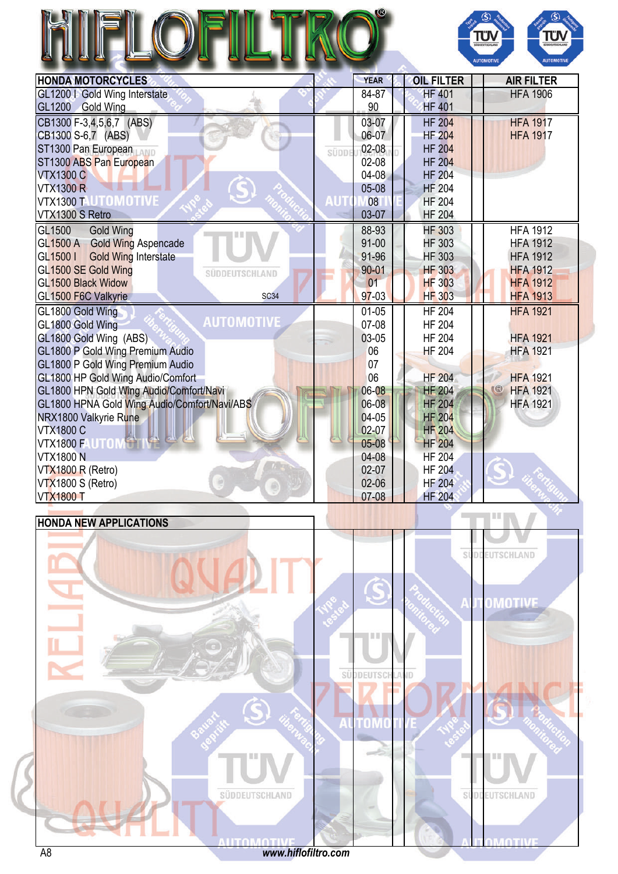| HII<br>FI |  |  |
|-----------|--|--|
|           |  |  |



N

| <b>HONDA MOTORCYCLES</b>                     |       | <b>YEAR</b>    | <b>OIL FILTER</b>              | <b>AIR FILTER</b>               |
|----------------------------------------------|-------|----------------|--------------------------------|---------------------------------|
| GL1200   Gold Wing Interstate                |       | 84-87          | <b>HF 401</b>                  | <b>HFA 1906</b>                 |
| GL1200 Gold Wing                             |       | 90             | <b>HF 401</b>                  |                                 |
| CB1300 F-3,4,5,6,7 (ABS)                     |       | 03-07          | <b>HF 204</b>                  | <b>HFA 1917</b>                 |
| CB1300 S-6,7 (ABS)                           |       | 06-07          | <b>HF 204</b>                  | <b>HFA 1917</b>                 |
| ST1300 Pan European                          | SÜDDE | 02-08          | <b>HF 204</b>                  |                                 |
| ST1300 ABS Pan European                      |       | 02-08          | <b>HF 204</b>                  |                                 |
| <b>VTX1300 C</b>                             |       | $04-08$        | <b>HF 204</b>                  |                                 |
| <b>VTX1300 R</b>                             |       | $05 - 08$      | <b>HF 204</b>                  |                                 |
| <b>VTX1300 T UTOMOTIVE</b>                   | AUT   | 08             | <b>HF 204</b>                  |                                 |
| VTX1300 S Retro                              |       | 03-07          | <b>HF 204</b>                  |                                 |
| GL1500<br><b>Gold Wing</b>                   |       | 88-93          | <b>HF 303</b>                  | <b>HFA 1912</b>                 |
| GL1500 A Gold Wing Aspencade                 |       | 91-00          | <b>HF 303</b>                  | <b>HFA 1912</b>                 |
| GL1500 I Gold Wing Interstate                |       | 91-96          | <b>HF 303</b>                  | <b>HFA 1912</b>                 |
| GL1500 SE Gold Wing<br>SÜDDEUTSCHLAND        |       | $90 - 01$      | <b>HF 303</b>                  | <b>HFA 1912</b>                 |
| GL1500 Black Widow                           |       | 01             | <b>HF 303</b>                  | <b>HFA 1912</b>                 |
| GL1500 F6C Valkyrie<br><b>SC34</b>           |       | $97 - 03$      | <b>HF 303</b>                  | <b>HFA 1913</b>                 |
| GL1800 Gold Wing                             |       | $01-05$        | <b>HF 204</b>                  | <b>HFA 1921</b>                 |
| <b>AUTOMOTIVE</b><br>GL1800 Gold Wing        |       | 07-08          | <b>HF 204</b>                  |                                 |
| GL1800 Gold Wing (ABS)                       |       | 03-05          | <b>HF 204</b>                  | <b>HFA 1921</b>                 |
| GL1800 P Gold Wing Premium Audio             |       | 06             | <b>HF 204</b>                  | <b>HFA 1921</b>                 |
| GL1800 P Gold Wing Premium Audio             |       | 07             |                                |                                 |
| GL1800 HP Gold Wing Audio/Comfort            |       | 06             | <b>HF 204</b>                  | <b>HFA 1921</b><br>$\mathbb{C}$ |
| GL1800 HPN Gold Wing Audio/Comfort/Navi      |       | 06-08<br>06-08 | <b>HF 204</b><br><b>HF 204</b> | <b>HFA 1921</b>                 |
| GL1800 HPNA Gold Wing Audio/Comfort/Navi/ABS |       | 04-05          | <b>HF 204</b>                  | <b>HFA 1921</b>                 |
| NRX1800 Valkyrie Rune<br><b>VTX1800 C</b>    |       | $02 - 07$      | <b>HF 204</b>                  |                                 |
| <b>All</b><br>VTX1800 FAUTOM                 |       | $05 - 08$      | <b>HF 204</b>                  |                                 |
| <b>VTX1800 N</b>                             |       | 04-08          | <b>HF 204</b>                  |                                 |
| VTX1800 R (Retro)                            |       | $02 - 07$      | <b>HF 204</b>                  |                                 |
| VTX1800 S (Retro)                            |       | $02 - 06$      | <b>HF 204</b>                  |                                 |
| <b>VTX1800 T</b>                             |       | 07-08          | <b>HF 204</b>                  |                                 |

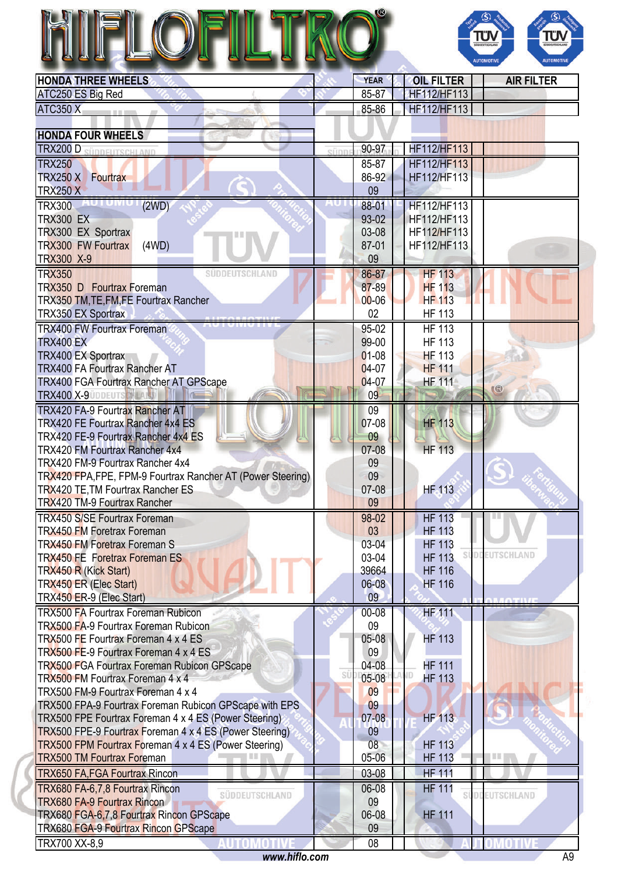|                                                                                                         | $\circledS$<br>$\circleds$<br>TÜV<br>ΤÜ<br><b>SÜDDEUTSCHLAND</b><br><b>NODELITSCH A</b><br><b>AUTOMOTIV</b><br><b>AUTOMOTIVE</b> |
|---------------------------------------------------------------------------------------------------------|----------------------------------------------------------------------------------------------------------------------------------|
| <b>HONDA THREE WHEELS</b>                                                                               | <b>YEAR</b><br><b>OIL FILTER</b><br><b>AIR FILTER</b>                                                                            |
| ATC250 ES Big Red                                                                                       | <b>HF112/HF113</b><br>85-87                                                                                                      |
| <b>ATC350 X</b>                                                                                         | 85-86<br><b>HF112/HF113</b>                                                                                                      |
|                                                                                                         |                                                                                                                                  |
| <b>HONDA FOUR WHEELS</b>                                                                                |                                                                                                                                  |
| <b>TRX200 D SÜDDELITSCHLAND</b>                                                                         | <b>HF112/HF113</b><br>90-97<br>sünr                                                                                              |
| <b>TRX250</b>                                                                                           | $85 - 87$<br><b>HF112/HF113</b>                                                                                                  |
| TRX250 X Fourtrax                                                                                       | 86-92<br>HF112/HF113                                                                                                             |
| <b>TRX250 X</b>                                                                                         | 09                                                                                                                               |
| TRX300 AUTUMUT<br>(2WD)                                                                                 | 88-01<br>HF112/HF113                                                                                                             |
| <b>TRX300 EX</b><br>TRX300 EX Sportrax                                                                  | 93-02<br>HF112/HF113<br>03-08<br>HF112/HF113                                                                                     |
| <b>TRX300 FW Fourtrax</b><br>(4WD)                                                                      | 87-01<br>HF112/HF113                                                                                                             |
| <b>TRX300 X-9</b>                                                                                       | 09                                                                                                                               |
| <b>TRX350</b><br>SUDDEUTSCHLAND                                                                         | <b>HF 113</b><br>86-87                                                                                                           |
| TRX350 D Fourtrax Foreman                                                                               | 87-89<br><b>HF 113</b>                                                                                                           |
| TRX350 TM, TE, FM, FE Fourtrax Rancher                                                                  | <b>HF 113</b><br>$00 - 06$                                                                                                       |
| <b>TRX350 EX Sportrax</b>                                                                               | 02<br><b>HF 113</b>                                                                                                              |
| <b>TRX400 FW Fourtrax Foreman</b>                                                                       | <b>HF 113</b><br>95-02                                                                                                           |
| <b>TRX400 EX</b>                                                                                        | 99-00<br><b>HF 113</b>                                                                                                           |
| <b>TRX400 EX Sportrax</b>                                                                               | $01 - 08$<br><b>HF 113</b>                                                                                                       |
| <b>TRX400 FA Fourtrax Rancher AT</b>                                                                    | 04-07<br><b>HF 111</b>                                                                                                           |
| <b>TRX400 FGA Fourtrax Rancher AT GPScape</b>                                                           | <b>HF 111</b><br>04-07<br>$\circledR$                                                                                            |
| <b>TRX400 X-9 UDDEUTS THE AI</b>                                                                        | 09                                                                                                                               |
| <b>TRX420 FA-9 Fourtrax Rancher AT</b>                                                                  | 09                                                                                                                               |
| TRX420 FE Fourtrax Rancher 4x4 ES                                                                       | 07-08<br><b>HF 113</b>                                                                                                           |
| TRX420 FE-9 Fourtrax Rancher 4x4 ES                                                                     | 09                                                                                                                               |
| TRX420 FM Fourtrax Rancher 4x4                                                                          | <b>HF 113</b><br>07-08                                                                                                           |
| TRX420 FM-9 Fourtrax Rancher 4x4                                                                        | 09<br>09                                                                                                                         |
| TRX420 FPA, FPE, FPM-9 Fourtrax Rancher AT (Power Steering)<br><b>TRX420 TE, TM Fourtrax Rancher ES</b> | <b>HF</b> 113<br>07-08                                                                                                           |
| <b>TRX420 TM-9 Fourtrax Rancher</b>                                                                     | 09                                                                                                                               |
| <b>TRX450 S/SE Fourtrax Foreman</b>                                                                     | <b>HF 113</b><br>98-02                                                                                                           |
| <b>TRX450 FM Foretrax Foreman</b>                                                                       | 03<br><b>HF 113</b>                                                                                                              |
| <b>TRX450 FM Foretrax Foreman S</b>                                                                     | 03-04<br><b>HF 113</b>                                                                                                           |
| <b>TRX450 FE Foretrax Foreman ES</b>                                                                    | <b>SÜDDEUTSCHLAND</b><br>03-04<br><b>HF 113</b>                                                                                  |
| <b>TRX450 R (Kick Start)</b>                                                                            | 39664<br><b>HF 116</b>                                                                                                           |
| <b>TRX450 ER (Elec Start)</b>                                                                           | 06-08<br><b>HF 116</b>                                                                                                           |
| TRX450 ER-9 (Elec Start)                                                                                | 09                                                                                                                               |
| <b>TRX500 FA Fourtrax Foreman Rubicon</b>                                                               | <b>HF 111</b><br>00-08                                                                                                           |
| <b>TRX500 FA-9 Fourtrax Foreman Rubicon</b>                                                             | 09                                                                                                                               |
| TRX500 FE Fourtrax Foreman 4 x 4 ES                                                                     | <b>HF 113</b><br>05-08                                                                                                           |
| TRX500 FE-9 Fourtrax Foreman 4 x 4 ES                                                                   | 09                                                                                                                               |
| TRX500 FGA Fourtrax Foreman Rubicon GPScape<br>TRX500 FM Fourtrax Foreman 4 x 4                         | <b>HF 111</b><br>04-08<br>SÜ<br>$05-08$<br><b>HF 113</b>                                                                         |
| TRX500 FM-9 Fourtrax Foreman 4 x 4                                                                      | 09                                                                                                                               |
| TRX500 FPA-9 Fourtrax Foreman Rubicon GPScape with EPS                                                  | 09                                                                                                                               |
| TRX500 FPE Fourtrax Foreman 4 x 4 ES (Power Steering)                                                   | 07-08<br><b>HF 113</b>                                                                                                           |
| TRX500 FPE-9 Fourtrax Foreman 4 x 4 ES (Power Steering)                                                 | 09                                                                                                                               |
| TRX500 FPM Fourtrax Foreman 4 x 4 ES (Power Steering)                                                   | 08<br><b>HF 113</b>                                                                                                              |
| <b>TRX500 TM Fourtrax Foreman</b>                                                                       | 05-06<br><b>HF 113</b><br>慧重                                                                                                     |
| <b>TRX650 FA, FGA Fourtrax Rincon</b>                                                                   | <b>HF 111</b><br>03-08                                                                                                           |
| TRX680 FA-6,7,8 Fourtrax Rincon                                                                         | 06-08<br><b>HF 111</b>                                                                                                           |
| <b>SÜDDEUTSCHLAND</b><br><b>TRX680 FA-9 Fourtrax Rincon</b>                                             | SUDDEUTSCHLAND<br>09                                                                                                             |
| TRX680 FGA-6,7,8 Fourtrax Rincon GPScape                                                                | 06-08<br><b>HF 111</b>                                                                                                           |
| <b>TRX680 FGA-9 Fourtrax Rincon GPScape</b>                                                             | 09                                                                                                                               |
| TRX700 XX-8,9                                                                                           | 08                                                                                                                               |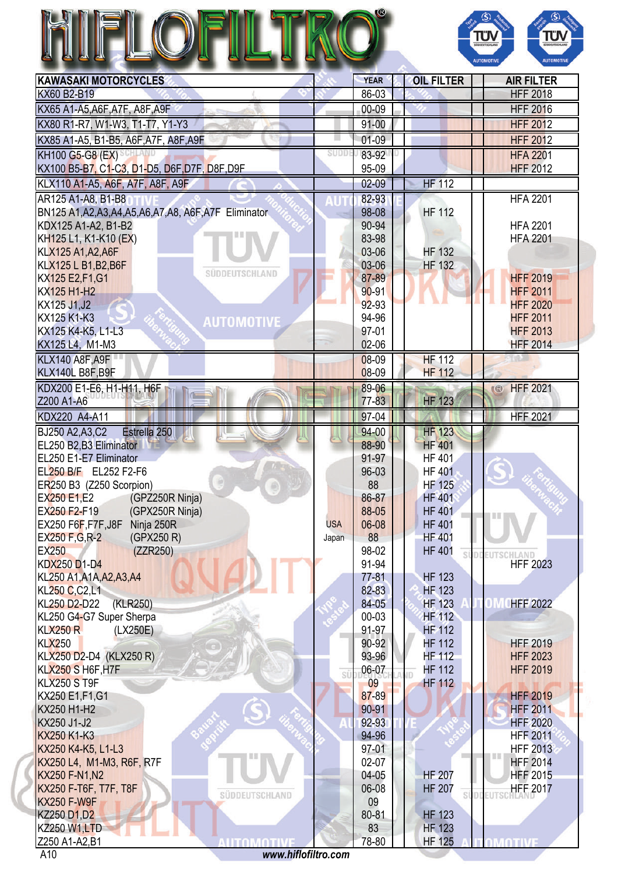|                                                           |            |                    |                                | $\bigcirc$<br>$\mathbf{S}$ $\mathbf{S}$<br>Τΰ<br>ΤΰΛ<br><b>UDDEUTSCHLAND</b><br><b>AUTOMOTIVE</b><br><b>AUTOMOTIV</b> |
|-----------------------------------------------------------|------------|--------------------|--------------------------------|-----------------------------------------------------------------------------------------------------------------------|
| <b>KAWASAKI MOTORCYCLES</b>                               |            | <b>YEAR</b>        | <b>OIL FILTER</b>              | <b>AIR FILTER</b>                                                                                                     |
| KX60 B2-B19                                               |            | 86-03              |                                | <b>HFF 2018</b>                                                                                                       |
| KX65 A1-A5, A6F, A7F, A8F, A9F                            |            | 00-09              |                                | <b>HFF 2016</b>                                                                                                       |
| KX80 R1-R7, W1-W3, T1-T7, Y1-Y3                           |            | $91 - 00$          |                                | <b>HFF 2012</b>                                                                                                       |
| KX85 A1-A5, B1-B5, A6F, A7F, A8F, A9F                     |            | $01-09$            |                                | <b>HFF 2012</b>                                                                                                       |
| KH100 G5-G8 (EX)                                          | SUDD       | 83-92              |                                | <b>HFA 2201</b>                                                                                                       |
| KX100 B5-B7, C1-C3, D1-D5, D6F, D7F, D8F, D9F             |            | 95-09              |                                | <b>HFF 2012</b>                                                                                                       |
| KLX110 A1-A5, A6F, A7F, A8F, A9F                          |            | $02 - 09$          | HF 112                         |                                                                                                                       |
| AR125 A1-A8, B1-B8                                        |            | 82-93              |                                | <b>HFA 2201</b>                                                                                                       |
| BN125 A1, A2, A3, A4, A5, A6, A7, A8, A6F, A7F Eliminator |            | 98-08              | <b>HF 112</b>                  |                                                                                                                       |
| KDX125 A1-A2, B1-B2                                       |            | 90-94              |                                | <b>HFA 2201</b>                                                                                                       |
| KH125 L1, K1-K10 (EX)                                     |            | 83-98              |                                | <b>HFA 2201</b>                                                                                                       |
| KLX125 A1, A2, A6F                                        |            | 03-06              | <b>HF 132</b>                  |                                                                                                                       |
| KLX125 L B1, B2, B6F<br><b>SÜDDEUTSCHLAND</b>             |            | 03-06              | <b>HF 132</b>                  |                                                                                                                       |
| KX125 E2, F1, G1<br>KX125 H1-H2                           |            | 87-89<br>$90 - 91$ |                                | <b>HFF 2019</b><br><b>HFF 2011</b>                                                                                    |
| KX125 J1, J2                                              |            | 92-93              |                                | <b>HFF 2020</b>                                                                                                       |
| KX125 K1-K3                                               |            | 94-96              |                                | <b>HFF 2011</b>                                                                                                       |
| <b>AUTOMOTIVE</b><br>KX125 K4-K5, L1-L3                   |            | 97-01              |                                | <b>HFF 2013</b>                                                                                                       |
| KX125 L4, M1-M3                                           |            | 02-06              |                                | <b>HFF 2014</b>                                                                                                       |
| KLX140 A8F, A9F                                           |            | 08-09              | <b>HF 112</b>                  |                                                                                                                       |
| KLX140L B8F, B9F                                          |            | 08-09              | <b>HF 112</b>                  |                                                                                                                       |
| KDX200 E1-E6, H1-H11, H6F                                 |            | 89-06              |                                | <b>HFF 2021</b><br><b>IB</b>                                                                                          |
| Z200 A1-A6                                                |            | 77-83              | <b>HF 123</b>                  |                                                                                                                       |
| KDX220 A4-A11                                             |            | 97-04              |                                | <b>HFF 2021</b>                                                                                                       |
| BJ250 A2, A3, C2<br>Estrella 250                          |            | 94-00              | <b>HF 123</b>                  |                                                                                                                       |
| EL250 B2,B3 Eliminator                                    |            | 88-90              | <b>HF 401</b>                  |                                                                                                                       |
| EL250 E1-E7 Eliminator                                    |            | 91-97              | <b>HF 401</b>                  |                                                                                                                       |
| EL250 B/F EL252 F2-F6<br>ER250 B3 (Z250 Scorpion)         |            | 96-03<br>88        | <b>HF 401</b><br><b>HF 125</b> |                                                                                                                       |
| EX250 E1,E2<br>(GPZ250R Ninja)                            |            | 86-87              | <b>HF 401</b>                  |                                                                                                                       |
| EX250 F2-F19<br>(GPX250R Ninja)                           |            | 88-05              | <b>HF 401</b>                  |                                                                                                                       |
| EX250 F6F, F7F, J8F<br>Ninja 250R                         | <b>USA</b> | 06-08              | <b>HF 401</b>                  |                                                                                                                       |
| EX250 F, G, R-2<br>(GPX250 R)                             | Japan      | 88                 | <b>HF 401</b>                  |                                                                                                                       |
| <b>EX250</b><br>(ZZR250)                                  |            | 98-02              | <b>HF 401</b><br>Sĺ            |                                                                                                                       |
| <b>KDX250 D1-D4</b>                                       |            | 91-94              |                                | <b>HFF 2023</b>                                                                                                       |
| KL250 A1, A1A, A2, A3, A4                                 |            | $77 - 81$          | <b>HF 123</b>                  |                                                                                                                       |
| KL250 C,C2,L1                                             |            | 82-83              | <b>HF 123</b>                  |                                                                                                                       |
| KL250 D2-D22<br>(KLR250)<br>KL250 G4-G7 Super Sherpa      |            | 84-05<br>$00 - 03$ | <b>HF 123</b><br><b>HF 112</b> | <b>OM CHFF 2022</b>                                                                                                   |
| <b>KLX250 R</b><br>(LX250E)                               |            | 91-97              | <b>HF 112</b>                  |                                                                                                                       |
| <b>KLX250</b>                                             |            | 90-92              | <b>HF 112</b>                  | <b>HFF 2019</b>                                                                                                       |
| KLX250 D2-D4 (KLX250 R)                                   |            | 93-96              | <b>HF 112</b>                  | <b>HFF 2023</b>                                                                                                       |
| KLX250 S H6F, H7F                                         | SÜ         | 06-07              | <b>HF 112</b>                  | <b>HFF 2019</b>                                                                                                       |
| KLX250 ST9F                                               |            | 09                 | <b>HF 112</b>                  |                                                                                                                       |
| KX250 E1, F1, G1                                          |            | 87-89              |                                | <b>HFF 2019</b>                                                                                                       |
| KX250 H1-H2                                               |            | 90-91              |                                | <b>HFF 2011</b>                                                                                                       |
| KX250 J1-J2                                               |            | 92-93              |                                | <b>HFF 2020</b>                                                                                                       |
| KX250 K1-K3<br>KX250 K4-K5, L1-L3                         |            | 94-96<br>97-01     |                                | <b>HFF 2011</b><br><b>HFF 2013</b>                                                                                    |
| KX250 L4, M1-M3, R6F, R7F                                 |            | 02-07              |                                | 199<br><b>HFF 2014</b>                                                                                                |
| <b>KX250 F-N1, N2</b>                                     |            | 04-05              | <b>HF 207</b>                  | <b>HFF 2015</b>                                                                                                       |
| KX250 F-T6F, T7F, T8F                                     |            | 06-08              | <b>HF 207</b>                  | <b>HFF 2017</b>                                                                                                       |
| SÜDDEUTSCHLAND<br><b>KX250 F-W9F</b>                      |            | 09                 | SÍ                             |                                                                                                                       |
| <b>KZ250 D1,D2</b>                                        |            | 80-81              | <b>HF 123</b>                  |                                                                                                                       |
| <b>KZ250 W1,LTD</b>                                       |            | 83                 | <b>HF 123</b>                  |                                                                                                                       |
| Z250 A1-A2, B1<br><b>AUTOMOTIVE</b>                       |            | 78-80              | <b>HF 125</b>                  | <b>TOMOTIVE</b>                                                                                                       |
| www.hiflofiltro.com<br>A10                                |            |                    |                                |                                                                                                                       |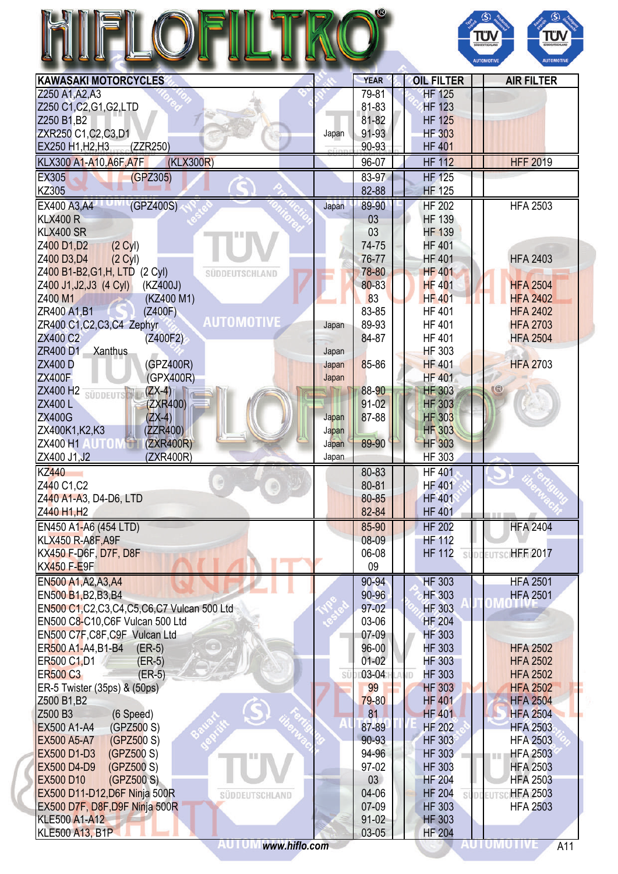|                                                                   |                |                  |                                |    | ΤΰΛ<br>ΤÜΝ<br><b>SÜDDEUTSCHLAN</b><br><b>AUTOMOTIVE</b><br><b>AUTOMOTIVE</b> |
|-------------------------------------------------------------------|----------------|------------------|--------------------------------|----|------------------------------------------------------------------------------|
|                                                                   |                | <b>YEAR</b>      | <b>OIL FILTER</b>              |    | <b>AIR FILTER</b>                                                            |
| <b>KAWASAKI MOTORCYCLES</b><br>Z250 A1, A2, A3                    |                | 79-81            | <b>HF 125</b>                  |    |                                                                              |
| Z250 C1, C2, G1, G2, LTD                                          |                | 81-83            | <b>HF 123</b>                  |    |                                                                              |
| Z250 B1, B2                                                       |                | 81-82            | <b>HF 125</b>                  |    |                                                                              |
| ZXR250 C1, C2, C3, D1                                             | Japan          | 91-93            | <b>HF 303</b>                  |    |                                                                              |
| EX250 H1, H2, H3 (ZZR250)                                         | eñni           | 90-93            | <b>HF 401</b>                  |    |                                                                              |
| KLX300 A1-A10, A6F, A7F<br>(KLX300R)                              |                | 96-07            | <b>HF 112</b>                  |    | <b>HFF 2019</b>                                                              |
| <b>EX305</b><br>(GPZ305)                                          |                | 83-97            | <b>HF 125</b>                  |    |                                                                              |
| <b>KZ305</b>                                                      |                | 82-88            | <b>HF 125</b>                  |    |                                                                              |
| (GPZ400S)<br>EX400 A3, A4                                         | Japan          | 89-90            | <b>HF 202</b>                  |    | <b>HFA 2503</b>                                                              |
| <b>KLX400 R</b>                                                   |                | 03               | <b>HF 139</b>                  |    |                                                                              |
| <b>KLX400 SR</b>                                                  |                | 03               | <b>HF 139</b>                  |    |                                                                              |
| (2 <sup>C</sup> yI)<br>Z400 D1, D2                                |                | 74-75            | <b>HF 401</b>                  |    |                                                                              |
| Z400 D3,D4<br>(2 <sub>Cyl</sub> )                                 |                | 76-77            | <b>HF 401</b>                  |    | <b>HFA 2403</b>                                                              |
| Z400 B1-B2, G1, H, LTD (2 Cyl)<br>SÜDDEUTSCHLAND                  |                | 78-80            | <b>HF 401</b>                  |    |                                                                              |
| Z400 J1, J2, J3 (4 Cyl)<br>(KZ400J)                               |                | 80-83            | <b>HF 401</b>                  |    | <b>HFA 2504</b>                                                              |
| Z400 M1<br>(KZ400 M1)                                             |                | 83               | <b>HF 401</b>                  |    | <b>HFA 2402</b>                                                              |
| ZR400 A1, B1<br>(Z400F)<br><b>AUTOMOTIVE</b>                      |                | 83-85            | <b>HF 401</b>                  |    | <b>HFA 2402</b>                                                              |
| ZR400 C1, C2, C3, C4 Zephyr                                       | Japan          | 89-93            | <b>HF 401</b>                  |    | <b>HFA 2703</b>                                                              |
| <b>ZX400 C2</b><br>(Z400F2)                                       |                | 84-87            | <b>HF 401</b>                  |    | <b>HFA 2504</b>                                                              |
| ZR400 D1<br>Xanthus                                               | Japan          |                  | <b>HF 303</b>                  |    |                                                                              |
| (GPZ400R)<br><b>ZX400 D</b>                                       | Japan          | 85-86            | <b>HF401</b>                   |    | <b>HFA 2703</b>                                                              |
| <b>ZX400F</b><br>(GPX400R)                                        | Japan          |                  | <b>HF 401</b>                  |    |                                                                              |
| ZX400 H2<br>$(ZX-4)$<br><b>SÜDDEUTS</b>                           |                | 88-90            | <b>HF 303</b>                  |    | Œ                                                                            |
| ZX400L<br>(ZXR400)                                                |                | 91-02            | <b>HF 303</b>                  |    |                                                                              |
| <b>ZX400G</b><br>$(ZX-4)$                                         | Japan          | 87-88            | <b>HF 303</b>                  |    |                                                                              |
| ZX400K1, K2, K3<br>(ZZR400)                                       | Japan          |                  | <b>HF 303</b>                  |    |                                                                              |
| <b>UTON</b><br>ZX400 H1<br>(ZXR400R)<br>ZX400 J1, J2<br>(ZXR400R) | Japan<br>Japan | 89-90            | <b>HF 303</b><br><b>HF 303</b> |    |                                                                              |
| <b>KZ440</b>                                                      |                | 80-83            | <b>HF 401</b>                  |    |                                                                              |
| Z440 C1,C2                                                        |                | 80-81            | <b>HF 401</b>                  |    |                                                                              |
| Z440 A1-A3, D4-D6, LTD                                            |                | 80-85            | <b>HF 401</b>                  |    |                                                                              |
| Z440 H1, H2                                                       |                | 82-84            | <b>HF 401</b>                  |    |                                                                              |
| EN450 A1-A6 (454 LTD)                                             |                | 85-90            | <b>HF 202</b>                  |    | <b>HFA 2404</b>                                                              |
| <b>KLX450 R-A8F, A9F</b>                                          |                | 08-09            | <b>HF 112</b>                  |    |                                                                              |
| KX450 F-D6F, D7F, D8F                                             |                | 06-08            | <b>HF 112</b>                  | si | EUTSCHEF 2017                                                                |
| <b>KX450 F-E9F</b>                                                |                | 09               |                                |    |                                                                              |
| EN500 A1, A2, A3, A4                                              |                | 90-94            | <b>HF 303</b>                  |    | <b>HFA 2501</b>                                                              |
| EN500 B1, B2, B3, B4                                              |                | $90 - 96$        | <b>HF 303</b>                  |    | <b>HFA 2501</b>                                                              |
| EN500 C1, C2, C3, C4, C5, C6, C7 Vulcan 500 Ltd                   |                | 97-02            | <b>HF 303</b>                  |    |                                                                              |
| EN500 C8-C10, C6F Vulcan 500 Ltd                                  |                | 03-06            | <b>HF 204</b>                  |    |                                                                              |
| EN500 C7F, C8F, C9F Vulcan Ltd                                    |                | $07-09$          | <b>HF 303</b>                  |    |                                                                              |
| ER500 A1-A4, B1-B4<br>$(ER-5)$                                    |                | 96-00            | <b>HF 303</b>                  |    | <b>HFA 2502</b>                                                              |
| ER500 C1, D1<br>$(ER-5)$                                          |                | $01 - 02$        | <b>HF 303</b>                  |    | <b>HFA 2502</b>                                                              |
| <b>ER500 C3</b><br>$(ER-5)$                                       | SÜ             | 03-04            | <b>HF 303</b><br>ŃD            |    | <b>HFA 2502</b>                                                              |
| ER-5 Twister (35ps) & (50ps)                                      |                | 99               | <b>HF 303</b>                  |    | <b>HFA 2502</b>                                                              |
| Z500 B1, B2                                                       |                | 79-80            | <b>HF 401</b>                  |    | <b>HFA 2504</b>                                                              |
| Z500 B3<br>(6 Speed)                                              |                | 81               | <b>HF 401</b>                  |    | <b>HFA 2504</b>                                                              |
| <b>EX500 A1-A4</b><br>(GPZ500 S)                                  |                | 87-89            | <b>HF 202</b>                  |    | <b>HFA 2503</b>                                                              |
| (GPZ500 S)<br>EX500 A5-A7                                         |                | 90-93            | <b>HF 303</b>                  |    | <b>HFA 2503</b>                                                              |
| EX500 D1-D3<br>(GPZ500 S)                                         |                | 94-96            | <b>HF 303</b>                  |    | <b>HFA 2503</b>                                                              |
| EX500 D4-D9<br>(GPZ500 S)                                         |                | 97-02            | <b>HF 303</b>                  |    | <b>HFA 2503</b>                                                              |
|                                                                   |                | 03               | <b>HF 204</b>                  |    | <b>HFA 2503</b><br><b>HFA 2503</b>                                           |
| <b>EX500 D10</b><br>(GPZ500 S)                                    |                |                  |                                |    |                                                                              |
| EX500 D11-D12, D6F Ninja 500R<br>SÜDDEUTSCHLAND                   |                | 04-06            | <b>HF 204</b>                  |    | <b>EUTS</b>                                                                  |
| EX500 D7F, D8F, D9F Ninja 500R                                    |                | 07-09            | <b>HF 303</b>                  |    | <b>HFA 2503</b>                                                              |
| <b>KLE500 A1-A12</b><br><b>KLE500 A13, B1P</b>                    |                | $91-02$<br>03-05 | <b>HF 303</b><br><b>HF 204</b> |    |                                                                              |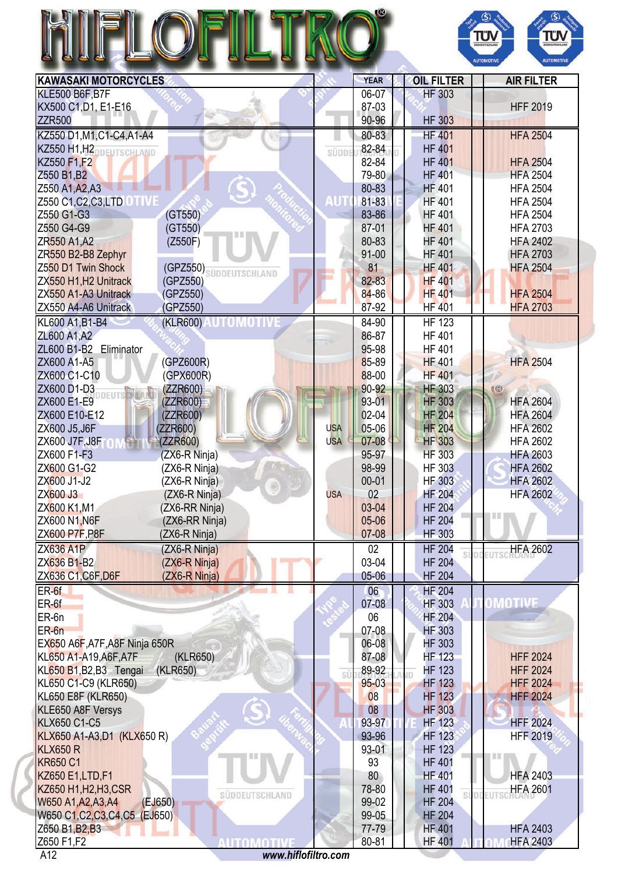

| <b>KAWASAKI MOTORCYCLES</b>                                  |              | <b>YEAR</b> | <b>OIL FILTER</b>   | <b>AIR FILTER</b> |
|--------------------------------------------------------------|--------------|-------------|---------------------|-------------------|
| <b>KLE500 B6F, B7F</b>                                       |              | 06-07       | <b>HF 303</b>       |                   |
| KX500 C1, D1, E1-E16                                         |              | 87-03       |                     | <b>HFF 2019</b>   |
| <b>ZZR500</b>                                                |              | 90-96       | <b>HF 303</b>       |                   |
| KZ550 D1, M1, C1-C4, A1-A4                                   |              | 80-83       | <b>HF 401</b>       | <b>HFA 2504</b>   |
| KZ550 H1, H2DDEUTSCHLAND                                     | <b>SÜDDI</b> | 82-84       | <b>HF 401</b>       |                   |
| KZ550 F1,F2                                                  |              | 82-84       | <b>HF 401</b>       | <b>HFA 2504</b>   |
| Z550 B1, B2                                                  |              | 79-80       | <b>HF 401</b>       | <b>HFA 2504</b>   |
| Z550 A1, A2, A3                                              |              | 80-83       | <b>HF 401</b>       | <b>HFA 2504</b>   |
| Z550 C1, C2, C3, LTD OT WE                                   | <b>AUT</b>   | 81-83       | <b>HF 401</b>       | <b>HFA 2504</b>   |
| Z550 G1-G3<br>(GT550)                                        |              | 83-86       | <b>HF 401</b>       | <b>HFA 2504</b>   |
| Z550 G4-G9<br>(GT550)                                        |              | 87-01       | <b>HF 401</b>       | <b>HFA 2703</b>   |
| ZR <sub>550</sub> A <sub>1</sub> , A <sub>2</sub><br>(Z550F) |              | 80-83       | <b>HF 401</b>       | <b>HFA 2402</b>   |
| ZR550 B2-B8 Zephyr                                           |              | $91 - 00$   | <b>HF 401</b>       | <b>HFA 2703</b>   |
| Z550 D1 Twin Shock<br>(GPZ550) SÜDDEUTSCHLAND                |              | 81          | <b>HF 401</b>       | <b>HFA 2504</b>   |
| ZX550 H1, H2 Unitrack<br>(GPZ550)                            |              | 82-83       | <b>HF 401</b>       |                   |
| ZX550 A1-A3 Unitrack<br>(GPZ550)                             |              | 84-86       | <b>HF 401</b>       | <b>HFA 2504</b>   |
| ZX550 A4-A6 Unitrack<br>(GPZ550)                             |              | 87-92       | <b>HF 401</b>       | <b>HFA 2703</b>   |
| <u> Automotiv</u><br>(KLR600)<br>KL600 A1, B1-B4             |              | 84-90       | <b>HF 123</b>       |                   |
| ZL600 A1, A2                                                 |              | 86-87       | <b>HF 401</b>       |                   |
| ZL600 B1-B2 Eliminator                                       |              | 95-98       | <b>HF 401</b>       |                   |
| ZX600 A1-A5<br>(GPZ600R)                                     |              | 85-89       | <b>HF 401</b>       | <b>HFA 2504</b>   |
| ZX600 C1-C10<br>(GPX600R)                                    |              | 88-00       | <b>HF 401</b>       |                   |
| ZX600 D1-D3<br>(ZZR600)                                      |              | 90-92       | <b>HF 303</b>       | (3)               |
| ZX600 E1-E9<br>(ZZR600)                                      |              | 93-01       | <b>HF 303</b>       | <b>HFA 2604</b>   |
| ZX600 E10-E12                                                |              | 02-04       | <b>HF 204</b>       | <b>HFA 2604</b>   |
| (ZZR600)                                                     |              | 05-06       |                     |                   |
| ZX600 J5, J6F<br>(ZZR600)                                    | <b>USA</b>   |             | <b>HF 204</b>       | <b>HFA 2602</b>   |
| ZX600 J7F, J8F<br>(ZZR600)                                   | <b>USA</b>   | 07-08       | <b>HF 303</b>       | <b>HFA 2602</b>   |
| ZX600 F1-F3<br>(ZX6-R Ninja)                                 |              | 95-97       | <b>HF 303</b>       | <b>HFA 2603</b>   |
| ZX600 G1-G2<br>(ZX6-R Ninja)                                 |              | 98-99       | <b>HF 303</b>       | <b>HFA 2602</b>   |
| ZX600 J1-J2<br>(ZX6-R Ninja)<br>$^{\circ}$                   |              | $00 - 01$   | <b>HF 303</b>       | <b>HFA 2602</b>   |
| ZX600 J3<br>(ZX6-R Ninja)                                    | <b>USA</b>   | 02          | <b>HF 204</b>       | <b>HFA 2602</b>   |
| ZX600 K1, M1<br>(ZX6-RR Ninja)                               |              | 03-04       | <b>HF 204</b>       |                   |
| ZX600 N1, N6F<br>(ZX6-RR Ninja)                              |              | 05-06       | <b>HF 204</b>       |                   |
| <b>ZX600 P7F, P8F</b><br>(ZX6-R Ninja)                       |              | 07-08       | <b>HF 303</b>       |                   |
| <b>ZX636 A1P</b><br>(ZX6-R Ninja)                            |              | 02          | <b>HF 204</b><br>si | <b>HFA 2602</b>   |
| ZX636 B1-B2<br>(ZX6-R Ninja)                                 |              | 03-04       | <b>HF 204</b>       |                   |
| ZX636 C1, C6F, D6F<br>(ZX6-R Ninja)                          |              | 05-06       | <b>HF 204</b>       |                   |
| $ER-6f$                                                      |              | 06          | <b>HF 204</b>       |                   |
| $ER-6f$                                                      |              | $07 - 08$   | <b>HF 303</b>       | OMOTIVE           |
| ER-6n                                                        |              | 06          | <b>HF 204</b>       |                   |
| $ER-6n$                                                      |              | 07-08       | <b>HF 303</b>       |                   |
| EX650 A6F, A7F, A8F Ninja 650R                               |              | 06-08       | <b>HF 303</b>       |                   |
| KL650 A1-A19, A6F, A7F<br>(KLR650)                           |              | 87-08       | <b>HF 123</b>       | <b>HFF 2024</b>   |
| KL650 B1, B2, B3 Tengai<br>(KLR650)                          | sü           | 89-92       | <b>HF 123</b>       | <b>HFF 2024</b>   |
| KL650 C1-C9 (KLR650)                                         |              | $95 - 03$   | <b>HF 123</b>       | <b>HFF 2024</b>   |
| KL650 E8F (KLR650)                                           |              | 08          | <b>HF 123</b>       | <b>HFF 2024</b>   |
| KLE650 A8F Versys                                            |              | 08          | <b>HF 303</b>       |                   |
| <b>KLX650 C1-C5</b>                                          |              | 93-97       | <b>HF 123</b>       | <b>HFF 2024</b>   |
| KLX650 A1-A3, D1 (KLX650 R)                                  |              | 93-96       | <b>HF 123</b>       | <b>HFF 2019</b>   |
| <b>KLX650 R</b>                                              |              | 93-01       | <b>HF 123</b>       |                   |
| <b>KR650 C1</b>                                              |              | 93          | <b>HF 401</b>       | 188               |
| KZ650 E1, LTD, F1                                            |              | 80          | <b>HF 401</b>       | <b>HFA 2403</b>   |
| KZ650 H1, H2, H3, CSR                                        |              | 78-80       | <b>HF 401</b>       | <b>HFA 2601</b>   |
| SÜDDEUTSCHLAND<br>(EJ650)<br>W650 A1, A2, A3, A4             |              | 99-02       | <b>HF 204</b>       |                   |
| W650 C1, C2, C3, C4, C5 (EJ650)                              |              | 99-05       | <b>HF 204</b>       |                   |
| Z650 B1, B <sub>2</sub> , B <sub>3</sub>                     |              | 77-79       | <b>HF 401</b>       | <b>HFA 2403</b>   |
| Z650 F1,F2<br>AUTOMOTIVE                                     |              | 80-81       | <b>HF 401</b>       | <b>HFA 2403</b>   |
| www.hiflofiltro.com<br>A12                                   |              |             |                     |                   |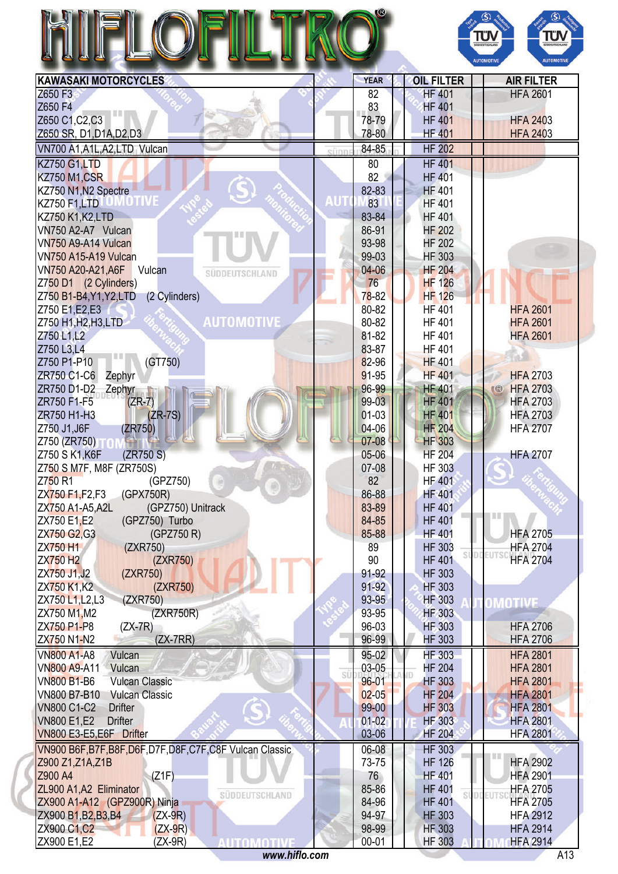|                                                                |      |                |                                | ΤΰΛ<br>TÜV<br>SÜDDEUTSCHLAND<br><b>AUTOMOTIVE</b><br><b>AUTOMOTIVI</b> |
|----------------------------------------------------------------|------|----------------|--------------------------------|------------------------------------------------------------------------|
| <b>KAWASAKI MOTORCYCLES</b>                                    |      | <b>YEAR</b>    | <b>OIL FILTER</b>              | <b>AIR FILTER</b>                                                      |
| Z650 F3                                                        |      | 82             | <b>HF 401</b>                  | <b>HFA 2601</b>                                                        |
| Z650 F4                                                        |      | 83             | <b>HF 401</b>                  |                                                                        |
| Z650 C1, C2, C3                                                |      | 78-79          | <b>HF 401</b>                  | <b>HFA 2403</b>                                                        |
| Z650 SR, D1, D1A, D2, D3                                       |      | 78-80          | <b>HF 401</b>                  | <b>HFA 2403</b>                                                        |
| VN700 A1, A1L, A2, LTD Vulcan                                  | sünr | 84-85          | <b>HF 202</b>                  |                                                                        |
| <b>KZ750 G1,LTD</b>                                            |      | 80             | <b>HF 401</b>                  |                                                                        |
| KZ750 M1,CSR                                                   |      | 82             | <b>HF 401</b>                  |                                                                        |
| KZ750 N1, N2 Spectre<br><b>KZ750 F1,LTD</b>                    | AUT  | 82-83<br>83    | <b>HF 401</b><br><b>HF 401</b> |                                                                        |
| KZ750 K1, K2, LTD                                              |      | 83-84          | <b>HF 401</b>                  |                                                                        |
| VN750 A2-A7 Vulcan                                             |      | 86-91          | <b>HF 202</b>                  |                                                                        |
| VN750 A9-A14 Vulcan                                            |      | 93-98          | <b>HF 202</b>                  |                                                                        |
| VN750 A15-A19 Vulcan                                           |      | 99-03          | <b>HF 303</b>                  |                                                                        |
| VN750 A20-A21, A6F<br>Vulcan<br>SÜDDEUTSCHLAND                 |      | $04 - 06$      | <b>HF 204</b>                  |                                                                        |
| Z750 D1 (2 Cylinders)                                          |      | 76             | <b>HF 126</b>                  |                                                                        |
| Z750 B1-B4, Y1, Y2, LTD<br>(2 Cylinders)                       |      | $78 - 82$      | <b>HF 126</b>                  |                                                                        |
| Z750 E1, E2, E3                                                |      | 80-82          | <b>HF401</b>                   | <b>HFA 2601</b>                                                        |
| <b>AUTOMOTIVE</b><br>Z750 H1, H2, H3, LTD                      |      | 80-82          | <b>HF 401</b>                  | <b>HFA 2601</b>                                                        |
| Z750 L1,L2                                                     |      | 81-82          | <b>HF 401</b>                  | <b>HFA 2601</b>                                                        |
| Z750 L3,L4<br>Ш                                                |      | 83-87          | <b>HF401</b>                   |                                                                        |
| (GT750)<br>Z750 P1-P10                                         |      | 82-96          | <b>HF 401</b>                  |                                                                        |
| ZR750 C1-C6<br>Zephyr                                          |      | 91-95<br>96-99 | <b>HF 401</b><br><b>HF 401</b> | <b>HFA 2703</b><br><b>HFA 2703</b>                                     |
| ZR750 D1-D2<br>Zephyr<br>$(ZR-7)$<br>ZR750 F1-F5               |      | 99-03          | <b>HF 401</b>                  | (3)<br><b>HFA 2703</b>                                                 |
| $(ZR-7S)$<br>ZR750 H1-H3                                       |      | $01-03$        | <b>HF 401</b>                  | <b>HFA 2703</b>                                                        |
| Z750 J1, J6F<br>(ZR750)                                        |      | 04-06          | <b>HF 204</b>                  | <b>HFA 2707</b>                                                        |
| Z750 (ZR750) TON                                               |      | 07-08          | <b>HF 303</b>                  |                                                                        |
| Z750 S K1, K6F<br>(ZR750 S)                                    |      | 05-06          | <b>HF 204</b>                  | <b>HFA 2707</b>                                                        |
| Z750 S M7F, M8F (ZR750S)                                       |      | 07-08          | <b>HF 303</b>                  |                                                                        |
| Z750 <sub>R1</sub><br>(GPZ750)                                 |      | 82             | <b>HF 401</b>                  |                                                                        |
| ZX750 F1, F2, F3<br>(GPX750R)                                  |      | 86-88          | <b>HF 401</b>                  |                                                                        |
| (GPZ750) Unitrack<br>ZX750 A1-A5, A2L                          |      | 83-89          | <b>HF 401</b>                  | ш                                                                      |
| (GPZ750) Turbo<br>ZX750 E1,E2                                  |      | 84-85          | <b>HF 401</b>                  |                                                                        |
| ZX750 G2, G3<br>(GPZ750 R)                                     |      | 85-88          | <b>HF 401</b>                  | <b>HFA 2705</b>                                                        |
| (ZXR750)<br>ZX750 H1                                           |      | 89             | <b>HF 303</b>                  | <b>HFA 2704</b>                                                        |
| <b>ZX750 H2</b><br>(ZXR750)                                    |      | 90<br>91-92    | <b>HF 401</b>                  | <b>HFA 2704</b>                                                        |
| ZX750 J1, J2<br>(ZXR750)<br>ZX750 K1,K2<br>(ZXR750)            |      | 91-92          | <b>HF 303</b><br><b>HF 303</b> |                                                                        |
| (ZXR750)<br>ZX750 L1, L2, L3                                   |      | 93-95          | <b>HF 303</b>                  |                                                                        |
| ZX750 M1, M2<br>(ZXR750R)                                      |      | 93-95          | <b>HF 303</b>                  | OMOTIVE                                                                |
| ZX750 P1-P8<br>$(ZX-7R)$                                       |      | 96-03          | <b>HF 303</b>                  | <b>HFA 2706</b>                                                        |
| $(ZX-7RR)$<br>ZX750 N1-N2                                      |      | 96-99          | <b>HF 303</b>                  | <b>HFA 2706</b>                                                        |
| Vulcan<br>VN800 A1-A8                                          |      | 95-02          | <b>HF 303</b>                  | <b>HFA 2801</b>                                                        |
| VN800 A9-A11<br>Vulcan                                         |      | 03-05          | <b>HF 204</b>                  | <b>HFA 2801</b>                                                        |
| <b>Vulcan Classic</b><br><b>VN800 B1-B6</b>                    | sú   | $96 - 01$      | <b>HF 303</b>                  | <b>HFA 2801</b>                                                        |
| VN800 B7-B10<br><b>Vulcan Classic</b>                          |      | $02 - 05$      | <b>HF 204</b>                  | <b>HFA 2801</b>                                                        |
| <b>VN800 C1-C2</b><br><b>Drifter</b>                           |      | 99-00          | <b>HF 303</b>                  | <b>HFA 2801</b>                                                        |
| <b>VN800 E1,E2</b><br><b>Drifter</b>                           |      | $01 - 02$      | <b>HF 303</b>                  | <b>HFA 2801</b>                                                        |
| VN800 E3-E5,E6F Drifter                                        |      | 03-06          | <b>HF 204</b>                  | <b>HFA 2801</b>                                                        |
| VN900 B6F, B7F, B8F, D6F, D7F, D8F, C7F, C8F Vulcan Classic    |      | 06-08          | <b>HF 303</b>                  |                                                                        |
| Z900 Z1, Z1A, Z1B                                              |      | 73-75          | <b>HF 126</b>                  | <b>HFA 2902</b>                                                        |
| Z900 A4<br>(Z1F)                                               |      | 76             | <b>HF 401</b>                  | <b>HFA 2901</b>                                                        |
| ZL900 A1, A2 Eliminator<br>SÜDDEUTSCHLAND                      |      | 85-86          | <b>HF 401</b>                  | <b>HFA 2705</b>                                                        |
| ZX900 A1-A12 (GPZ900R) Ninja                                   |      | 84-96          | <b>HF 401</b>                  | <b>HFA 2705</b>                                                        |
| ZX900 B1, B2, B3, B4<br>$(ZX-9R)$<br>ZX900 C1, C2<br>$(ZX-9R)$ |      | 94-97<br>98-99 | <b>HF 303</b><br><b>HF 303</b> | <b>HFA 2912</b><br><b>HFA 2914</b>                                     |
|                                                                |      |                |                                |                                                                        |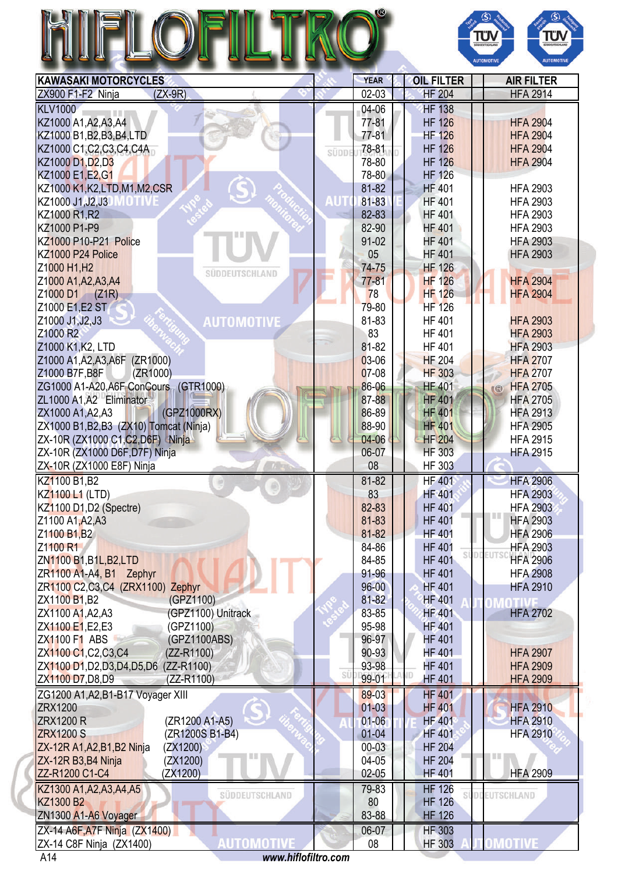## N



| <b>KAWASAKI MOTORCYCLES</b>                    | <b>YEAR</b> | <b>OIL FILTER</b> | <b>AIR FILTER</b>      |
|------------------------------------------------|-------------|-------------------|------------------------|
| ZX900 F1-F2 Ninja<br>$(ZX-9R)$                 | $02-03$     | <b>HF 204</b>     | <b>HFA 2914</b>        |
| <b>KLV1000</b>                                 | 04-06       | <b>HF 138</b>     |                        |
| KZ1000 A1, A2, A3, A4                          | 77-81       | <b>HF 126</b>     | <b>HFA 2904</b>        |
| KZ1000 B1, B2, B3, B4, LTD                     | $77 - 81$   | <b>HF 126</b>     | <b>HFA 2904</b>        |
| KZ1000 C1, C2, C3, C4, C4A<br>SÜDDI            | 78-81       | <b>HF 126</b>     | <b>HFA 2904</b>        |
| KZ1000 D1, D2, D3                              | 78-80       | <b>HF 126</b>     | <b>HFA 2904</b>        |
| KZ1000 E1, E2, G1                              | 78-80       | <b>HF 126</b>     |                        |
| KZ1000 K1, K2, LTD, M1, M2, CSR                | 81-82       | <b>HF 401</b>     | <b>HFA 2903</b>        |
| AUT<br>KZ1000 J1, J2, J3<br>AO ITV             | 81-83       | <b>HF 401</b>     | <b>HFA 2903</b>        |
| KZ1000 R1, R2                                  | 82-83       | <b>HF 401</b>     | <b>HFA 2903</b>        |
| KZ1000 P1-P9                                   | 82-90       | <b>HF 401</b>     | <b>HFA 2903</b>        |
| KZ1000 P10-P21 Police                          | 91-02       | <b>HF 401</b>     | <b>HFA 2903</b>        |
| KZ1000 P24 Police                              | 05          | <b>HF 401</b>     | <b>HFA 2903</b>        |
| Z1000 H1, H2<br>SUDDEUTSCHLAND                 | 74-75       | <b>HF 126</b>     |                        |
| Z1000 A1, A2, A3, A4                           | $77 - 81$   | <b>HF 126</b>     | <b>HFA 2904</b>        |
| Z1000 D1 (Z1R)                                 | 78          | <b>HF 126</b>     | <b>HFA 2904</b>        |
| Z1000 E1, E2 ST                                | 79-80       | <b>HF 126</b>     |                        |
| Z1000 J1, J2, J3<br><b>AUTOMOTIVE</b>          | 81-83       | <b>HF 401</b>     | <b>HFA 2903</b>        |
| Z1000 R2                                       | 83          | <b>HF 401</b>     | <b>HFA 2903</b>        |
| Z1000 K1, K2, LTD                              | 81-82       | <b>HF 401</b>     | <b>HFA 2903</b>        |
| Z1000 A1, A2, A3, A6F (ZR1000)                 | 03-06       | <b>HF 204</b>     | <b>HFA 2707</b>        |
| (ZR1000)<br>Z1000 B7F, B8F                     | 07-08       | <b>HF 303</b>     | <b>HFA 2707</b>        |
| ZG1000 A1-A20, A6F ConCours (GTR1000)          | 86-06       | <b>HF 401</b>     | <b>HFA 2705</b><br>(3) |
| ZL1000 A1, A2 Eliminator                       | 87-88       | <b>HF 401</b>     | <b>HFA 2705</b>        |
| (GPZ1000RX)<br>ZX1000 A1, A2, A3               | 86-89       | <b>HF 401</b>     | <b>HFA 2913</b>        |
| ZX1000 B1, B2, B3 (ZX10) Tomcat (Ninja)        | 88-90       | <b>HF 401</b>     | <b>HFA 2905</b>        |
| ZX-10R (ZX1000 C1, C2, D6F) Ninja              | 04-06       | <b>HF 204</b>     | <b>HFA 2915</b>        |
| ZX-10R (ZX1000 D6F, D7F) Ninja                 | 06-07       | <b>HF 303</b>     | <b>HFA 2915</b>        |
| ZX-10R (ZX1000 E8F) Ninja                      | 08          | <b>HF 303</b>     |                        |
| KZ1100 B1, B2                                  | 81-82       | <b>HF 401</b>     | <b>HFA 2906</b>        |
| <b>KZ1100 L1 (LTD)</b>                         | 83          | <b>HF 401</b>     | <b>HFA 2903</b>        |
| KZ1100 D1,D2 (Spectre)                         | 82-83       | <b>HF 401</b>     | <b>HFA 2903</b>        |
| Z1100 A1, A2, A3                               | 81-83       | <b>HF 401</b>     | <b>HFA 2903</b>        |
| Z1100 B1, B2                                   | 81-82       | <b>HF 401</b>     | <b>HFA 2906</b>        |
| Z1100 R1                                       | 84-86       | <b>HF 401</b>     | <b>HFA 2903</b>        |
| ZN1100 B1, B1L, B2, LTD                        | 84-85       | <b>HF 401</b>     | <b>HFA 2906</b>        |
| ZR1100 A1-A4, B1 Zephyr                        | 91-96       | <b>HF 401</b>     | <b>HFA 2908</b>        |
| ZR1100 C2, C3, C4 (ZRX1100) Zephyr             | $96 - 00$   | <b>HF 401</b>     | <b>HFA 2910</b>        |
| ZX1100 B1, B2<br>(GPZ1100)                     | 81-82       | <b>HF 401</b>     |                        |
| (GPZ1100) Unitrack<br>ZX1100 A1, A2, A3        | 83-85       | <b>HF 401</b>     | <b>HFA 2702</b>        |
| ZX1100 E1, E2, E3<br>(GPZ1100)                 | 95-98       | <b>HF401</b>      |                        |
| ZX1100 F1 ABS<br>(GPZ1100ABS)                  | 96-97       | <b>HF 401</b>     |                        |
| ZX1100 C1, C2, C3, C4<br>(ZZ-R1100)            | 90-93       | <b>HF 401</b>     | <b>HFA 2907</b>        |
| ZX1100 D1, D2, D3, D4, D5, D6 (ZZ-R1100)<br>sü | 93-98       | <b>HF 401</b>     | <b>HFA 2909</b>        |
| ZX1100 D7, D8, D9<br>(ZZ-R1100)                | 99-01       | <b>HF 401</b>     | <b>HFA 2909</b>        |
| ZG1200 A1, A2, B1-B17 Voyager XIII             | 89-03       | <b>HF 401</b>     |                        |
| ZRX1200                                        | $01-03$     | <b>HF 401</b>     | <b>HFA 2910</b>        |
| (ZR1200 A1-A5)<br><b>ZRX1200 R</b>             | $01 - 06$   | <b>HF 401</b>     | <b>HFA 2910</b>        |
| <b>ZRX1200 S</b><br>(ZR1200S B1-B4)            | $01 - 04$   | <b>HF 401</b>     | <b>HFA 2910</b>        |
| ZX-12R A1, A2, B1, B2 Ninja<br>(ZX1200)        | $00 - 03$   | <b>HF 204</b>     |                        |
| ZX-12R B3, B4 Ninja<br>(ZX1200)                | 04-05       | <b>HF 204</b>     |                        |
| ZZ-R1200 C1-C4<br>(ZX1200)                     | 02-05       | <b>HF 401</b>     | <b>HFA 2909</b>        |
| KZ1300 A1, A2, A3, A4, A5<br>SÜDDEUTSCHLAND    | 79-83       | <b>HF 126</b>     | <b>DEEUTSCHLAND</b>    |
| KZ1300 B2                                      | 80          | <b>HF 126</b>     |                        |
| ZN1300 A1-A6 Voyager                           | 83-88       | <b>HF 126</b>     |                        |
| ZX-14 A6F, A7F Ninja (ZX1400)                  | 06-07       | <b>HF 303</b>     |                        |
|                                                |             |                   |                        |
| AUTOMOTIVI<br>ZX-14 C8F Ninja (ZX1400)         | 08          | <b>HF 303</b>     | OMOTIVE                |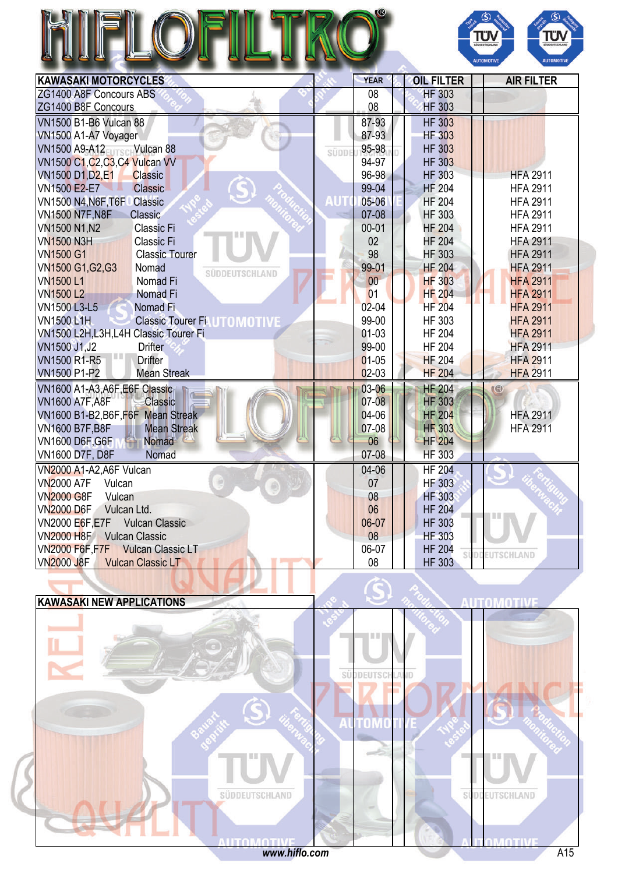|                                                         |      |             |                   | ΤΰΝ<br>ΤΰΝ<br><b>UDDEUTSCHLAND</b><br><b>AUTOMOTIVE</b><br><b>AUTOMOTIVE</b> |
|---------------------------------------------------------|------|-------------|-------------------|------------------------------------------------------------------------------|
| <b>KAWASAKI MOTORCYCLES</b>                             |      | <b>YEAR</b> | <b>OIL FILTER</b> | <b>AIR FILTER</b>                                                            |
| ZG1400 A8F Concours ABS                                 |      | 08          | <b>HF 303</b>     |                                                                              |
| ZG1400 B8F Concours                                     |      | 08          | <b>HF 303</b>     |                                                                              |
| <b>VN1500 B1-B6 Vulcan 88</b>                           |      | 87-93       | <b>HF 303</b>     |                                                                              |
| VN1500 A1-A7 Voyager                                    |      | 87-93       | <b>HF 303</b>     |                                                                              |
| VN1500 A9-A12 Vulcan 88                                 | süpp | 95-98       | <b>HF 303</b>     |                                                                              |
| VN1500 C1, C2, C3, C4 Vulcan VV                         |      | 94-97       | <b>HF 303</b>     |                                                                              |
| <b>VN1500 D1, D2, E1</b><br><b>Classic</b>              |      | 96-98       | <b>HF 303</b>     | <b>HFA 2911</b>                                                              |
| <b>VN1500 E2-E7</b><br>Classic                          |      | 99-04       | <b>HF 204</b>     | <b>HFA 2911</b>                                                              |
| VN1500 N4, N6F, T6F<br><b>Classic</b>                   |      | 05-06       | <b>HF 204</b>     | <b>HFA 2911</b>                                                              |
| <b>VN1500 N7F, N8F</b><br>Classic                       |      | $07-08$     | <b>HF 303</b>     | <b>HFA 2911</b>                                                              |
| VN1500 N1, N2<br><b>Classic Fi</b>                      |      | $00 - 01$   | <b>HF 204</b>     | <b>HFA 2911</b>                                                              |
| <b>VN1500 N3H</b><br>Classic Fi                         |      | 02          | <b>HF 204</b>     | <b>HFA 2911</b>                                                              |
| <b>VN1500 G1</b><br><b>Classic Tourer</b>               |      | 98          | <b>HF 303</b>     | <b>HFA 2911</b>                                                              |
| VN1500 G1, G2, G3<br>Nomad<br>SÜDDEUTSCHLAND            |      | 99-01       | <b>HF 204</b>     | <b>HFA 2911</b>                                                              |
| <b>VN1500L1</b><br>Nomad Fi                             |      | 00          | <b>HF 303</b>     | <b>HFA 2911</b>                                                              |
| <b>VN1500L2</b><br>Nomad Fi                             |      | 01          | <b>HF 204</b>     | <b>HFA 2911</b>                                                              |
| VN1500 L3-L5<br>Nomad Fi                                |      | $02 - 04$   | <b>HF 204</b>     | <b>HFA 2911</b>                                                              |
| <b>VN1500 L1H</b><br><b>Classic Tourer FiLUTOMOTIVE</b> |      | 99-00       | HF 303            | <b>HFA 2911</b>                                                              |
| VN1500 L2H,L3H,L4H Classic Tourer Fi                    |      | 01-03       | <b>HF 204</b>     | <b>HFA 2911</b>                                                              |
| VN1500 J1, J2<br><b>Drifter</b><br><b>TIL</b>           |      | 99-00       | <b>HF 204</b>     | <b>HFA 2911</b>                                                              |
| <b>VN1500 R1-R5</b><br><b>Drifter</b>                   |      | $01-05$     | <b>HF 204</b>     | <b>HFA 2911</b>                                                              |
| <b>VN1500 P1-P2</b><br><b>Mean Streak</b>               |      | $02-03$     | <b>HF 204</b>     | <b>HFA 2911</b>                                                              |
| VN1600 A1-A3, A6F, E6F Classic                          |      | 03-06       | <b>HF 204</b>     | $\mathbb{C}$                                                                 |
| <b>VN1600 A7F, A8F</b><br>Classic                       |      | 07-08       | <b>HF 303</b>     |                                                                              |
| VN1600 B1-B2, B6F, F6F Mean Streak                      |      | 04-06       | <b>HF 204</b>     | <b>HFA 2911</b>                                                              |
| <b>VN1600 B7F, B8F</b><br><b>Mean Streak</b>            |      | 07-08       | <b>HF 303</b>     | <b>HFA 2911</b>                                                              |
| <b>VN1600 D6F, G6F</b><br><b>Nomad</b>                  |      | 06          | <b>HF 204</b>     |                                                                              |
| <b>VN1600 D7F, D8F</b><br>Nomad                         |      | 07-08       | <b>HF 303</b>     |                                                                              |
| VN2000 A1-A2, A6F Vulcan                                |      | 04-06       | <b>HF 204</b>     |                                                                              |
| <b>VN2000 A7F</b><br>Vulcan                             |      | 07          | <b>HF 303</b>     |                                                                              |
| <b>VN2000 G8F</b><br>Vulcan                             |      | 08          | <b>HF 303</b>     |                                                                              |
| <b>VN2000 D6F</b><br>Vulcan Ltd.                        |      | 06          | <b>HF 204</b>     | LU II                                                                        |
| VN2000 E6F, E7F<br><b>Vulcan Classic</b>                |      | 06-07       | <b>HF 303</b>     |                                                                              |
| <b>VN2000 H8F</b><br><b>Vulcan Classic</b>              |      | 08          | <b>HF 303</b>     |                                                                              |



**DDEUTSCHLAND** 

si

VN2000 F6F,F7F Vulcan Classic LT 06-07 HF 204 VN<mark>2000 J8F Vulcan Classic LT 08 HF 303</mark>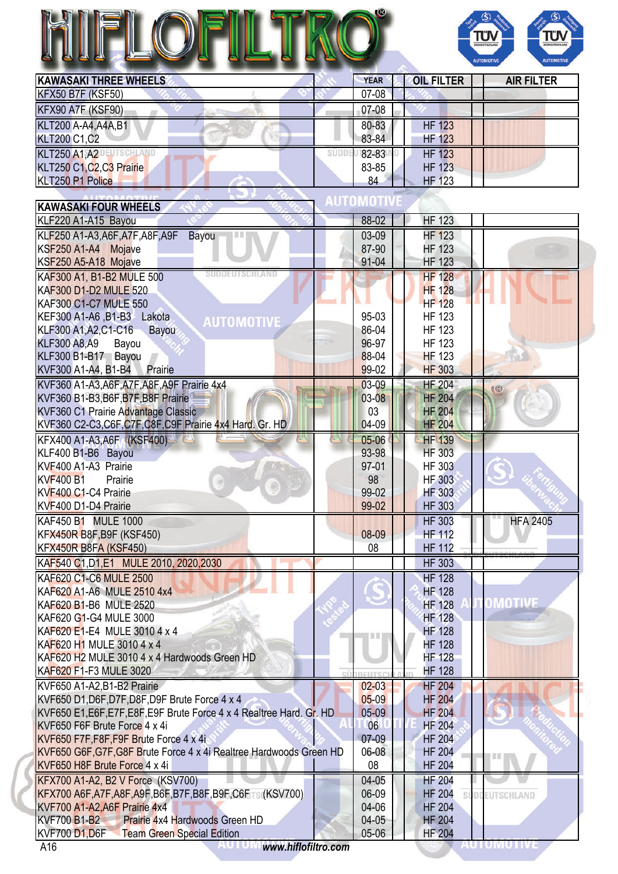## TROL HIFLOFILT



| <b>KAWASAKI THREE WHEELS</b> | <b>YEAR</b> | <b>OIL FILTER</b> | <b>AIR FILTER</b> |
|------------------------------|-------------|-------------------|-------------------|
| <b>KFX50 B7F (KSF50)</b>     | $07 - 08$   |                   |                   |
| KFX90 A7F (KSF90)            | 07-08       |                   |                   |
| KLT200 A-A4, A4A, B1         | 80-83       | <b>HF 123</b>     |                   |
| <b>KLT200 C1,C2</b>          | 83-84       | <b>HF 123</b>     |                   |
| <b>KLT250 A1, A2</b>         | 82-83       | <b>HF 123</b>     |                   |
| KLT250 C1, C2, C3 Prairie    | 83-85       | <b>HF 123</b>     |                   |
| KLT250 P1 Police             | 84          | <b>HF 123</b>     |                   |

| <b>KAWASAKI FOUR WHEELS</b>                                           | I U IVIIU                                   |
|-----------------------------------------------------------------------|---------------------------------------------|
| KLF220 A1-A15 Bayou                                                   | <b>HF 123</b><br>88-02                      |
| KLF250 A1-A3, A6F, A7F, A8F, A9F<br>Bayou                             | <b>HF 123</b><br>03-09                      |
| KSF250 A1-A4 Mojave                                                   | 87-90<br><b>HF 123</b>                      |
| KSF250 A5-A18 Mojave                                                  | 91-04<br><b>HF 123</b>                      |
| KAF300 A1, B1-B2 MULE 500                                             | <b>HF 128</b>                               |
| <b>KAF300 D1-D2 MULE 520</b>                                          | <b>HF 128</b>                               |
| <b>KAF300 C1-C7 MULE 550</b>                                          | <b>HF 128</b>                               |
| KEF300 A1-A6, B1-B3 Lakota<br><b>AUTOMOTIVE</b>                       | 95-03<br><b>HF 123</b>                      |
| KLF300 A1, A2, C1-C16<br>Bayou                                        | 86-04<br><b>HF 123</b>                      |
| <b>KLF300 A8,A9</b><br>Bayou                                          | 96-97<br><b>HF 123</b>                      |
| KLF300 B1-B17 Bayou                                                   | 88-04<br><b>HF 123</b>                      |
| KVF300 A1-A4, B1-B4 Prairie                                           | 99-02<br><b>HF 303</b>                      |
| KVF360 A1-A3, A6F, A7F, A8F, A9F Prairie 4x4                          | <b>HF 204</b><br>$03-09$<br>$\circ$         |
| KVF360 B1-B3, B6F, B7F, B8F Prairie                                   | $03 - 08$<br><b>HF 204</b>                  |
| KVF360 C1 Prairie Advantage Classic                                   | 03<br><b>HF 204</b>                         |
| KVF360 C2-C3,C6F,C7F,C8F,C9F Prairie 4x4 Hard. Gr. HD                 | 04-09<br><b>HF 204</b>                      |
| KFX400 A1-A3, A6F (KSF400)                                            | <b>HF 139</b><br>05-06                      |
| KLF400 B1-B6 Bayou                                                    | 93-98<br><b>HF 303</b>                      |
| KVF400 A1-A3 Prairie                                                  | 97-01<br><b>HF 303</b>                      |
| <b>KVF400 B1</b><br>Prairie                                           | 98<br><b>HF 303</b>                         |
| KVF400 C1-C4 Prairie                                                  | 99-02<br><b>HF 303</b>                      |
| KVF400 D1-D4 Prairie                                                  | 99-02<br><b>HF 303</b>                      |
| KAF450 B1 MULE 1000                                                   | <b>HF 303</b><br><b>HFA 2405</b>            |
| KFX450R B8F, B9F (KSF450)                                             | 08-09<br><b>HF 112</b>                      |
| <b>KFX450R B8FA (KSF450)</b>                                          | 08<br><b>HF 112</b>                         |
| KAF540 C1, D1, E1 MULE 2010, 2020, 2030                               | <b>HF 303</b>                               |
| KAF620 C1-C6 MULE 2500                                                | <b>HF 128</b>                               |
| KAF620 A1-A6 MULE 2510 4x4                                            | <b>HF 128</b>                               |
| KAF620 B1-B6 MULE 2520                                                | OMOTIVE<br><b>HF 128</b>                    |
| KAF620 G1-G4 MULE 3000                                                | <b>HF 128</b>                               |
| KAF620 E1-E4 MULE 3010 4 x 4                                          | <b>HF 128</b>                               |
| KAF620 H1 MULE 3010 4 x 4                                             | <b>HF 128</b>                               |
| KAF620 H2 MULE 3010 4 x 4 Hardwoods Green HD                          | <b>HF 128</b>                               |
| KAF620 F1-F3 MULE 3020                                                | <b>HF 128</b>                               |
| KVF650 A1-A2, B1-B2 Prairie                                           | <b>HF 204</b><br>$02-03$                    |
| KVF650 D1, D6F, D7F, D8F, D9F Brute Force 4 x 4                       | $05-09$<br><b>HF 204</b>                    |
| KVF650 E1, E6F, E7F, E8F, E9F Brute Force 4 x 4 Realtree Hard. Gr. HD | $05-09$<br><b>HF 204</b>                    |
| KVF650 F6F Brute Force 4 x 4i                                         | 06<br><b>HF 204</b>                         |
| KVF650 F7F, F8F, F9F Brute Force 4 x 4i                               | $07-09$<br><b>HF 204</b>                    |
| KVF650 G6F, G7F, G8F Brute Force 4 x 4i Realtree Hardwoods Green HD   | 06-08<br><b>HF 204</b>                      |
| KVF650 H8F Brute Force 4 x 4i                                         | H<br>08<br><b>HF 204</b>                    |
| <b>KFX700 A1-A2, B2 V Force (KSV700)</b>                              | 04-05<br><b>HF 204</b>                      |
| KFX700 A6F, A7F, A8F, A9F, B6F, B7F, B8F, B9F, C6FTS (KSV700)         | 06-09<br><b>HF 204</b><br><b>EUTSCHLAND</b> |
| KVF700 A1-A2, A6F Prairie 4x4                                         | 04-06<br><b>HF 204</b>                      |
| Prairie 4x4 Hardwoods Green HD<br><b>KVF700 B1-B2</b>                 | $04-05$<br><b>HF 204</b>                    |
| <b>KVF700 D1,D6F</b><br><b>Team Green Special Edition</b>             | 05-06<br><b>HF 204</b>                      |
| www.hiflofiltro.com<br>A16                                            | AUTUMUTIVE                                  |

×.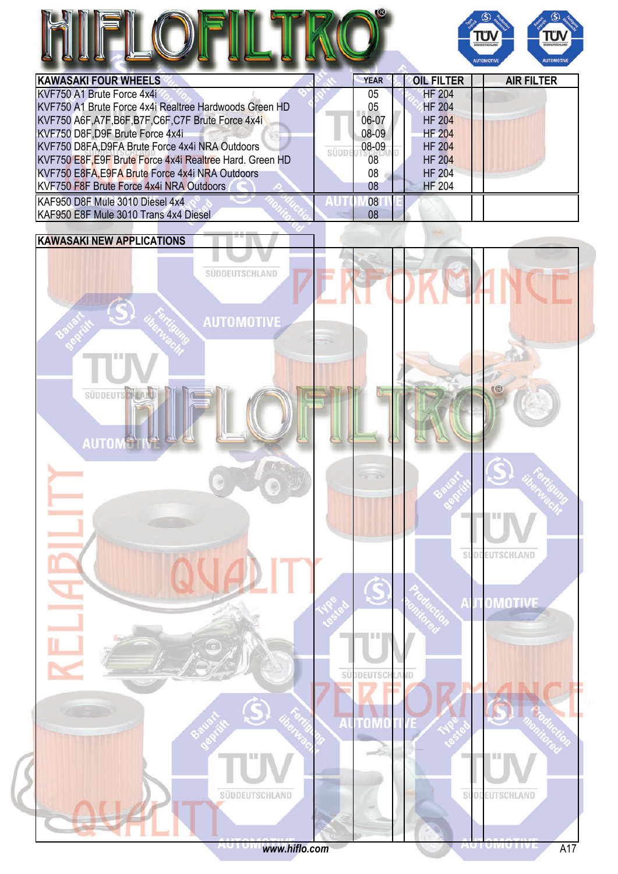



| <b>KAWASAKI FOUR WHEELS</b>                              | <b>YEAR</b> | <b>OIL FILTER</b> | <b>AIR FILTER</b> |
|----------------------------------------------------------|-------------|-------------------|-------------------|
| KVF750 A1 Brute Force 4x4i                               | 05          | <b>HF 204</b>     |                   |
| KVF750 A1 Brute Force 4x4i Realtree Hardwoods Green HD   | 05          | <b>HF 204</b>     |                   |
| KVF750 A6F, A7F, B6F, B7F, C6F, C7F Brute Force 4x4i     | 06-07       | <b>HF 204</b>     |                   |
| KVF750 D8F, D9F Brute Force 4x4i                         | 08-09       | <b>HF 204</b>     |                   |
| KVF750 D8FA, D9FA Brute Force 4x4i NRA Outdoors          | 08-09       | <b>HF 204</b>     |                   |
| KVF750 E8F, E9F Brute Force 4x4i Realtree Hard. Green HD | 08          | <b>HF 204</b>     |                   |
| KVF750 E8FA, E9FA Brute Force 4x4i NRA Outdoors          | 08          | <b>HF 204</b>     |                   |
| KVF750 F8F Brute Force 4x4i NRA Outdoors                 | 08          | <b>HF 204</b>     |                   |
| KAF950 D8F Mule 3010 Diesel 4x4                          | 08          |                   |                   |
| KAF950 E8F Mule 3010 Trans 4x4 Diesel                    | 08          |                   |                   |

## **KAWASAKI NEW APPLICATIONS**

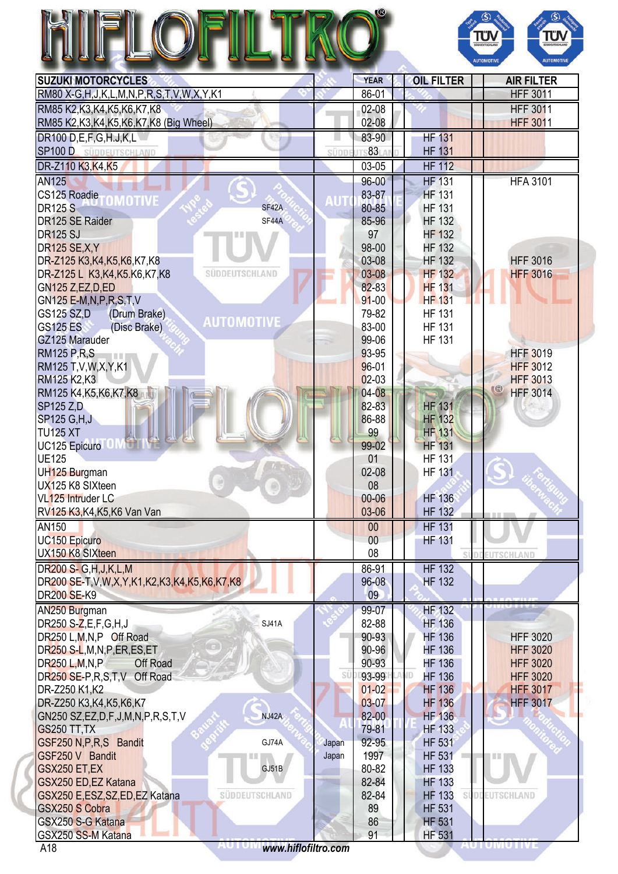|                                                            |       |                 |                                | ΤΰΛ<br>ΤÜΝ<br><b>JODEUTSCHLA</b><br><b>SÜDDEUTSCHLAN</b><br><b>AUTOMOTIVE</b><br><b>AUTOMOTIV</b> |
|------------------------------------------------------------|-------|-----------------|--------------------------------|---------------------------------------------------------------------------------------------------|
| <b>SUZUKI MOTORCYCLES</b>                                  |       | <b>YEAR</b>     | <b>OIL FILTER</b>              | <b>AIR FILTER</b>                                                                                 |
| RM80 X-G, H, J, K, L, M, N, P, R, S, T, V, W, X, Y, K1     |       | 86-01           |                                | <b>HFF 3011</b>                                                                                   |
| RM85 K2, K3, K4, K5, K6, K7, K8                            |       | 02-08           |                                | <b>HFF 3011</b>                                                                                   |
| RM85 K2, K3, K4, K5, K6, K7, K8 (Big Wheel)                |       | 02-08           |                                | <b>HFF 3011</b>                                                                                   |
| DR100 D,E,F,G,H,J,K,L                                      |       | 83-90           | <b>HF 131</b>                  |                                                                                                   |
| <b>SP100 D</b> SÜDDEUTSCHLAND                              | süpp  | $83 -$          | <b>HF 131</b>                  |                                                                                                   |
| DR-Z110 K3, K4, K5                                         |       | 03-05           | <b>HF 112</b>                  |                                                                                                   |
| <b>AN125</b>                                               |       | $96 - 00$       | <b>HF 131</b>                  | <b>HFA 3101</b>                                                                                   |
| CS125 Roadie <b>TOMOTIVE</b>                               |       | 83-87           | <b>HF 131</b>                  |                                                                                                   |
| <b>DR125 S</b><br>SF42A                                    |       | 80-85           | <b>HF 131</b>                  |                                                                                                   |
| SF44A<br>DR125 SE Raider                                   |       | 85-96           | <b>HF 132</b>                  |                                                                                                   |
| <b>DR125 SJ</b>                                            |       | 97              | <b>HF 132</b>                  |                                                                                                   |
| <b>DR125 SE, X, Y</b><br>DR-Z125 K3,K4,K5,K6,K7,K8         |       | 98-00<br>03-08  | <b>HF 132</b><br><b>HF 132</b> | <b>HFF 3016</b>                                                                                   |
| DR-Z125 L K3, K4, K5. K6, K7, K8<br><b>SÜDDEUTSCHLAND</b>  |       | $03 - 08$       | <b>HF 132</b>                  | <b>HFF 3016</b>                                                                                   |
| GN125 Z,EZ, D, ED                                          |       | 82-83           | <b>HF 131</b>                  |                                                                                                   |
| GN125 E-M, N, P, R, S, T, V                                |       | $91 - 00$       | <b>HF 131</b>                  |                                                                                                   |
| <b>GS125 SZ,D</b><br>(Drum Brake)                          |       | 79-82           | <b>HF 131</b>                  |                                                                                                   |
| <b>AUTOMOTIVE</b><br><b>GS125 ES</b><br>(Disc Brake)       |       | 83-00           | <b>HF 131</b>                  |                                                                                                   |
| GZ125 Marauder                                             |       | 99-06           | <b>HF 131</b>                  |                                                                                                   |
| <b>RM125 P,R,S</b>                                         |       | 93-95           |                                | <b>HFF 3019</b>                                                                                   |
| RM125 T, V, W, X, Y, K1                                    |       | $96 - 01$       |                                | <b>HFF 3012</b>                                                                                   |
| RM125 K2, K3                                               |       | $02-03$         |                                | <b>HFF 3013</b>                                                                                   |
| RM125 K4, K5, K6, K7, K8                                   |       | 04-08           |                                | $\mathbb{G}$<br><b>HFF 3014</b>                                                                   |
| SP125 Z,D                                                  |       | 82-83           | <b>HF 131</b>                  |                                                                                                   |
| <b>SP125 G, H, J</b>                                       |       | 86-88           | <b>HF 132</b>                  |                                                                                                   |
| <b>TU125 XT</b>                                            |       | 99              | <b>HF 131</b>                  |                                                                                                   |
| UC125 Epicuro                                              |       | 99-02           | <b>HF 131</b>                  |                                                                                                   |
| <b>UE125</b><br>UH125 Burgman                              |       | 01<br>$02 - 08$ | <b>HF 131</b><br><b>HF 131</b> |                                                                                                   |
| UX125 K8 SIXteen                                           |       | 08              |                                |                                                                                                   |
| VL125 Intruder LC                                          |       | $00 - 06$       | <b>HF 136</b>                  |                                                                                                   |
| RV125 K3, K4, K5, K6 Van Van                               |       | 03-06           | <b>HF 132</b>                  |                                                                                                   |
| AN150                                                      |       | 00              | <b>HF 131</b>                  |                                                                                                   |
| UC150 Epicuro                                              |       | 00              | <b>HF 131</b>                  |                                                                                                   |
| UX150 K8 SIXteen                                           |       | 08              |                                | <b>UTSCHLAND</b>                                                                                  |
| DR200 S- G, H, J, K, L, M                                  |       | 86-91           | <b>HF 132</b>                  |                                                                                                   |
| DR200 SE-T, V, W, X, Y, K1, K2, K3, K4, K5, K6, K7, K8     |       | $96 - 08$       | <b>HF 132</b>                  |                                                                                                   |
| DR200 SE-K9                                                |       | 09              |                                |                                                                                                   |
| AN250 Burgman                                              |       | 99-07           | <b>HF 132</b>                  |                                                                                                   |
| DR250 S-Z,E,F,G,H,J<br>SJ41A                               |       | 82-88           | <b>HF 136</b>                  |                                                                                                   |
| DR250 L,M,N,P Off Road                                     |       | 90-93           | <b>HF 136</b>                  | <b>HFF 3020</b>                                                                                   |
| DR250 S-L, M, N, P, ER, ES, ET                             |       | 90-96           | <b>HF 136</b>                  | <b>HFF 3020</b>                                                                                   |
| DR250 L, M, N, P<br>Off Road                               | SÜ    | 90-93<br>93-99  | <b>HF 136</b>                  | <b>HFF 3020</b>                                                                                   |
| DR250 SE-P, R, S, T, V Off Road<br>DR-Z250 K1,K2           |       | $01 - 02$       | <b>HF 136</b><br><b>HF 136</b> | <b>HFF 3020</b><br><b>HFF 3017</b>                                                                |
| DR-Z250 K3, K4, K5, K6, K7                                 |       | 03-07           | <b>HF 136</b>                  | <b>HFF 3017</b>                                                                                   |
| <b>NJ42A</b><br>GN250 SZ, EZ, D, F, J, M, N, P, R, S, T, V |       | 82-00           | <b>HF 136</b>                  |                                                                                                   |
| <b>GS250 TT, TX</b>                                        |       | 79-81           | <b>HF 133</b>                  |                                                                                                   |
| GSF250 N, P, R, S Bandit<br>GJ74A                          | Japan | 92-95           | <b>HF 531</b>                  |                                                                                                   |
| GSF250 V Bandit                                            | Japan | 1997            | <b>HF 531</b>                  |                                                                                                   |
| GSX250 ET,EX<br>GJ51B                                      |       | 80-82           | <b>HF 133</b>                  |                                                                                                   |
| GSX250 ED, EZ Katana                                       |       | 82-84           | <b>HF 133</b>                  |                                                                                                   |
| GSX250 E, ESZ, SZ, ED, EZ Katana<br>SÜDDEUTSCHLAND         |       | 82-84           | <b>HF 133</b>                  | SUDDEUTSCHLAND                                                                                    |
|                                                            |       |                 |                                |                                                                                                   |
| <b>GSX250 S Cobra</b>                                      |       | 89              | <b>HF 531</b>                  |                                                                                                   |
| GSX250 S-G Katana<br>GSX250 SS-M Katana                    |       | 86<br>91        | <b>HF 531</b><br><b>HF 531</b> |                                                                                                   |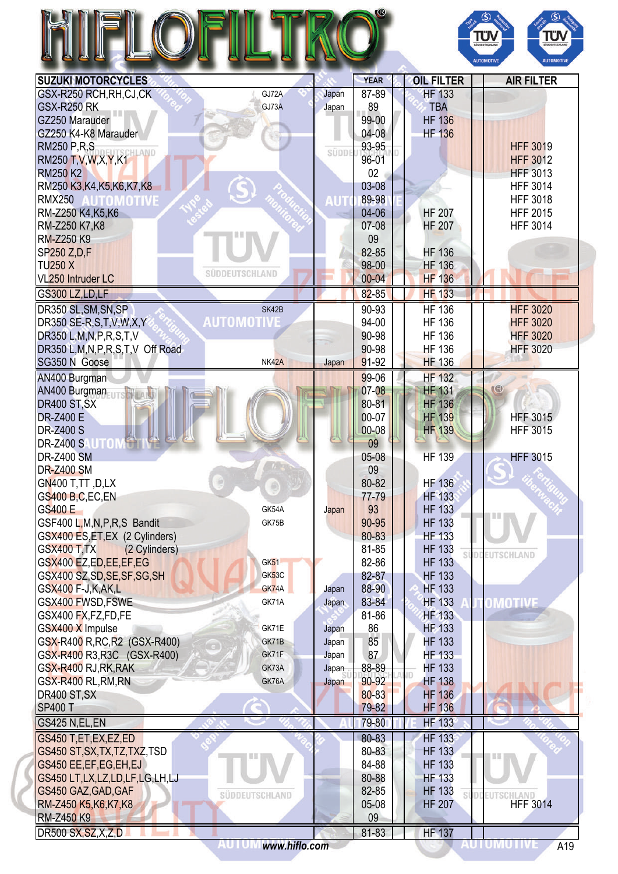# HIFLOFILTRO®



| <b>SUZUKI MOTORCYCLES</b>                                                             |                   |       | <b>YEAR</b>     | <b>OIL FILTER</b> | <b>AIR FILTER</b>   |
|---------------------------------------------------------------------------------------|-------------------|-------|-----------------|-------------------|---------------------|
| GSX-R250 RCH, RH, CJ, CK                                                              | GJ72A             | Japan | 87-89           | <b>HF 133</b>     |                     |
| <b>GSX-R250 RK</b>                                                                    | GJ73A             | Japan | 89              | <b>TBA</b>        |                     |
| GZ250 Marauder                                                                        |                   |       | 99-00           | <b>HF 136</b>     |                     |
| GZ250 K4-K8 Marauder                                                                  |                   |       | 04-08           | <b>HF 136</b>     |                     |
| <b>RM250 P.R.S.</b>                                                                   |                   |       | 93-95           |                   | <b>HFF 3019</b>     |
| CHLAND<br>RM250 T, V, W, X, Y, K1                                                     |                   | SÜDDE | 96-01           |                   | <b>HFF 3012</b>     |
| <b>RM250 K2</b>                                                                       |                   |       | 02 <sub>2</sub> |                   | <b>HFF 3013</b>     |
| RM250 K3, K4, K5, K6, K7, K8                                                          |                   |       | 03-08           |                   | <b>HFF 3014</b>     |
|                                                                                       |                   |       | 89-98           |                   |                     |
| RMX250 AUTOMOTIVE                                                                     |                   | AUT   |                 |                   | <b>HFF 3018</b>     |
| RM-Z250 K4, K5, K6                                                                    |                   |       | 04-06           | <b>HF 207</b>     | <b>HFF 2015</b>     |
| RM-Z250 K7,K8                                                                         |                   |       | 07-08           | <b>HF 207</b>     | <b>HFF 3014</b>     |
| <b>RM-Z250 K9</b>                                                                     |                   |       | 09              |                   |                     |
| SP250 Z,D,F                                                                           |                   |       | 82-85           | <b>HF 136</b>     |                     |
| <b>TU250 X</b>                                                                        | SÜDDEUTSCHLAND    |       | 98-00           | <b>HF 136</b>     |                     |
| VL <sub>250</sub> Intruder LC                                                         |                   |       | $00 - 04$       | <b>HF 136</b>     |                     |
| GS300 LZ,LD,LF                                                                        |                   |       | $82 - 85$       | <b>HF 133</b>     |                     |
| DR350 SL, SM, SN, SP                                                                  | SK42B             |       | 90-93           | <b>HF 136</b>     | <b>HFF 3020</b>     |
| DR350 SE-R, S, T, V, W, X, Y                                                          | <b>AUTOMOTIVE</b> |       | 94-00           | <b>HF 136</b>     | <b>HFF 3020</b>     |
|                                                                                       |                   |       |                 |                   |                     |
| DR350 L, M, N, P, R, S, T, V                                                          |                   |       | 90-98           | <b>HF 136</b>     | <b>HFF 3020</b>     |
| DR350 L, M, N, P, R, S, T, V Off Road                                                 |                   |       | 90-98           | <b>HF 136</b>     | <b>HFF 3020</b>     |
| SG350 N Goose                                                                         | NK42A             | Japan | 91-92           | <b>HF 136</b>     |                     |
| AN400 Burgman                                                                         |                   |       | 99-06           | <b>HF 132</b>     |                     |
| AN400 Burgman                                                                         |                   |       | 07-08           | <b>HF 131</b>     | <b>IB</b>           |
| DR400 ST, SX                                                                          |                   |       | 80-81           | <b>HF 136</b>     |                     |
| DR-Z400 E                                                                             |                   |       | 00-07           | <b>HF 139</b>     | <b>HFF 3015</b>     |
| <b>DR-Z400 S</b>                                                                      |                   |       | $00 - 08$       | <b>HF 139</b>     | <b>HFF 3015</b>     |
| DR-Z400 SAUTOM                                                                        |                   |       | 09              |                   |                     |
| <b>DR-Z400 SM</b>                                                                     |                   |       | 05-08           | <b>HF 139</b>     | <b>HFF 3015</b>     |
|                                                                                       |                   |       |                 |                   |                     |
| <b>DR-Z400 SM</b>                                                                     |                   |       | 09              |                   |                     |
| <b>GN400 T,TT,D,LX</b>                                                                |                   |       | 80-82           | <b>HF 136</b>     |                     |
| GS400 B,C,EC,EN                                                                       |                   |       | 77-79           | <b>HF 133</b>     |                     |
| GS400 E                                                                               | GK54A             | Japan | 93              | <b>HF 133</b>     |                     |
| GSF400 L, M, N, P, R, S Bandit                                                        | GK75B             |       | 90-95           | <b>HF 133</b>     |                     |
| GSX400 ES, ET, EX (2 Cylinders)                                                       |                   |       | 80-83           | <b>HF 133</b>     |                     |
| <b>GSX400 T,TX</b><br>(2 Cylinders)                                                   |                   |       | 81-85           | <b>HF 133</b>     |                     |
| GSX400 EZ,ED,EE,EF,EG                                                                 | GK <sub>51</sub>  |       | 82-86           | <b>HF 133</b>     | <b>DDEUTSCHLAND</b> |
| GSX400 SZ, SD, SE, SF, SG, SH                                                         | GK53C             |       | 82-87           | <b>HF 133</b>     |                     |
| GSX400 F-J,K,AK,L                                                                     | GK74A             | Japan | 88-90           | <b>HF 133</b>     |                     |
| GSX400 FWSD, FSWE                                                                     | GK71A             | Japan | 83-84           | <b>HF 133</b>     |                     |
|                                                                                       |                   |       |                 |                   | OMOTIVE             |
| GSX400 FX, FZ, FD, FE                                                                 |                   |       | 81-86           | <b>HF 133</b>     |                     |
| GSX400 X Impulse                                                                      | GK71E             | Japan | 86              | <b>HF 133</b>     |                     |
| GSX-R400 R, RC, R2 (GSX-R400)                                                         | GK71B             | Japan | 85              | <b>HF 133</b>     |                     |
| GSX-R400 R3, R3C (GSX-R400)                                                           | GK71F             | Japan | 87              | <b>HF 133</b>     |                     |
| GSX-R400 RJ, RK, RAK                                                                  | GK73A             | Japan | 88-89           | <b>HF 133</b>     |                     |
| GSX-R400 RL, RM, RN                                                                   | GK76A             | Japan | 90-92           | <b>HF 138</b>     |                     |
| DR400 ST, SX                                                                          |                   |       | 80-83           | <b>HF 136</b>     |                     |
| <b>SP400 T</b>                                                                        |                   |       | 79-82           | <b>HF 136</b>     |                     |
| GS425 N,EL,EN                                                                         |                   |       | 79-80           | <b>HF 133</b>     |                     |
|                                                                                       |                   |       |                 |                   |                     |
| GS450 T,ET,EX,EZ,ED                                                                   |                   |       | 80-83           | <b>HF 133</b>     |                     |
|                                                                                       |                   |       | 80-83           | <b>HF 133</b>     |                     |
| GS450 ST, SX, TX, TZ, TXZ, TSD                                                        |                   |       | 84-88           | <b>HF 133</b>     |                     |
| GS450 EE, EF, EG, EH, EJ                                                              |                   |       |                 |                   |                     |
|                                                                                       |                   |       | 80-88           | <b>HF 133</b>     |                     |
|                                                                                       |                   |       | 82-85           | <b>HF 133</b>     | CHLAND              |
| GS450 LT, LX, LZ, LD, LF, LG, LH, LJ<br>GS450 GAZ, GAD, GAF<br>RM-Z450 K5, K6, K7, K8 | SÜDDEUTSCHLAND    |       | 05-08           | <b>HF 207</b>     | <b>HFF 3014</b>     |
| <b>RM-Z450 K9</b>                                                                     |                   |       | 09              |                   |                     |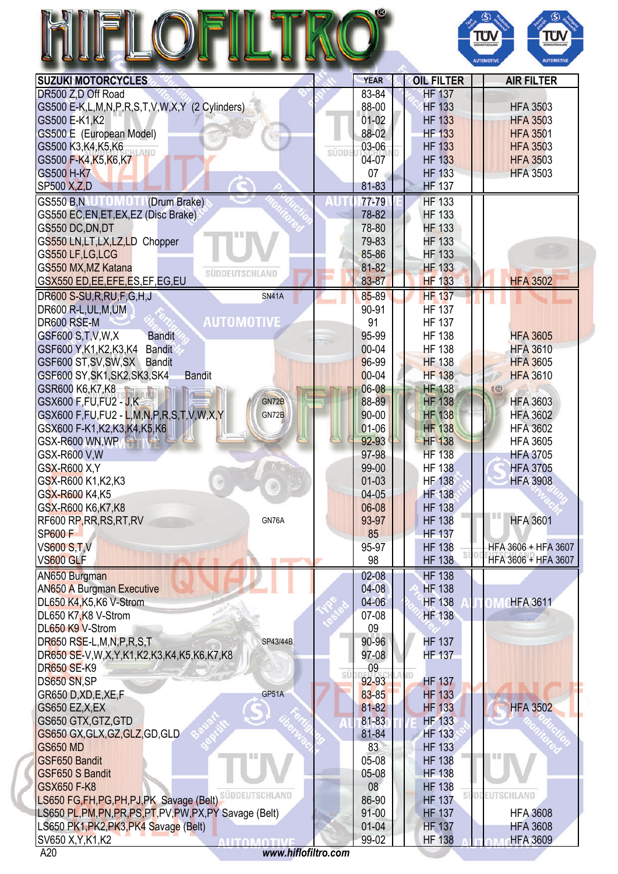| <b>SUZUKI MOTORCYCLES</b><br><b>OIL FILTER</b><br><b>AIR FILTER</b><br><b>YEAR</b><br>DR500 Z,D Off Road<br>83-84<br><b>HF 137</b><br>88-00<br>GS500 E-K,L,M,N,P,R,S,T,V,W,X,Y (2 Cylinders)<br><b>HF 133</b><br><b>HFA 3503</b><br>$01-02$<br><b>HF 133</b><br><b>HFA 3503</b><br>GS500 E-K1,K2<br>88-02<br><b>HF 133</b><br>GS500 E (European Model)<br><b>HFA 3501</b><br>03-06<br><b>HF 133</b><br>GS500 K3, K4, K5, K6<br><b>HFA 3503</b><br><b>HLAND</b><br>SÜDD<br>04-07<br><b>HF 133</b><br>GS500 F-K4, K5, K6, K7<br><b>HFA 3503</b><br><b>GS500 H-K7</b><br><b>HF 133</b><br><b>HFA 3503</b><br>07<br><b>HF 137</b><br><b>SP500 X,Z,D</b><br>81-83<br>GS550 B.N.U. U. U. U. U. (Drum Brake)<br><b>HF 133</b><br>77-79<br>GS550 EC, EN, ET, EX, EZ (Disc Brake)<br>78-82<br><b>HF 133</b><br>78-80<br><b>HF 133</b><br>GS550 DC, DN, DT<br>79-83<br><b>HF 133</b><br>GS550 LN, LT, LX, LZ, LD Chopper<br>85-86<br><b>HF 133</b><br>GS550 LF,LG,LCG<br>81-82<br><b>HF 133</b><br>GS550 MX, MZ Katana<br>SÜDDEUTSCHLAND<br>GSX550 ED, EE, EFE, ES, EF, EG, EU<br>83-87<br><b>HF 133</b><br><b>HFA 3502</b><br>85-89<br><b>HF 137</b><br>DR600 S-SU, R, RU, F, G, H, J<br><b>SN41A</b><br>DR600 R-L, UL, M, UM<br>$90 - 91$<br><b>HF 137</b><br><b>AUTOMOTIVE</b><br><b>HF 137</b><br>DR600 RSE-M<br>91<br><b>Bandit</b><br>95-99<br><b>HF 138</b><br>GSF600 S, T, V, W, X<br><b>HFA 3605</b><br>$00 - 04$<br><b>HF 138</b><br><b>HFA 3610</b><br>GSF600 Y, K1, K2, K3, K4 Bandit<br>96-99<br><b>HF 138</b><br>GSF600 ST, SV, SW, SX Bandit<br><b>HFA 3605</b><br>$00 - 04$<br><b>HF 138</b><br>GSF600 SY, SK1, SK2, SK3, SK4<br><b>HFA 3610</b><br><b>Bandit</b><br>06-08<br><b>HF 138</b><br>GSR600 K6, K7, K8<br>$\mathbb{C}$<br>GN72B<br>88-89<br><b>HF 138</b><br><b>HFA 3603</b><br>GSX600 F, FU, FU2 - J, K<br>90-00<br><b>HF 138</b><br>GSX600 F, FU, FU2 - L, M, N, P, R, S, T, V, W, X, Y<br>GN72B<br><b>HFA 3602</b><br>$01 - 06$<br><b>HF 138</b><br><b>HFA 3602</b><br>GSX600 F-K1,K2,K3,K4,K5,K6<br>92-93<br><b>HF</b> 138<br>GSX-R600 WN, WP<br><b>HFA 3605</b><br>97-98<br><b>HF 138</b><br>GSX-R600 V.W<br><b>HFA 3705</b><br>GSX-R600 X, Y<br>99-00<br><b>HF 138</b><br><b>HFA 3705</b><br>$01 - 03$<br><b>HF 138</b><br><b>HFA 3908</b><br>GSX-R600 K1, K2, K3<br>$04 - 05$<br>GSX-R600 K4,K5<br><b>HF 138</b><br>06-08<br>GSX-R600 K6, K7, K8<br><b>HF 138</b><br><b>HF 138</b><br>RF600 RP, RR, RS, RT, RV<br>93-97<br><b>HFA 3601</b><br>GN76A<br><b>SP600 F</b><br>85<br><b>HF 137</b><br><b>HF 138</b><br><b>VS600 S,T,V</b><br>95-97<br>HFA 3606 + HFA 3607<br>98<br><b>HF 138</b><br>HFA 3606 + HFA 3607<br>VS600 GLF<br>AN650 Burgman<br>$02 - 08$<br><b>HF 138</b><br>$04 - 08$<br><b>HF 138</b><br><b>AN650 A Burgman Executive</b><br>04-06<br>DL650 K4, K5, K6 V-Strom<br><b>HF 138</b><br><b>HFA 3611</b><br>07-08<br><b>HF 138</b><br>DL650 K7, K8 V-Strom<br>DL650 K9 V-Strom<br>09<br>90-96<br>DR650 RSE-L, M, N, P, R, S, T<br><b>HF 137</b><br>SP43/44B<br>97-08<br><b>HF 137</b><br>DR650 SE-V, W, X, Y, K1, K2, K3, K4, K5, K6, K7, K8<br>09<br><b>DR650 SE-K9</b><br>Sί<br>92-93<br>DS650 SN, SP<br><b>HF 137</b><br>83-85<br>GR650 D, XD, E, XE, F<br>GP51A<br><b>HF 133</b><br>81-82<br><b>HF 133</b><br><b>HFA 3502</b><br><b>GS650 EZ, X, EX</b><br>81-83<br>GS650 GTX, GTZ, GTD<br><b>HF 133</b> |                                 |       |               | ΤΰΝ<br>Τΰ<br><b>UDDEUTSCHLAN</b><br><b>AUTOMOTIV</b><br><b>AUTOMOTIVE</b> |
|-----------------------------------------------------------------------------------------------------------------------------------------------------------------------------------------------------------------------------------------------------------------------------------------------------------------------------------------------------------------------------------------------------------------------------------------------------------------------------------------------------------------------------------------------------------------------------------------------------------------------------------------------------------------------------------------------------------------------------------------------------------------------------------------------------------------------------------------------------------------------------------------------------------------------------------------------------------------------------------------------------------------------------------------------------------------------------------------------------------------------------------------------------------------------------------------------------------------------------------------------------------------------------------------------------------------------------------------------------------------------------------------------------------------------------------------------------------------------------------------------------------------------------------------------------------------------------------------------------------------------------------------------------------------------------------------------------------------------------------------------------------------------------------------------------------------------------------------------------------------------------------------------------------------------------------------------------------------------------------------------------------------------------------------------------------------------------------------------------------------------------------------------------------------------------------------------------------------------------------------------------------------------------------------------------------------------------------------------------------------------------------------------------------------------------------------------------------------------------------------------------------------------------------------------------------------------------------------------------------------------------------------------------------------------------------------------------------------------------------------------------------------------------------------------------------------------------------------------------------------------------------------------------------------------------------------------------------------------------------------------------------------------------------------------------------------------------------------------------------------------------------------------------------------------------------------------------------------------------------------------------------------------------------------------------------------------------------------------------|---------------------------------|-------|---------------|---------------------------------------------------------------------------|
|                                                                                                                                                                                                                                                                                                                                                                                                                                                                                                                                                                                                                                                                                                                                                                                                                                                                                                                                                                                                                                                                                                                                                                                                                                                                                                                                                                                                                                                                                                                                                                                                                                                                                                                                                                                                                                                                                                                                                                                                                                                                                                                                                                                                                                                                                                                                                                                                                                                                                                                                                                                                                                                                                                                                                                                                                                                                                                                                                                                                                                                                                                                                                                                                                                                                                                                                                     |                                 |       |               |                                                                           |
|                                                                                                                                                                                                                                                                                                                                                                                                                                                                                                                                                                                                                                                                                                                                                                                                                                                                                                                                                                                                                                                                                                                                                                                                                                                                                                                                                                                                                                                                                                                                                                                                                                                                                                                                                                                                                                                                                                                                                                                                                                                                                                                                                                                                                                                                                                                                                                                                                                                                                                                                                                                                                                                                                                                                                                                                                                                                                                                                                                                                                                                                                                                                                                                                                                                                                                                                                     |                                 |       |               |                                                                           |
|                                                                                                                                                                                                                                                                                                                                                                                                                                                                                                                                                                                                                                                                                                                                                                                                                                                                                                                                                                                                                                                                                                                                                                                                                                                                                                                                                                                                                                                                                                                                                                                                                                                                                                                                                                                                                                                                                                                                                                                                                                                                                                                                                                                                                                                                                                                                                                                                                                                                                                                                                                                                                                                                                                                                                                                                                                                                                                                                                                                                                                                                                                                                                                                                                                                                                                                                                     |                                 |       |               |                                                                           |
|                                                                                                                                                                                                                                                                                                                                                                                                                                                                                                                                                                                                                                                                                                                                                                                                                                                                                                                                                                                                                                                                                                                                                                                                                                                                                                                                                                                                                                                                                                                                                                                                                                                                                                                                                                                                                                                                                                                                                                                                                                                                                                                                                                                                                                                                                                                                                                                                                                                                                                                                                                                                                                                                                                                                                                                                                                                                                                                                                                                                                                                                                                                                                                                                                                                                                                                                                     |                                 |       |               |                                                                           |
|                                                                                                                                                                                                                                                                                                                                                                                                                                                                                                                                                                                                                                                                                                                                                                                                                                                                                                                                                                                                                                                                                                                                                                                                                                                                                                                                                                                                                                                                                                                                                                                                                                                                                                                                                                                                                                                                                                                                                                                                                                                                                                                                                                                                                                                                                                                                                                                                                                                                                                                                                                                                                                                                                                                                                                                                                                                                                                                                                                                                                                                                                                                                                                                                                                                                                                                                                     |                                 |       |               |                                                                           |
|                                                                                                                                                                                                                                                                                                                                                                                                                                                                                                                                                                                                                                                                                                                                                                                                                                                                                                                                                                                                                                                                                                                                                                                                                                                                                                                                                                                                                                                                                                                                                                                                                                                                                                                                                                                                                                                                                                                                                                                                                                                                                                                                                                                                                                                                                                                                                                                                                                                                                                                                                                                                                                                                                                                                                                                                                                                                                                                                                                                                                                                                                                                                                                                                                                                                                                                                                     |                                 |       |               |                                                                           |
|                                                                                                                                                                                                                                                                                                                                                                                                                                                                                                                                                                                                                                                                                                                                                                                                                                                                                                                                                                                                                                                                                                                                                                                                                                                                                                                                                                                                                                                                                                                                                                                                                                                                                                                                                                                                                                                                                                                                                                                                                                                                                                                                                                                                                                                                                                                                                                                                                                                                                                                                                                                                                                                                                                                                                                                                                                                                                                                                                                                                                                                                                                                                                                                                                                                                                                                                                     |                                 |       |               |                                                                           |
|                                                                                                                                                                                                                                                                                                                                                                                                                                                                                                                                                                                                                                                                                                                                                                                                                                                                                                                                                                                                                                                                                                                                                                                                                                                                                                                                                                                                                                                                                                                                                                                                                                                                                                                                                                                                                                                                                                                                                                                                                                                                                                                                                                                                                                                                                                                                                                                                                                                                                                                                                                                                                                                                                                                                                                                                                                                                                                                                                                                                                                                                                                                                                                                                                                                                                                                                                     |                                 |       |               |                                                                           |
|                                                                                                                                                                                                                                                                                                                                                                                                                                                                                                                                                                                                                                                                                                                                                                                                                                                                                                                                                                                                                                                                                                                                                                                                                                                                                                                                                                                                                                                                                                                                                                                                                                                                                                                                                                                                                                                                                                                                                                                                                                                                                                                                                                                                                                                                                                                                                                                                                                                                                                                                                                                                                                                                                                                                                                                                                                                                                                                                                                                                                                                                                                                                                                                                                                                                                                                                                     |                                 |       |               |                                                                           |
|                                                                                                                                                                                                                                                                                                                                                                                                                                                                                                                                                                                                                                                                                                                                                                                                                                                                                                                                                                                                                                                                                                                                                                                                                                                                                                                                                                                                                                                                                                                                                                                                                                                                                                                                                                                                                                                                                                                                                                                                                                                                                                                                                                                                                                                                                                                                                                                                                                                                                                                                                                                                                                                                                                                                                                                                                                                                                                                                                                                                                                                                                                                                                                                                                                                                                                                                                     |                                 |       |               |                                                                           |
|                                                                                                                                                                                                                                                                                                                                                                                                                                                                                                                                                                                                                                                                                                                                                                                                                                                                                                                                                                                                                                                                                                                                                                                                                                                                                                                                                                                                                                                                                                                                                                                                                                                                                                                                                                                                                                                                                                                                                                                                                                                                                                                                                                                                                                                                                                                                                                                                                                                                                                                                                                                                                                                                                                                                                                                                                                                                                                                                                                                                                                                                                                                                                                                                                                                                                                                                                     |                                 |       |               |                                                                           |
|                                                                                                                                                                                                                                                                                                                                                                                                                                                                                                                                                                                                                                                                                                                                                                                                                                                                                                                                                                                                                                                                                                                                                                                                                                                                                                                                                                                                                                                                                                                                                                                                                                                                                                                                                                                                                                                                                                                                                                                                                                                                                                                                                                                                                                                                                                                                                                                                                                                                                                                                                                                                                                                                                                                                                                                                                                                                                                                                                                                                                                                                                                                                                                                                                                                                                                                                                     |                                 |       |               |                                                                           |
|                                                                                                                                                                                                                                                                                                                                                                                                                                                                                                                                                                                                                                                                                                                                                                                                                                                                                                                                                                                                                                                                                                                                                                                                                                                                                                                                                                                                                                                                                                                                                                                                                                                                                                                                                                                                                                                                                                                                                                                                                                                                                                                                                                                                                                                                                                                                                                                                                                                                                                                                                                                                                                                                                                                                                                                                                                                                                                                                                                                                                                                                                                                                                                                                                                                                                                                                                     |                                 |       |               |                                                                           |
|                                                                                                                                                                                                                                                                                                                                                                                                                                                                                                                                                                                                                                                                                                                                                                                                                                                                                                                                                                                                                                                                                                                                                                                                                                                                                                                                                                                                                                                                                                                                                                                                                                                                                                                                                                                                                                                                                                                                                                                                                                                                                                                                                                                                                                                                                                                                                                                                                                                                                                                                                                                                                                                                                                                                                                                                                                                                                                                                                                                                                                                                                                                                                                                                                                                                                                                                                     |                                 |       |               |                                                                           |
|                                                                                                                                                                                                                                                                                                                                                                                                                                                                                                                                                                                                                                                                                                                                                                                                                                                                                                                                                                                                                                                                                                                                                                                                                                                                                                                                                                                                                                                                                                                                                                                                                                                                                                                                                                                                                                                                                                                                                                                                                                                                                                                                                                                                                                                                                                                                                                                                                                                                                                                                                                                                                                                                                                                                                                                                                                                                                                                                                                                                                                                                                                                                                                                                                                                                                                                                                     |                                 |       |               |                                                                           |
|                                                                                                                                                                                                                                                                                                                                                                                                                                                                                                                                                                                                                                                                                                                                                                                                                                                                                                                                                                                                                                                                                                                                                                                                                                                                                                                                                                                                                                                                                                                                                                                                                                                                                                                                                                                                                                                                                                                                                                                                                                                                                                                                                                                                                                                                                                                                                                                                                                                                                                                                                                                                                                                                                                                                                                                                                                                                                                                                                                                                                                                                                                                                                                                                                                                                                                                                                     |                                 |       |               |                                                                           |
|                                                                                                                                                                                                                                                                                                                                                                                                                                                                                                                                                                                                                                                                                                                                                                                                                                                                                                                                                                                                                                                                                                                                                                                                                                                                                                                                                                                                                                                                                                                                                                                                                                                                                                                                                                                                                                                                                                                                                                                                                                                                                                                                                                                                                                                                                                                                                                                                                                                                                                                                                                                                                                                                                                                                                                                                                                                                                                                                                                                                                                                                                                                                                                                                                                                                                                                                                     |                                 |       |               |                                                                           |
|                                                                                                                                                                                                                                                                                                                                                                                                                                                                                                                                                                                                                                                                                                                                                                                                                                                                                                                                                                                                                                                                                                                                                                                                                                                                                                                                                                                                                                                                                                                                                                                                                                                                                                                                                                                                                                                                                                                                                                                                                                                                                                                                                                                                                                                                                                                                                                                                                                                                                                                                                                                                                                                                                                                                                                                                                                                                                                                                                                                                                                                                                                                                                                                                                                                                                                                                                     |                                 |       |               |                                                                           |
|                                                                                                                                                                                                                                                                                                                                                                                                                                                                                                                                                                                                                                                                                                                                                                                                                                                                                                                                                                                                                                                                                                                                                                                                                                                                                                                                                                                                                                                                                                                                                                                                                                                                                                                                                                                                                                                                                                                                                                                                                                                                                                                                                                                                                                                                                                                                                                                                                                                                                                                                                                                                                                                                                                                                                                                                                                                                                                                                                                                                                                                                                                                                                                                                                                                                                                                                                     |                                 |       |               |                                                                           |
|                                                                                                                                                                                                                                                                                                                                                                                                                                                                                                                                                                                                                                                                                                                                                                                                                                                                                                                                                                                                                                                                                                                                                                                                                                                                                                                                                                                                                                                                                                                                                                                                                                                                                                                                                                                                                                                                                                                                                                                                                                                                                                                                                                                                                                                                                                                                                                                                                                                                                                                                                                                                                                                                                                                                                                                                                                                                                                                                                                                                                                                                                                                                                                                                                                                                                                                                                     |                                 |       |               |                                                                           |
|                                                                                                                                                                                                                                                                                                                                                                                                                                                                                                                                                                                                                                                                                                                                                                                                                                                                                                                                                                                                                                                                                                                                                                                                                                                                                                                                                                                                                                                                                                                                                                                                                                                                                                                                                                                                                                                                                                                                                                                                                                                                                                                                                                                                                                                                                                                                                                                                                                                                                                                                                                                                                                                                                                                                                                                                                                                                                                                                                                                                                                                                                                                                                                                                                                                                                                                                                     |                                 |       |               |                                                                           |
|                                                                                                                                                                                                                                                                                                                                                                                                                                                                                                                                                                                                                                                                                                                                                                                                                                                                                                                                                                                                                                                                                                                                                                                                                                                                                                                                                                                                                                                                                                                                                                                                                                                                                                                                                                                                                                                                                                                                                                                                                                                                                                                                                                                                                                                                                                                                                                                                                                                                                                                                                                                                                                                                                                                                                                                                                                                                                                                                                                                                                                                                                                                                                                                                                                                                                                                                                     |                                 |       |               |                                                                           |
|                                                                                                                                                                                                                                                                                                                                                                                                                                                                                                                                                                                                                                                                                                                                                                                                                                                                                                                                                                                                                                                                                                                                                                                                                                                                                                                                                                                                                                                                                                                                                                                                                                                                                                                                                                                                                                                                                                                                                                                                                                                                                                                                                                                                                                                                                                                                                                                                                                                                                                                                                                                                                                                                                                                                                                                                                                                                                                                                                                                                                                                                                                                                                                                                                                                                                                                                                     |                                 |       |               |                                                                           |
|                                                                                                                                                                                                                                                                                                                                                                                                                                                                                                                                                                                                                                                                                                                                                                                                                                                                                                                                                                                                                                                                                                                                                                                                                                                                                                                                                                                                                                                                                                                                                                                                                                                                                                                                                                                                                                                                                                                                                                                                                                                                                                                                                                                                                                                                                                                                                                                                                                                                                                                                                                                                                                                                                                                                                                                                                                                                                                                                                                                                                                                                                                                                                                                                                                                                                                                                                     |                                 |       |               |                                                                           |
|                                                                                                                                                                                                                                                                                                                                                                                                                                                                                                                                                                                                                                                                                                                                                                                                                                                                                                                                                                                                                                                                                                                                                                                                                                                                                                                                                                                                                                                                                                                                                                                                                                                                                                                                                                                                                                                                                                                                                                                                                                                                                                                                                                                                                                                                                                                                                                                                                                                                                                                                                                                                                                                                                                                                                                                                                                                                                                                                                                                                                                                                                                                                                                                                                                                                                                                                                     |                                 |       |               |                                                                           |
|                                                                                                                                                                                                                                                                                                                                                                                                                                                                                                                                                                                                                                                                                                                                                                                                                                                                                                                                                                                                                                                                                                                                                                                                                                                                                                                                                                                                                                                                                                                                                                                                                                                                                                                                                                                                                                                                                                                                                                                                                                                                                                                                                                                                                                                                                                                                                                                                                                                                                                                                                                                                                                                                                                                                                                                                                                                                                                                                                                                                                                                                                                                                                                                                                                                                                                                                                     |                                 |       |               |                                                                           |
|                                                                                                                                                                                                                                                                                                                                                                                                                                                                                                                                                                                                                                                                                                                                                                                                                                                                                                                                                                                                                                                                                                                                                                                                                                                                                                                                                                                                                                                                                                                                                                                                                                                                                                                                                                                                                                                                                                                                                                                                                                                                                                                                                                                                                                                                                                                                                                                                                                                                                                                                                                                                                                                                                                                                                                                                                                                                                                                                                                                                                                                                                                                                                                                                                                                                                                                                                     |                                 |       |               |                                                                           |
|                                                                                                                                                                                                                                                                                                                                                                                                                                                                                                                                                                                                                                                                                                                                                                                                                                                                                                                                                                                                                                                                                                                                                                                                                                                                                                                                                                                                                                                                                                                                                                                                                                                                                                                                                                                                                                                                                                                                                                                                                                                                                                                                                                                                                                                                                                                                                                                                                                                                                                                                                                                                                                                                                                                                                                                                                                                                                                                                                                                                                                                                                                                                                                                                                                                                                                                                                     |                                 |       |               |                                                                           |
|                                                                                                                                                                                                                                                                                                                                                                                                                                                                                                                                                                                                                                                                                                                                                                                                                                                                                                                                                                                                                                                                                                                                                                                                                                                                                                                                                                                                                                                                                                                                                                                                                                                                                                                                                                                                                                                                                                                                                                                                                                                                                                                                                                                                                                                                                                                                                                                                                                                                                                                                                                                                                                                                                                                                                                                                                                                                                                                                                                                                                                                                                                                                                                                                                                                                                                                                                     |                                 |       |               |                                                                           |
|                                                                                                                                                                                                                                                                                                                                                                                                                                                                                                                                                                                                                                                                                                                                                                                                                                                                                                                                                                                                                                                                                                                                                                                                                                                                                                                                                                                                                                                                                                                                                                                                                                                                                                                                                                                                                                                                                                                                                                                                                                                                                                                                                                                                                                                                                                                                                                                                                                                                                                                                                                                                                                                                                                                                                                                                                                                                                                                                                                                                                                                                                                                                                                                                                                                                                                                                                     |                                 |       |               |                                                                           |
|                                                                                                                                                                                                                                                                                                                                                                                                                                                                                                                                                                                                                                                                                                                                                                                                                                                                                                                                                                                                                                                                                                                                                                                                                                                                                                                                                                                                                                                                                                                                                                                                                                                                                                                                                                                                                                                                                                                                                                                                                                                                                                                                                                                                                                                                                                                                                                                                                                                                                                                                                                                                                                                                                                                                                                                                                                                                                                                                                                                                                                                                                                                                                                                                                                                                                                                                                     |                                 |       |               |                                                                           |
|                                                                                                                                                                                                                                                                                                                                                                                                                                                                                                                                                                                                                                                                                                                                                                                                                                                                                                                                                                                                                                                                                                                                                                                                                                                                                                                                                                                                                                                                                                                                                                                                                                                                                                                                                                                                                                                                                                                                                                                                                                                                                                                                                                                                                                                                                                                                                                                                                                                                                                                                                                                                                                                                                                                                                                                                                                                                                                                                                                                                                                                                                                                                                                                                                                                                                                                                                     |                                 |       |               |                                                                           |
|                                                                                                                                                                                                                                                                                                                                                                                                                                                                                                                                                                                                                                                                                                                                                                                                                                                                                                                                                                                                                                                                                                                                                                                                                                                                                                                                                                                                                                                                                                                                                                                                                                                                                                                                                                                                                                                                                                                                                                                                                                                                                                                                                                                                                                                                                                                                                                                                                                                                                                                                                                                                                                                                                                                                                                                                                                                                                                                                                                                                                                                                                                                                                                                                                                                                                                                                                     |                                 |       |               |                                                                           |
|                                                                                                                                                                                                                                                                                                                                                                                                                                                                                                                                                                                                                                                                                                                                                                                                                                                                                                                                                                                                                                                                                                                                                                                                                                                                                                                                                                                                                                                                                                                                                                                                                                                                                                                                                                                                                                                                                                                                                                                                                                                                                                                                                                                                                                                                                                                                                                                                                                                                                                                                                                                                                                                                                                                                                                                                                                                                                                                                                                                                                                                                                                                                                                                                                                                                                                                                                     |                                 |       |               |                                                                           |
|                                                                                                                                                                                                                                                                                                                                                                                                                                                                                                                                                                                                                                                                                                                                                                                                                                                                                                                                                                                                                                                                                                                                                                                                                                                                                                                                                                                                                                                                                                                                                                                                                                                                                                                                                                                                                                                                                                                                                                                                                                                                                                                                                                                                                                                                                                                                                                                                                                                                                                                                                                                                                                                                                                                                                                                                                                                                                                                                                                                                                                                                                                                                                                                                                                                                                                                                                     |                                 |       |               |                                                                           |
|                                                                                                                                                                                                                                                                                                                                                                                                                                                                                                                                                                                                                                                                                                                                                                                                                                                                                                                                                                                                                                                                                                                                                                                                                                                                                                                                                                                                                                                                                                                                                                                                                                                                                                                                                                                                                                                                                                                                                                                                                                                                                                                                                                                                                                                                                                                                                                                                                                                                                                                                                                                                                                                                                                                                                                                                                                                                                                                                                                                                                                                                                                                                                                                                                                                                                                                                                     |                                 |       |               |                                                                           |
|                                                                                                                                                                                                                                                                                                                                                                                                                                                                                                                                                                                                                                                                                                                                                                                                                                                                                                                                                                                                                                                                                                                                                                                                                                                                                                                                                                                                                                                                                                                                                                                                                                                                                                                                                                                                                                                                                                                                                                                                                                                                                                                                                                                                                                                                                                                                                                                                                                                                                                                                                                                                                                                                                                                                                                                                                                                                                                                                                                                                                                                                                                                                                                                                                                                                                                                                                     |                                 |       |               |                                                                           |
|                                                                                                                                                                                                                                                                                                                                                                                                                                                                                                                                                                                                                                                                                                                                                                                                                                                                                                                                                                                                                                                                                                                                                                                                                                                                                                                                                                                                                                                                                                                                                                                                                                                                                                                                                                                                                                                                                                                                                                                                                                                                                                                                                                                                                                                                                                                                                                                                                                                                                                                                                                                                                                                                                                                                                                                                                                                                                                                                                                                                                                                                                                                                                                                                                                                                                                                                                     |                                 |       |               |                                                                           |
|                                                                                                                                                                                                                                                                                                                                                                                                                                                                                                                                                                                                                                                                                                                                                                                                                                                                                                                                                                                                                                                                                                                                                                                                                                                                                                                                                                                                                                                                                                                                                                                                                                                                                                                                                                                                                                                                                                                                                                                                                                                                                                                                                                                                                                                                                                                                                                                                                                                                                                                                                                                                                                                                                                                                                                                                                                                                                                                                                                                                                                                                                                                                                                                                                                                                                                                                                     |                                 |       |               |                                                                           |
|                                                                                                                                                                                                                                                                                                                                                                                                                                                                                                                                                                                                                                                                                                                                                                                                                                                                                                                                                                                                                                                                                                                                                                                                                                                                                                                                                                                                                                                                                                                                                                                                                                                                                                                                                                                                                                                                                                                                                                                                                                                                                                                                                                                                                                                                                                                                                                                                                                                                                                                                                                                                                                                                                                                                                                                                                                                                                                                                                                                                                                                                                                                                                                                                                                                                                                                                                     |                                 |       |               |                                                                           |
|                                                                                                                                                                                                                                                                                                                                                                                                                                                                                                                                                                                                                                                                                                                                                                                                                                                                                                                                                                                                                                                                                                                                                                                                                                                                                                                                                                                                                                                                                                                                                                                                                                                                                                                                                                                                                                                                                                                                                                                                                                                                                                                                                                                                                                                                                                                                                                                                                                                                                                                                                                                                                                                                                                                                                                                                                                                                                                                                                                                                                                                                                                                                                                                                                                                                                                                                                     |                                 |       |               |                                                                           |
|                                                                                                                                                                                                                                                                                                                                                                                                                                                                                                                                                                                                                                                                                                                                                                                                                                                                                                                                                                                                                                                                                                                                                                                                                                                                                                                                                                                                                                                                                                                                                                                                                                                                                                                                                                                                                                                                                                                                                                                                                                                                                                                                                                                                                                                                                                                                                                                                                                                                                                                                                                                                                                                                                                                                                                                                                                                                                                                                                                                                                                                                                                                                                                                                                                                                                                                                                     |                                 |       |               |                                                                           |
|                                                                                                                                                                                                                                                                                                                                                                                                                                                                                                                                                                                                                                                                                                                                                                                                                                                                                                                                                                                                                                                                                                                                                                                                                                                                                                                                                                                                                                                                                                                                                                                                                                                                                                                                                                                                                                                                                                                                                                                                                                                                                                                                                                                                                                                                                                                                                                                                                                                                                                                                                                                                                                                                                                                                                                                                                                                                                                                                                                                                                                                                                                                                                                                                                                                                                                                                                     |                                 |       |               |                                                                           |
|                                                                                                                                                                                                                                                                                                                                                                                                                                                                                                                                                                                                                                                                                                                                                                                                                                                                                                                                                                                                                                                                                                                                                                                                                                                                                                                                                                                                                                                                                                                                                                                                                                                                                                                                                                                                                                                                                                                                                                                                                                                                                                                                                                                                                                                                                                                                                                                                                                                                                                                                                                                                                                                                                                                                                                                                                                                                                                                                                                                                                                                                                                                                                                                                                                                                                                                                                     |                                 |       |               |                                                                           |
|                                                                                                                                                                                                                                                                                                                                                                                                                                                                                                                                                                                                                                                                                                                                                                                                                                                                                                                                                                                                                                                                                                                                                                                                                                                                                                                                                                                                                                                                                                                                                                                                                                                                                                                                                                                                                                                                                                                                                                                                                                                                                                                                                                                                                                                                                                                                                                                                                                                                                                                                                                                                                                                                                                                                                                                                                                                                                                                                                                                                                                                                                                                                                                                                                                                                                                                                                     |                                 |       |               |                                                                           |
|                                                                                                                                                                                                                                                                                                                                                                                                                                                                                                                                                                                                                                                                                                                                                                                                                                                                                                                                                                                                                                                                                                                                                                                                                                                                                                                                                                                                                                                                                                                                                                                                                                                                                                                                                                                                                                                                                                                                                                                                                                                                                                                                                                                                                                                                                                                                                                                                                                                                                                                                                                                                                                                                                                                                                                                                                                                                                                                                                                                                                                                                                                                                                                                                                                                                                                                                                     |                                 |       |               |                                                                           |
|                                                                                                                                                                                                                                                                                                                                                                                                                                                                                                                                                                                                                                                                                                                                                                                                                                                                                                                                                                                                                                                                                                                                                                                                                                                                                                                                                                                                                                                                                                                                                                                                                                                                                                                                                                                                                                                                                                                                                                                                                                                                                                                                                                                                                                                                                                                                                                                                                                                                                                                                                                                                                                                                                                                                                                                                                                                                                                                                                                                                                                                                                                                                                                                                                                                                                                                                                     |                                 |       |               |                                                                           |
|                                                                                                                                                                                                                                                                                                                                                                                                                                                                                                                                                                                                                                                                                                                                                                                                                                                                                                                                                                                                                                                                                                                                                                                                                                                                                                                                                                                                                                                                                                                                                                                                                                                                                                                                                                                                                                                                                                                                                                                                                                                                                                                                                                                                                                                                                                                                                                                                                                                                                                                                                                                                                                                                                                                                                                                                                                                                                                                                                                                                                                                                                                                                                                                                                                                                                                                                                     |                                 |       |               |                                                                           |
|                                                                                                                                                                                                                                                                                                                                                                                                                                                                                                                                                                                                                                                                                                                                                                                                                                                                                                                                                                                                                                                                                                                                                                                                                                                                                                                                                                                                                                                                                                                                                                                                                                                                                                                                                                                                                                                                                                                                                                                                                                                                                                                                                                                                                                                                                                                                                                                                                                                                                                                                                                                                                                                                                                                                                                                                                                                                                                                                                                                                                                                                                                                                                                                                                                                                                                                                                     |                                 |       |               |                                                                           |
|                                                                                                                                                                                                                                                                                                                                                                                                                                                                                                                                                                                                                                                                                                                                                                                                                                                                                                                                                                                                                                                                                                                                                                                                                                                                                                                                                                                                                                                                                                                                                                                                                                                                                                                                                                                                                                                                                                                                                                                                                                                                                                                                                                                                                                                                                                                                                                                                                                                                                                                                                                                                                                                                                                                                                                                                                                                                                                                                                                                                                                                                                                                                                                                                                                                                                                                                                     | GS650 GX, GLX, GZ, GLZ, GD, GLD | 81-84 | <b>HF 133</b> |                                                                           |
| 83<br><b>HF 133</b><br><b>GS650 MD</b>                                                                                                                                                                                                                                                                                                                                                                                                                                                                                                                                                                                                                                                                                                                                                                                                                                                                                                                                                                                                                                                                                                                                                                                                                                                                                                                                                                                                                                                                                                                                                                                                                                                                                                                                                                                                                                                                                                                                                                                                                                                                                                                                                                                                                                                                                                                                                                                                                                                                                                                                                                                                                                                                                                                                                                                                                                                                                                                                                                                                                                                                                                                                                                                                                                                                                                              |                                 |       |               |                                                                           |
| <b>HF 138</b><br>GSF650 Bandit<br>05-08                                                                                                                                                                                                                                                                                                                                                                                                                                                                                                                                                                                                                                                                                                                                                                                                                                                                                                                                                                                                                                                                                                                                                                                                                                                                                                                                                                                                                                                                                                                                                                                                                                                                                                                                                                                                                                                                                                                                                                                                                                                                                                                                                                                                                                                                                                                                                                                                                                                                                                                                                                                                                                                                                                                                                                                                                                                                                                                                                                                                                                                                                                                                                                                                                                                                                                             |                                 |       |               |                                                                           |
| <b>GSF650 S Bandit</b><br>05-08<br><b>HF 138</b>                                                                                                                                                                                                                                                                                                                                                                                                                                                                                                                                                                                                                                                                                                                                                                                                                                                                                                                                                                                                                                                                                                                                                                                                                                                                                                                                                                                                                                                                                                                                                                                                                                                                                                                                                                                                                                                                                                                                                                                                                                                                                                                                                                                                                                                                                                                                                                                                                                                                                                                                                                                                                                                                                                                                                                                                                                                                                                                                                                                                                                                                                                                                                                                                                                                                                                    |                                 |       |               |                                                                           |
| <b>HF 138</b><br><b>GSX650 F-K8</b><br>08<br>EUTSCHLAND<br>SUDDEUTS GHLAND                                                                                                                                                                                                                                                                                                                                                                                                                                                                                                                                                                                                                                                                                                                                                                                                                                                                                                                                                                                                                                                                                                                                                                                                                                                                                                                                                                                                                                                                                                                                                                                                                                                                                                                                                                                                                                                                                                                                                                                                                                                                                                                                                                                                                                                                                                                                                                                                                                                                                                                                                                                                                                                                                                                                                                                                                                                                                                                                                                                                                                                                                                                                                                                                                                                                          |                                 |       |               |                                                                           |
| LS650 FG, FH, PG, PH, PJ, PK Savage (Belt)<br>86-90<br><b>HF 137</b>                                                                                                                                                                                                                                                                                                                                                                                                                                                                                                                                                                                                                                                                                                                                                                                                                                                                                                                                                                                                                                                                                                                                                                                                                                                                                                                                                                                                                                                                                                                                                                                                                                                                                                                                                                                                                                                                                                                                                                                                                                                                                                                                                                                                                                                                                                                                                                                                                                                                                                                                                                                                                                                                                                                                                                                                                                                                                                                                                                                                                                                                                                                                                                                                                                                                                |                                 |       |               |                                                                           |
| LS650 PL, PM, PN, PR, PS, PT, PV, PW, PX, PY Savage (Belt)<br>$91 - 00$<br><b>HF 137</b><br><b>HFA 3608</b>                                                                                                                                                                                                                                                                                                                                                                                                                                                                                                                                                                                                                                                                                                                                                                                                                                                                                                                                                                                                                                                                                                                                                                                                                                                                                                                                                                                                                                                                                                                                                                                                                                                                                                                                                                                                                                                                                                                                                                                                                                                                                                                                                                                                                                                                                                                                                                                                                                                                                                                                                                                                                                                                                                                                                                                                                                                                                                                                                                                                                                                                                                                                                                                                                                         |                                 |       |               |                                                                           |
| LS650 PK1, PK2, PK3, PK4 Savage (Belt)<br>$01 - 04$<br><b>HF 137</b><br><b>HFA 3608</b><br>99-02<br><b>HF 138</b>                                                                                                                                                                                                                                                                                                                                                                                                                                                                                                                                                                                                                                                                                                                                                                                                                                                                                                                                                                                                                                                                                                                                                                                                                                                                                                                                                                                                                                                                                                                                                                                                                                                                                                                                                                                                                                                                                                                                                                                                                                                                                                                                                                                                                                                                                                                                                                                                                                                                                                                                                                                                                                                                                                                                                                                                                                                                                                                                                                                                                                                                                                                                                                                                                                   |                                 |       |               |                                                                           |
| SV650 X, Y, K1, K2<br><b>HFA 3609</b><br><b>MITOMOTIV</b><br>www.hiflofiltro.com<br>A20                                                                                                                                                                                                                                                                                                                                                                                                                                                                                                                                                                                                                                                                                                                                                                                                                                                                                                                                                                                                                                                                                                                                                                                                                                                                                                                                                                                                                                                                                                                                                                                                                                                                                                                                                                                                                                                                                                                                                                                                                                                                                                                                                                                                                                                                                                                                                                                                                                                                                                                                                                                                                                                                                                                                                                                                                                                                                                                                                                                                                                                                                                                                                                                                                                                             |                                 |       |               |                                                                           |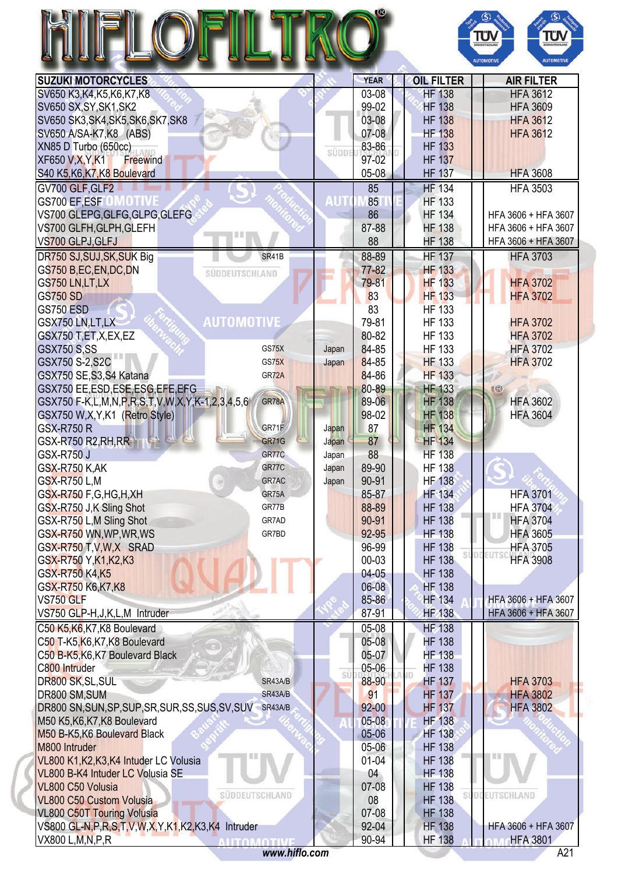|                                                                                    |                       |       |                |                                | ΤΰΝ<br>ΤÜΝ<br><b>HÜDDEUTSCHLAND</b><br>sinonurscie.<br><b>AUTOMOTIVE</b><br><b>AUTOMOTIVI</b> |
|------------------------------------------------------------------------------------|-----------------------|-------|----------------|--------------------------------|-----------------------------------------------------------------------------------------------|
| <b>SUZUKI MOTORCYCLES</b>                                                          |                       |       | <b>YEAR</b>    | <b>OIL FILTER</b>              | <b>AIR FILTER</b>                                                                             |
| SV650 K3, K4, K5, K6, K7, K8                                                       |                       |       | $03-08$        | <b>HF 138</b>                  | <b>HFA 3612</b>                                                                               |
| SV650 SX, SY, SK1, SK2                                                             |                       |       | 99-02          | <b>HF 138</b>                  | <b>HFA 3609</b>                                                                               |
| SV650 SK3, SK4, SK5, SK6, SK7, SK8                                                 |                       |       | 03-08          | <b>HF 138</b>                  | <b>HFA 3612</b>                                                                               |
| SV650 A/SA-K7, K8 (ABS)                                                            |                       |       | 07-08          | <b>HF 138</b>                  | <b>HFA 3612</b>                                                                               |
| XN85 D Turbo (650cc)                                                               |                       | SÜDDI | 83-86          | <b>HF 133</b>                  |                                                                                               |
| <b>XF650 V,X,Y,K1</b><br><b>Freewind</b>                                           |                       |       | 97-02          | <b>HF 137</b>                  |                                                                                               |
| S40 K5, K6, K7, K8 Boulevard                                                       |                       |       | $05-08$        | <b>HF 137</b>                  | <b>HFA 3608</b>                                                                               |
| GV700 GLF, GLF2                                                                    |                       |       | 85             | <b>HF 134</b>                  | <b>HFA 3503</b>                                                                               |
| GS700 EF,ESF                                                                       |                       | AUT   | 85             | <b>HF 133</b>                  |                                                                                               |
| VS700 GLEPG, GLFG, GLPG, GLEFG                                                     |                       |       | 86             | <b>HF 134</b>                  | HFA 3606 + HFA 3607                                                                           |
| VS700 GLFH, GLPH, GLEFH                                                            | 言言                    |       | 87-88          | <b>HF 138</b>                  | HFA 3606 + HFA 3607                                                                           |
| VS700 GLPJ, GLFJ                                                                   |                       |       | 88             | <b>HF 138</b>                  | HFA 3606 + HFA 3607                                                                           |
| DR750 SJ, SUJ, SK, SUK Big                                                         | SR41B                 |       | 88-89          | <b>HF 137</b>                  | <b>HFA 3703</b>                                                                               |
| GS750 B,EC,EN,DC,DN                                                                | SÜDDEUTSCHLAND        |       | 77-82          | <b>HF 133</b>                  |                                                                                               |
| GS750 LN,LT,LX                                                                     |                       |       | 79-81          | <b>HF 133</b>                  | <b>HFA 3702</b>                                                                               |
| <b>GS750 SD</b>                                                                    |                       |       | 83             | <b>HF 133</b>                  | <b>HFA 3702</b>                                                                               |
| <b>GS750 ESD</b>                                                                   |                       |       | 83             | <b>HF 133</b>                  |                                                                                               |
| GSX750 LN,LT,LX                                                                    | AUTOMOTIVE            |       | 79-81          | <b>HF 133</b>                  | <b>HFA 3702</b>                                                                               |
| GSX750 T,ET,X,EX,EZ                                                                |                       |       | 80-82          | <b>HF 133</b>                  | <b>HFA 3702</b>                                                                               |
| <b>GSX750 S,SS</b>                                                                 | GS75X                 | Japan | 84-85          | <b>HF 133</b>                  | <b>HFA 3702</b>                                                                               |
| GSX750 S-2,S2C                                                                     | GS75X<br>GR72A        | Japan | 84-85<br>84-86 | <b>HF 133</b><br><b>HF 133</b> | <b>HFA 3702</b>                                                                               |
| GSX750 SE, S3, S4 Katana<br>GSX750 EE,ESD,ESE,ESG,EFE,EFG                          |                       |       | 80-89          | <b>HF 133</b>                  | (                                                                                             |
| GSX750 F-K,L,M,N,P,R,S,T,V,W,X,Y,K-1,2,3,4,5,6                                     | GR78A                 |       | 89-06          | <b>HF 138</b>                  | <b>HFA 3602</b>                                                                               |
| GSX750 W,X,Y,K1 (Retro Style)                                                      |                       |       | 98-02          | <b>HF 138</b>                  | <b>HFA 3604</b>                                                                               |
| <b>GSX-R750 R</b>                                                                  | GR71F                 | Japan | 87             | <b>HF 134</b>                  |                                                                                               |
| <b>GSX-R750 R2, RH, RR</b>                                                         | <b>GR71G</b>          | Japan | 87             | <b>HF 134</b>                  |                                                                                               |
| <b>GSX-R750 J</b>                                                                  | GR77C                 | Japan | 88             | <b>HF 138</b>                  |                                                                                               |
| <b>GSX-R750 K,AK</b>                                                               | GR77C                 | Japan | 89-90          | <b>HF 138</b>                  |                                                                                               |
| <b>GSX-R750 L,M</b>                                                                | GR7AC                 | Japan | 90-91          | <b>HF 138</b>                  |                                                                                               |
| GSX-R750 F,G,HG,H,XH                                                               | GR75A                 |       | 85-87          | <b>HF 134</b>                  | <b>HFA 3701</b>                                                                               |
| GSX-R750 J,K Sling Shot                                                            | GR77B                 |       | 88-89          | <b>HF 138</b>                  | <b>HFA 3704</b>                                                                               |
| GSX-R750 L,M Sling Shot                                                            | GR7AD                 |       | 90-91          | <b>HF 138</b>                  | <b>HFA 3704</b>                                                                               |
| GSX-R750 WN, WP, WR, WS                                                            | GR7BD                 |       | 92-95          | <b>HF 138</b>                  | <b>HFA 3605</b>                                                                               |
| GSX-R750 T, V, W, X SRAD                                                           |                       |       | 96-99          | <b>HF 138</b>                  | <b>HFA 3705</b>                                                                               |
| GSX-R750 Y, K1, K2, K3                                                             |                       |       | 00-03          | <b>HF 138</b>                  | <b>HFA 3908</b>                                                                               |
| GSX-R750 K4,K5                                                                     |                       |       | $04-05$        | <b>HF 138</b>                  |                                                                                               |
| GSX-R750 K6,K7,K8                                                                  |                       |       | 06-08          | <b>HF 138</b>                  |                                                                                               |
| VS750 GLF                                                                          |                       |       | 85-86          | <b>HF 134</b>                  | HFA 3606 + HFA 3607                                                                           |
| VS750 GLP-H, J, K, L, M Intruder                                                   |                       |       | 87-91          | <b>HF 138</b>                  | HFA 3606 + HFA 3607                                                                           |
| C50 K5, K6, K7, K8 Boulevard                                                       |                       |       | 05-08          | <b>HF 138</b>                  |                                                                                               |
| C50 T-K5, K6, K7, K8 Boulevard                                                     |                       |       | 05-08          | <b>HF 138</b>                  |                                                                                               |
| C50 B-K5, K6, K7 Boulevard Black                                                   |                       |       | 05-07          | <b>HF 138</b>                  |                                                                                               |
| C800 Intruder                                                                      |                       | SÜ    | 05-06          | <b>HF 138</b>                  |                                                                                               |
| DR800 SK, SL, SUL                                                                  | SR43A/B               |       | 88-90          | <b>HF 137</b>                  | <b>HFA 3703</b>                                                                               |
| DR800 SM, SUM                                                                      | SR43A/B               |       | 91             | <b>HF 137</b>                  | <b>HFA 3802</b>                                                                               |
| DR800 SN, SUN, SP, SUP, SR, SUR, SS, SUS, SV, SUV SR43A/B                          |                       |       | $92 - 00$      | <b>HF 137</b>                  | <b>HFA 3802</b>                                                                               |
| M50 K5, K6, K7, K8 Boulevard                                                       |                       |       | $05 - 08$      | <b>HF 138</b>                  |                                                                                               |
| M50 B-K5, K6 Boulevard Black                                                       |                       |       | 05-06          | <b>HF 138</b>                  |                                                                                               |
| M800 Intruder                                                                      |                       |       | 05-06          | <b>HF 138</b>                  |                                                                                               |
| VL800 K1, K2, K3, K4 Intuder LC Volusia                                            |                       |       | $01 - 04$      | <b>HF 138</b>                  |                                                                                               |
| VL800 B-K4 Intuder LC Volusia SE                                                   |                       |       | 04             | <b>HF 138</b>                  |                                                                                               |
| VL800 C50 Volusia                                                                  | <b>SUDDEUTSCHLAND</b> |       | 07-08          | <b>HF 138</b>                  | <b>EUTSCHLAND</b>                                                                             |
| <b>VL800 C50 Custom Volusia</b>                                                    |                       |       | 08             | <b>HF 138</b>                  |                                                                                               |
|                                                                                    |                       |       |                |                                |                                                                                               |
| <b>VL800 C50T Touring Volusia</b>                                                  |                       |       | 07-08          | <b>HF 138</b>                  |                                                                                               |
| VS800 GL-N, P, R, S, T, V, W, X, Y, K1, K2, K3, K4 Intruder<br>VX800 L, M, N, P, R | <b>ALITOMOTIVE</b>    |       | 92-04<br>90-94 | <b>HF 138</b><br><b>HF 138</b> | HFA 3606 + HFA 3607<br><b>HFA 3801</b>                                                        |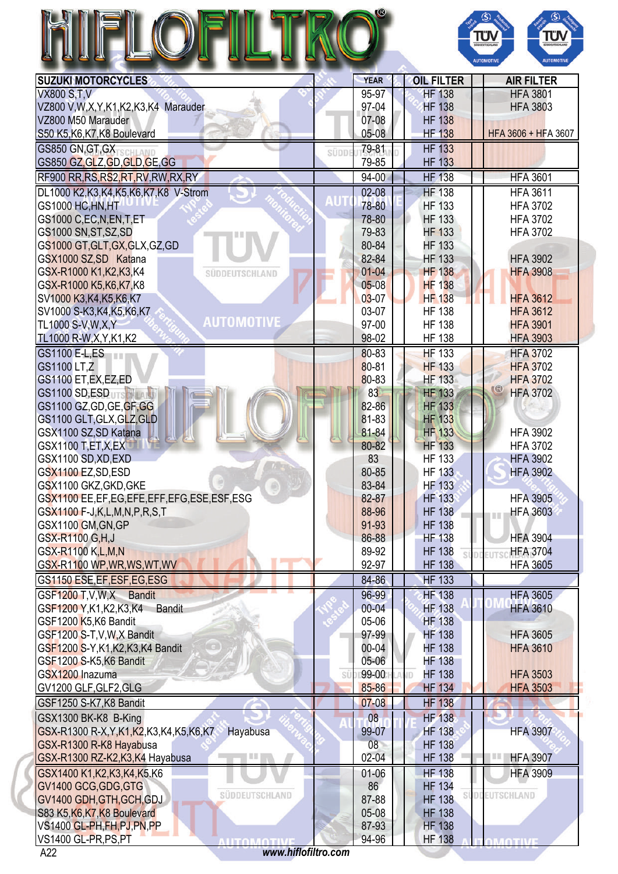|                                                          |      |                 |                      | ΤÜΝ<br>TÜV<br><b>JODEUTSCHLAND</b><br><b>AUTOMOTIVE</b><br><b>AUTOMOTIVE</b> |
|----------------------------------------------------------|------|-----------------|----------------------|------------------------------------------------------------------------------|
| <b>SUZUKI MOTORCYCLES</b>                                |      | <b>YEAR</b>     | <b>OIL FILTER</b>    | <b>AIR FILTER</b>                                                            |
| <b>VX800 S,T,V</b>                                       |      | 95-97           | <b>HF 138</b>        | <b>HFA 3801</b>                                                              |
| VZ800 V,W,X,Y,K1,K2,K3,K4 Marauder                       |      | 97-04           | <b>HF 138</b>        | <b>HFA 3803</b>                                                              |
| VZ800 M50 Marauder                                       |      | 07-08           | <b>HF 138</b>        |                                                                              |
| S50 K5, K6, K7, K8 Boulevard                             |      | $05-08$         | <b>HF 138</b>        | HFA 3606 + HFA 3607                                                          |
| GS850 GN.GT.GX                                           | süpp | 79-81           | <b>HF 133</b>        |                                                                              |
| GS850 GZ, GLZ, GD, GLD, GE, GG                           |      | 79-85           | <b>HF 133</b>        |                                                                              |
| RF900 RR, RS, RS2, RT, RV, RW, RX, RY                    |      | $94 - 00$       | <b>HF 138</b>        | <b>HFA 3601</b>                                                              |
| DL1000 K2, K3, K4, K5, K6, K7, K8 V-Strom                |      | $02 - 08$       | <b>HF 138</b>        | <b>HFA 3611</b>                                                              |
| GS1000 HC, HN, HT                                        |      | 78-80           | <b>HF 133</b>        | <b>HFA 3702</b>                                                              |
| GS1000 C,EC,N,EN,T,ET                                    |      | 78-80           | <b>HF 133</b>        | <b>HFA 3702</b>                                                              |
| GS1000 SN, ST, SZ, SD                                    |      | 79-83           | <b>HF 133</b>        | <b>HFA 3702</b>                                                              |
| GS1000 GT, GLT, GX, GLX, GZ, GD                          |      | 80-84           | <b>HF 133</b>        |                                                                              |
| GSX1000 SZ, SD Katana                                    |      | 82-84           | <b>HF 133</b>        | <b>HFA 3902</b>                                                              |
| GSX-R1000 K1, K2, K3, K4<br>SÜDDEUTSCHLAND               |      | $01 - 04$       | <b>HF 138</b>        | <b>HFA 3908</b>                                                              |
| GSX-R1000 K5, K6, K7, K8                                 |      | $05 - 08$       | <b>HF 138</b>        |                                                                              |
| SV1000 K3, K4, K5, K6, K7                                |      | $03 - 07$       | <b>HF 138</b>        | <b>HFA 3612</b>                                                              |
| SV1000 S-K3, K4, K5, K6, K7                              |      | 03-07           | <b>HF 138</b>        | <b>HFA 3612</b>                                                              |
| <b>AUTOMOTIVE</b><br>TL1000 S-V, W, X, Y                 |      | 97-00           | <b>HF 138</b>        | <b>HFA 3901</b>                                                              |
|                                                          |      | 98-02           | <b>HF 138</b>        | <b>HFA 3903</b>                                                              |
| TL1000 R-W, X, Y, K1, K2                                 |      |                 |                      |                                                                              |
| GS1100 E-L, ES                                           |      | 80-83           | <b>HF 133</b>        | <b>HFA 3702</b>                                                              |
| GS1100 LT,Z                                              |      | 80-81           | <b>HF 133</b>        | <b>HFA 3702</b>                                                              |
| GS1100 ET, EX, EZ, ED                                    |      | 80-83           | <b>HF 133</b>        | <b>HFA 3702</b><br>ଓ                                                         |
| <b>GS1100 SD, ESD</b>                                    |      | 83              | <b>HF 133</b>        | <b>HFA 3702</b>                                                              |
| GS1100 GZ, GD, GE, GF, GG                                |      | 82-86           | <b>HF 133</b>        |                                                                              |
| GS1100 GLT, GLX, GLZ, GLD                                |      | 81-83           | <b>HF 133</b>        |                                                                              |
| GSX1100 SZ, SD Katana                                    |      | 81-84           | <b>HF 133</b>        | <b>HFA 3902</b>                                                              |
| <b>GSX1100 T,ET,X,EX</b>                                 |      | 80-82           | <b>HF 133</b>        | <b>HFA 3702</b>                                                              |
| GSX1100 SD, XD, EXD                                      |      | 83              | <b>HF 133</b>        | <b>HFA 3902</b>                                                              |
| GSX1100 EZ,SD,ESD                                        |      | 80-85           | <b>HF 133</b>        | <b>HFA 3902</b>                                                              |
| GSX1100 GKZ, GKD, GKE<br>$\circ$                         |      | 83-84           | <b>HF 133</b>        |                                                                              |
| GSX1100 EE,EF,EG,EFE,EFF,EFG,ESE,ESF,ESG                 |      | 82-87           | <b>HF 133</b>        | <b>HFA 3905</b>                                                              |
| GSX1100 F-J,K,L,M,N,P,R,S,T                              |      | 88-96           | <b>HF 138</b>        | <b>HFA 3603</b><br><b>I II</b>                                               |
| GSX1100 GM, GN, GP                                       |      | 91-93           | <b>HF 138</b>        |                                                                              |
| GSX-R1100 G, H, J                                        |      | 86-88           | <b>HF 138</b>        | <b>HFA 3904</b>                                                              |
| GSX-R1100 K,L,M,N                                        |      | 89-92           | <b>HF 138</b>        | <b>HFA 3704</b>                                                              |
| GSX-R1100 WP, WR, WS, WT, WV                             |      | 92-97           | <b>HF 138</b>        | <b>HFA 3605</b>                                                              |
| GS1150 ESE, EF, ESF, EG, ESG                             |      | 84-86           | <b>HF 133</b>        |                                                                              |
| GSF1200 T.V.W.X Bandit                                   |      | 96-99           | <b>HF 138</b>        | <b>HFA 3605</b>                                                              |
| GSF1200 Y, K1, K2, K3, K4 Bandit                         |      | $00 - 04$       | <b>HF 138</b>        | <b>HFA 3610</b>                                                              |
| GSF1200 K5,K6 Bandit                                     |      | 05-06           | <b>HF 138</b>        |                                                                              |
| GSF1200 S-T, V, W, X Bandit                              |      | 97-99           | <b>HF 138</b>        | <b>HFA 3605</b>                                                              |
| GSF1200 S-Y, K1, K2, K3, K4 Bandit                       |      | 00-04           | <b>HF 138</b>        | <b>HFA 3610</b>                                                              |
| GSF1200 S-K5,K6 Bandit                                   |      | 05-06           | <b>HF 138</b>        |                                                                              |
| GSX1200 Inazuma                                          | SÜ   | 99-00           | <b>HF 138</b><br>AND | <b>HFA 3503</b>                                                              |
| GV1200 GLF, GLF2, GLG                                    |      | 85-86           | <b>HF 134</b>        | <b>HFA 3503</b>                                                              |
| GSF1250 S-K7, K8 Bandit                                  |      | 07-08           | <b>HF 138</b>        |                                                                              |
|                                                          |      | 08 <sub>o</sub> | <b>HF 138</b>        |                                                                              |
| GSX1300 BK-K8 B-King                                     |      |                 |                      |                                                                              |
| GSX-R1300 R-X, Y, K1, K2, K3, K4, K5, K6, K7<br>Hayabusa |      | 99-07           | <b>HF 138</b>        | <b>HFA 3907</b>                                                              |
| GSX-R1300 R-K8 Hayabusa                                  |      | 08              | <b>HF 138</b>        | 日目                                                                           |
| GSX-R1300 RZ-K2,K3,K4 Hayabusa<br>匪匪                     |      | $02 - 04$       | <b>HF 138</b>        | <b>HFA 3907</b>                                                              |
| GSX1400 K1, K2, K3, K4, K5. K6                           |      | $01 - 06$       | <b>HF 138</b>        | <b>HFA 3909</b>                                                              |
| GV1400 GCG, GDG, GTG<br><b>SUDDEUTSCHLAND</b>            |      | 86              | <b>HF 134</b>        | <b>SÜDDEUTSCHLAND</b>                                                        |
| GV1400 GDH, GTH, GCH, GDJ                                |      | 87-88           | <b>HF 138</b>        |                                                                              |
| S83 K5, K6, K7, K8 Boulevard                             |      | 05-08           | <b>HF 138</b>        |                                                                              |
| VS1400 GL-PH,FH,PJ,PN,PP                                 |      | 87-93           | <b>HF 138</b>        |                                                                              |
| VS1400 GL-PR,PS,PT<br><b>ALITOMATIVI</b>                 |      | 94-96           | <b>HF 138</b>        | <b>MOTIV</b>                                                                 |

A22 *<www.hiflofiltro.com>*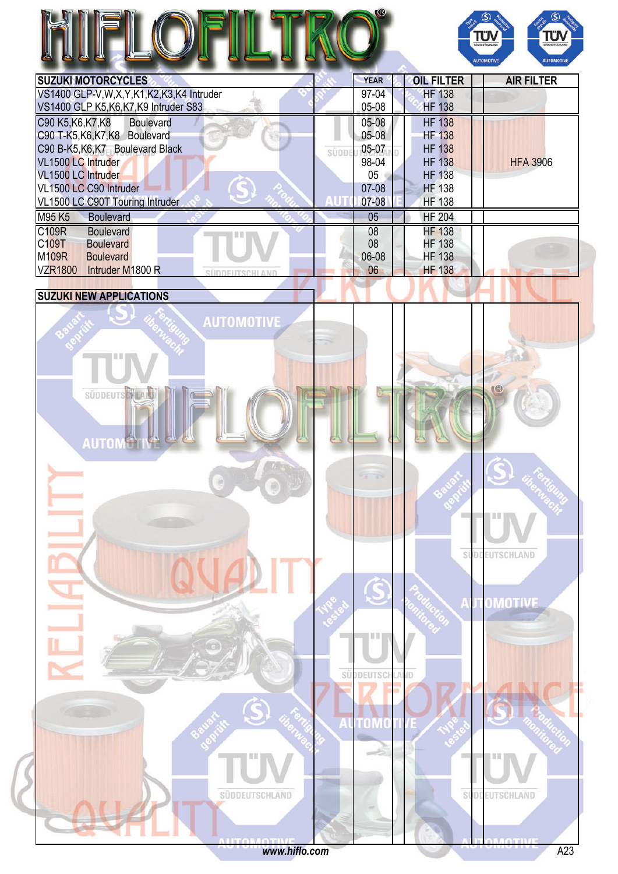|                                                               |       |                     |                                | ΤÜΝ<br>ΤΰΛ<br>SÜDDEUTSCHLAND<br>SÜDDEUTSCHLAN<br><b>AUTOMOTIVE</b><br><b>AUTOMOTIVE</b> |
|---------------------------------------------------------------|-------|---------------------|--------------------------------|-----------------------------------------------------------------------------------------|
| <b>SUZUKI MOTORCYCLES</b>                                     |       | <b>YEAR</b>         | <b>OIL FILTER</b>              | <b>AIR FILTER</b>                                                                       |
| VS1400 GLP-V,W,X,Y,K1,K2,K3,K4 Intruder                       |       | 97-04               | <b>HF 138</b>                  |                                                                                         |
| VS1400 GLP K5, K6, K7, K9 Intruder S83                        |       | 05-08               | <b>HF 138</b>                  |                                                                                         |
| C90 K5, K6, K7, K8<br><b>Boulevard</b>                        |       | 05-08               | <b>HF 138</b>                  |                                                                                         |
| C90 T-K5, K6, K7, K8 Boulevard                                |       | $05-08$             | <b>HF 138</b>                  |                                                                                         |
| C90 B-K5, K6, K7 Boulevard Black                              | SÜDDE | 05-07               | <b>HF 138</b>                  |                                                                                         |
| VL1500 LC Intruder                                            |       | 98-04               | <b>HF 138</b>                  | <b>HFA 3906</b>                                                                         |
| VL1500 LC Intruder                                            |       | 05                  | <b>HF 138</b>                  |                                                                                         |
| VL1500 LC C90 Intruder                                        |       | 07-08<br>07-08      | <b>HF 138</b><br><b>HF 138</b> |                                                                                         |
| VL1500 LC C90T Touring Intruder<br>M95 K5<br><b>Boulevard</b> |       | 05                  | <b>HF 204</b>                  |                                                                                         |
|                                                               |       |                     |                                |                                                                                         |
| C109R<br><b>Boulevard</b><br>C109T<br><b>Boulevard</b>        |       | 08<br>08            | <b>HF 138</b><br><b>HF 138</b> |                                                                                         |
| <b>M109R</b><br><b>Boulevard</b>                              |       | 06-08               | <b>HF 138</b>                  |                                                                                         |
| VZR1800 Intruder M1800 R<br>SÜDDEUTSCHLAND                    |       | 06                  | <b>HF 138</b>                  |                                                                                         |
|                                                               |       |                     |                                |                                                                                         |
| <b>SUZUKI NEW APPLICATIONS</b>                                |       |                     |                                |                                                                                         |
| <b>AUTOMOTIVE</b><br><b>SÜDDEUTS</b><br><b>AUTO</b>           |       |                     |                                | $\mathbb{R}$                                                                            |
|                                                               |       | THE 1<br>SÜDDEUTSCH | iD                             | SÜDDEUTSCHLAND<br>OMOTIVE                                                               |

<www.hiflo.com> A23

SÜDDEUTSCHLAND

SUDDEUTSCHLAND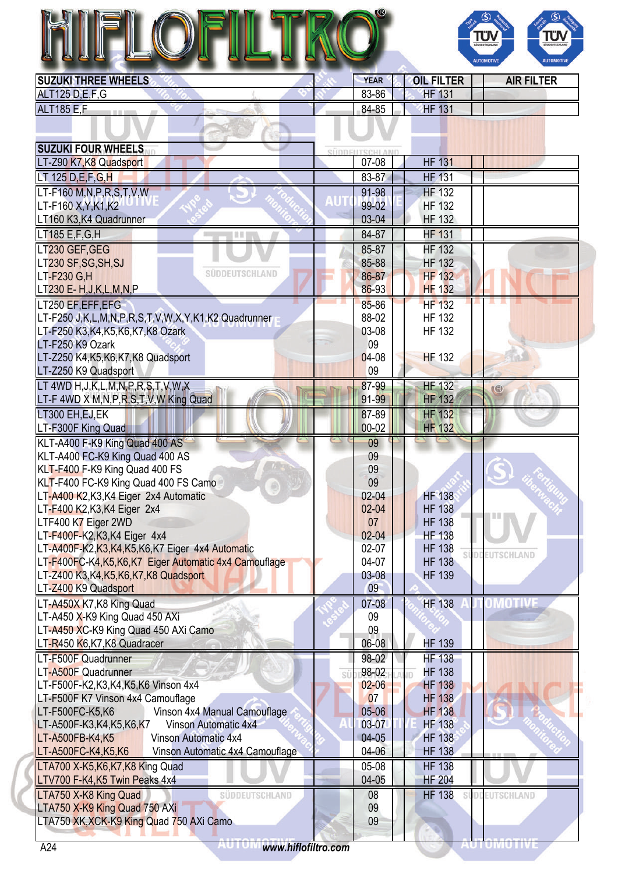# R



| ALT125 D,E,F,G     |       |                 |  |
|--------------------|-------|-----------------|--|
|                    | 83-86 | 131<br>HF       |  |
| <b>ALT185 E.F.</b> | 84-85 | <b>HF</b><br>ΙJ |  |

| <b>SUZUKI FOUR WHEELS</b>                                        |    |                |                                |            |
|------------------------------------------------------------------|----|----------------|--------------------------------|------------|
| LT-Z90 K7, K8 Quadsport                                          |    | 07-08          | <b>HF 131</b>                  |            |
| LT 125 D.E.F.G.H                                                 |    | 83-87          | <b>HF 131</b>                  |            |
| LT-F160 $M,N,P,R,S,T,V,W$                                        |    | 91-98          | <b>HF 132</b>                  |            |
| LT-F160 X, Y, K1, K2                                             |    | 99-02          | <b>HF 132</b>                  |            |
| LT160 K3, K4 Quadrunner                                          |    | 03-04          | <b>HF 132</b>                  |            |
| LT185 E,F,G,H<br>目目                                              |    | 84-87          | <b>HF 131</b>                  |            |
| LT230 GEF, GEG                                                   |    | 85-87          | <b>HF 132</b>                  |            |
| LT230 SF, SG, SH, SJ                                             |    | 85-88          | <b>HF 132</b>                  |            |
| SUDDEUTSCHLAND<br>LT-F230 G,H                                    |    | 86-87          | <b>HF 132</b>                  |            |
| LT230 E- H, J, K, L, M, N, P                                     |    | 86-93          | <b>HF 132</b>                  |            |
| LT250 EF, EFF, EFG                                               |    | 85-86          | <b>HF 132</b>                  |            |
| LT-F250 J,K,L,M,N,P,R,S,T,V,W,X,Y,K1,K2 Quadrunner               |    | 88-02          | <b>HF 132</b>                  |            |
| LT-F250 K3,K4,K5,K6,K7,K8 Ozark                                  |    | 03-08          | <b>HF 132</b>                  |            |
| LT-F250 K9 Ozark                                                 |    | 09             |                                |            |
| LT-Z250 K4, K5, K6, K7, K8 Quadsport                             |    | $04-08$        | <b>HF 132</b>                  |            |
| LT-Z250 K9 Quadsport                                             |    | 09             |                                |            |
| LT 4WD H, J, K, L, M, N, P, R, S, T, V, W, X                     |    | 87-99          | <b>HF 132</b>                  | $\circ$    |
| LT-F 4WD X M, N, P, R, S, T, V, W King Quad                      |    | 91-99          | <b>HF 132</b>                  |            |
| LT300 EH, EJ, EK                                                 |    | 87-89          | <b>HF 132</b>                  |            |
| LT-F300F King Quad                                               |    | $00 - 02$      | <b>HF 132</b>                  |            |
| KLT-A400 F-K9 King Quad 400 AS                                   |    | 09             |                                |            |
| KLT-A400 FC-K9 King Quad 400 AS                                  |    | 09             |                                |            |
| KLT-F400 F-K9 King Quad 400 FS                                   |    | 09             |                                |            |
| KLT-F400 FC-K9 King Quad 400 FS Camo                             |    | 09             |                                |            |
| LT-A400 K2, K3, K4 Eiger 2x4 Automatic                           |    | $02 - 04$      | <b>HF 138</b>                  |            |
| LT-F400 K2, K3, K4 Eiger 2x4                                     |    | $02 - 04$      | <b>HF 138</b>                  |            |
| LTF400 K7 Eiger 2WD                                              |    | 07             | <b>HF 138</b>                  |            |
| LT-F400F-K2, K3, K4 Eiger 4x4                                    |    | $02 - 04$      | <b>HF 138</b>                  |            |
| LT-A400F-K2,K3,K4,K5,K6,K7 Eiger 4x4 Automatic                   |    | 02-07          | <b>HF 138</b>                  | EUTSCHLAND |
| LT-F400FC-K4, K5, K6, K7 Eiger Automatic 4x4 Camouflage          |    | 04-07<br>03-08 | <b>HF 138</b><br><b>HF 139</b> |            |
| LT-Z400 K3, K4, K5, K6, K7, K8 Quadsport<br>LT-Z400 K9 Quadsport |    | 09             |                                |            |
| LT-A450X K7, K8 King Quad                                        |    | 07-08          | <b>HF 138</b>                  |            |
| LT-A450 X-K9 King Quad 450 AXi                                   |    | 09             |                                |            |
| LT-A450 XC-K9 King Quad 450 AXi Camo                             |    | 09             |                                |            |
| LT-R450 K6,K7,K8 Quadracer                                       |    | 06-08          | <b>HF 139</b>                  |            |
| LT-F500F Quadrunner                                              |    | 98-02          | <b>HF 138</b>                  |            |
| LT-A500F Quadrunner                                              | SÜ | 98-02          | <b>HF 138</b>                  |            |
| LT-F500F-K2,K3,K4,K5,K6 Vinson 4x4                               |    | $02 - 06$      | <b>HF 138</b>                  |            |
| LT-F500F K7 Vinson 4x4 Camouflage                                |    | 07             | <b>HF 138</b>                  |            |
| LT-F500FC-K5,K6<br>Vinson 4x4 Manual Camouflage                  |    | 05-06          | <b>HF 138</b>                  |            |
| LT-A500F-K3,K4,K5,K6,K7<br>Vinson Automatic 4x4                  |    | 03-07          | <b>HF 138</b>                  |            |
| Vinson Automatic 4x4<br>LT-A500FB-K4,K5                          |    | $04-05$        | <b>HF 138</b>                  |            |
| LT-A500FC-K4,K5,K6<br>Vinson Automatic 4x4 Camouflage            |    | 04-06          | <b>HF 138</b>                  |            |
| LTA700 X-K5, K6, K7, K8 King Quad                                |    | 05-08          | <b>HF 138</b>                  |            |
| LTV700 F-K4, K5 Twin Peaks 4x4                                   |    | $04 - 05$      | <b>HF 204</b>                  |            |
| LTA750 X-K8 King Quad<br><b>SUDDEUTSCHLAND</b>                   |    | 08             | <b>HF 138</b>                  | EUTSCHLAND |
| LTA750 X-K9 King Quad 750 AXi                                    |    | 09             |                                |            |
| LTA750 XK, XCK-K9 King Quad 750 AXi Camo                         |    | 09             |                                |            |
|                                                                  |    |                |                                |            |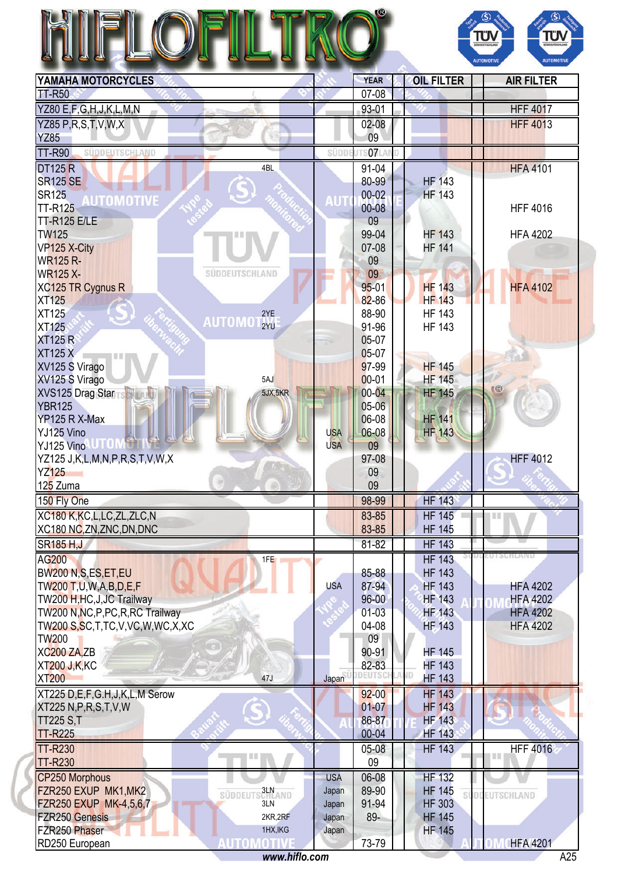|                                                        |            |                |                     | $\circledS$<br>$\circledS$<br>πυ<br>ΤÜΝ<br><b>GODEUTSCHLAN</b><br>SÜDDEUTSCHLAND |
|--------------------------------------------------------|------------|----------------|---------------------|----------------------------------------------------------------------------------|
|                                                        |            |                |                     | <b>AUTOMOTIV</b><br><b>AUTOMOTIVE</b>                                            |
| YAMAHA MOTORCYCLES                                     |            | <b>YEAR</b>    | <b>OIL FILTER</b>   | <b>AIR FILTER</b>                                                                |
| <b>TT-R50</b>                                          |            | 07-08          |                     |                                                                                  |
| YZ80 E,F,G,H,J,K,L,M,N                                 |            | 93-01          |                     | <b>HFF 4017</b>                                                                  |
| YZ85 $P, R, S, T, V, W, X$                             |            | 02-08          |                     | <b>HFF 4013</b>                                                                  |
| <b>YZ85</b>                                            |            | 09             |                     |                                                                                  |
| <b>TT-R90</b><br>SÜDDEUTSCHLAND                        | SUDI       | 07             |                     |                                                                                  |
| <b>DT125 R</b><br>4BL                                  |            | 91-04          |                     | <b>HFA 4101</b>                                                                  |
| <b>SR125 SE</b>                                        |            | 80-99          | <b>HF 143</b>       |                                                                                  |
| <b>SR125</b><br>AUTOMOTIVE                             |            | $00 - 02$      | <b>HF 143</b>       |                                                                                  |
| <b>TT-R125</b>                                         |            | 00-08          |                     | <b>HFF 4016</b>                                                                  |
| <b>TT-R125 E/LE</b>                                    |            | 09             | <b>HF 143</b>       |                                                                                  |
| <b>TW125</b><br>VP125 X-City                           |            | 99-04<br>07-08 | <b>HF 141</b>       | <b>HFA 4202</b>                                                                  |
| <b>WR125 R-</b>                                        |            | 09             |                     |                                                                                  |
| <b>WR125 X-</b><br><b>SÜDDEUTSCHLAND</b>               |            | 09             |                     |                                                                                  |
| XC125 TR Cygnus R                                      |            | $95 - 01$      | <b>HF 143</b>       | <b>HFA 4102</b>                                                                  |
| <b>XT125</b>                                           |            | 82-86          | <b>HF 143</b>       |                                                                                  |
| <b>XT125</b><br>2YE                                    |            | 88-90          | <b>HF 143</b>       |                                                                                  |
| <b>AUTOMOTW</b><br><b>XT125</b>                        |            | 91-96          | <b>HF 143</b>       |                                                                                  |
| <b>XT125 R</b>                                         |            | 05-07          |                     |                                                                                  |
| <b>XT125 X</b>                                         |            | 05-07          |                     |                                                                                  |
| XV125 S Virago                                         |            | 97-99          | <b>HF 145</b>       |                                                                                  |
| XV125 S Virago<br>5AJ                                  |            | $00 - 01$      | <b>HF 145</b>       | $\circledR$                                                                      |
| XVS125 Drag Star<br>5JX,5KR                            |            | $00 - 04$      | <b>HF 145</b>       |                                                                                  |
| <b>YBR125</b><br>YP125 R X-Max                         |            | 05-06<br>06-08 | <b>HF 141</b>       |                                                                                  |
| YJ125 Vino                                             | <b>USA</b> | 06-08          | <b>HF 143</b>       |                                                                                  |
| UTOM<br>YJ125 Vino                                     | <b>USA</b> | 09             |                     |                                                                                  |
| YZ125 J, K, L, M, N, P, R, S, T, V, W, X               |            | 97-08          |                     | <b>HFF 4012</b>                                                                  |
| <b>YZ125</b>                                           |            | 09             |                     |                                                                                  |
| 125 Zuma                                               |            | 09             |                     |                                                                                  |
| 150 Fly One                                            |            | 98-99          | <b>HF 143</b>       |                                                                                  |
| XC180 K, KC, L, LC, ZL, ZLC, N                         |            | 83-85          | <b>HF 145</b>       | T II II.                                                                         |
| XC180 NC, ZN, ZNC, DN, DNC                             |            | 83-85          | <b>HF 145</b>       |                                                                                  |
| <b>SR185 H,J</b>                                       |            | 81-82          | <b>HF 143</b>       |                                                                                  |
| <b>AG200</b><br>1FE <sub>1</sub>                       |            |                | <b>HF 143</b>       |                                                                                  |
| BW200 N,S,ES,ET,EU                                     |            | 85-88          | <b>HF 143</b>       |                                                                                  |
| TW200 T, U, W, A, B, D, E, F                           | <b>USA</b> | 87-94          | <b>HF 143</b>       | <b>HFA 4202</b>                                                                  |
| TW200 H, HC, J, JC Trailway                            |            | $96 - 00$      | <b>HF 143</b>       | <b>HFA 4202</b>                                                                  |
| TW200 N, NC, P, PC, R, RC Trailway                     |            | $01 - 03$      | <b>HF 143</b>       | <b>HFA 4202</b>                                                                  |
| TW200 S,SC,T,TC,V,VC,W,WC,X,XC                         |            | 04-08          | <b>HF 143</b>       | <b>HFA 4202</b>                                                                  |
| <b>TW200</b><br>XC <sub>200</sub> ZA, ZB               |            | 09             | <b>HF 145</b>       |                                                                                  |
| <b>XT200 J,K,KC</b>                                    |            | 90-91<br>82-83 | <b>HF 143</b>       |                                                                                  |
| <b>XT200</b><br>47J                                    | Japan      |                | D<br><b>HF 143</b>  |                                                                                  |
| XT225 D,E,F,G.H,J,K,L,M Serow                          |            | $92 - 00$      | <b>HF 143</b>       |                                                                                  |
| XT225 N, P, R, S, T, V, W                              |            | $01-07$        | <b>HF 143</b>       |                                                                                  |
| <b>TT225 S,T</b>                                       |            | 86-87          | <b>HF 143</b>       |                                                                                  |
| <b>TT-R225</b>                                         |            | 00-04          | <b>HF 143</b>       |                                                                                  |
| <b>TT-R230</b>                                         |            | $05 - 08$      | <b>HF 143</b>       | <b>HFF 4016</b>                                                                  |
| 181<br><b>TT-R230</b>                                  |            | 09             |                     |                                                                                  |
| CP250 Morphous                                         | <b>USA</b> | 06-08          | <b>HF 132</b>       |                                                                                  |
| FZR250 EXUP MK1, MK2<br>$3LN_{AND}$<br><b>SÜDDEUTS</b> | Japan      | 89-90          | <b>HF 145</b><br>sí | <b>DEEUTSCHLAND</b>                                                              |
| FZR250 EXUP MK-4,5,6,7<br>3LN                          | Japan      | 91-94          | <b>HF 303</b>       |                                                                                  |
| <b>FZR250 Genesis</b><br>2KR, 2RF                      | Japan      | 89-            | <b>HF 145</b>       |                                                                                  |
| FZR250 Phaser<br>1HX, IKG                              | Japan      |                | <b>HF 145</b>       |                                                                                  |
| AUTOM<br>RD250 European<br>m                           |            | 73-79          |                     | <b>HFA 4201</b>                                                                  |
| www.hiflo.com                                          |            |                |                     | A25                                                                              |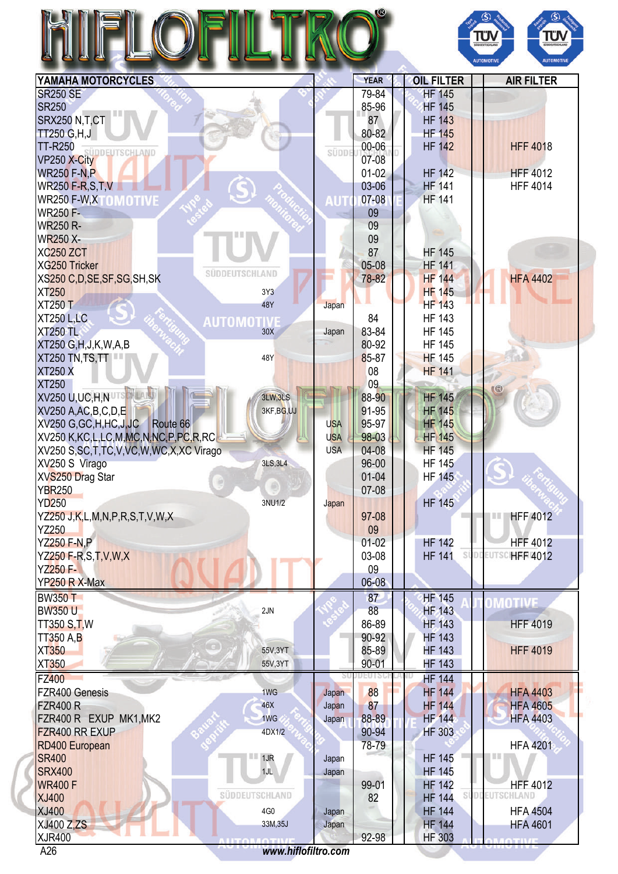## HIFLOFILTRO®



| YAMAHA MOTORCYCLES                                                        |                          | <b>YEAR</b> | <b>OIL FILTER</b>              | <b>AIR FILTER</b>                |
|---------------------------------------------------------------------------|--------------------------|-------------|--------------------------------|----------------------------------|
| <b>SR250 SE</b>                                                           |                          | 79-84       | <b>HF 145</b>                  |                                  |
| <b>SR250</b>                                                              |                          | 85-96       | <b>HF 145</b>                  |                                  |
| SRX250 N.T.CT                                                             |                          | 87          | <b>HF 143</b>                  |                                  |
| <b>TT250 G,H,J</b>                                                        |                          | 80-82       | <b>HF 145</b>                  |                                  |
| <b>TT-R250</b>                                                            |                          | 00-06       | <b>HF 142</b>                  | <b>HFF 4018</b>                  |
| SÜDDEUTSCHLAND<br>VP250 X-City                                            | süppt                    | 07-08       |                                |                                  |
|                                                                           |                          | $01-02$     | <b>HF 142</b>                  | <b>HFF 4012</b>                  |
| <b>WR250 F-N,P</b>                                                        |                          |             |                                |                                  |
| <b>WR250 F-R,S,T,V</b>                                                    |                          | 03-06       | <b>HF 141</b>                  | <b>HFF 4014</b>                  |
| WR250 F-W, XTO MOTIVE                                                     | AUT                      | 07-08       | <b>HF 141</b>                  |                                  |
| <b>WR250 F-</b>                                                           |                          | 09          |                                |                                  |
| <b>WR250 R-</b>                                                           |                          | 09          |                                |                                  |
| <b>WR250 X-</b>                                                           |                          | 09          |                                |                                  |
| <b>XC250 ZCT</b>                                                          |                          | 87          | <b>HF 145</b>                  |                                  |
| <b>XG250 Tricker</b>                                                      |                          | 05-08       | <b>HF 141</b>                  |                                  |
| SUDDEUTSCHLAND                                                            |                          |             |                                | <b>HFA 4402</b>                  |
| XS250 C, D, SE, SF, SG, SH, SK                                            |                          | 78-82       | <b>HF 144</b>                  |                                  |
| <b>XT250</b>                                                              | 3Y3                      |             | <b>HF 145</b>                  |                                  |
| <b>XT250 T</b>                                                            | 48Y<br>Japan             |             | <b>HF 143</b>                  |                                  |
| <b>XT250 L,LC</b><br><b>AUTOMOTIVI</b>                                    |                          | 84          | <b>HF 143</b>                  |                                  |
| <b>XT250 TL</b>                                                           | 30X<br>Japan             | 83-84       | <b>HF 145</b>                  |                                  |
| XT250 G, H, J, K, W, A, B                                                 |                          | 80-92       | <b>HF 145</b>                  |                                  |
| XT250 TN, TS, TT                                                          | 48Y                      | 85-87       | <b>HF 145</b>                  |                                  |
| <b>XT250 X</b>                                                            |                          | 08          | <b>HF 141</b>                  |                                  |
|                                                                           |                          |             |                                |                                  |
| <b>XT250</b>                                                              |                          | 09          |                                | G                                |
| XV250 U,UC,H,NUTSCH                                                       | <b>3LW, 3LS</b>          | 88-90       | <b>HF 145</b>                  |                                  |
| XV250 A, AC, B, C, D, E                                                   | 3KF, BG, UJ              | 91-95       | <b>HF 145</b>                  |                                  |
| XV250 G, GC, H, HC, J, JC<br>Route 66                                     | <b>USA</b>               | 95-97       | <b>HF 145</b>                  |                                  |
| XV250 K,KC,L,LC,M,MC,N,NC,P,PC,R,RC                                       | <b>USA</b>               | 98-03       | <b>HF 145</b>                  |                                  |
| XV250 S, SC, T, TC, V, VC, W, WC, X, XC Virago                            | <b>USA</b>               | 04-08       | <b>HF 145</b>                  |                                  |
| XV250 S Virago                                                            | 3LS, 3L4                 | 96-00       | <b>HF 145</b>                  |                                  |
| XVS250 Drag Star                                                          |                          | $01 - 04$   | <b>HF 145</b>                  |                                  |
|                                                                           |                          |             |                                |                                  |
| <b>YBR250</b>                                                             |                          | 07-08       |                                |                                  |
| <b>YD250</b>                                                              | 3NU1/2<br>Japan          |             | <b>HF 145</b>                  |                                  |
| YZ250 J,K,L,M,N,P,R,S,T,V,W,X                                             |                          | 97-08       |                                | <b>HFF 4012</b><br>Ш             |
| <b>YZ250</b>                                                              |                          | 09          |                                |                                  |
| <b>YZ250 F-N,P</b>                                                        |                          | $01-02$     | <b>HF 142</b>                  | <b>HFF 4012</b>                  |
| YZ250 F-R,S,T,V,W,X                                                       |                          | 03-08       | <b>HF 141</b>                  | SUDDEUTSCHFF 4012                |
| <b>YZ250 F-</b>                                                           |                          | 09          |                                |                                  |
| YP250 R X-Max                                                             |                          | $06 - 08$   |                                |                                  |
|                                                                           |                          |             |                                |                                  |
| <b>BW350 T</b>                                                            |                          | 87          | <b>HF 145</b>                  | MOTIVE                           |
| <b>BW350 U</b>                                                            | 2JN                      | 88          | HF 143                         |                                  |
| <b>TT350 S.T.W</b>                                                        |                          | 86-89       | <b>HF 143</b>                  | <b>HFF 4019</b>                  |
| <b>TT350 A,B</b>                                                          |                          | 90-92       | <b>HF 143</b>                  |                                  |
| <b>XT350</b>                                                              | 55V,3YT                  | 85-89       | <b>HF 143</b>                  | <b>HFF 4019</b>                  |
| <b>XT350</b>                                                              | 55V,3YT                  | $90 - 01$   | <b>HF 143</b>                  |                                  |
|                                                                           |                          |             |                                |                                  |
| <b>FZ400</b>                                                              |                          |             | <b>HF 144</b>                  |                                  |
| FZR400 Genesis                                                            | 1WG<br>Japan             | 88          | <b>HF 144</b>                  | <b>HFA 4403</b>                  |
| <b>FZR400 R</b>                                                           | 46X<br>Japan             | 87          | <b>HF 144</b>                  | <b>HFA 4605</b>                  |
| FZR400 R EXUP MK1, MK2                                                    | 1WG<br>Japan             | 88-89       | <b>HF 144</b>                  | <b>HFA 4403</b>                  |
| FZR400 RR EXUP                                                            | 4DX1/2                   | 90-94       | HF 303                         |                                  |
| RD400 European                                                            |                          | 78-79       |                                | <b>HFA 4201</b>                  |
|                                                                           |                          |             |                                | .                                |
| <b>SR400</b><br>$\blacksquare$ 1JR                                        | Japan                    |             | <b>HF 145</b>                  |                                  |
| <b>SRX400</b>                                                             | 1JL<br>Japan             |             | <b>HF 145</b>                  |                                  |
| <b>WR400 F</b>                                                            |                          | 99-01       | <b>HF 142</b>                  | <b>HFF 4012</b>                  |
| SÜDDEUTSCHLAND<br><b>XJ400</b>                                            |                          | 82          | <b>HF 144</b>                  | SUDDEUTSCHLAND                   |
|                                                                           |                          |             | <b>HF 144</b>                  | <b>HFA 4504</b>                  |
|                                                                           | 4G <sub>0</sub><br>Japan |             |                                |                                  |
|                                                                           |                          |             |                                |                                  |
| <b>XJ400</b><br><b>XJ400 Z.ZS</b><br><b>XJR400</b><br><u> LITORAOTIVI</u> | 33M, 35J<br>Japan        | 92-98       | <b>HF 144</b><br><b>HF 303</b> | <b>HFA 4601</b><br><b>ANTIVE</b> |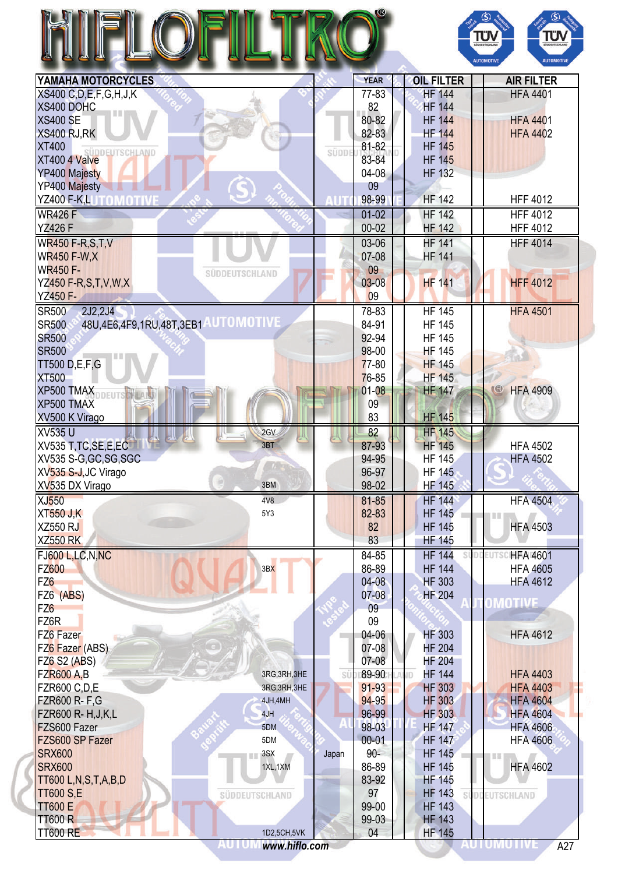|                                                          |                |       |             |    |                   | TÜV<br>SÜDDEUTSCHLAND<br><b>AUTOMOTIVE</b> | <b>TÜV</b><br><b>AUTOMOTIVI</b> |
|----------------------------------------------------------|----------------|-------|-------------|----|-------------------|--------------------------------------------|---------------------------------|
| YAMAHA MOTORCYCLES                                       |                |       | <b>YEAR</b> |    | <b>OIL FILTER</b> |                                            | <b>AIR FILTER</b>               |
| XS400 C, D, E, F, G, H, J, K                             |                |       | 77-83       |    | <b>HF 144</b>     |                                            | <b>HFA 4401</b>                 |
| XS400 DOHC                                               |                |       | 82          |    | <b>HF 144</b>     |                                            |                                 |
| <b>XS400 SE</b>                                          |                |       | 80-82       |    | <b>HF 144</b>     |                                            | <b>HFA 4401</b>                 |
| XS400 RJ, RK                                             |                |       | 82-83       |    | <b>HF 144</b>     |                                            | <b>HFA 4402</b>                 |
| <b>XT400</b><br>SÜDDEUTSCHLAND                           |                | SÜDDI | 81-82       |    | <b>HF 145</b>     |                                            |                                 |
| XT400 4 Valve                                            |                |       | 83-84       |    | <b>HF 145</b>     |                                            |                                 |
| <b>YP400 Majesty</b>                                     |                |       | $04-08$     |    | <b>HF 132</b>     |                                            |                                 |
| YP400 Majesty                                            |                |       | 09          |    |                   |                                            |                                 |
| YZ400 F-K,LUTOMOTIV                                      |                |       | 98-99       |    | <b>HF 142</b>     |                                            | <b>HFF 4012</b>                 |
| <b>WR426 F</b>                                           |                |       | $01-02$     |    | <b>HF 142</b>     |                                            | <b>HFF 4012</b>                 |
| <b>YZ426 F</b>                                           |                |       | $00 - 02$   |    | <b>HF 142</b>     |                                            | <b>HFF 4012</b>                 |
| <b>WR450 F-R,S,T,V</b>                                   |                |       | 03-06       |    | <b>HF 141</b>     |                                            | <b>HFF 4014</b>                 |
| <b>WR450 F-W.X</b>                                       |                |       | 07-08       |    | <b>HF 141</b>     |                                            |                                 |
| <b>WR450 F-</b>                                          | SÜDDEUTSCHLAND |       | 09          |    |                   |                                            |                                 |
| YZ450 F-R, S, T, V, W, X                                 |                |       | $03 - 08$   |    | <b>HF 141</b>     |                                            | <b>HFF 4012</b>                 |
| <b>YZ450 F-</b>                                          |                |       | 09          |    |                   |                                            |                                 |
| 2J2,2J4<br><b>SR500</b>                                  |                |       | 78-83       |    | <b>HF 145</b>     |                                            | <b>HFA 4501</b>                 |
| 48U, 4E6, 4F9, 1RU, 48T, 3EB1 AUTOMOTIVE<br><b>SR500</b> |                |       | 84-91       |    | <b>HF 145</b>     |                                            |                                 |
| <b>SR500</b>                                             |                |       | 92-94       |    | <b>HF 145</b>     |                                            |                                 |
| <b>SR500</b>                                             |                |       | 98-00       |    | <b>HF 145</b>     |                                            |                                 |
| <b>TT500 D,E,F,G</b>                                     |                |       | $77 - 80$   |    | <b>HF 145</b>     |                                            |                                 |
| <b>XT500</b>                                             |                |       | 76-85       |    | <b>HF 145</b>     |                                            |                                 |
| XP500 TMAX                                               |                |       | $01 - 08$   |    | <b>HF 147</b>     | $\mathbb{G}$                               | <b>HFA 4909</b>                 |
| XP500 TMAX                                               |                |       | 09          |    |                   |                                            |                                 |
| XV500 K Virago                                           |                |       | 83          |    | <b>HF 145</b>     |                                            |                                 |
| <b>XV535 U</b>                                           | 2GV            |       | 82          |    | <b>HF 145</b>     |                                            |                                 |
| XV535 T.TC.SE.E.EC                                       | 3BT            |       | 87-93       |    | <b>HF 145</b>     |                                            | <b>HFA 4502</b>                 |
| XV535 S-G, GC, SG, SGC                                   |                |       | 94-95       |    | <b>HF 145</b>     |                                            | <b>HFA 4502</b>                 |
| XV535 S-J, JC Virago                                     |                |       | 96-97       |    | <b>HF 145</b>     |                                            |                                 |
| XV535 DX Virago                                          | 3BM            |       | 98-02       |    | <b>HF 145</b>     |                                            |                                 |
| <b>XJ550</b>                                             | 4V8            |       | 81-85       |    | <b>HF 144</b>     |                                            | <b>HFA 4504</b>                 |
| <b>XT550 J,K</b>                                         | 5Y3            |       | 82-83       |    | <b>HF 145</b>     | H                                          |                                 |
| <b>XZ550 RJ</b>                                          |                |       | 82          |    | <b>HF 145</b>     |                                            | <b>HFA 4503</b>                 |
| <b>XZ550 RK</b>                                          |                |       | 83          |    | <b>HF 145</b>     |                                            |                                 |
| FJ600 L,LC,N,NC                                          |                |       | 84-85       |    | <b>HF 144</b>     |                                            | <b>HFA 4601</b>                 |
| <b>FZ600</b>                                             | 3BX            |       | 86-89       |    | <b>HF 144</b>     |                                            | <b>HFA 4605</b>                 |
| FZ <sub>6</sub>                                          |                |       | $04 - 08$   |    | <b>HF 303</b>     |                                            | <b>HFA 4612</b>                 |
| FZ6 (ABS)                                                |                |       | $07 - 08$   |    | <b>HF 204</b>     |                                            |                                 |
| FZ <sub>6</sub>                                          |                |       | 09          |    |                   |                                            | OMOTIVE                         |
| FZ6R                                                     |                |       | 09          |    |                   |                                            |                                 |
| FZ6 Fazer                                                |                |       | 04-06       |    | <b>HF 303</b>     |                                            | <b>HFA 4612</b>                 |
| FZ6 Fazer (ABS)                                          |                |       | 07-08       |    | <b>HF 204</b>     |                                            |                                 |
| <b>FZ6 S2 (ABS)</b>                                      |                |       | 07-08       |    | <b>HF 204</b>     |                                            |                                 |
| <b>FZR600 A,B</b>                                        | 3RG, 3RH, 3HE  | SÜ    | 89-90       | ΙD | <b>HF 144</b>     |                                            | <b>HFA 4403</b>                 |
| <b>FZR600 C,D,E</b>                                      | 3RG, 3RH, 3HE  |       | $91 - 93$   |    | <b>HF 303</b>     |                                            | <b>HFA 4403</b>                 |
| <b>FZR600 R-F,G</b>                                      | 4JH,4MH        |       | 94-95       |    | <b>HF 303</b>     |                                            | <b>HFA 4604</b>                 |
| FZR600 R- H, J, K, L                                     | 4JH            |       | 96-99       |    | <b>HF 303</b>     |                                            | <b>HFA 4604</b>                 |
| FZS600 Fazer                                             | 5DM            |       | 98-03       |    | <b>HF 147</b>     |                                            | <b>HFA 4606</b>                 |
| FZS600 SP Fazer                                          | 5DM            |       | $00 - 01$   |    | <b>HF 147</b>     |                                            | <b>HFA 4606</b>                 |
| <b>SRX600</b>                                            | 3SX            | Japan | $90 -$      |    | <b>HF 145</b>     | 188                                        |                                 |
| <b>SRX600</b>                                            | 1XL, 1XM       |       | 86-89       |    | <b>HF 145</b>     |                                            | <b>HFA 4602</b>                 |
| TT600 L,N,S,T,A,B,D                                      |                |       | 83-92       |    | <b>HF 145</b>     |                                            |                                 |
| <b>TT600 S,E</b>                                         | SÜDDEUTSCHLAND |       | 97          |    | <b>HF 143</b>     | SÜDDEUTSCHLAND                             |                                 |
| <b>TT600 E</b>                                           |                |       | 99-00       |    | <b>HF 143</b>     |                                            |                                 |
| <b>TT600 R</b>                                           |                |       | 99-03       |    | <b>HF 143</b>     |                                            |                                 |
| <b>TT600 RE</b>                                          | 1D2,5CH,5VK    |       | 04          |    | <b>HF 145</b>     |                                            |                                 |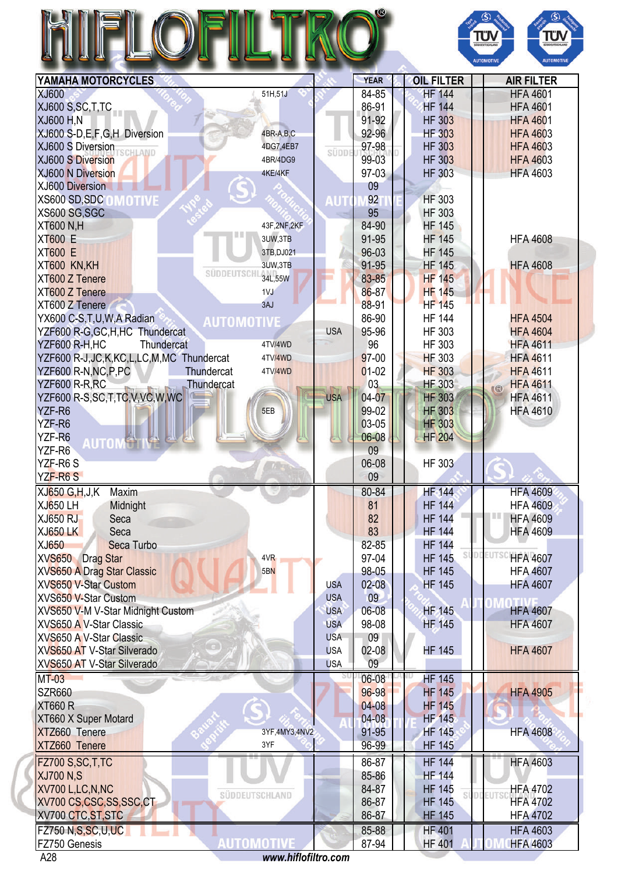| 71<br>I |  |
|---------|--|
| .       |  |



| YAMAHA MOTORCYCLES                                                                                                                                     |                   |            | <b>YEAR</b>    | <b>OIL FILTER</b>              | <b>AIR FILTER</b>                  |
|--------------------------------------------------------------------------------------------------------------------------------------------------------|-------------------|------------|----------------|--------------------------------|------------------------------------|
| XJ600                                                                                                                                                  | 51H,51J           |            | 84-85          | <b>HF 144</b>                  | <b>HFA 4601</b>                    |
| XJ600 S,SC,T,TC                                                                                                                                        |                   |            | 86-91          | <b>HF 144</b>                  | <b>HFA 4601</b>                    |
| <b>XJ600 H,N</b>                                                                                                                                       |                   |            | 91-92          | <b>HF 303</b>                  | <b>HFA 4601</b>                    |
| XJ600 S-D,E,F,G,H Diversion                                                                                                                            | 4BR-A,B,C         |            | 92-96          | <b>HF 303</b>                  | <b>HFA 4603</b>                    |
| XJ600 S Diversion                                                                                                                                      | 4DG7,4EB7         |            | 97-98          | <b>HF 303</b>                  | <b>HFA 4603</b>                    |
| SCHLAND<br>XJ600 S Diversion                                                                                                                           | 4BR/4DG9          | SÜDDI      | 99-03          | <b>HF 303</b>                  | <b>HFA 4603</b>                    |
| <b>XJ600 N Diversion</b>                                                                                                                               | 4KE/4KF           |            | 97-03          | <b>HF 303</b>                  | <b>HFA 4603</b>                    |
| <b>XJ600 Diversion</b>                                                                                                                                 |                   |            | 09             |                                |                                    |
| <b>XS600 SD,SDC OMOTIVE</b>                                                                                                                            |                   |            | 92             | <b>HF 303</b>                  |                                    |
| XS600 SG, SGC                                                                                                                                          |                   | AUT        | 95             | <b>HF 303</b>                  |                                    |
|                                                                                                                                                        |                   |            |                |                                |                                    |
| <b>XT600 N,H</b>                                                                                                                                       | 43F, 2NF, 2KF     |            | 84-90          | <b>HF 145</b>                  |                                    |
| <b>XT600 E</b>                                                                                                                                         | 3UW,3TB           |            | 91-95          | <b>HF 145</b>                  | <b>HFA 4608</b>                    |
| <b>XT600 E</b>                                                                                                                                         | 3TB, DJ021        |            | 96-03          | <b>HF 145</b>                  |                                    |
| XT600 KN,KH                                                                                                                                            | 3UW,3TB           |            | 91-95          | <b>HF 145</b>                  | <b>HFA 4608</b>                    |
| SÜDDEUTSCHL <sub>34L,55</sub> W<br>XT600 Z Tenere                                                                                                      |                   |            | 83-85          | <b>HF 145</b>                  |                                    |
| XT600 Z Tenere                                                                                                                                         | 1VJ               |            | 86-87          | <b>HF 145</b>                  |                                    |
| XT600 Z Tenere                                                                                                                                         | 3AJ               |            | 88-91          | <b>HF 145</b>                  |                                    |
| YX600 C-S,T,U,W,A Radian<br><b>AUTOMOTIVE</b>                                                                                                          |                   |            | 86-90          | <b>HF 144</b>                  | <b>HFA 4504</b>                    |
| YZF600 R-G, GC, H, HC Thundercat                                                                                                                       |                   | <b>USA</b> | 95-96          | HF 303                         | <b>HFA 4604</b>                    |
| YZF600 R-H.HC<br>Thundercat                                                                                                                            | 4TV/4WD           |            | 96             | HF 303                         | <b>HFA 4611</b>                    |
| YZF600 R-J,JC,K,KC,L,LC,M,MC Thundercat                                                                                                                | 4TV/4WD           |            | $97-00$        | <b>HF 303</b>                  | <b>HFA 4611</b>                    |
| YZF600 R-N, NC, P, PC<br>Thundercat                                                                                                                    | 4TV/4WD           |            | $01-02$        | <b>HF 303</b>                  | <b>HFA 4611</b>                    |
| YZF600 R-R, RC                                                                                                                                         |                   |            | 03             | <b>HF 303</b>                  | <b>HFA 4611</b>                    |
| Thundercat                                                                                                                                             |                   |            | 04-07          |                                | $\overline{\mathbb{G}}$            |
| YZF600 R-S,SC,T,TC,V,VC,W,WC                                                                                                                           |                   | <b>USA</b> |                | <b>HF 303</b>                  | <b>HFA 4611</b>                    |
| YZF-R6                                                                                                                                                 | 5EB               |            | 99-02          | <b>HF 303</b>                  | <b>HFA 4610</b>                    |
| YZF-R6                                                                                                                                                 |                   |            | 03-05          | <b>HF 303</b>                  |                                    |
| YZF-R6<br><b>AUTOM</b>                                                                                                                                 |                   |            | 06-08          | <b>HF 204</b>                  |                                    |
| YZF-R6                                                                                                                                                 |                   |            | 09             |                                |                                    |
| YZF-R6S                                                                                                                                                |                   |            | 06-08          | <b>HF 303</b>                  |                                    |
| YZF-R6S                                                                                                                                                |                   |            | 09             |                                |                                    |
| XJ650 G, H, J, K<br>Maxim                                                                                                                              |                   |            | 80-84          | <b>HF</b> 144                  | <b>HFA 4609</b>                    |
| <b>XJ650 LH</b><br>Midnight                                                                                                                            |                   |            | 81             | <b>HF 144</b>                  | <b>HFA 4609</b>                    |
| <b>XJ650 RJ</b><br>Seca                                                                                                                                |                   |            | 82             | <b>HF 144</b>                  | ш<br><b>HFA 4609</b>               |
| <b>XJ650 LK</b><br>Seca                                                                                                                                |                   |            | 83             | <b>HF 144</b>                  | <b>HFA 4609</b>                    |
| XJ650<br><b>Seca Turbo</b>                                                                                                                             |                   |            | 82-85          | <b>HF 144</b>                  |                                    |
| <b>XVS650</b><br><b>Drag Star</b>                                                                                                                      | 4VR               |            | 97-04          | <b>HF 145</b>                  | <b>HFA 4607</b>                    |
| <b>XVS650 A Drag Star Classic</b>                                                                                                                      | 5BN               |            | 98-05          | <b>HF 145</b>                  | <b>HFA 4607</b>                    |
|                                                                                                                                                        |                   |            |                |                                |                                    |
| <b>XVS650 V-Star Custom</b>                                                                                                                            |                   | <b>USA</b> | $02 - 08$      | <b>HF 145</b>                  | <b>HFA 4607</b>                    |
| XVS650 V-Star Custom                                                                                                                                   |                   | <b>USA</b> | 09             |                                |                                    |
| XVS650 V-M V-Star Midnight Custom                                                                                                                      |                   | <b>USA</b> | 06-08          | <b>HF 145</b>                  | <b>HFA 4607</b>                    |
| <b>XVS650 A V-Star Classic</b>                                                                                                                         |                   | <b>USA</b> | 98-08          | <b>HF 145</b>                  | <b>HFA 4607</b>                    |
| XVS650 A V-Star Classic                                                                                                                                |                   | <b>USA</b> | 09             |                                |                                    |
| XVS650 AT V-Star Silverado                                                                                                                             |                   | <b>USA</b> | $02-08$        | <b>HF 145</b>                  | <b>HFA 4607</b>                    |
| XVS650 AT V-Star Silverado                                                                                                                             |                   | <b>USA</b> | 09             |                                |                                    |
| $MT-03$                                                                                                                                                |                   |            | 06-08          | <b>HF 145</b>                  |                                    |
|                                                                                                                                                        |                   |            |                |                                |                                    |
|                                                                                                                                                        |                   |            |                |                                |                                    |
|                                                                                                                                                        |                   |            | 96-98          | <b>HF 145</b>                  | <b>HFA 4905</b>                    |
|                                                                                                                                                        |                   |            | $04-08$        | <b>HF 145</b>                  |                                    |
|                                                                                                                                                        |                   |            | 04-08          | <b>HF 145</b>                  |                                    |
|                                                                                                                                                        | 3YF,4MY3,4NV2     |            | 91-95          | <b>HF 145</b>                  | <b>HFA 4608</b>                    |
|                                                                                                                                                        | 3YF               |            | 96-99          | <b>HF 145</b>                  |                                    |
|                                                                                                                                                        |                   |            | 86-87          | <b>HF 144</b>                  | <b>HFA 4603</b>                    |
|                                                                                                                                                        |                   |            |                |                                |                                    |
|                                                                                                                                                        |                   |            | 85-86          | <b>HF 144</b>                  |                                    |
| <b>SZR660</b><br><b>XT660 R</b><br>XT660 X Super Motard<br>XTZ660 Tenere<br>XTZ660 Tenere<br>FZ700 S, SC, T, TC<br><b>XJ700 N,S</b><br>XV700 L,LC,N,NC | SÜDDEUTSCHLAND    |            | 84-87          | <b>HF 145</b>                  | <b>HFA 4702</b>                    |
| XV700 CS,CSC,SS,SSC,CT                                                                                                                                 |                   |            | 86-87          | <b>HF 145</b>                  | <b>HFA 4702</b>                    |
| XV700 CTC, ST, STC                                                                                                                                     |                   |            | 86-87          | <b>HF 145</b>                  | <b>HFA 4702</b>                    |
| <b>FZ750 N, S, SC, U, UC</b><br>FZ750 Genesis                                                                                                          | <b>AUTOMOTIVE</b> |            | 85-88<br>87-94 | <b>HF 401</b><br><b>HF 401</b> | <b>HFA 4603</b><br><b>HFA 4603</b> |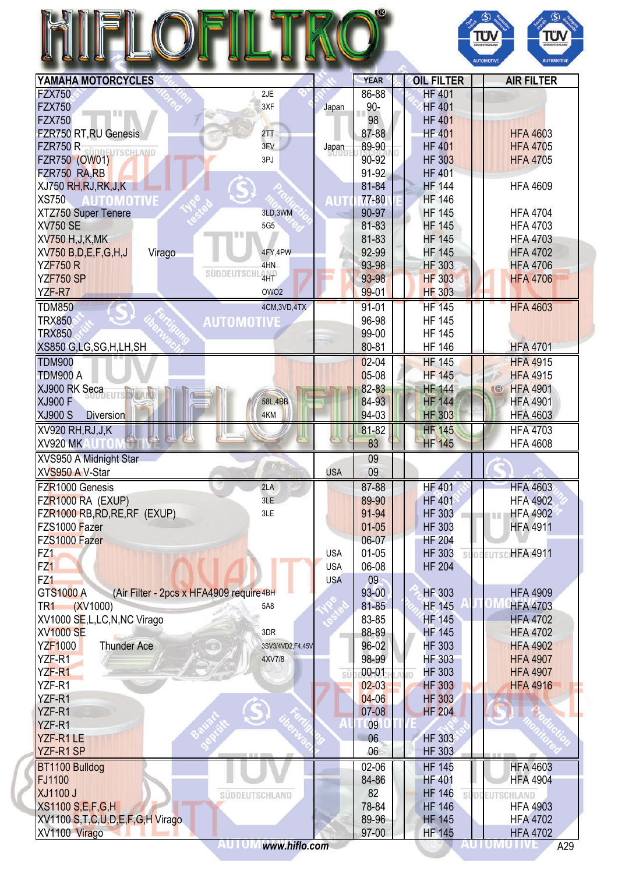## HIFLOFILTRO®



| YAMAHA MOTORCYCLES                                           |            | <b>YEAR</b> | <b>OIL FILTER</b>   | <b>AIR FILTER</b>               |
|--------------------------------------------------------------|------------|-------------|---------------------|---------------------------------|
| <b>FZX750</b><br>2JE                                         |            | 86-88       | <b>HF 401</b>       |                                 |
| <b>FZX750</b><br>3XF<br>Ш                                    | Japan      | $90-$       | <b>HF 401</b>       |                                 |
| <b>FZX750</b>                                                |            | 98          | <b>HF 401</b>       |                                 |
| FZR750 RT, RU Genesis<br>2TT                                 |            | 87-88       | <b>HF 401</b>       | <b>HFA 4603</b>                 |
| 3FV<br><b>FZR750 R</b><br>ÜDDEUTSCHLAND                      | Japan      | 89-90       | <b>HF 401</b>       | <b>HFA 4705</b>                 |
| <b>FZR750 (OW01)</b><br>3PJ                                  |            | 90-92       | <b>HF 303</b>       | <b>HFA 4705</b>                 |
| FZR750 RA, RB                                                |            | 91-92       | <b>HF 401</b>       |                                 |
| XJ750 RH, RJ, RK, J, K                                       |            | 81-84       | <b>HF 144</b>       | <b>HFA 4609</b>                 |
| <b>XS750</b><br><b>AUTOMOTIVE</b>                            | <b>AUT</b> | 77-80       | <b>HF 146</b>       |                                 |
| 3LD, 3WM<br>XTZ750 Super Tenere                              |            | 90-97       | <b>HF 145</b>       | <b>HFA 4704</b>                 |
| <b>XV750 SE</b><br>5G5                                       |            | 81-83       | <b>HF 145</b>       | <b>HFA 4703</b>                 |
| 目目<br><b>XV750 H, J, K, MK</b>                               |            | 81-83       | <b>HF 145</b>       | <b>HFA 4703</b>                 |
| XV750 B, D, E, F, G, H, J<br>4FY,4PW<br>Virago               |            | 92-99       | <b>HF 145</b>       | <b>HFA 4702</b>                 |
| <b>YZF750 R</b><br>4HN                                       |            | 93-98       | <b>HF 303</b>       | <b>HFA 4706</b>                 |
| <b>SÜDDEUTSCHI</b><br>4HT<br><b>YZF750 SP</b>                |            | 93-98       | <b>HF 303</b>       | <b>HFA 4706</b>                 |
| OWO <sub>2</sub>                                             |            | $99 - 01$   | <b>HF 303</b>       |                                 |
| YZF-R7                                                       |            |             |                     |                                 |
| <b>TDM850</b><br>4CM,3VD,4TX                                 |            | $91 - 01$   | <b>HF 145</b>       | <b>HFA 4603</b>                 |
| <b>TRX850</b><br><b>AUTOMOTIVE</b>                           |            | 96-98       | <b>HF 145</b>       |                                 |
| <b>TRX850</b>                                                |            | 99-00       | <b>HF 145</b>       |                                 |
| XS850 G,LG,SG,H,LH,SH                                        |            | 80-81       | <b>HF 146</b>       | <b>HFA 4701</b>                 |
| <b>TDM900</b>                                                |            | $02 - 04$   | <b>HF 145</b>       | <b>HFA 4915</b>                 |
| TDM900 A                                                     |            | $05-08$     | <b>HF 145</b>       | <b>HFA 4915</b>                 |
| XJ900 RK Seca                                                |            | 82-83       | <b>HF 144</b>       | <b>HFA 4901</b><br>$\mathbb{C}$ |
| <b>XJ900 F</b><br>58L,4BB                                    |            | 84-93       | <b>HF 144</b>       | <b>HFA 4901</b>                 |
| <b>XJ900 S</b><br><b>Diversion</b><br>4KM                    |            | 94-03       | <b>HF 303</b>       | <b>HFA 4603</b>                 |
| XV920 RH, RJ, J, K                                           |            | 81-82       | <b>HF 145</b>       | <b>HFA 4703</b>                 |
| <b>XV920 MK</b>                                              |            | 83          | <b>HF 145</b>       | <b>HFA 4608</b>                 |
| XVS950 A Midnight Star                                       |            | 09          |                     |                                 |
| $\mathcal{L}$<br>XVS950 A V-Star                             | <b>USA</b> | 09          |                     |                                 |
| FZR <sub>1000</sub> Genesis<br>2LA                           |            | 87-88       | <b>HF 401</b>       | <b>HFA 4603</b>                 |
| FZR1000 RA (EXUP)<br>3LE                                     |            | 89-90       | <b>HF 401</b>       | <b>HFA 4902</b>                 |
| FZR1000 RB, RD, RE, RF (EXUP)<br>3LE                         |            | 91-94       | <b>HF 303</b>       | <b>HFA 4902</b><br>IШ           |
| FZS1000 Fazer                                                |            | $01 - 05$   | <b>HF 303</b>       | <b>HFA 4911</b>                 |
| FZS1000 Fazer                                                |            | 06-07       | <b>HF 204</b>       |                                 |
| FZ <sub>1</sub>                                              | <b>USA</b> | $01-05$     | <b>HF 303</b>       | <b>HFA 4911</b><br><b>EUTS</b>  |
| FZ <sub>1</sub>                                              | <b>USA</b> | 06-08       | <b>HF 204</b>       |                                 |
| FZ <sub>1</sub>                                              | <b>USA</b> | 09          |                     |                                 |
| <b>GTS1000 A</b><br>(Air Filter - 2pcs x HFA4909 require 4BH |            | 93-00       | <b>HF 303</b>       | <b>HFA 4909</b>                 |
| TR <sub>1</sub><br>(XV1000)<br>5A8                           |            | 81-85       | <b>HF 145</b>       | <b>HFA 4703</b>                 |
| XV1000 SE, L, LC, N, NC Virago                               |            | 83-85       | <b>HF 145</b>       | <b>HFA 4702</b>                 |
| <b>XV1000 SE</b><br>3DR                                      |            | 88-89       | <b>HF 145</b>       | <b>HFA 4702</b>                 |
| <b>YZF1000</b><br><b>Thunder Ace</b><br>3SV3/4VD2,F4,45V     |            | 96-02       | <b>HF 303</b>       | <b>HFA 4902</b>                 |
| 4XV7/8                                                       |            | 98-99       | <b>HF 303</b>       | <b>HFA 4907</b>                 |
| YZF-R1                                                       |            |             |                     |                                 |
| YZF-R1                                                       | SÜ         | $00 - 01$   | <b>HF 303</b><br>ΙD | <b>HFA 4907</b>                 |
| YZF-R1                                                       |            | $02-03$     | <b>HF 303</b>       | <b>HFA 4916</b>                 |
| YZF-R1                                                       |            | $04 - 06$   | <b>HF 303</b>       |                                 |
| YZF-R1                                                       |            | 07-08       | <b>HF 204</b>       |                                 |
| YZF-R1                                                       |            | 09          |                     |                                 |
| YZF-R1LE                                                     |            | 06          | <b>HF 303</b>       |                                 |
| YZF-R1 SP                                                    |            | 06          | <b>HF 303</b>       |                                 |
| BT1100 Bulldog                                               |            | 02-06       | <b>HF 145</b>       | <b>HFA 4603</b>                 |
| <b>FJ1100</b>                                                |            | 84-86       | <b>HF 401</b>       | <b>HFA 4904</b>                 |
| XJ1100 J<br>SÜDDEUTSCHLAND                                   |            | 82          | <b>HF 146</b><br>S. | CHLAND<br>FUTS                  |
| <b>XS1100 S,E,F,G,H</b>                                      |            | 78-84       | <b>HF 146</b>       | <b>HFA 4903</b>                 |
| XV1100 S,T,C,U,D,E,F,G,H Virago                              |            | 89-96       | <b>HF 145</b>       | <b>HFA 4702</b>                 |
| XV1100 Virago                                                |            | 97-00       | <b>HF 145</b>       | <b>HFA 4702</b>                 |
| AUIUN<br>www.hiflo.com                                       |            |             |                     | <b>AUIOMOINE</b><br>A29         |
|                                                              |            |             |                     |                                 |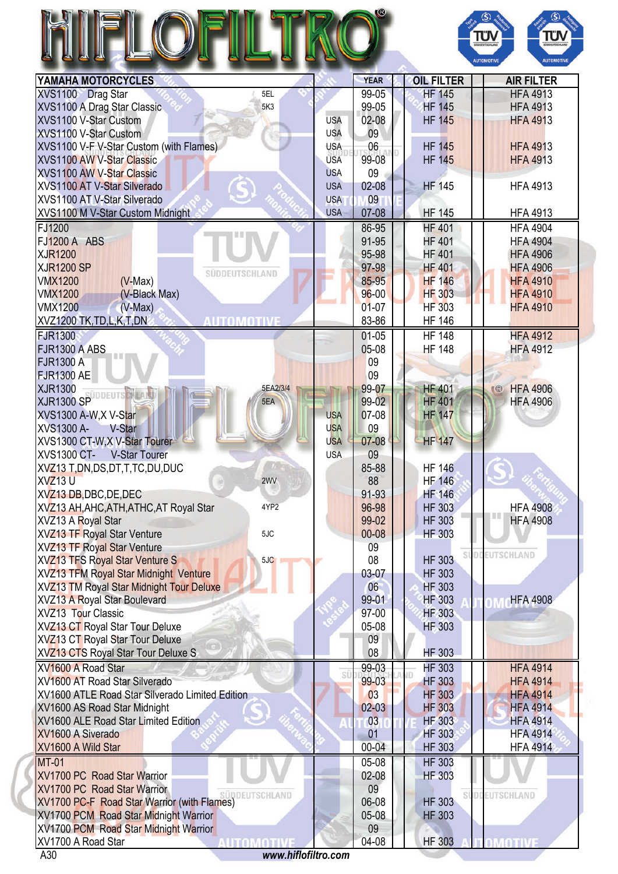## RO® FLOFI H



| YAMAHA MOTORCYCLES                                          |            | <b>YEAR</b> | <b>OIL FILTER</b> | <b>AIR FILTER</b>     |
|-------------------------------------------------------------|------------|-------------|-------------------|-----------------------|
| XVS1100 Drag Star<br>5EL                                    |            | 99-05       | <b>HF 145</b>     | <b>HFA 4913</b>       |
| XVS1100 A Drag Star Classic<br>5K3                          |            | 99-05       | <b>HF 145</b>     | <b>HFA 4913</b>       |
| XVS1100 V-Star Custom                                       | <b>USA</b> | 02-08       | <b>HF 145</b>     | <b>HFA 4913</b>       |
| XVS1100 V-Star Custom                                       | <b>USA</b> | 09          |                   |                       |
| XVS1100 V-F V-Star Custom (with Flames)                     | <b>USA</b> | 06          | <b>HF 145</b>     | <b>HFA 4913</b>       |
| <b>XVS1100 AW V-Star Classic</b>                            | <b>USA</b> | 99-08       | <b>HF 145</b>     | <b>HFA 4913</b>       |
| <b>XVS1100 AW V-Star Classic</b>                            | <b>USA</b> | 09          |                   |                       |
| XVS1100 AT V-Star Silverado                                 | <b>USA</b> | 02-08       | <b>HF 145</b>     | <b>HFA 4913</b>       |
| XVS1100 AT V-Star Silverado                                 | <b>USA</b> | 09          |                   |                       |
| XVS1100 M V-Star Custom Midnight                            | <b>USA</b> | 07-08       | <b>HF 145</b>     | <b>HFA 4913</b>       |
| FJ1200                                                      |            | 86-95       | <b>HF 401</b>     | <b>HFA 4904</b>       |
| <b>FJ1200 A ABS</b>                                         |            | 91-95       | <b>HF 401</b>     | <b>HFA 4904</b>       |
| <b>XJR1200</b>                                              |            | 95-98       | <b>HF 401</b>     | <b>HFA 4906</b>       |
| <b>XJR1200 SP</b><br>SUDDEUTSCHLAND                         |            | 97-98       | <b>HF401</b>      | <b>HFA 4906</b>       |
| <b>VMX1200</b><br>$(V-Max)$                                 |            | 85-95       | <b>HF 146</b>     | <b>HFA 4910</b>       |
| <b>VMX1200</b><br>(V-Black Max)                             |            | $96 - 00$   | <b>HF 303</b>     | <b>HFA 4910</b>       |
| <b>VMX1200</b><br>$(V-Max)$                                 |            | $01 - 07$   | <b>HF 303</b>     | <b>HFA 4910</b>       |
| XVZ1200 TK, TD, L, K, T, DN<br><b>AUTOMOTIVE</b>            |            | 83-86       | <b>HF 146</b>     |                       |
| <b>FJR1300</b>                                              |            | $01 - 05$   | <b>HF 148</b>     | <b>HFA 4912</b>       |
| <b>FJR1300 A ABS</b>                                        |            | 05-08       | <b>HF 148</b>     | <b>HFA 4912</b>       |
| <b>FJR1300 A</b>                                            |            | 09          |                   |                       |
| <b>FJR1300 AE</b>                                           |            | 09          |                   |                       |
| <b>XJR1300</b><br>5EA2/3/4<br>SUDDEUTS                      |            | 99-07       | <b>HF 401</b>     | <b>HFA 4906</b><br>R  |
| <b>XJR1300 SP</b><br>5EA                                    |            | 99-02       | <b>HF 401</b>     | <b>HFA 4906</b>       |
| XVS1300 A-W, X V-Star                                       | <b>USA</b> | 07-08       | <b>HF 147</b>     |                       |
| XVS1300 A-<br>V-Star                                        | <b>USA</b> | 09          |                   |                       |
| XVS1300 CT-W, X V-Star Tourer                               | <b>USA</b> | 07-08       | <b>HF 147</b>     |                       |
| <b>XVS1300 CT-</b><br><b>V-Star Tourer</b>                  | <b>USA</b> | 09          |                   |                       |
| XVZ13 T, DN, DS, DT, T, TC, DU, DUC                         |            | 85-88       | <b>HF 146</b>     |                       |
| <b>XVZ13U</b><br>2WV                                        |            | 88          | <b>HF 146</b>     |                       |
| XVZ13 DB, DBC, DE, DEC                                      |            | 91-93       | <b>HF 146</b>     |                       |
| XVZ13 AH, AHC, ATH, ATHC, AT Royal Star<br>4YP <sub>2</sub> |            | 96-98       | <b>HF 303</b>     | <b>HFA 4908</b>       |
| XVZ13 A Royal Star                                          |            | 99-02       | <b>HF 303</b>     | <b>HFA 4908</b>       |
| XVZ13 TF Royal Star Venture<br>5JC                          |            | 00-08       | <b>HF 303</b>     |                       |
| <b>XVZ13 TF Royal Star Venture</b>                          |            | 09          |                   | <b>SÜDDEUTSCHLAND</b> |
| <b>XVZ13 TFS Royal Star Venture S</b><br>5JC                |            | 08          | <b>HF 303</b>     |                       |
| XVZ13 TFM Royal Star Midnight Venture                       |            | 03-07       | <b>HF 303</b>     |                       |
| <b>XVZ13 TM Royal Star Midnight Tour Deluxe</b>             |            | 06          | <b>HF 303</b>     |                       |
| <b>XVZ13 A Royal Star Boulevard</b>                         |            | 99-01       | <b>HF 303</b>     | <b>HFA 4908</b>       |
| <b>XVZ13 Tour Classic</b>                                   |            | 97-00       | <b>HF 303</b>     |                       |
| XVZ13 CT Royal Star Tour Deluxe                             |            | 05-08       | <b>HF303</b>      |                       |
| XVZ13 CT Royal Star Tour Deluxe                             |            | 09          |                   |                       |
| XVZ13 CTS Royal Star Tour Deluxe S                          |            | 08          | <b>HF 303</b>     |                       |
| XV1600 A Road Star                                          | SÜ         | 99-03       | <b>HF 303</b>     | <b>HFA 4914</b>       |
| XV1600 AT Road Star Silverado                               |            | 99-03       | <b>HF 303</b>     | <b>HFA 4914</b>       |
| XV1600 ATLE Road Star Silverado Limited Edition             |            | 03          | <b>HF 303</b>     | <b>HFA 4914</b>       |
| XV1600 AS Road Star Midnight                                |            | $02 - 03$   | <b>HF 303</b>     | <b>HFA 4914</b>       |
| XV1600 ALE Road Star Limited Edition                        |            | 03          | <b>HF 303</b>     | <b>HFA 4914</b>       |
| XV1600 A Siverado                                           |            | 01          | <b>HF 303</b>     | <b>HFA 4914</b>       |
| XV1600 A Wild Star                                          |            | $00 - 04$   | <b>HF 303</b>     | <b>HFA 4914</b>       |
| <b>MT-01</b>                                                |            | 05-08       | <b>HF 303</b>     |                       |
| XV1700 PC Road Star Warrior                                 |            | 02-08       | <b>HF 303</b>     |                       |
| XV1700 PC Road Star Warrior<br>UDDEUTSCHLAND                |            | 09          |                   | <b>SUDDEUTSCHLAND</b> |
| XV1700 PC-F Road Star Warrior (with Flames)                 |            | 06-08       | <b>HF 303</b>     |                       |
| <b>XV1700 PCM Road Star Midnight Warrior</b>                |            | 05-08       | <b>HF 303</b>     |                       |
| <b>XV1700 PCM Road Star Midnight Warrior</b>                |            | 09          |                   |                       |
| XV1700 A Road Star<br>AUTOMOTI                              |            | 04-08       | <b>HF 303</b>     | OMOTIVE               |
| www.hiflofiltro.com<br>A30                                  |            |             |                   |                       |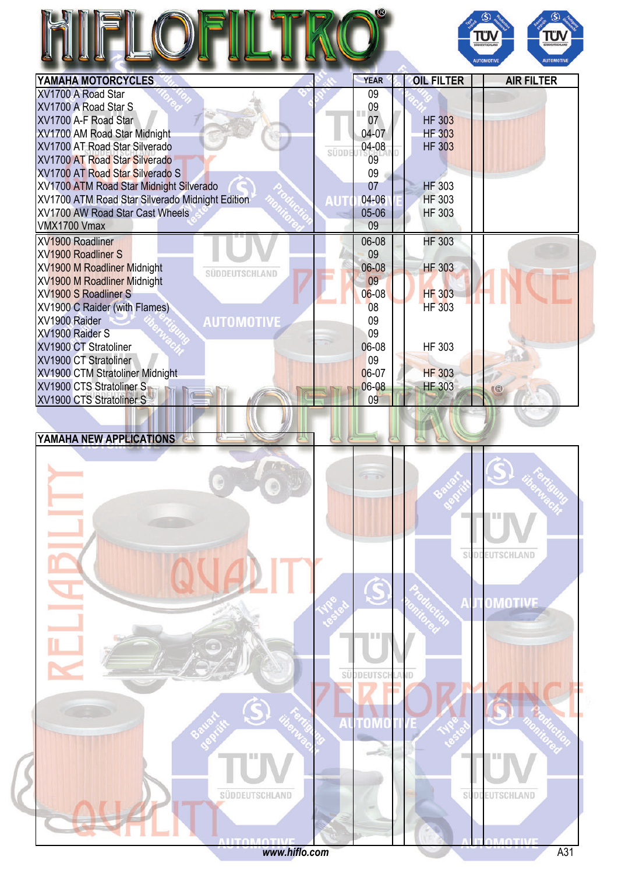

| YAMAHA MOTORCYCLES                                          | <b>YEAR</b> | <b>OIL FILTER</b> | <b>AIR FILTER</b> |
|-------------------------------------------------------------|-------------|-------------------|-------------------|
| XV1700 A Road Star                                          | 09          |                   |                   |
| XV1700 A Road Star S                                        | 09          |                   |                   |
| XV1700 A-F Road Star                                        | 07          | <b>HF 303</b>     |                   |
| XV1700 AM Road Star Midnight                                | 04-07       | <b>HF 303</b>     |                   |
| XV1700 AT Road Star Silverado<br>SÜDDE                      | 04-08       | <b>HF 303</b>     |                   |
| XV1700 AT Road Star Silverado                               | 09          |                   |                   |
| XV1700 AT Road Star Silverado S                             | 09          |                   |                   |
| XV1700 ATM Road Star Midnight Silverado                     | 07          | <b>HF 303</b>     |                   |
| XV1700 ATM Road Star Silverado Midnight Edition<br>דוו      | 04-06       | <b>HF 303</b>     |                   |
| XV1700 AW Road Star Cast Wheels                             | 05-06       | <b>HF 303</b>     |                   |
| VMX1700 Vmax                                                | 09          |                   |                   |
| XV1900 Roadliner                                            | 06-08       | <b>HF 303</b>     |                   |
| <b>XV1900 Roadliner S</b>                                   | 09          |                   |                   |
| <b>XV1900 M Roadliner Midnight</b><br><b>SUDDEUTSCHLAND</b> | 06-08       | <b>HF 303</b>     |                   |
| <b>XV1900 M Roadliner Midnight</b>                          | 09          |                   |                   |
| XV1900 S Roadliner S                                        | $06 - 08$   | <b>HF 303</b>     |                   |
| XV1900 C Raider (with Flames)                               | 08          | <b>HF 303</b>     |                   |
| XV1900 Raider<br><b>AUTOMOTIVE</b>                          | 09          |                   |                   |
| XV1900 Raider S                                             | 09          |                   |                   |
| XV1900 CT Stratoliner                                       | 06-08       | HF 303            |                   |
| XV1900 CT Stratoliner                                       | 09          |                   |                   |
| XV1900 CTM Stratoliner Midnight                             | 06-07       | <b>HF 303</b>     |                   |
| XV1900 CTS Stratoliner S                                    | 06-08       | <b>HF 303</b>     | $\mathbb{R}$      |
| XV1900 CTS Stratoliner S                                    | 09          |                   |                   |

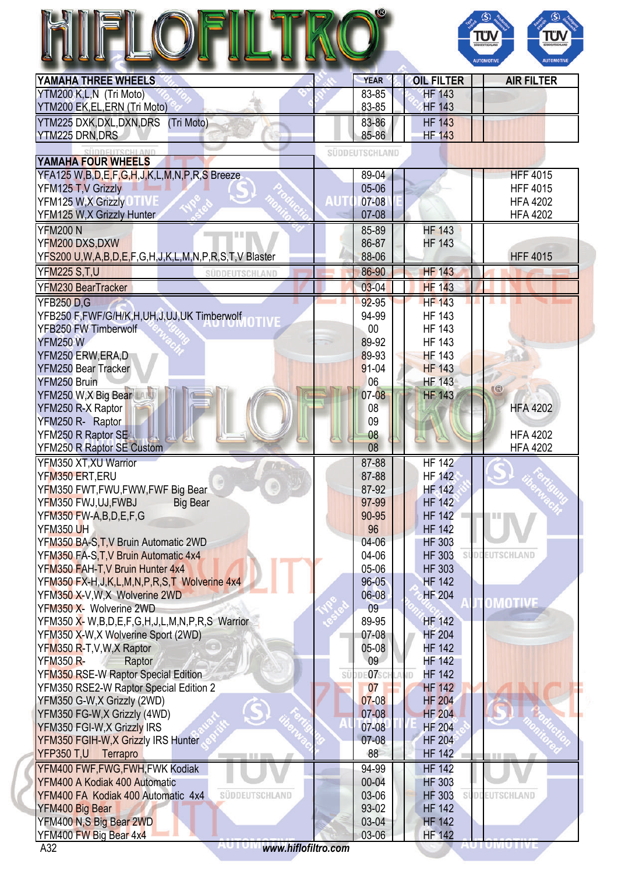|                                                            |                |             |            |                   | $\left($ S)<br>IÜ<br><b>AUTOMOTIV</b><br><b>AUTOMOTIVE</b> |
|------------------------------------------------------------|----------------|-------------|------------|-------------------|------------------------------------------------------------|
| YAMAHA THREE WHEELS                                        |                | <b>YEAR</b> |            | <b>OIL FILTER</b> | <b>AIR FILTER</b>                                          |
| YTM200 K,L,N (Tri Moto)                                    |                | 83-85       |            | <b>HF 143</b>     |                                                            |
| YTM200 EK,EL,ERN (Tri Moto)                                |                | 83-85       |            | <b>HF 143</b>     |                                                            |
| YTM225 DXK,DXL,DXN,DRS (Tri Moto)                          |                | 83-86       |            | <b>HF 143</b>     |                                                            |
| <b>YTM225 DRN,DRS</b>                                      |                | 85-86       |            | <b>HF 143</b>     |                                                            |
| YAMAHA FOUR WHEELS                                         | SÜDDEUTSCHLAND |             |            |                   |                                                            |
| YFA125 W,B,D,E,F,G,H,J,K,L,M,N,P,R,S Breeze                |                | 89-04       |            |                   | <b>HFF 4015</b>                                            |
| YFM125 T, V Grizzly                                        |                | 05-06       |            |                   | <b>HFF 4015</b>                                            |
| YFM125 W, X Grizzly                                        | AUT            | 07-08       |            |                   | <b>HFA 4202</b>                                            |
| YFM125 W, X Grizzly Hunter                                 |                | $07 - 08$   |            |                   | <b>HFA 4202</b>                                            |
| <b>YFM200 N</b>                                            |                | 85-89       |            | <b>HF 143</b>     |                                                            |
| a bi b<br>YFM200 DXS, DXW                                  |                | 86-87       |            | <b>HF 143</b>     |                                                            |
| YFS200 U,W,A,B,D,E,F,G,H,J,K,L,M,N,P,R,S,T,V Blaster       |                | 88-06       |            |                   | <b>HFF 4015</b>                                            |
|                                                            |                |             |            |                   |                                                            |
| <b>YFM225 S.T.U</b><br>SUDDEUTSCHLAND                      |                | 86-90       |            | <b>HF 143</b>     |                                                            |
| YFM230 BearTracker                                         |                | $03 - 04$   |            | <b>HF 143</b>     |                                                            |
| <b>YFB250 D.G</b>                                          |                | $92 - 95$   |            | <b>HF 143</b>     |                                                            |
| YFB250 F,FWF/G/H/K,H,UH,J,UJ,UK Timberwolf                 |                | 94-99       |            | <b>HF 143</b>     |                                                            |
| <b>YFB250 FW Timberwolf</b>                                |                | $00\,$      |            | <b>HF 143</b>     |                                                            |
| <b>YFM250W</b>                                             |                | 89-92       |            | <b>HF 143</b>     |                                                            |
| YFM250 ERW, ERA, D                                         |                | 89-93       |            | <b>HF 143</b>     |                                                            |
| YFM250 Bear Tracker                                        |                | 91-04       |            | <b>HF 143</b>     |                                                            |
| YFM250 Bruin                                               |                | 06          |            | <b>HF 143</b>     | (R)                                                        |
| YFM250 W, X Big Bear                                       |                | 07-08       |            | <b>HF 143</b>     |                                                            |
| YFM250 R-X Raptor                                          |                | 08          |            |                   | <b>HFA 4202</b>                                            |
| YFM250 R- Raptor                                           |                | 09          |            |                   |                                                            |
| YFM250 R Raptor SE                                         |                | 08          |            |                   | <b>HFA 4202</b>                                            |
| YFM250 R Raptor SE Custom                                  |                | 08          |            |                   | <b>HFA 4202</b>                                            |
| YFM350 XT, XU Warrior                                      |                | 87-88       |            | <b>HF 142</b>     |                                                            |
| YFM350 ERT, ERU                                            |                | 87-88       |            | <b>HF 142</b>     |                                                            |
| YFM350 FWT, FWU, FWW, FWF Big Bear                         |                | 87-92       |            | <b>HF</b> 142     |                                                            |
| YFM350 FWJ,UJ,FWBJ<br><b>Big Bear</b>                      |                | 97-99       |            | <b>HF 142</b>     |                                                            |
| YFM350 FW-A,B,D,E,F,G                                      |                | 90-95       |            | <b>HF 142</b>     |                                                            |
| <b>YFM350 UH</b>                                           |                | 96          |            | <b>HF 142</b>     |                                                            |
| YFM350 BA-S, T, V Bruin Automatic 2WD                      |                | $04 - 06$   |            | <b>HF 303</b>     |                                                            |
| YFM350 FA-S, T, V Bruin Automatic 4x4                      |                | 04-06       |            | <b>HF 303</b>     | <b>EUTSCHLAND</b>                                          |
| YFM350 FAH-T, V Bruin Hunter 4x4                           |                | 05-06       |            | <b>HF 303</b>     |                                                            |
| YFM350 FX-H, J, K, L, M, N, P, R, S, T Wolverine 4x4       |                | $96 - 05$   |            | <b>HF 142</b>     |                                                            |
| YFM350 X-V,W,X Wolverine 2WD                               |                | $06 - 08$   |            | <b>HF 204</b>     | OMOTIVE                                                    |
| YFM350 X- Wolverine 2WD                                    |                | 09          |            |                   |                                                            |
| YFM350 X- W, B, D, E, F, G, H, J, L, M, N, P, R, S Warrior |                | 89-95       |            | <b>HF 142</b>     |                                                            |
| YFM350 X-W, X Wolverine Sport (2WD)                        |                | $07 - 08$   |            | <b>HF 204</b>     |                                                            |
| YFM350 R-T, V, W, X Raptor                                 |                | $05 - 08$   |            | <b>HF 142</b>     |                                                            |
| <b>YFM350 R-</b><br>Raptor                                 |                | 09          |            | <b>HF 142</b>     |                                                            |
| YFM350 RSE-W Raptor Special Edition                        |                | SÜDDEO7SCH  | <b>IMD</b> | <b>HF 142</b>     |                                                            |
| YFM350 RSE2-W Raptor Special Edition 2                     |                | 07          |            | <b>HF 142</b>     |                                                            |
| YFM350 G-W,X Grizzly (2WD)                                 |                | $07 - 08$   |            | <b>HF 204</b>     |                                                            |
| YFM350 FG-W,X Grizzly (4WD)                                |                | 07-08       |            | <b>HF 204</b>     |                                                            |
| YFM350 FGI-W, X Grizzly IRS                                |                | 07-08       |            | <b>HF 204</b>     |                                                            |
| YFM350 FGIH-W, X Grizzly IRS Hunter                        |                | $07 - 08$   |            | <b>HF 204</b>     |                                                            |
| YFP350 T,U Terrapro                                        |                | 88          |            | <b>HF 142</b>     |                                                            |
| YFM400 FWF, FWG, FWH, FWK Kodiak                           |                | 94-99       |            | <b>HF 142</b>     |                                                            |
| YFM400 A Kodiak 400 Automatic                              |                | 00-04       |            | <b>HF 303</b>     |                                                            |
| YFM400 FA Kodiak 400 Automatic 4x4<br>SUDDEUTSCHLAND       |                | 03-06       |            | <b>HF 303</b>     | <b>EUTSCHLAND</b>                                          |
| YFM400 Big Bear                                            |                | 93-02       |            | <b>HF 142</b>     |                                                            |
| YFM400 N,S Big Bear 2WD                                    |                | 03-04       |            | <b>HF 142</b>     |                                                            |
| YFM400 FW Big Bear 4x4                                     |                | 03-06       |            | <b>HF 142</b>     |                                                            |

A32 *<www.hiflofiltro.com>*

AU I UMU I IVE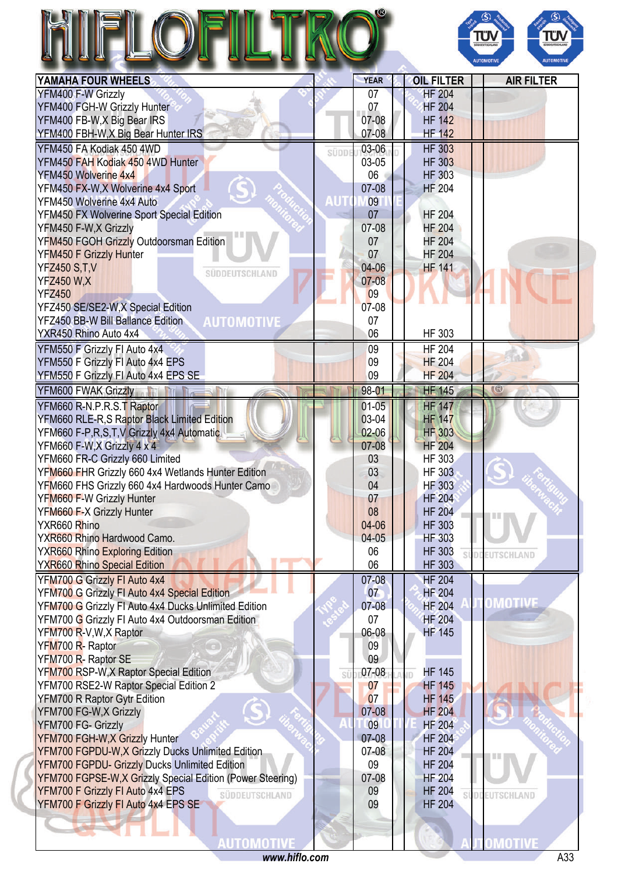## FLOFI **RO** H



| YAMAHA FOUR WHEELS                                            |             | <b>YEAR</b> | <b>OIL FILTER</b>              | <b>AIR FILTER</b> |
|---------------------------------------------------------------|-------------|-------------|--------------------------------|-------------------|
| YFM400 F-W Grizzly                                            |             | 07          | <b>HF 204</b>                  |                   |
| YFM400 FGH-W Grizzly Hunter                                   |             | 07          | <b>HF 204</b>                  |                   |
| YFM400 FB-W, X Big Bear IRS                                   |             | 07-08       | <b>HF 142</b>                  |                   |
| YFM400 FBH-W, X Big Bear Hunter IRS                           |             | 07-08       | <b>HF 142</b>                  |                   |
| YFM450 FA Kodiak 450 4WD                                      | SÜDDE       | 03-06       | <b>HF 303</b>                  |                   |
| YFM450 FAH Kodiak 450 4WD Hunter                              |             | 03-05       | <b>HF 303</b>                  |                   |
| YFM450 Wolverine 4x4                                          |             | 06          | <b>HF 303</b>                  |                   |
| YFM450 FX-W, X Wolverine 4x4 Sport                            |             | 07-08       | <b>HF 204</b>                  |                   |
| YFM450 Wolverine 4x4 Auto                                     | <b>AUTO</b> | 09          |                                |                   |
| YFM450 FX Wolverine Sport Special Edition                     |             | 07          | <b>HF 204</b>                  |                   |
| YFM450 F-W,X Grizzly                                          |             | 07-08       | <b>HF 204</b>                  |                   |
| YFM450 FGOH Grizzly Outdoorsman Edition                       |             | 07          | <b>HF 204</b>                  |                   |
| YFM450 F Grizzly Hunter                                       |             | 07          | <b>HF 204</b>                  |                   |
| <b>YFZ450 S.T.V</b>                                           |             | 04-06       | <b>HF 141</b>                  |                   |
| SÜDDEUTSCHLAND<br><b>YFZ450 W,X</b>                           |             | $07 - 08$   |                                |                   |
| <b>YFZ450</b>                                                 |             | 09          |                                |                   |
| YFZ450 SE/SE2-W,X Special Edition                             |             | $07-08$     |                                |                   |
|                                                               |             | 07          |                                |                   |
| <b>YFZ450 BB-W Bill Ballance Edition</b><br><b>AUTOMOTIVE</b> |             |             |                                |                   |
| YXR450 Rhino Auto 4x4                                         |             | 06          | HF 303                         |                   |
| YFM550 F Grizzly FI Auto 4x4                                  |             | 09          | <b>HF 204</b>                  |                   |
| YFM550 F Grizzly FI Auto 4x4 EPS                              |             | 09          | <b>HF 204</b>                  |                   |
| YFM550 F Grizzly FI Auto 4x4 EPS SE                           |             | 09          | <b>HF 204</b>                  |                   |
| YFM600 FWAK Grizzly                                           |             | 98-01       | <b>HF 145</b>                  | $($ $\circ$       |
| YFM660 R-N.P.R.S.T Raptor                                     |             | $01 - 05$   | <b>HF 147</b>                  |                   |
| YFM660 RLE-R,S Raptor Black Limited Edition                   |             | 03-04       | <b>HF 147</b>                  |                   |
| YFM660 F-P,R,S,T,V Grizzly 4x4 Automatic                      |             | $02 - 06$   | <b>HF 303</b>                  |                   |
| YFM660 F-W,X Grizzly 4 x 4                                    |             | $07 - 08$   | <b>HF 204</b>                  |                   |
| YFM660 FR-C Grizzly 660 Limited                               |             | 03          | <b>HF 303</b>                  |                   |
| YFM660 FHR Grizzly 660 4x4 Wetlands Hunter Edition            |             | 03          | <b>HF 303</b>                  |                   |
| YFM660 FHS Grizzly 660 4x4 Hardwoods Hunter Camo              |             | 04          | <b>HF 303</b>                  |                   |
| YFM660 F-W Grizzly Hunter                                     |             | 07          | <b>HF 204</b>                  |                   |
| YFM660 F-X Grizzly Hunter                                     |             | 08          | <b>HF 204</b>                  |                   |
| YXR660 Rhino                                                  |             | 04-06       | <b>HF 303</b>                  | <b>TIL</b>        |
| YXR660 Rhino Hardwood Camo.                                   |             | $04-05$     | <b>HF 303</b>                  |                   |
| <b>YXR660 Rhino Exploring Edition</b>                         |             | 06          | <b>HF 303</b>                  |                   |
| <b>YXR660 Rhino Special Edition</b>                           |             | 06          | <b>HF 303</b>                  | EUTSCHLAND        |
|                                                               |             |             |                                |                   |
| YFM700 G Grizzly FI Auto 4x4                                  |             | $07 - 08$   | <b>HF 204</b><br><b>HF 204</b> |                   |
| YFM700 G Grizzly FI Auto 4x4 Special Edition                  |             | 07          |                                | OMOTIVE           |
| YFM700 G Grizzly FI Auto 4x4 Ducks Unlimited Edition          |             | $07 - 08$   | <b>HF 204</b>                  |                   |
| YFM700 G Grizzly FI Auto 4x4 Outdoorsman Edition              |             | 07          | <b>HF 204</b>                  |                   |
| YFM700 R-V, W, X Raptor                                       |             | 06-08       | <b>HF 145</b>                  |                   |
| YFM700 R- Raptor                                              |             | 09          |                                |                   |
| YFM700 R- Raptor SE                                           |             | 09          |                                |                   |
| YFM700 RSP-W, X Raptor Special Edition                        | SÜ          | 07-08       | <b>HF 145</b>                  |                   |
| YFM700 RSE2-W Raptor Special Edition 2                        |             | 07          | <b>HF 145</b>                  |                   |
| YFM700 R Raptor Gytr Edition                                  |             | 07          | <b>HF 145</b>                  |                   |
| YFM700 FG-W,X Grizzly                                         |             | 07-08       | <b>HF 204</b>                  |                   |
| YFM700 FG- Grizzly                                            |             | 09          | <b>HF 204</b>                  |                   |
| YFM700 FGH-W, X Grizzly Hunter                                |             | $07-08$     | <b>HF 204</b>                  |                   |
| YFM700 FGPDU-W,X Grizzly Ducks Unlimited Edition              |             | $07-08$     | <b>HF 204</b>                  |                   |
| <b>YFM700 FGPDU- Grizzly Ducks Unlimited Edition</b>          |             | 09          | <b>HF 204</b>                  |                   |
| YFM700 FGPSE-W,X Grizzly Special Edition (Power Steering)     |             | 07-08       | <b>HF 204</b>                  |                   |
| YFM700 F Grizzly FI Auto 4x4 EPS<br>SÜDDEUTSCHLAND            |             | 09          | <b>HF 204</b>                  | EUTSCHLAND        |
| YFM700 F Grizzly FI Auto 4x4 EPS SE                           |             | 09          | <b>HF 204</b>                  |                   |
|                                                               |             |             |                                |                   |
|                                                               |             |             |                                |                   |
| utomo                                                         |             |             |                                |                   |
| www.hiflo.com                                                 |             |             |                                | A33               |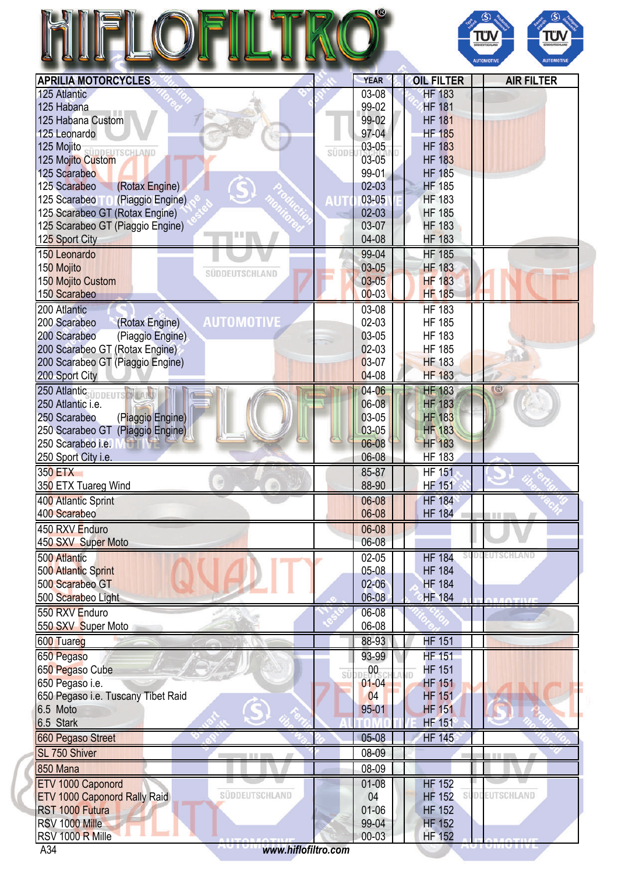|                                                     |       |                    |                                | Τΰ<br>ΤÜΝ<br><b>JODEUTSCHLA</b><br>SÜDDEUTSCHLAND<br><b>AUTOMOTIVE</b><br><b>AUTOMOTIVI</b> |
|-----------------------------------------------------|-------|--------------------|--------------------------------|---------------------------------------------------------------------------------------------|
| <b>APRILIA MOTORCYCLES</b>                          |       | <b>YEAR</b>        | <b>OIL FILTER</b>              | <b>AIR FILTER</b>                                                                           |
| 125 Atlantic                                        |       | 03-08              | <b>HF 183</b>                  |                                                                                             |
| 125 Habana                                          |       | 99-02              | <b>HF 181</b>                  |                                                                                             |
| 125 Habana Custom                                   |       | 99-02              | <b>HF 181</b>                  |                                                                                             |
| 125 Leonardo                                        |       | 97-04              | <b>HF 185</b>                  |                                                                                             |
| 125 Mojito                                          |       | 03-05              | <b>HF 183</b>                  |                                                                                             |
| ÜDDEUTSCHLAND<br>125 Mojito Custom                  | süppi | 03-05              | <b>HF 183</b>                  |                                                                                             |
| 125 Scarabeo                                        |       | 99-01              | <b>HF 185</b>                  |                                                                                             |
| (Rotax Engine)<br>125 Scarabeo                      |       | $02 - 03$          | <b>HF 185</b>                  |                                                                                             |
| (Piaggio Engine)<br>125 Scarabeo <sup>T</sup>       | M     | 03-05              | <b>HF 183</b>                  |                                                                                             |
| 125 Scarabeo GT (Rotax Engine)                      |       | $02 - 03$          | <b>HF 185</b>                  |                                                                                             |
| 125 Scarabeo GT (Piaggio Engine)                    |       | 03-07              | <b>HF 183</b>                  |                                                                                             |
| 125 Sport City                                      |       | 04-08              | <b>HF 183</b>                  |                                                                                             |
| 150 Leonardo                                        |       | 99-04              | <b>HF 185</b>                  |                                                                                             |
| 150 Mojito                                          |       | $03 - 05$          | <b>HF 183</b>                  |                                                                                             |
| SUDDEUTSCHLAND<br>150 Mojito Custom                 |       | $03 - 05$          | <b>HF 183</b>                  |                                                                                             |
| 150 Scarabeo                                        |       | $00 - 03$          | <b>HF 185</b>                  |                                                                                             |
|                                                     |       |                    |                                |                                                                                             |
| 200 Atlantic                                        |       | 03-08              | <b>HF 183</b>                  |                                                                                             |
| <b>AUTOMOTIVE</b><br>200 Scarabeo<br>(Rotax Engine) |       | 02-03              | <b>HF 185</b>                  |                                                                                             |
| 200 Scarabeo<br>(Piaggio Engine)                    |       | 03-05              | <b>HF 183</b>                  |                                                                                             |
| 200 Scarabeo GT (Rotax Engine)                      |       | $02-03$            | <b>HF 185</b>                  |                                                                                             |
| 200 Scarabeo GT (Piaggio Engine)                    |       | 03-07              | <b>HF 183</b>                  |                                                                                             |
| 200 Sport City                                      |       | 04-08              | <b>HF 183</b>                  |                                                                                             |
| 250 Atlantic <sub>ÜDDEUTS</sub> N                   |       | 04-06              | <b>HF 183</b>                  | R                                                                                           |
| 250 Atlantic i.e.                                   |       | 06-08              | <b>HF 183</b>                  |                                                                                             |
| 250 Scarabeo<br>(Piaggio Engine)                    |       | 03-05              | <b>HF 183</b>                  |                                                                                             |
| 250 Scarabeo GT (Piaggio Engine)                    |       | $03 - 05$          | <b>HF 183</b>                  |                                                                                             |
| 250 Scarabeo i.e.                                   |       | 06-08              | <b>HF 183</b>                  |                                                                                             |
| 250 Sport City i.e.                                 |       | 06-08              | <b>HF 183</b>                  |                                                                                             |
| 350 ETX                                             |       | $85-87$            | <b>HF 151</b>                  |                                                                                             |
| 350 ETX Tuareg Wind                                 |       | 88-90              | <b>HF 151</b>                  |                                                                                             |
| 400 Atlantic Sprint                                 |       | 06-08              | <b>HF 184</b>                  |                                                                                             |
| 400 Scarabeo                                        |       | 06-08              | <b>HF 184</b>                  | ⊪                                                                                           |
| 450 RXV Enduro                                      |       | 06-08              |                                |                                                                                             |
| 450 SXV Super Moto                                  |       | 06-08              |                                |                                                                                             |
| 500 Atlantic                                        |       | 02-05              | <b>HF 184</b>                  | EUTSCHLANL                                                                                  |
| 500 Atlantic Sprint                                 |       | 05-08              | <b>HF 184</b>                  |                                                                                             |
| 500 Scarabeo GT                                     |       | $02 - 06$          | <b>HF 184</b>                  |                                                                                             |
| 500 Scarabeo Light                                  |       | $06 - 08$          | <b>HF 184</b>                  |                                                                                             |
| 550 RXV Enduro                                      |       | 06-08              |                                | <b>LANTIL</b>                                                                               |
| 550 SXV Super Moto                                  |       | 06-08              |                                |                                                                                             |
|                                                     |       |                    |                                |                                                                                             |
| 600 Tuareg                                          |       | 88-93              | <b>HF 151</b>                  |                                                                                             |
| 650 Pegaso                                          |       | 93-99              | <b>HF 151</b>                  |                                                                                             |
| 650 Pegaso Cube                                     | SÜ    | $00 -$             | <b>HF 151</b>                  |                                                                                             |
| 650 Pegaso i.e.                                     |       | $01 - 04$          | <b>HF 151</b>                  |                                                                                             |
| 650 Pegaso i.e. Tuscany Tibet Raid                  |       | 04                 | <b>HF 151</b>                  |                                                                                             |
| 6.5 Moto                                            |       | $95 - 01$          | <b>HF 151</b>                  |                                                                                             |
| 6.5 Stark                                           |       |                    | <b>HF 151</b>                  |                                                                                             |
| 660 Pegaso Street                                   |       | 05-08              | <b>HF 145</b>                  |                                                                                             |
| SL 750 Shiver<br><b>BEE</b>                         |       | 08-09              |                                | 日目田                                                                                         |
| 850 Mana                                            |       | 08-09              |                                |                                                                                             |
|                                                     |       | $01-08$            | <b>HF 152</b>                  |                                                                                             |
|                                                     |       |                    | <b>HF 152</b>                  | SUDDEUTSCHLAND                                                                              |
| ETV 1000 Caponord<br>SÜDDEUTSCHLAND                 |       |                    |                                |                                                                                             |
| <b>ETV 1000 Caponord Rally Raid</b>                 |       | 04                 |                                |                                                                                             |
| RST 1000 Futura                                     |       | $01 - 06$          | <b>HF 152</b>                  |                                                                                             |
| RSV 1000 Mille<br>RSV 1000 R Mille                  |       | 99-04<br>$00 - 03$ | <b>HF 152</b><br><b>HF 152</b> | <b>CONTRACTOR</b>                                                                           |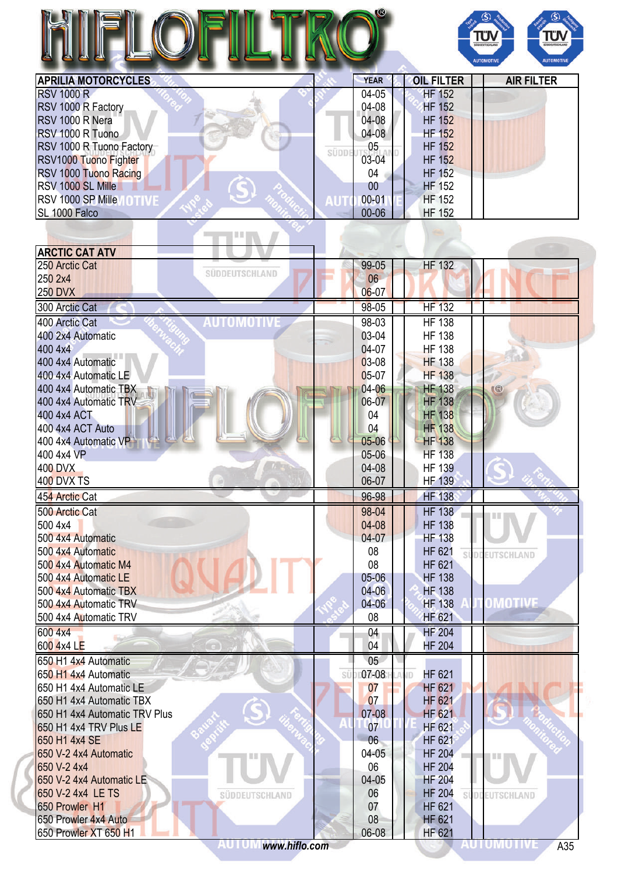|                                 |             |                                | Τΰ<br>ΤÜ<br>SÜDDEUTSCHLAN<br><b>AUTOMOTIVE</b><br><b>AUTOMOTIV</b> |
|---------------------------------|-------------|--------------------------------|--------------------------------------------------------------------|
| <b>APRILIA MOTORCYCLES</b>      | <b>YEAR</b> | <b>OIL FILTER</b>              | <b>AIR FILTER</b>                                                  |
| <b>RSV 1000 R</b>               | 04-05       | <b>HF 152</b>                  |                                                                    |
| RSV 1000 R Factory              | 04-08       | <b>HF 152</b>                  |                                                                    |
| RSV 1000 R Nera                 | 04-08       | <b>HF 152</b>                  |                                                                    |
| RSV 1000 R Tuono                | $04-08$     | <b>HF 152</b>                  |                                                                    |
| RSV 1000 R Tuono Factory        | 05          | <b>HF 152</b>                  |                                                                    |
| SÜDDE<br>RSV1000 Tuono Fighter  | 03-04       | <b>HF 152</b>                  |                                                                    |
| RSV 1000 Tuono Racing           | 04          | <b>HF 152</b>                  |                                                                    |
| RSV 1000 SL Mille               | 00          | <b>HF 152</b>                  |                                                                    |
| RSV 1000 SP Mille NOTIVE<br>AUT | $00 - 01$   | <b>HF 152</b>                  |                                                                    |
| SL 1000 Falco                   | 00-06       | <b>HF 152</b>                  |                                                                    |
|                                 |             |                                |                                                                    |
|                                 |             |                                |                                                                    |
| <b>ARCTIC CAT ATV</b>           |             |                                |                                                                    |
| 250 Arctic Cat                  | 99-05       | <b>HF 132</b>                  |                                                                    |
| SÜDDEUTSCHLAND<br>250 2x4       | 06          |                                |                                                                    |
| <b>250 DVX</b>                  | $06 - 07$   |                                |                                                                    |
| 300 Arctic Cat                  | 98-05       | <b>HF 132</b>                  |                                                                    |
| AUTOMOTIVE<br>400 Arctic Cat    | 98-03       | <b>HF 138</b>                  |                                                                    |
| 400 2x4 Automatic               | 03-04       | <b>HF 138</b>                  |                                                                    |
| 400 4x4                         | 04-07       | <b>HF 138</b>                  |                                                                    |
| 400 4x4 Automatic               | $03-08$     | <b>HF 138</b>                  |                                                                    |
| 400 4x4 Automatic LE            | $05-07$     | <b>HF 138</b>                  |                                                                    |
| 400 4x4 Automatic TBX           | $04 - 06$   | <b>HF 138</b>                  | $\mathbb{R}$                                                       |
| 400 4x4 Automatic TRV           | 06-07       | <b>HF 138</b>                  |                                                                    |
| 400 4x4 ACT                     | 04          | <b>HF 138</b>                  |                                                                    |
| 400 4x4 ACT Auto                | 04          | <b>HF 138</b>                  |                                                                    |
| 400 4x4 Automatic VP            | 05-06       | <b>HF</b> 138                  |                                                                    |
| 400 4x4 VP                      | 05-06       | <b>HF 138</b>                  |                                                                    |
| <b>400 DVX</b>                  | 04-08       | <b>HF 139</b>                  |                                                                    |
| <b>400 DVX TS</b>               | 06-07       | <b>HF 139</b>                  |                                                                    |
| 454 Arctic Cat                  | 96-98       | <b>HF 138</b>                  |                                                                    |
| 500 Arctic Cat                  | 98-04       | <b>HF 138</b>                  |                                                                    |
| 500 4x4                         | 04-08       | <b>HF 138</b>                  |                                                                    |
| 500 4x4 Automatic               | $04-07$     | <b>HF 138</b>                  |                                                                    |
| 500 4x4 Automatic               | 08          | HF 621                         |                                                                    |
| 500 4x4 Automatic M4            | 08          | si<br><b>HF 621</b>            | EUTSCHLAND                                                         |
| 500 4x4 Automatic LE            | $05 - 06$   | <b>HF 138</b>                  |                                                                    |
| 500 4x4 Automatic TBX           | $04 - 06$   | <b>HF 138</b>                  |                                                                    |
| 500 4x4 Automatic TRV           | $04 - 06$   | <b>HF 138</b>                  | OMOTIVE                                                            |
| 500 4x4 Automatic TRV           | 08          | <b>HF 621</b>                  |                                                                    |
| 600 4x4                         |             |                                |                                                                    |
| 600 4x4 LE                      | 04<br>04    | <b>HF 204</b><br><b>HF 204</b> |                                                                    |
| 650 H1 4x4 Automatic            | 05          |                                |                                                                    |
| 650 H1 4x4 Automatic<br>SÜ      | $07-08$     | HF 621<br>JD.                  |                                                                    |
| 650 H1 4x4 Automatic LE         | 07          | <b>HF 621</b>                  |                                                                    |
| 650 H1 4x4 Automatic TBX        | 07          | <b>HF 621</b>                  |                                                                    |
| 650 H1 4x4 Automatic TRV Plus   | 07-08       | <b>HF 621</b>                  |                                                                    |
| 650 H1 4x4 TRV Plus LE          | 07          | <b>HF 621</b>                  |                                                                    |

650 H1 4x4 SE 600 M 4x4 SE 650 V-2 4x4 Automatic 650 V-2 4x4 Automatic 650 V-2 4x4 Automatic 650 V-2 4x4 Automatic 650 V-2 4x4 Automatic 650 V-2 4x4 Automatic 650 V-2 4x4 650 V-2 4x4<br>650 V-2 4x4 Automatic LE<br>650 V-2 4x4 Automatic LE 650 V-2 4x4 Automatic LE<br>650 V-2 4x4 LE TS<br>650 V-2 4x4 LE TS 650 V-2 4x4 LE TS<br>650 Prowler H1 HF 204

650 Prowler H1 07

súpr

EUTSCHLAND

'n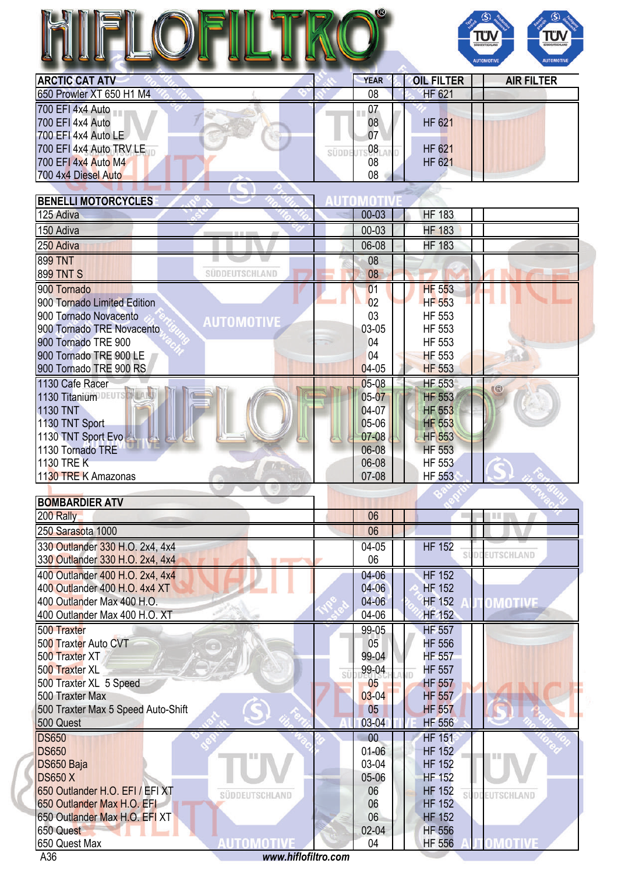

| <b>ARCTIC CAT ATV</b>    | <b>YEAR</b> | <b>OIL FILTER</b> | <b>AIR FILTER</b> |
|--------------------------|-------------|-------------------|-------------------|
| 650 Prowler XT 650 H1 M4 | 08          | <b>HF 621</b>     |                   |
| 700 EFI 4x4 Auto         | 07          |                   |                   |
| 700 EFI 4x4 Auto         | 08          | <b>HF 621</b>     |                   |
| 700 EFI 4x4 Auto LE      | 07          |                   |                   |
| 700 EFI 4x4 Auto TRV LE  | 08          | <b>HF 621</b>     |                   |
| 700 EFI 4x4 Auto M4      | 08          | <b>HF 621</b>     |                   |
| 700 4x4 Diesel Auto      | 08          |                   |                   |
|                          |             |                   |                   |

| <b>HF 183</b><br>$00 - 03$<br><b>HF 183</b><br>00-03<br><b>HF 183</b><br>06-08<br>08<br>08<br>SÜDDEUTSCHLAND<br><b>HF 553</b><br>01<br>02<br><b>HF 553</b><br>03<br>HF 553<br><b>AUTOMOTIVE</b><br>03-05<br>HF 553<br>900 Tornado TRE Novacento<br>HF 553<br>04<br>04<br>900 Tornado TRE 900 LE<br><b>HF 553</b><br>$04-05$<br>900 Tornado TRE 900 RS<br><b>HF 553</b><br><b>HF 553</b><br>1130 Cafe Racer<br>$05-08$<br>$\mathbb{G}$<br>1130 Titanium DEUTS H<br>$05 - 07$<br><b>HF 553</b><br>04-07<br><b>1130 TNT</b><br><b>HF 553</b><br>05-06<br><b>HF 553</b><br>1130 TNT Sport<br>07-08<br>1130 TNT Sport Evo<br><b>HF 553</b><br>06-08<br>1130 Tornado TRE<br><b>HF 553</b><br>06-08<br><b>HF 553</b><br>1130 TRE K<br>07-08<br>1130 TRE K Amazonas<br><b>HF 553</b><br><b>BOMBARDIER ATV</b><br>06<br>Ⅲ<br>06<br>330 Outlander 330 H.O. 2x4, 4x4<br><b>HF 152</b><br>04-05<br><b>DDEUTSCHLAND</b><br>06<br>04-06<br><b>HF 152</b><br>400 Outlander 400 H.O. 2x4, 4x4<br>04-06<br><b>HF 152</b><br>$04 - 06$<br><b>HF 152</b><br>OMOTIVE<br>04-06<br>HF 152<br><b>HF 557</b><br>99-05<br>05<br><b>HF 556</b><br>99-04<br><b>HF 557</b><br>99-04<br><b>HF 557</b><br>SÜ<br>05<br><b>HF 557</b><br>$03 - 04$<br><b>HF 557</b><br>500 Traxter Max 5 Speed Auto-Shift<br>05<br><b>HF 557</b><br>03-04<br><b>HF 556</b><br><b>HF 151</b><br>00<br>$01 - 06$<br><b>DS650</b><br><b>HF 152</b><br>03-04<br>DS650 Baja<br><b>HF 152</b><br><b>DS650 X</b><br>05-06<br><b>HF 152</b><br>650 Outlander H.O. EFI / EFI XT<br><b>HF 152</b><br>06<br>SÜDDEUTSCHLAND<br><b><i><u>EUTSCHLAND</u></i></b><br>06<br>650 Outlander Max H.O. EFI<br><b>HF 152</b><br>06<br>650 Outlander Max H.O. EFI XT<br><b>HF 152</b><br>02-04<br>650 Quest<br><b>HF 556</b><br>AUTOMOTIVE<br>OMOTIVE<br><b>HF 556</b><br>650 Quest Max<br>04<br>www.hiflofiltro.com | <b>BENELLI MOTORCYCLES</b>      |  |
|------------------------------------------------------------------------------------------------------------------------------------------------------------------------------------------------------------------------------------------------------------------------------------------------------------------------------------------------------------------------------------------------------------------------------------------------------------------------------------------------------------------------------------------------------------------------------------------------------------------------------------------------------------------------------------------------------------------------------------------------------------------------------------------------------------------------------------------------------------------------------------------------------------------------------------------------------------------------------------------------------------------------------------------------------------------------------------------------------------------------------------------------------------------------------------------------------------------------------------------------------------------------------------------------------------------------------------------------------------------------------------------------------------------------------------------------------------------------------------------------------------------------------------------------------------------------------------------------------------------------------------------------------------------------------------------------------------------------------------------------------------------------------------------------------------------------------------------------|---------------------------------|--|
|                                                                                                                                                                                                                                                                                                                                                                                                                                                                                                                                                                                                                                                                                                                                                                                                                                                                                                                                                                                                                                                                                                                                                                                                                                                                                                                                                                                                                                                                                                                                                                                                                                                                                                                                                                                                                                                | 125 Adiva                       |  |
|                                                                                                                                                                                                                                                                                                                                                                                                                                                                                                                                                                                                                                                                                                                                                                                                                                                                                                                                                                                                                                                                                                                                                                                                                                                                                                                                                                                                                                                                                                                                                                                                                                                                                                                                                                                                                                                | 150 Adiva                       |  |
|                                                                                                                                                                                                                                                                                                                                                                                                                                                                                                                                                                                                                                                                                                                                                                                                                                                                                                                                                                                                                                                                                                                                                                                                                                                                                                                                                                                                                                                                                                                                                                                                                                                                                                                                                                                                                                                | 250 Adiva                       |  |
|                                                                                                                                                                                                                                                                                                                                                                                                                                                                                                                                                                                                                                                                                                                                                                                                                                                                                                                                                                                                                                                                                                                                                                                                                                                                                                                                                                                                                                                                                                                                                                                                                                                                                                                                                                                                                                                | <b>899 TNT</b>                  |  |
|                                                                                                                                                                                                                                                                                                                                                                                                                                                                                                                                                                                                                                                                                                                                                                                                                                                                                                                                                                                                                                                                                                                                                                                                                                                                                                                                                                                                                                                                                                                                                                                                                                                                                                                                                                                                                                                | <b>899 TNT S</b>                |  |
|                                                                                                                                                                                                                                                                                                                                                                                                                                                                                                                                                                                                                                                                                                                                                                                                                                                                                                                                                                                                                                                                                                                                                                                                                                                                                                                                                                                                                                                                                                                                                                                                                                                                                                                                                                                                                                                | 900 Tornado                     |  |
|                                                                                                                                                                                                                                                                                                                                                                                                                                                                                                                                                                                                                                                                                                                                                                                                                                                                                                                                                                                                                                                                                                                                                                                                                                                                                                                                                                                                                                                                                                                                                                                                                                                                                                                                                                                                                                                | 900 Tornado Limited Edition     |  |
|                                                                                                                                                                                                                                                                                                                                                                                                                                                                                                                                                                                                                                                                                                                                                                                                                                                                                                                                                                                                                                                                                                                                                                                                                                                                                                                                                                                                                                                                                                                                                                                                                                                                                                                                                                                                                                                | 900 Tornado Novacento           |  |
|                                                                                                                                                                                                                                                                                                                                                                                                                                                                                                                                                                                                                                                                                                                                                                                                                                                                                                                                                                                                                                                                                                                                                                                                                                                                                                                                                                                                                                                                                                                                                                                                                                                                                                                                                                                                                                                |                                 |  |
|                                                                                                                                                                                                                                                                                                                                                                                                                                                                                                                                                                                                                                                                                                                                                                                                                                                                                                                                                                                                                                                                                                                                                                                                                                                                                                                                                                                                                                                                                                                                                                                                                                                                                                                                                                                                                                                | 900 Tornado TRE 900             |  |
|                                                                                                                                                                                                                                                                                                                                                                                                                                                                                                                                                                                                                                                                                                                                                                                                                                                                                                                                                                                                                                                                                                                                                                                                                                                                                                                                                                                                                                                                                                                                                                                                                                                                                                                                                                                                                                                |                                 |  |
|                                                                                                                                                                                                                                                                                                                                                                                                                                                                                                                                                                                                                                                                                                                                                                                                                                                                                                                                                                                                                                                                                                                                                                                                                                                                                                                                                                                                                                                                                                                                                                                                                                                                                                                                                                                                                                                |                                 |  |
|                                                                                                                                                                                                                                                                                                                                                                                                                                                                                                                                                                                                                                                                                                                                                                                                                                                                                                                                                                                                                                                                                                                                                                                                                                                                                                                                                                                                                                                                                                                                                                                                                                                                                                                                                                                                                                                |                                 |  |
|                                                                                                                                                                                                                                                                                                                                                                                                                                                                                                                                                                                                                                                                                                                                                                                                                                                                                                                                                                                                                                                                                                                                                                                                                                                                                                                                                                                                                                                                                                                                                                                                                                                                                                                                                                                                                                                |                                 |  |
|                                                                                                                                                                                                                                                                                                                                                                                                                                                                                                                                                                                                                                                                                                                                                                                                                                                                                                                                                                                                                                                                                                                                                                                                                                                                                                                                                                                                                                                                                                                                                                                                                                                                                                                                                                                                                                                |                                 |  |
|                                                                                                                                                                                                                                                                                                                                                                                                                                                                                                                                                                                                                                                                                                                                                                                                                                                                                                                                                                                                                                                                                                                                                                                                                                                                                                                                                                                                                                                                                                                                                                                                                                                                                                                                                                                                                                                |                                 |  |
|                                                                                                                                                                                                                                                                                                                                                                                                                                                                                                                                                                                                                                                                                                                                                                                                                                                                                                                                                                                                                                                                                                                                                                                                                                                                                                                                                                                                                                                                                                                                                                                                                                                                                                                                                                                                                                                |                                 |  |
|                                                                                                                                                                                                                                                                                                                                                                                                                                                                                                                                                                                                                                                                                                                                                                                                                                                                                                                                                                                                                                                                                                                                                                                                                                                                                                                                                                                                                                                                                                                                                                                                                                                                                                                                                                                                                                                |                                 |  |
|                                                                                                                                                                                                                                                                                                                                                                                                                                                                                                                                                                                                                                                                                                                                                                                                                                                                                                                                                                                                                                                                                                                                                                                                                                                                                                                                                                                                                                                                                                                                                                                                                                                                                                                                                                                                                                                |                                 |  |
|                                                                                                                                                                                                                                                                                                                                                                                                                                                                                                                                                                                                                                                                                                                                                                                                                                                                                                                                                                                                                                                                                                                                                                                                                                                                                                                                                                                                                                                                                                                                                                                                                                                                                                                                                                                                                                                |                                 |  |
|                                                                                                                                                                                                                                                                                                                                                                                                                                                                                                                                                                                                                                                                                                                                                                                                                                                                                                                                                                                                                                                                                                                                                                                                                                                                                                                                                                                                                                                                                                                                                                                                                                                                                                                                                                                                                                                |                                 |  |
|                                                                                                                                                                                                                                                                                                                                                                                                                                                                                                                                                                                                                                                                                                                                                                                                                                                                                                                                                                                                                                                                                                                                                                                                                                                                                                                                                                                                                                                                                                                                                                                                                                                                                                                                                                                                                                                | 200 Rally                       |  |
|                                                                                                                                                                                                                                                                                                                                                                                                                                                                                                                                                                                                                                                                                                                                                                                                                                                                                                                                                                                                                                                                                                                                                                                                                                                                                                                                                                                                                                                                                                                                                                                                                                                                                                                                                                                                                                                | 250 Sarasota 1000               |  |
|                                                                                                                                                                                                                                                                                                                                                                                                                                                                                                                                                                                                                                                                                                                                                                                                                                                                                                                                                                                                                                                                                                                                                                                                                                                                                                                                                                                                                                                                                                                                                                                                                                                                                                                                                                                                                                                |                                 |  |
|                                                                                                                                                                                                                                                                                                                                                                                                                                                                                                                                                                                                                                                                                                                                                                                                                                                                                                                                                                                                                                                                                                                                                                                                                                                                                                                                                                                                                                                                                                                                                                                                                                                                                                                                                                                                                                                | 330 Outlander 330 H.O. 2x4, 4x4 |  |
|                                                                                                                                                                                                                                                                                                                                                                                                                                                                                                                                                                                                                                                                                                                                                                                                                                                                                                                                                                                                                                                                                                                                                                                                                                                                                                                                                                                                                                                                                                                                                                                                                                                                                                                                                                                                                                                |                                 |  |
|                                                                                                                                                                                                                                                                                                                                                                                                                                                                                                                                                                                                                                                                                                                                                                                                                                                                                                                                                                                                                                                                                                                                                                                                                                                                                                                                                                                                                                                                                                                                                                                                                                                                                                                                                                                                                                                | 400 Outlander 400 H.O. 4x4 XT   |  |
|                                                                                                                                                                                                                                                                                                                                                                                                                                                                                                                                                                                                                                                                                                                                                                                                                                                                                                                                                                                                                                                                                                                                                                                                                                                                                                                                                                                                                                                                                                                                                                                                                                                                                                                                                                                                                                                | 400 Outlander Max 400 H.O.      |  |
|                                                                                                                                                                                                                                                                                                                                                                                                                                                                                                                                                                                                                                                                                                                                                                                                                                                                                                                                                                                                                                                                                                                                                                                                                                                                                                                                                                                                                                                                                                                                                                                                                                                                                                                                                                                                                                                | 400 Outlander Max 400 H.O. XT   |  |
|                                                                                                                                                                                                                                                                                                                                                                                                                                                                                                                                                                                                                                                                                                                                                                                                                                                                                                                                                                                                                                                                                                                                                                                                                                                                                                                                                                                                                                                                                                                                                                                                                                                                                                                                                                                                                                                | 500 Traxter                     |  |
|                                                                                                                                                                                                                                                                                                                                                                                                                                                                                                                                                                                                                                                                                                                                                                                                                                                                                                                                                                                                                                                                                                                                                                                                                                                                                                                                                                                                                                                                                                                                                                                                                                                                                                                                                                                                                                                | 500 Traxter Auto CVT            |  |
|                                                                                                                                                                                                                                                                                                                                                                                                                                                                                                                                                                                                                                                                                                                                                                                                                                                                                                                                                                                                                                                                                                                                                                                                                                                                                                                                                                                                                                                                                                                                                                                                                                                                                                                                                                                                                                                | 500 Traxter XT                  |  |
|                                                                                                                                                                                                                                                                                                                                                                                                                                                                                                                                                                                                                                                                                                                                                                                                                                                                                                                                                                                                                                                                                                                                                                                                                                                                                                                                                                                                                                                                                                                                                                                                                                                                                                                                                                                                                                                | 500 Traxter XL                  |  |
|                                                                                                                                                                                                                                                                                                                                                                                                                                                                                                                                                                                                                                                                                                                                                                                                                                                                                                                                                                                                                                                                                                                                                                                                                                                                                                                                                                                                                                                                                                                                                                                                                                                                                                                                                                                                                                                | 500 Traxter XL 5 Speed          |  |
|                                                                                                                                                                                                                                                                                                                                                                                                                                                                                                                                                                                                                                                                                                                                                                                                                                                                                                                                                                                                                                                                                                                                                                                                                                                                                                                                                                                                                                                                                                                                                                                                                                                                                                                                                                                                                                                | 500 Traxter Max                 |  |
|                                                                                                                                                                                                                                                                                                                                                                                                                                                                                                                                                                                                                                                                                                                                                                                                                                                                                                                                                                                                                                                                                                                                                                                                                                                                                                                                                                                                                                                                                                                                                                                                                                                                                                                                                                                                                                                |                                 |  |
|                                                                                                                                                                                                                                                                                                                                                                                                                                                                                                                                                                                                                                                                                                                                                                                                                                                                                                                                                                                                                                                                                                                                                                                                                                                                                                                                                                                                                                                                                                                                                                                                                                                                                                                                                                                                                                                | 500 Quest                       |  |
|                                                                                                                                                                                                                                                                                                                                                                                                                                                                                                                                                                                                                                                                                                                                                                                                                                                                                                                                                                                                                                                                                                                                                                                                                                                                                                                                                                                                                                                                                                                                                                                                                                                                                                                                                                                                                                                | <b>DS650</b>                    |  |
|                                                                                                                                                                                                                                                                                                                                                                                                                                                                                                                                                                                                                                                                                                                                                                                                                                                                                                                                                                                                                                                                                                                                                                                                                                                                                                                                                                                                                                                                                                                                                                                                                                                                                                                                                                                                                                                |                                 |  |
|                                                                                                                                                                                                                                                                                                                                                                                                                                                                                                                                                                                                                                                                                                                                                                                                                                                                                                                                                                                                                                                                                                                                                                                                                                                                                                                                                                                                                                                                                                                                                                                                                                                                                                                                                                                                                                                |                                 |  |
|                                                                                                                                                                                                                                                                                                                                                                                                                                                                                                                                                                                                                                                                                                                                                                                                                                                                                                                                                                                                                                                                                                                                                                                                                                                                                                                                                                                                                                                                                                                                                                                                                                                                                                                                                                                                                                                |                                 |  |
|                                                                                                                                                                                                                                                                                                                                                                                                                                                                                                                                                                                                                                                                                                                                                                                                                                                                                                                                                                                                                                                                                                                                                                                                                                                                                                                                                                                                                                                                                                                                                                                                                                                                                                                                                                                                                                                |                                 |  |
|                                                                                                                                                                                                                                                                                                                                                                                                                                                                                                                                                                                                                                                                                                                                                                                                                                                                                                                                                                                                                                                                                                                                                                                                                                                                                                                                                                                                                                                                                                                                                                                                                                                                                                                                                                                                                                                |                                 |  |
|                                                                                                                                                                                                                                                                                                                                                                                                                                                                                                                                                                                                                                                                                                                                                                                                                                                                                                                                                                                                                                                                                                                                                                                                                                                                                                                                                                                                                                                                                                                                                                                                                                                                                                                                                                                                                                                |                                 |  |
|                                                                                                                                                                                                                                                                                                                                                                                                                                                                                                                                                                                                                                                                                                                                                                                                                                                                                                                                                                                                                                                                                                                                                                                                                                                                                                                                                                                                                                                                                                                                                                                                                                                                                                                                                                                                                                                |                                 |  |
|                                                                                                                                                                                                                                                                                                                                                                                                                                                                                                                                                                                                                                                                                                                                                                                                                                                                                                                                                                                                                                                                                                                                                                                                                                                                                                                                                                                                                                                                                                                                                                                                                                                                                                                                                                                                                                                | A36                             |  |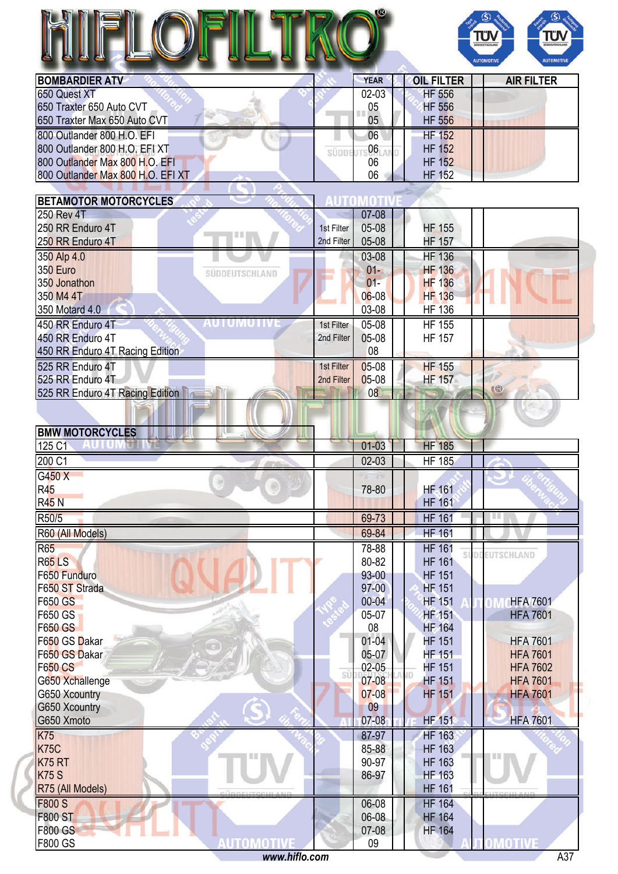

| <b>BOMBARDIER ATV</b>             | <b>YEAR</b> | <b>OIL FILTER</b> | <b>AIR FILTER</b> |
|-----------------------------------|-------------|-------------------|-------------------|
| 650 Quest XT                      | $02 - 03$   | <b>HF 556</b>     |                   |
| 650 Traxter 650 Auto CVT          | 05          | <b>HF 556</b>     |                   |
| 650 Traxter Max 650 Auto CVT      | 05          | <b>HF 556</b>     |                   |
| 800 Outlander 800 H.O. EFI        | 06          | <b>HF 152</b>     |                   |
| 800 Outlander 800 H.O. EFI XT     | 06          | <b>HF 152</b>     |                   |
| 800 Outlander Max 800 H.O. EFI    | 06          | <b>HF 152</b>     |                   |
| 800 Outlander Max 800 H.O. EFI XT | 06          | <b>HF 152</b>     |                   |
|                                   |             |                   |                   |

| <b>BETAMOTOR MOTORCYCLES</b>        |            |           |                     |                 |
|-------------------------------------|------------|-----------|---------------------|-----------------|
| <b>250 Rev 4T</b>                   |            | $07 - 08$ |                     |                 |
| 250 RR Enduro 4T<br><b>EEF</b>      | 1st Filter | 05-08     | <b>HF 155</b>       |                 |
| 250 RR Enduro 4T                    | 2nd Filter | 05-08     | <b>HF 157</b>       |                 |
| 350 Alp 4.0                         |            | 03-08     | <b>HF 136</b>       |                 |
| 350 Euro<br>SÜDDEUTSCHLAND          |            | $01 -$    | <b>HF 136</b>       |                 |
| 350 Jonathon                        |            | $01 -$    | <b>HF 136</b>       |                 |
| 350 M4 4T                           |            | $06 - 08$ | <b>HF 136</b>       |                 |
| 350 Motard 4.0                      |            | 03-08     | <b>HF 136</b>       |                 |
| AUTUMUTIV<br>450 RR Enduro 4T       | 1st Filter | 05-08     | <b>HF 155</b>       |                 |
| 450 RR Enduro 4T                    | 2nd Filter | 05-08     | <b>HF 157</b>       |                 |
| 450 RR Enduro 4T Racing Edition     |            | 08        |                     |                 |
| 525 RR Enduro 4T                    | 1st Filter | 05-08     | <b>HF 155</b>       |                 |
| 525 RR Enduro 4T                    | 2nd Filter | 05-08     | <b>HF 157</b>       |                 |
| 525 RR Enduro 4T Racing Edition     |            | 08        |                     | $\circledR$     |
|                                     |            |           |                     |                 |
|                                     |            |           |                     |                 |
| <b>BMW MOTORCYCLES</b>              |            |           |                     |                 |
| 125 C1                              |            | $01 - 03$ | <b>HF 185</b>       |                 |
| 200 C1                              |            | $02 - 03$ | <b>HF 185</b>       |                 |
| G450 X                              |            |           |                     |                 |
| ⊜<br>R45                            |            | 78-80     | <b>HF</b> 161       |                 |
| <b>R45 N</b>                        |            |           | <b>HF 161</b>       |                 |
| R50/5                               |            | 69-73     | <b>HF 161</b>       | Ш               |
| R60 (All Models)                    |            | 69-84     | <b>HF 161</b>       |                 |
| <b>R65</b>                          |            | 78-88     | <b>HF 161</b>       |                 |
| <b>R65LS</b>                        |            | 80-82     | si<br><b>HF 161</b> | DOEUTSCHLAND    |
| F650 Funduro                        |            | 93-00     | <b>HF 151</b>       |                 |
| F650 ST Strada                      |            | $97 - 00$ | <b>HF 151</b>       |                 |
| F650 GS                             |            | $00 - 04$ | <b>HF 151</b>       | <b>HFA 7601</b> |
| F650 GS                             |            | 05-07     | <b>HF 151</b>       | <b>HFA 7601</b> |
| <b>F650 GS</b>                      |            | 08        | <b>HF 164</b>       |                 |
| F650 GS Dakar                       |            | $01 - 04$ | <b>HF 151</b>       | <b>HFA 7601</b> |
| F650 GS Dakar                       |            | 05-07     | <b>HF 151</b>       | <b>HFA 7601</b> |
| <b>F650 CS</b>                      |            | $02 - 05$ | <b>HF 151</b>       | <b>HFA 7602</b> |
| G650 Xchallenge                     | SÜ         | $07 - 08$ | <b>HF 151</b>       | <b>HFA 7601</b> |
| G650 Xcountry                       |            | $07 - 08$ | <b>HF 151</b>       | <b>HFA 7601</b> |
| G650 Xcountry<br>$\epsilon$         |            | 09        |                     |                 |
| G650 Xmoto                          |            | $07 - 08$ | <b>HF 151</b>       | <b>HFA 7601</b> |
| <b>K75</b>                          |            | 87-97     | <b>HF 163</b>       |                 |
| <b>K75C</b>                         |            | 85-88     | <b>HF 163</b>       |                 |
| <b>K75 RT</b>                       |            | 90-97     | <b>HF 163</b>       |                 |
| <b>K75 S</b>                        |            | 86-97     | <b>HF 163</b>       |                 |
| R75 (All Models)                    |            |           | <b>HF 161</b>       |                 |
| <b>F800 S</b>                       |            | 06-08     | <b>HF 164</b>       |                 |
| <b>F800 ST</b>                      |            | 06-08     | <b>HF 164</b>       |                 |
| <b>F800 GS</b>                      |            | 07-08     | <b>HF 164</b>       |                 |
| <b>AUTOMOTIVE</b><br><b>F800 GS</b> |            | 09        |                     | <b>OMOTIVE</b>  |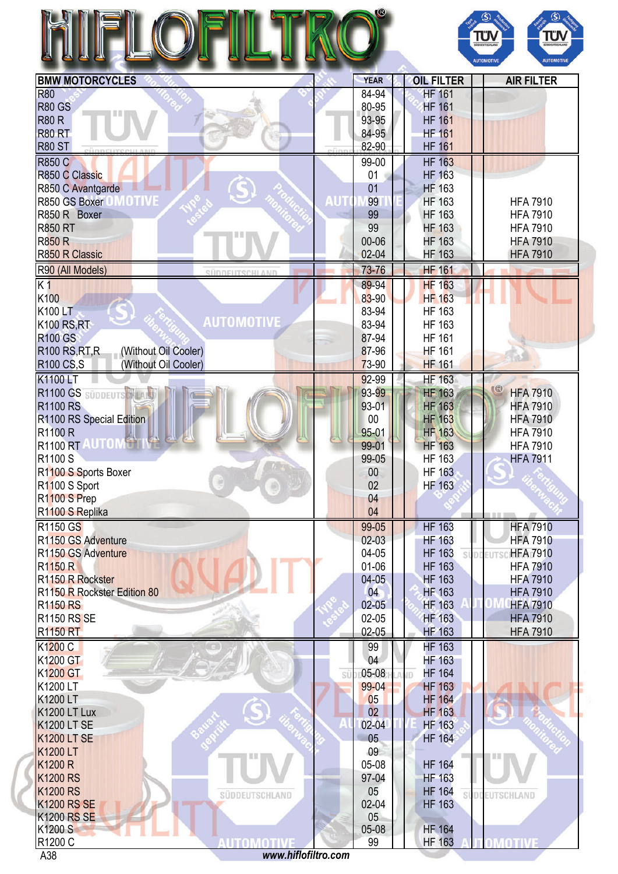|                                                                                                                                                                                                                                                                          |     |                 |                                     | ΤΰΛ<br>TÜV<br><b>JODEUTSCHLA</b><br>SÜDDEUTSCHLAND<br><b>AUTOMOTIVE</b><br><b>AUTOMOTIVI</b> |
|--------------------------------------------------------------------------------------------------------------------------------------------------------------------------------------------------------------------------------------------------------------------------|-----|-----------------|-------------------------------------|----------------------------------------------------------------------------------------------|
| <b>BMW MOTORCYCLES</b>                                                                                                                                                                                                                                                   |     | <b>YEAR</b>     | <b>OIL FILTER</b>                   | <b>AIR FILTER</b>                                                                            |
| <b>R80</b>                                                                                                                                                                                                                                                               |     | 84-94           | <b>HF 161</b>                       |                                                                                              |
| <b>R80 GS</b>                                                                                                                                                                                                                                                            |     | 80-95           | <b>HF 161</b>                       |                                                                                              |
| <b>R80 R</b>                                                                                                                                                                                                                                                             |     | 93-95           | <b>HF 161</b>                       |                                                                                              |
| <b>R80 RT</b>                                                                                                                                                                                                                                                            |     | 84-95           | <b>HF 161</b>                       |                                                                                              |
| <b>R80 ST</b>                                                                                                                                                                                                                                                            |     | 82-90           | <b>HF 161</b>                       |                                                                                              |
| <b>R850 C</b>                                                                                                                                                                                                                                                            |     | 99-00           | <b>HF 163</b>                       |                                                                                              |
| R850 C Classic                                                                                                                                                                                                                                                           |     | 01              | <b>HF 163</b>                       |                                                                                              |
| R850 C Avantgarde                                                                                                                                                                                                                                                        |     | 01              | <b>HF 163</b>                       |                                                                                              |
| <b>R850 GS Boxer DMOTIVE</b>                                                                                                                                                                                                                                             | AUT | 99              | <b>HF 163</b>                       | <b>HFA 7910</b>                                                                              |
| R850 R Boxer                                                                                                                                                                                                                                                             |     | 99              | <b>HF 163</b>                       | <b>HFA 7910</b>                                                                              |
| <b>R850 RT</b>                                                                                                                                                                                                                                                           |     | 99              | <b>HF 163</b>                       | <b>HFA 7910</b>                                                                              |
| <b>R850 R</b>                                                                                                                                                                                                                                                            |     | 00-06           | <b>HF 163</b>                       | <b>HFA 7910</b>                                                                              |
| <b>R850 R Classic</b>                                                                                                                                                                                                                                                    |     | $02 - 04$       | <b>HF 163</b>                       | <b>HFA 7910</b>                                                                              |
| R90 (All Models)<br><b>SÜDDEUTSCHLAND</b>                                                                                                                                                                                                                                |     | 73-76           | <b>HF 161</b>                       |                                                                                              |
| K <sub>1</sub>                                                                                                                                                                                                                                                           |     | 89-94           | <b>HF 163</b>                       |                                                                                              |
| K100                                                                                                                                                                                                                                                                     |     | 83-90           | <b>HF 163</b>                       |                                                                                              |
| K100 LT                                                                                                                                                                                                                                                                  |     | 83-94           | <b>HF 163</b>                       |                                                                                              |
| <b>AUTOMOTIVE</b><br><b>K100 RS, RT</b>                                                                                                                                                                                                                                  |     | 83-94           | <b>HF 163</b>                       |                                                                                              |
| <b>R100 GS</b>                                                                                                                                                                                                                                                           |     | 87-94           | <b>HF 161</b>                       |                                                                                              |
| <b>R100 RS, RT, R</b><br>(Without Oil Cooler)                                                                                                                                                                                                                            |     | 87-96           | <b>HF 161</b>                       |                                                                                              |
| (Without Oil Cooler)<br><b>R100 CS,S</b>                                                                                                                                                                                                                                 |     | 73-90           | <b>HF 161</b>                       |                                                                                              |
| K1100 LT                                                                                                                                                                                                                                                                 |     | 92-99           | <b>HF 163</b>                       |                                                                                              |
| R1100 GS SÜDDEUTS                                                                                                                                                                                                                                                        |     | 93-99           | <b>HF 163</b>                       | G<br><b>HFA 7910</b>                                                                         |
| <b>R1100 RS</b>                                                                                                                                                                                                                                                          |     | 93-01           | <b>HF 163</b>                       | <b>HFA 7910</b>                                                                              |
| R1100 RS Special Edition                                                                                                                                                                                                                                                 |     | 00              | <b>HF 163</b>                       | <b>HFA 7910</b>                                                                              |
| <b>R1100 R</b>                                                                                                                                                                                                                                                           |     | $95 - 01$       | <b>HF 163</b>                       | <b>HFA 7910</b>                                                                              |
| R1100 RT AUTOM                                                                                                                                                                                                                                                           |     | 99-01           | <b>HF 163</b>                       | <b>HFA 7910</b>                                                                              |
| R <sub>1100</sub> S                                                                                                                                                                                                                                                      |     | 99-05           | <b>HF 163</b>                       | <b>HFA 7911</b>                                                                              |
| R1100 S Sports Boxer                                                                                                                                                                                                                                                     |     | $00\,$          | <b>HF 163</b>                       |                                                                                              |
| R1100 S Sport                                                                                                                                                                                                                                                            |     | 02              | <b>HF 163</b>                       |                                                                                              |
| R1100 S Prep                                                                                                                                                                                                                                                             |     | 04              |                                     |                                                                                              |
| R1100 S Replika                                                                                                                                                                                                                                                          |     | 04              |                                     |                                                                                              |
| <b>R1150 GS</b>                                                                                                                                                                                                                                                          |     | 99-05           | <b>HF 163</b>                       | <b>HFA 7910</b>                                                                              |
| R1150 GS Adventure                                                                                                                                                                                                                                                       |     | $02-03$         | <b>HF 163</b>                       | <b>HFA 7910</b>                                                                              |
| R1150 GS Adventure                                                                                                                                                                                                                                                       |     | 04-05           | <b>HF 163</b>                       | <b>HFA 7910</b><br><b>DDEUTS</b>                                                             |
| <b>R1150 R</b>                                                                                                                                                                                                                                                           |     | $01-06$         | <b>HF 163</b>                       | <b>HFA 7910</b>                                                                              |
| R1150 R Rockster                                                                                                                                                                                                                                                         |     | $04 - 05$       | <b>HF 163</b>                       | <b>HFA 7910</b>                                                                              |
|                                                                                                                                                                                                                                                                          |     |                 |                                     | <b>HFA 7910</b>                                                                              |
|                                                                                                                                                                                                                                                                          |     | 04              | <b>HF 163</b>                       |                                                                                              |
|                                                                                                                                                                                                                                                                          |     | $02 - 05$       | <b>HF 163</b>                       | <b>HFA 7910</b>                                                                              |
|                                                                                                                                                                                                                                                                          |     | $02-05$         | <b>HF 163</b>                       | <b>HFA 7910</b>                                                                              |
|                                                                                                                                                                                                                                                                          |     | $02 - 05$       | <b>HF 163</b>                       | <b>HFA 7910</b>                                                                              |
|                                                                                                                                                                                                                                                                          |     |                 |                                     |                                                                                              |
|                                                                                                                                                                                                                                                                          |     | 99<br>04        | <b>HF 163</b>                       |                                                                                              |
|                                                                                                                                                                                                                                                                          | SÜ  | 05-08           | <b>HF 163</b><br><b>HF 164</b><br>m |                                                                                              |
|                                                                                                                                                                                                                                                                          |     | 99-04           | <b>HF 163</b>                       |                                                                                              |
|                                                                                                                                                                                                                                                                          |     | 05              | <b>HF 164</b>                       |                                                                                              |
|                                                                                                                                                                                                                                                                          |     | 02 <sub>2</sub> | <b>HF 163</b>                       |                                                                                              |
|                                                                                                                                                                                                                                                                          |     | $02 - 04$       | <b>HF 163</b>                       |                                                                                              |
|                                                                                                                                                                                                                                                                          |     | 05              | <b>HF 164</b>                       |                                                                                              |
|                                                                                                                                                                                                                                                                          |     | 09              |                                     |                                                                                              |
|                                                                                                                                                                                                                                                                          |     | 05-08           | <b>HF 164</b>                       |                                                                                              |
|                                                                                                                                                                                                                                                                          |     | 97-04           | <b>HF 163</b>                       |                                                                                              |
| R1150 R Rockster Edition 80<br><b>R1150 RS</b>                                                                                                                                                                                                                           |     | 05              | <b>HF 164</b>                       |                                                                                              |
| <b>R1150 RS SE</b><br><b>R1150 RT</b><br>K1200 C<br>K1200 GT<br>K1200 GT<br>K1200 LT<br>K1200 LT<br>K1200 LT Lux<br><b>K1200 LT SE</b><br><b>K1200 LT SE</b><br><b>K1200 LT</b><br>K1200 R<br><b>K1200 RS</b><br><b>K1200 RS</b><br>SÜDDEUTSCHLAND<br><b>K1200 RS SE</b> |     | 02-04           | <b>HF 163</b>                       | SÜDDEUTSCHLAND                                                                               |
|                                                                                                                                                                                                                                                                          |     | 05              |                                     |                                                                                              |
| <b>K1200 RS SE</b><br>K1200 S<br>R1200 C<br>AUTOMOTIVE                                                                                                                                                                                                                   |     | 05-08<br>99     | <b>HF 164</b><br><b>HF 163</b>      | <b>OMOTIVE</b>                                                                               |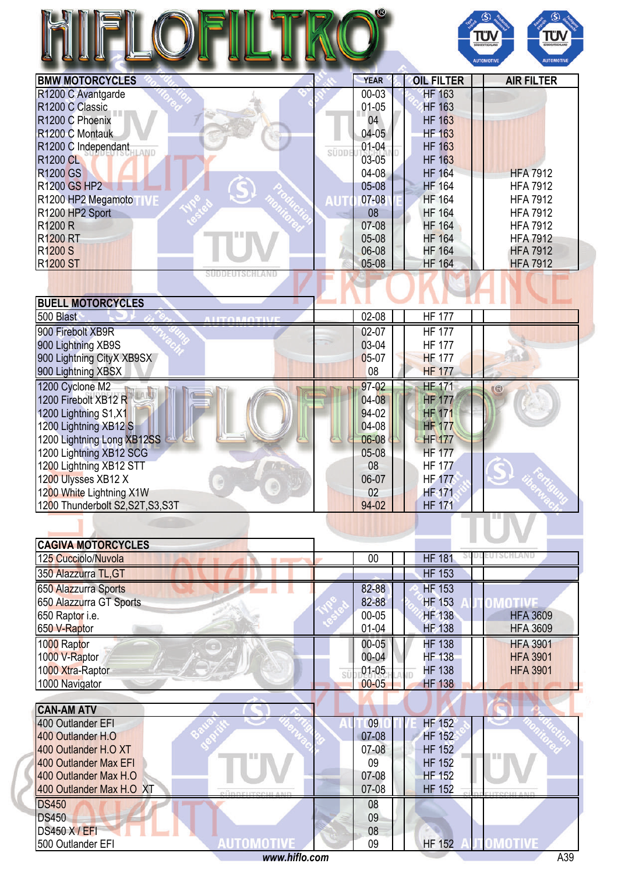

| <b>BMW MOTORCYCLES</b>      |       | <b>YEAR</b> | <b>OIL FILTER</b> | <b>AIR FILTER</b> |
|-----------------------------|-------|-------------|-------------------|-------------------|
| R1200 C Avantgarde          |       | $00 - 03$   | <b>HF 163</b>     |                   |
| R <sub>1200</sub> C Classic |       | 01-05       | <b>HF 163</b>     |                   |
| R1200 C Phoenix             |       | 04          | <b>HF 163</b>     |                   |
| R1200 C Montauk             |       | 04-05       | <b>HF 163</b>     |                   |
| R1200 C Independant         | süppi | $01 - 04$   | <b>HF 163</b>     |                   |
| <b>R1200 CL</b>             |       | 03-05       | <b>HF 163</b>     |                   |
| <b>R1200 GS</b>             |       | $04 - 08$   | <b>HF 164</b>     | <b>HFA 7912</b>   |
| <b>R1200 GS HP2</b>         |       | $05 - 08$   | <b>HF 164</b>     | <b>HFA 7912</b>   |
| R1200 HP2 Megamoto          |       | $07 - 08$   | <b>HF 164</b>     | <b>HFA 7912</b>   |
| R1200 HP2 Sport             |       | 08          | <b>HF 164</b>     | <b>HFA 7912</b>   |
| <b>R1200 R</b>              |       | $07-08$     | <b>HF 164</b>     | <b>HFA 7912</b>   |
| <b>R1200 RT</b>             |       | $05-08$     | <b>HF 164</b>     | <b>HFA 7912</b>   |
| <b>R1200 S</b>              |       | 06-08       | <b>HF 164</b>     | <b>HFA 7912</b>   |
| <b>R1200 ST</b>             |       | $05-08$     | <b>HF 164</b>     | <b>HFA 7912</b>   |

. .

| <b>BUELL MOTORCYCLES</b>          |           |               |  |
|-----------------------------------|-----------|---------------|--|
| 500 Blast                         | $02 - 08$ | <b>HF 177</b> |  |
| 900 Firebolt XB9R                 | 02-07     | <b>HF 177</b> |  |
| 900 Lightning XB9S                | 03-04     | <b>HF 177</b> |  |
| 900 Lightning CityX XB9SX         | $05-07$   | <b>HF 177</b> |  |
| 900 Lightning XBSX                | 08        | <b>HF 177</b> |  |
| 1200 Cyclone M2                   | 97-02     | <b>HF 171</b> |  |
| 1200 Firebolt XB12 R              | $04 - 08$ | <b>HF 177</b> |  |
| 1200 Lightning S1, X1             | 94-02     | <b>HF 171</b> |  |
| 1200 Lightning XB12 S             | 04-08     | <b>HF 177</b> |  |
| 1200 Lightning Long XB12SS        | 06-08     | <b>HF 177</b> |  |
| 1200 Lightning XB12 SCG           | $05-08$   | <b>HF 177</b> |  |
| 1200 Lightning XB12 STT           | 08        | <b>HF 177</b> |  |
| 1200 Ulysses XB12 X               | 06-07     | <b>HF 177</b> |  |
| 1200 White Lightning X1W          | 02        | <b>HF-171</b> |  |
| 1200 Thunderbolt S2, S2T, S3, S3T | 94-02     | <b>HF 171</b> |  |
|                                   |           |               |  |

| <b>CAGIVA MOTORCYCLES</b> |           |               |                 |
|---------------------------|-----------|---------------|-----------------|
| 125 Cucciolo/Nuvola       | 00        | <b>HF 181</b> |                 |
| 350 Alazzurra TL, GT      |           | <b>HF 153</b> |                 |
| 650 Alazzurra Sports      | 82-88     | <b>HF 153</b> |                 |
| 650 Alazzurra GT Sports   | 82-88     | <b>HF 153</b> |                 |
| 650 Raptor i.e.           | $00 - 05$ | <b>HF 138</b> | <b>HFA 3609</b> |
| 650 V-Raptor              | $01 - 04$ | <b>HF 138</b> | <b>HFA 3609</b> |
| 1000 Raptor               | $00 - 05$ | <b>HF 138</b> | <b>HFA 3901</b> |
| 1000 V-Raptor             | $00 - 04$ | <b>HF 138</b> | <b>HFA 3901</b> |
| 1000 Xtra-Raptor          | $01 - 05$ | <b>HF 138</b> | <b>HFA 3901</b> |
| 1000 Navigator            | $00 - 05$ | <b>HF 138</b> |                 |

| <b>CAN-AM ATV</b>        |  |           |               |  |
|--------------------------|--|-----------|---------------|--|
| 400 Outlander EFI        |  | 09        | HF 152        |  |
| 400 Outlander H.O.       |  | $07 - 08$ | <b>HF 152</b> |  |
| 400 Outlander H.O XT     |  | 07-08     | <b>HF 152</b> |  |
| 400 Outlander Max EFI    |  | 09        | <b>HF 152</b> |  |
| 400 Outlander Max H.O    |  | 07-08     | <b>HF 152</b> |  |
| 400 Outlander Max H.O XT |  | 07-08     | <b>HF 152</b> |  |
| <b>DS450</b>             |  | 08        |               |  |
| <b>DS450</b>             |  | 09        |               |  |
| <b>DS450 X/EFI</b>       |  | 08        |               |  |
| 500 Outlander EFI        |  | 09        | <b>HF 152</b> |  |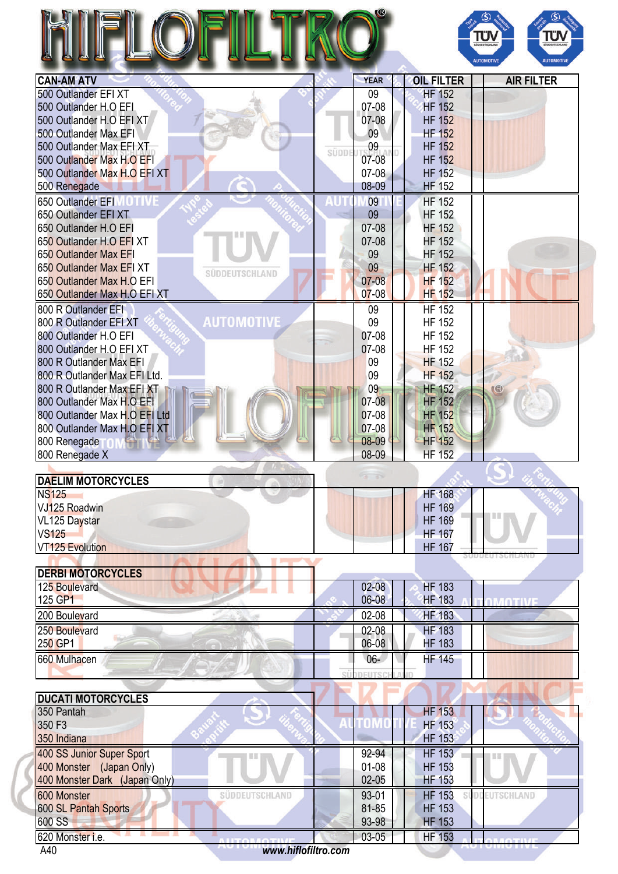|                                                       |       |                |                                | ΤÜΝ<br><b>SÜDDEUTSCHLAN</b><br><b>AUTOMOTIVE</b> | Τΰ<br><b>AUTOMOTIV</b> |
|-------------------------------------------------------|-------|----------------|--------------------------------|--------------------------------------------------|------------------------|
| <b>CAN-AM ATV</b>                                     |       | <b>YEAR</b>    | <b>OIL FILTER</b>              |                                                  | <b>AIR FILTER</b>      |
| 500 Outlander EFI XT                                  |       | 09             | <b>HF 152</b>                  |                                                  |                        |
| 500 Outlander H.O EFI                                 |       | 07-08          | <b>HF 152</b>                  |                                                  |                        |
| 500 Outlander H.O EFI XT                              |       | 07-08          | <b>HF 152</b>                  |                                                  |                        |
| 500 Outlander Max EFI                                 |       | 09             | <b>HF 152</b>                  |                                                  |                        |
| 500 Outlander Max EFI XT                              | SÜDDE | 09             | <b>HF 152</b>                  |                                                  |                        |
| 500 Outlander Max H.O EFI                             |       | 07-08          | <b>HF 152</b>                  |                                                  |                        |
| 500 Outlander Max H.O EFI XT                          |       | 07-08          | <b>HF 152</b>                  |                                                  |                        |
| 500 Renegade                                          |       | 08-09          | <b>HF 152</b>                  |                                                  |                        |
| 650 Outlander EFIM OTIVE                              |       | 09             | <b>HF 152</b>                  |                                                  |                        |
| 650 Outlander EFI XT                                  |       | 09             | <b>HF 152</b>                  |                                                  |                        |
| 650 Outlander H.O EFI                                 |       | 07-08          | <b>HF 152</b>                  |                                                  |                        |
| 650 Outlander H.O EFI XT                              |       | 07-08          | <b>HF 152</b>                  |                                                  |                        |
| 650 Outlander Max EFI                                 |       | 09             | <b>HF 152</b>                  |                                                  |                        |
| 650 Outlander Max EFI XT<br>SÜDDEUTSCHLAND            |       | 09             | <b>HF 152</b>                  |                                                  |                        |
| 650 Outlander Max H.O EFI                             |       | $07 - 08$      | <b>HF 152</b>                  |                                                  |                        |
| 650 Outlander Max H.O EFI XT                          |       | $07 - 08$      | <b>HF 152</b>                  |                                                  |                        |
| 800 R Outlander EFI                                   |       | 09             | <b>HF 152</b>                  |                                                  |                        |
| <b>AUTOMOTIVE</b><br>800 R Outlander EFI XT           |       | 09             | <b>HF 152</b>                  |                                                  |                        |
| 800 Outlander H.O EFI                                 |       | 07-08          | <b>HF 152</b>                  |                                                  |                        |
| 800 Outlander H.O EFI XT                              |       | 07-08          | <b>HF 152</b>                  |                                                  |                        |
| 800 R Outlander Max EFI                               |       | 09             | <b>HF 152</b>                  |                                                  |                        |
| 800 R Outlander Max EFI Ltd.                          |       | 09             | <b>HF 152</b>                  |                                                  |                        |
| 800 R Outlander Max EFI XT                            |       | 09             | <b>HF 152</b>                  | G                                                |                        |
| 800 Outlander Max H.O EFI                             |       | 07-08          | <b>HF 152</b>                  |                                                  |                        |
| 800 Outlander Max H.O EFI Ltd                         |       | 07-08          | <b>HF 152</b>                  |                                                  |                        |
| 800 Outlander Max H.O EFI XT                          |       | 07-08          | <b>HF 152</b>                  |                                                  |                        |
| 800 Renegade                                          |       | 08-09          | <b>HF 152</b>                  |                                                  |                        |
| 800 Renegade X                                        |       | 08-09          | <b>HF 152</b>                  |                                                  |                        |
| <b>DAELIM MOTORCYCLES</b>                             |       | $\mathbb{R}^2$ |                                |                                                  |                        |
| <b>NS125</b>                                          |       |                | <b>HF 168</b>                  |                                                  |                        |
| VJ125 Roadwin                                         |       |                | <b>HF 169</b>                  | ш                                                |                        |
| VL125 Daystar                                         |       |                | <b>HF 169</b>                  |                                                  |                        |
| <b>VS125</b>                                          |       |                | <b>HF 167</b>                  |                                                  |                        |
| <b>VT125 Evolution</b>                                |       |                | <b>HF 167</b>                  |                                                  |                        |
| <b>The Contract State</b><br><b>DERBI MOTORCYCLES</b> |       |                |                                |                                                  |                        |
| 125 Boulevard                                         |       | $02 - 08$      | <b>HF 183</b>                  |                                                  |                        |
| 125 GP1                                               |       | 06-08          | <b>HF 183</b>                  | <b>OMOTIVE</b>                                   |                        |
| 200 Boulevard                                         |       | 02-08          | <b>HF 183</b>                  |                                                  |                        |
| 250 Boulevard                                         |       | 02-08          | <b>HF 183</b>                  |                                                  |                        |
| 250 GP1                                               |       | 06-08          | <b>HF 183</b>                  |                                                  |                        |
| 660 Mulhacen                                          |       | $06 -$         | <b>HF 145</b>                  |                                                  |                        |
|                                                       | ςí    | <b>DEUTSO</b>  |                                |                                                  |                        |
|                                                       |       |                |                                |                                                  |                        |
| <b>DUCATI MOTORCYCLES</b>                             |       |                |                                |                                                  |                        |
| 350 Pantah                                            |       |                | <b>HF 153</b>                  |                                                  |                        |
| 350 F3                                                |       | TOMO           | <b>HF 153</b>                  |                                                  |                        |
| 350 Indiana                                           |       |                | <b>HF 153</b>                  |                                                  |                        |
| 400 SS Junior Super Sport                             |       | 92-94          | <b>HF 153</b>                  |                                                  |                        |
| 400 Monster (Japan Only)                              |       | $01-08$        | <b>HF 153</b>                  |                                                  |                        |
| 400 Monster Dark (Japan Only)                         |       | $02-05$        | <b>HF 153</b>                  |                                                  |                        |
| 600 Monster<br>SÜDDEUTSCHLAND                         |       | 93-01          | <b>HF 153</b>                  | SUDDEUTSCHLAND                                   |                        |
|                                                       |       |                |                                |                                                  |                        |
|                                                       |       |                |                                |                                                  |                        |
| 600 SL Pantah Sports                                  |       | 81-85          | <b>HF 153</b>                  |                                                  |                        |
| 600 SS<br>620 Monster i.e.                            |       | 93-98<br>03-05 | <b>HF 153</b><br><b>HF 153</b> |                                                  |                        |

A40 *<www.hiflofiltro.com>*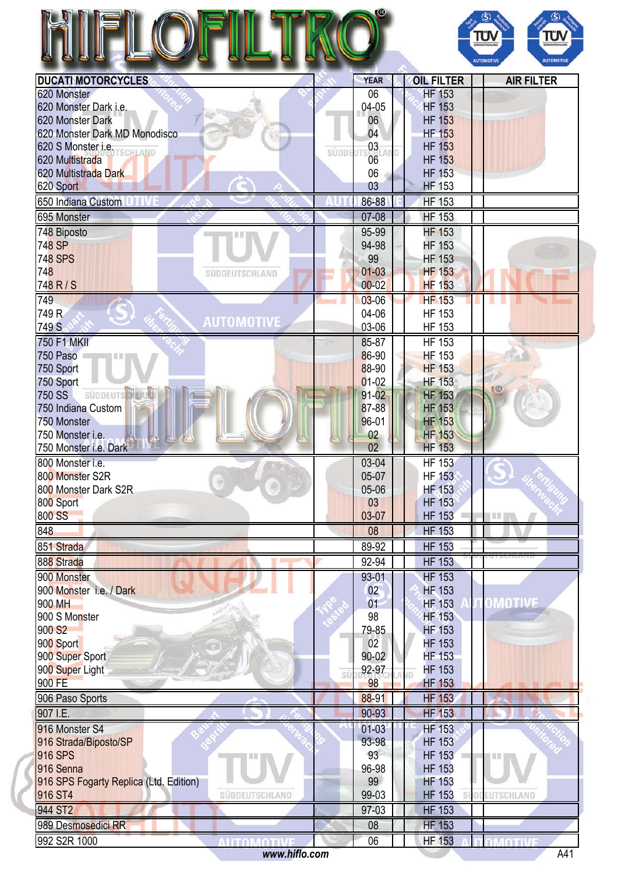|                                                                     |       |                  |                                | ΤÜΝ<br>ΤÜ<br><b>GOODSTSCHLA</b><br><b>SÚDDEUTSCHLAND</b><br>AUTOMOTIVI<br><b>AUTOMOTIVE</b> |
|---------------------------------------------------------------------|-------|------------------|--------------------------------|---------------------------------------------------------------------------------------------|
| <b>DUCATI MOTORCYCLES</b>                                           |       | <b>YEAR</b>      | <b>OIL FILTER</b>              | <b>AIR FILTER</b>                                                                           |
| 620 Monster                                                         |       | 06               | <b>HF 153</b>                  |                                                                                             |
| 620 Monster Dark i.e.                                               |       | 04-05            | <b>HF 153</b>                  |                                                                                             |
| 620 Monster Dark                                                    |       | 06               | <b>HF 153</b>                  |                                                                                             |
| 620 Monster Dark MD Monodisco                                       |       | 04               | <b>HF 153</b>                  |                                                                                             |
| 620 S Monster i.e. TSCHLAND                                         | SÜDDE | 03               | <b>HF 153</b>                  |                                                                                             |
| 620 Multistrada                                                     |       | 06               | <b>HF 153</b>                  |                                                                                             |
| 620 Multistrada Dark                                                |       | 06               | <b>HF 153</b>                  |                                                                                             |
| 620 Sport                                                           |       | 03               | <b>HF 153</b>                  |                                                                                             |
| 650 Indiana Custom                                                  |       | 86-88            | <b>HF 153</b>                  |                                                                                             |
| 695 Monster                                                         |       | 07-08            | <b>HF 153</b>                  |                                                                                             |
| 748 Biposto                                                         |       | 95-99            | <b>HF 153</b>                  |                                                                                             |
| 748 SP<br><b>748 SPS</b>                                            |       | 94-98<br>99      | <b>HF 153</b><br><b>HF 153</b> |                                                                                             |
| 748<br>SÜDDEUTSCHLAND                                               |       | $01 - 03$        | <b>HF 153</b>                  |                                                                                             |
| 748 R/S                                                             |       | $00 - 02$        | <b>HF 153</b>                  |                                                                                             |
| 749                                                                 |       | $03 - 06$        | <b>HF 153</b>                  |                                                                                             |
| 749 R                                                               |       | 04-06            | <b>HF 153</b>                  |                                                                                             |
| <b>AUTOMOTIVE</b><br>749 S                                          |       | 03-06            | <b>HF 153</b>                  |                                                                                             |
| <b>750 F1 MKII</b>                                                  |       | 85-87            | <b>HF 153</b>                  |                                                                                             |
| 750 Paso                                                            |       | 86-90            | <b>HF 153</b>                  |                                                                                             |
| 750 Sport                                                           |       | 88-90            | <b>HF 153</b>                  |                                                                                             |
| 750 Sport                                                           |       | $01 - 02$        | <b>HF 153</b>                  | G                                                                                           |
| <b>SÜDDEUTS</b><br>750 SS                                           |       | $91 - 02$        | <b>HF 153</b>                  |                                                                                             |
| 750 Indiana Custom                                                  |       | 87-88            | <b>HF 153</b>                  |                                                                                             |
| 750 Monster                                                         |       | 96-01            | <b>HF 153</b>                  |                                                                                             |
| 750 Monster i.e.<br>750 Monster i.e. Dark                           |       | 02<br>02         | <b>HF</b> 153<br><b>HF 153</b> |                                                                                             |
| 800 Monster i.e.                                                    |       | 03-04            | <b>HF 153</b>                  |                                                                                             |
| 800 Monster S2R                                                     |       | 05-07            | <b>HF 153</b>                  |                                                                                             |
| 800 Monster Dark S2R                                                |       | 05-06            | <b>HF</b> 153                  |                                                                                             |
| 800 Sport                                                           |       | 03               | <b>HF 153</b>                  |                                                                                             |
| 800 SS                                                              |       | 03-07            | <b>HF 153</b>                  | THE .                                                                                       |
| 848                                                                 |       | 08               | <b>HF 153</b>                  |                                                                                             |
| 851 Strada                                                          |       | 89-92            | <b>HF 153</b>                  |                                                                                             |
| 888 Strada                                                          |       | 92-94            | <b>HF 153</b>                  |                                                                                             |
| 900 Monster                                                         |       | 93-01            | <b>HF 153</b>                  |                                                                                             |
| 900 Monster i.e. / Dark                                             |       | 02               | <b>HF 153</b>                  |                                                                                             |
| 900 MH                                                              |       | 01               | <b>HF 153</b>                  | <b>OMOTIVE</b>                                                                              |
| 900 S Monster                                                       |       | 98               | <b>HF 153</b>                  |                                                                                             |
| 900 S <sub>2</sub>                                                  |       | 79-85            | <b>HF 153</b>                  |                                                                                             |
| 900 Sport                                                           |       | 02               | <b>HF 153</b>                  |                                                                                             |
| 900 Super Sport                                                     |       | 90-02            | <b>HF 153</b>                  |                                                                                             |
| 900 Super Light<br>900 FE                                           | SÜ    | 92-97<br>98      | <b>HF 153</b><br><b>HF 153</b> |                                                                                             |
| 906 Paso Sports                                                     |       | 88-91            | <b>HF 153</b>                  |                                                                                             |
| 907 I.E.                                                            |       | 90-93            | <b>HF 153</b>                  |                                                                                             |
|                                                                     |       |                  |                                |                                                                                             |
| 916 Monster S4<br>916 Strada/Biposto/SP                             |       | $01-03$<br>93-98 | <b>HF 153</b><br><b>HF 153</b> |                                                                                             |
| <b>916 SPS</b>                                                      |       | 93               | <b>HF 153</b>                  |                                                                                             |
| 916 Senna                                                           |       | 96-98            | <b>HF 153</b>                  |                                                                                             |
|                                                                     |       | 99               | <b>HF 153</b>                  |                                                                                             |
|                                                                     |       |                  | <b>HF 153</b>                  | UTSCHLAND                                                                                   |
| 916 SPS Fogarty Replica (Ltd. Edition)<br>916 ST4<br>SÜDDEUTSCHLAND |       | 99-03            |                                |                                                                                             |
| 944 ST2                                                             |       | 97-03            | <b>HF 153</b>                  |                                                                                             |
| 989 Desmosedici RR                                                  |       | 08               | <b>HF 153</b>                  |                                                                                             |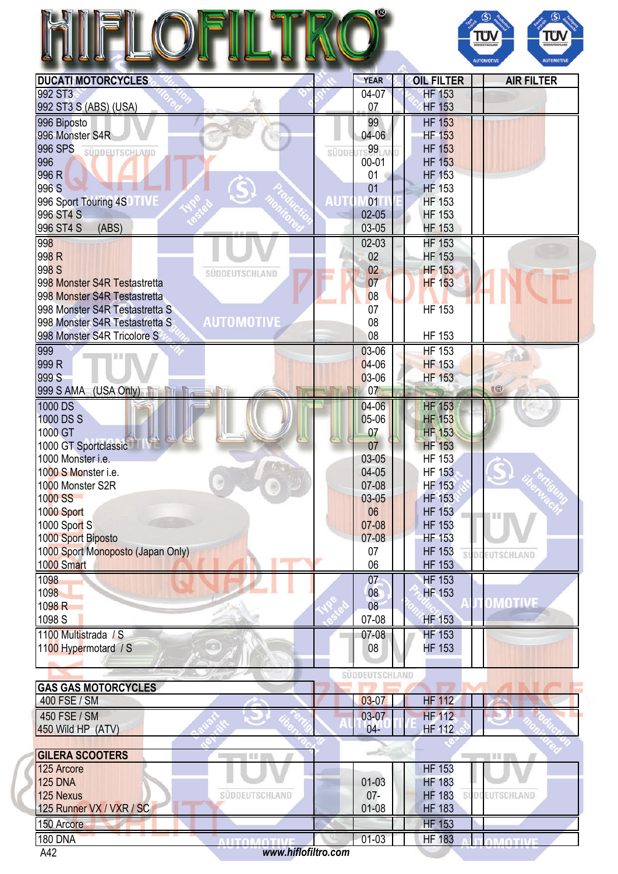|                           | w           | SÜDDEUTSCHLAND<br><b>AUTOMOTIVE</b> | <b>SUDDEUTS</b><br><b>AUTOM</b> |
|---------------------------|-------------|-------------------------------------|---------------------------------|
| <b>DUCATI MOTORCYCLES</b> | <b>YEAR</b> | <b>OIL FILTER</b>                   | <b>AIR FILTER</b>               |
|                           |             |                                     |                                 |



**MOTIVE** 

| <b>DUCATIMOTORCYCLES</b>                            |       | TEAR           | <b>UIL FILIER</b> | AIR FILIER     |
|-----------------------------------------------------|-------|----------------|-------------------|----------------|
| 992 ST3                                             |       | 04-07          | <b>HF 153</b>     |                |
| 992 ST3 S (ABS) (USA)                               |       | 07             | <b>HF 153</b>     |                |
| 996 Biposto                                         |       | 99             | <b>HF 153</b>     |                |
| 996 Monster S4R                                     |       | 04-06          | <b>HF 153</b>     |                |
| 996 SPS                                             |       | 99             | <b>HF 153</b>     |                |
| SÜDDEUTSCHLAND<br>996                               | SÜDDI | $00 - 01$      | <b>HF 153</b>     |                |
| 996 R                                               |       | 01             | <b>HF 153</b>     |                |
|                                                     |       |                |                   |                |
| 996 S                                               |       | 01             | <b>HF 153</b>     |                |
| 996 Sport Touring 4S<br><b>TIVE</b>                 | AUT   | 01             | <b>HF 153</b>     |                |
| 996 ST4 S                                           |       | $02 - 05$      | <b>HF 153</b>     |                |
| 996 ST4 S<br>(ABS)                                  |       | 03-05          | <b>HF 153</b>     |                |
| 998                                                 |       | $02-03$        | <b>HF 153</b>     |                |
| 998 R                                               |       | 02             | <b>HF 153</b>     |                |
| 998 S<br>SÜDDEUTSCHLAND                             |       | 02             | <b>HF 153</b>     |                |
| 998 Monster S4R Testastretta                        |       | 07             | <b>HF 153</b>     |                |
| 998 Monster S4R Testastretta                        |       | 08             |                   |                |
| 998 Monster S4R Testastretta S                      |       | 07             | <b>HF 153</b>     |                |
| <b>AUTOMOTIVE</b><br>998 Monster S4R Testastretta S |       | 08             |                   |                |
|                                                     |       |                |                   |                |
| 998 Monster S4R Tricolore S                         |       | 08             | <b>HF 153</b>     |                |
| 999                                                 |       | 03-06          | $HF$ 153          |                |
| 999 R                                               |       | $04-06$        | <b>HF 153</b>     |                |
| 999 S                                               |       | $03-06$        | <b>HF 153</b>     |                |
| 999 S AMA (USA Only)<br><b>THE Reserve</b>          |       | 07             |                   | (              |
| 1000 DS                                             |       | 04-06          | <b>HF 153</b>     |                |
| 1000 DS S                                           |       | 05-06          | <b>HF 153</b>     |                |
| 1000 GT                                             |       | 07             | <b>HF 153</b>     |                |
| 1000 GT Sportclassic                                |       | 07             | <b>HF 153</b>     |                |
| 1000 Monster i.e.                                   |       | 03-05          | <b>HF 153</b>     |                |
|                                                     |       |                |                   |                |
| 1000 S Monster i.e.                                 |       | 04-05          | <b>HF 153</b>     |                |
| 1000 Monster S2R                                    |       | 07-08          | <b>HF 153</b>     |                |
| 1000 SS                                             |       | $03 - 05$      | <b>HF 153</b>     |                |
| 1000 Sport                                          |       | 06             | <b>HF 153</b>     | I II II        |
| 1000 Sport S                                        |       | 07-08          | <b>HF 153</b>     |                |
| 1000 Sport Biposto                                  |       | 07-08          | <b>HF 153</b>     |                |
| 1000 Sport Monoposto (Japan Only)                   |       | 07             | <b>HF 153</b>     | SÜDDEUTSCHLAND |
| 1000 Smart                                          |       | 06             | <b>HF 153</b>     |                |
| 1098                                                |       | 07             | <b>HF 153</b>     |                |
| 1098                                                |       | 08             | <b>HF 153</b>     |                |
| 1098 R                                              |       | 08             |                   | OMOTIVE        |
|                                                     |       |                |                   |                |
| 1098 S                                              |       | 07-08          | <b>HF 153</b>     |                |
| 1100 Multistrada / S                                |       | $07 - 08$      | <b>HF 153</b>     |                |
| 1100 Hypermotard / S                                |       | 08             | <b>HF 153</b>     |                |
|                                                     |       |                |                   |                |
|                                                     |       | SÜDDEUTSCHLAND |                   |                |
| <b>GAS GAS MOTORCYCLES</b>                          |       |                |                   |                |
|                                                     |       |                |                   |                |

| IUAJ UAJ MUTUKUTULEJ.    |                |           |               |  |
|--------------------------|----------------|-----------|---------------|--|
| 400 FSE / SM             |                | 03-07     | <b>HF 112</b> |  |
| 450 FSE / SM             |                | 03-07     | <b>HF 112</b> |  |
| 450 Wild HP (ATV)        |                | $04 -$    | HF 112        |  |
|                          |                |           |               |  |
| <b>GILERA SCOOTERS</b>   |                |           |               |  |
| 125 Arcore               |                |           | <b>HF 153</b> |  |
| <b>125 DNA</b>           |                | $01 - 03$ | <b>HF 183</b> |  |
| 125 Nexus                | SÜDDEUTSCHLAND | $07 -$    | <b>HF 183</b> |  |
| 125 Runner VX / VXR / SC |                | $01 - 08$ | <b>HF 183</b> |  |

180 DNA 642 www.hiflofiltro.com 1842 A42 *<www.hiflofiltro.com>*

150 Arcore HF 153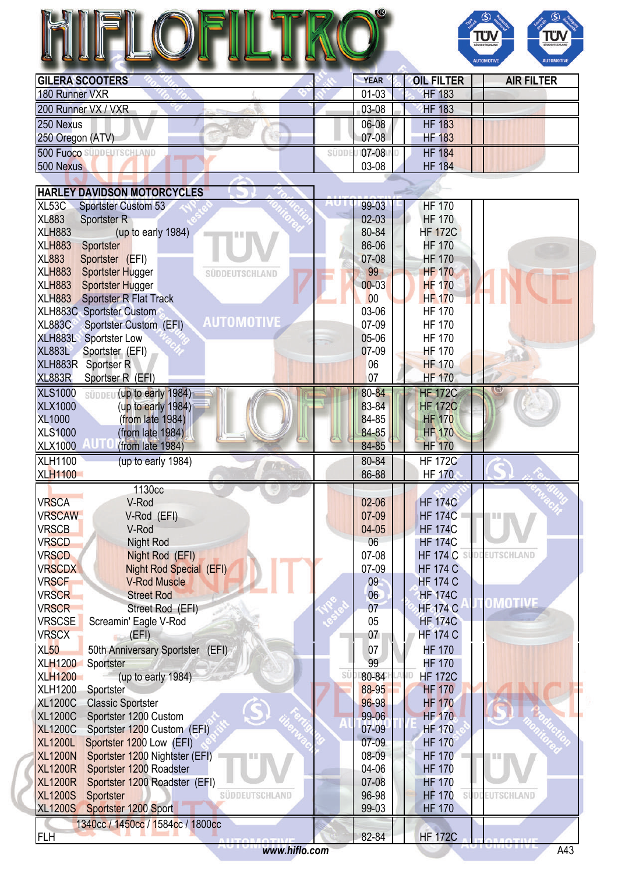## HIFLOFILT RO®



| <b>GILERA SCOOTERS</b> | <b>YEAR</b> | <b>OIL FILTER</b> | <b>AIR FILTER</b> |
|------------------------|-------------|-------------------|-------------------|
| 180 Runner VXR         | $01 - 03$   | <b>HF 183</b>     |                   |
| 200 Runner VX / VXR    | 03-08       | <b>HF 183</b>     |                   |
| 250 Nexus              | 06-08       | <b>HF 183</b>     |                   |
| 250 Oregon (ATV)       | $07 - 08$   | <b>HF 183</b>     |                   |
| 500 Fuoco              | 07-08       | <b>HF 184</b>     |                   |
| 500 Nexus              | 03-08       | <b>HF 184</b>     |                   |

| <b>HARLEY DAVIDSON MOTORCYCLES</b>                           |                                                |
|--------------------------------------------------------------|------------------------------------------------|
| XL53C                                                        | 99-03                                          |
| <b>Sportster Custom 53</b>                                   | <b>HF 170</b>                                  |
| <b>XL883</b>                                                 | $02-03$                                        |
| <b>Sportster R</b>                                           | <b>HF 170</b>                                  |
| <b>XLH883</b>                                                | 80-84                                          |
| (up to early 1984)                                           | <b>HF 172C</b>                                 |
| <b>XLH883</b>                                                | 86-06                                          |
| Sportster                                                    | <b>HF 170</b>                                  |
| <b>XL883</b>                                                 | <b>HF 170</b>                                  |
| Sportster (EFI)                                              | 07-08                                          |
| <b>XLH883</b><br><b>Sportster Hugger</b><br>SÜDDEUTSCHLAND   | 99<br><b>HF 170</b>                            |
| <b>XLH883</b>                                                | <b>HF 170</b>                                  |
| <b>Sportster Hugger</b>                                      | $00 - 03$                                      |
| XLH883 Sportster R Flat Track                                | <b>HF 170</b><br>00                            |
| XLH883C Sportster Custom                                     | 03-06<br><b>HF 170</b>                         |
| <b>AUTOMOTIVE</b><br><b>XL883C</b><br>Sportster Custom (EFI) | 07-09<br><b>HF 170</b>                         |
| XLH883L Sportster Low                                        | 05-06<br><b>HF 170</b>                         |
| <b>XL883L</b>                                                | 07-09                                          |
| Sportster (EFI)                                              | <b>HF 170</b>                                  |
| XLH883R Sportser R                                           | 06<br><b>HF 170</b>                            |
| <b>XL883R</b>                                                | 07                                             |
| Sportser R (EFI)                                             | <b>HF 170</b>                                  |
| <b>XLS1000</b>                                               | 80-84                                          |
| süpper (up to early 1984)                                    | <b>HF 172C</b>                                 |
| <b>XLX1000</b>                                               | 83-84                                          |
| (up to early 1984)                                           | <b>HF 172C</b>                                 |
| <b>XL1000</b>                                                | 84-85                                          |
| (from late 1984)                                             | <b>HF 170</b>                                  |
| <b>XLS1000</b>                                               | 84-85                                          |
| (from late 1984)                                             | <b>HF 170</b>                                  |
| <b>XLX1000</b>                                               | 84-85                                          |
| (from late 1984)                                             | <b>HF 170</b>                                  |
| <b>XLH1100</b>                                               | 80-84                                          |
| (up to early 1984)                                           | <b>HF 172C</b>                                 |
| <b>XLH1100</b>                                               | 86-88<br><b>HF 170</b>                         |
| 1130cc                                                       |                                                |
| <b>VRSCA</b>                                                 | 02-06                                          |
| V-Rod                                                        | <b>HF 174C</b>                                 |
| <b>VRSCAW</b>                                                | 07-09                                          |
| V-Rod (EFI)                                                  | <b>HF 174C</b>                                 |
| <b>VRSCB</b>                                                 | 04-05                                          |
| V-Rod                                                        | <b>HF 174C</b>                                 |
| <b>VRSCD</b>                                                 | 06                                             |
| Night Rod                                                    | <b>HF 174C</b>                                 |
| <b>VRSCD</b><br>Night Rod (EFI)                              | 07-08<br><b>HF 174 C</b><br>SUDD<br>EUTSCHLAND |
| <b>VRSCDX</b>                                                | $07-09$                                        |
| <b>Night Rod Special (EFI)</b>                               | <b>HF 174 C</b>                                |
| <b>VRSCF</b>                                                 | 09                                             |
| <b>V-Rod Muscle</b>                                          | <b>HF 174 C</b>                                |
| <b>VRSCR</b>                                                 | 06                                             |
| <b>Street Rod</b>                                            | <b>HF 174C</b>                                 |
| <b>VRSCR</b><br>Street Rod (EFI)                             | OMOTIVE<br>07<br><b>HF 174 C</b>               |
| <b>VRSCSE</b>                                                | 05                                             |
| Screamin' Eagle V-Rod                                        | <b>HF 174C</b>                                 |
| <b>VRSCX</b>                                                 | <b>HF 174 C</b>                                |
| (EFI)                                                        | 07                                             |
| <b>XL50</b>                                                  | 07                                             |
| 50th Anniversary Sportster (EFI)                             | <b>HF 170</b>                                  |
| XLH1200 Sportster                                            | 99<br>HF 170                                   |
| (up to early 1984)<br><b>XLH1200</b>                         | SÜ<br>80-84<br><b>HF 172C</b>                  |
| <b>XLH1200</b>                                               | 88-95                                          |
| Sportster                                                    | <b>HF 170</b>                                  |
| <b>XL1200C</b>                                               | 96-98                                          |
| <b>Classic Sportster</b>                                     | <b>HF 170</b>                                  |
| <b>XL1200C</b>                                               | 99-06                                          |
| Sportster 1200 Custom                                        | <b>HF 170</b>                                  |
| <b>XL1200C</b>                                               | 07-09                                          |
| Sportster 1200 Custom (EFI)                                  | <b>HF 170</b>                                  |
| <b>XL1200L</b>                                               | $07 - 09$                                      |
| Sportster 1200 Low (EFI)                                     | <b>HF 170</b>                                  |
| <b>XL1200N</b><br>Sportster 1200 Nightster (EFI)             | 08-09<br><b>HF 170</b><br>199                  |
| <b>XL1200R</b>                                               | 04-06                                          |
| Sportster 1200 Roadster                                      | <b>HF 170</b>                                  |
| <b>XL1200R</b>                                               | 07-08                                          |
| Sportster 1200 Roadster (EFI)                                | <b>HF 170</b>                                  |
| <b>XL1200S</b><br>Sportster<br>SÜDDEUTSCHLAND                | EUTSCHLAND                                     |
|                                                              |                                                |
|                                                              | 96-98<br><b>HF 170</b>                         |
| XL1200S Sportster 1200 Sport                                 | 99-03<br><b>HF 170</b>                         |
| 1340cc / 1450cc / 1584cc / 1800cc                            | 82-84                                          |
| FLH                                                          | <b>HF 172C</b>                                 |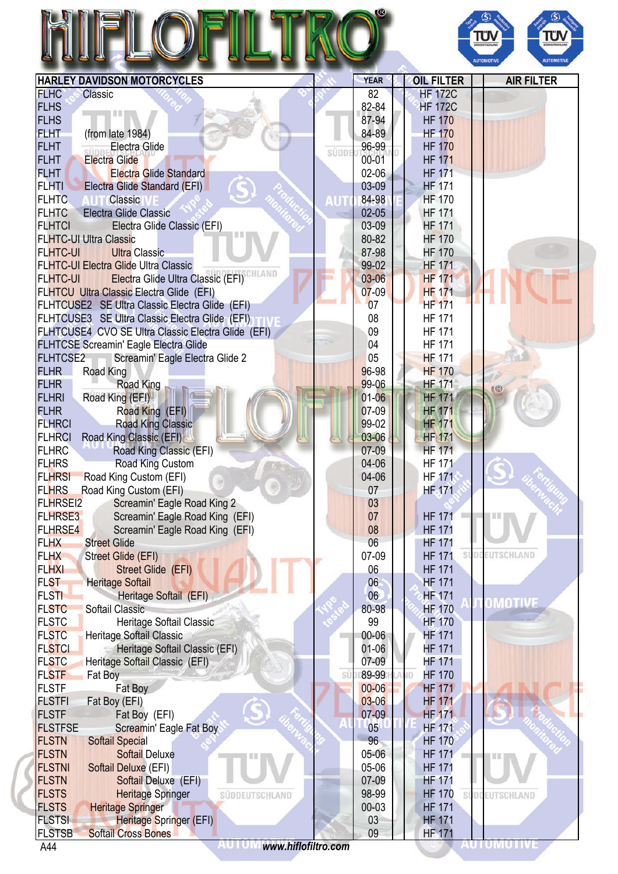|                                                                                         |       |                |                                | ΤÜ<br>Ù<br><b>JODEUTSCHLAM</b><br><b>AUTOMOTIVE</b><br><b>AUTOMOTIVI</b> |
|-----------------------------------------------------------------------------------------|-------|----------------|--------------------------------|--------------------------------------------------------------------------|
| <b>HARLEY DAVIDSON MOTORCYCLES</b>                                                      |       | <b>YEAR</b>    | <b>OIL FILTER</b>              | <b>AIR FILTER</b>                                                        |
| <b>FLHC</b><br>Classic                                                                  |       | 82             | <b>HF 172C</b>                 |                                                                          |
| <b>FLHS</b>                                                                             |       | 82-84          | <b>HF 172C</b>                 |                                                                          |
| <b>FLHS</b>                                                                             |       | 87-94          | <b>HF 170</b>                  |                                                                          |
| <b>FLHT</b><br>(from late 1984)                                                         |       | 84-89          | <b>HF 170</b>                  |                                                                          |
| <b>FLHT</b><br>Electra Glide                                                            | süppi | 96-99          | <b>HF 170</b>                  |                                                                          |
| <b>FLHT</b><br><b>Electra Glide</b>                                                     |       | $00 - 01$      | <b>HF 171</b>                  |                                                                          |
| <b>FLHT</b><br><b>Electra Glide Standard</b>                                            |       | $02 - 06$      | <b>HF 171</b>                  |                                                                          |
| <b>FLHTI</b><br>Electra Glide Standard (EFI)                                            |       | 03-09          | <b>HF 171</b>                  |                                                                          |
| <b>FLHTC</b><br><b>Classic</b>                                                          |       | 84-98          | <b>HF 170</b>                  |                                                                          |
| <b>FLHTC</b><br><b>Electra Glide Classic</b>                                            |       | $02 - 05$      | <b>HF 171</b>                  |                                                                          |
| <b>FLHTCI</b><br>Electra Glide Classic (EFI)                                            |       | 03-09          | <b>HF 171</b>                  |                                                                          |
| <b>FLHTC-UI Ultra Classic</b>                                                           |       | 80-82          | <b>HF 170</b>                  |                                                                          |
| <b>Ultra Classic</b><br><b>FLHTC-UI</b>                                                 |       | 87-98          | <b>HF 170</b>                  |                                                                          |
| <b>FLHTC-UI Electra Glide Ultra Classic</b>                                             |       | 99-02          | <b>HF 171</b>                  |                                                                          |
| Electra Glide Ultra Classic (EFI) <sup>CHLAND</sup><br><b>FLHTC-UI</b>                  |       | $03 - 06$      | <b>HF 171</b>                  |                                                                          |
| FLHTCU Ultra Classic Electra Glide (EFI)                                                |       | $07 - 09$      | <b>HF 171</b>                  |                                                                          |
| FLHTCUSE2 SE Ultra Classic Electra Glide (EFI)                                          |       | 07             | <b>HF 171</b>                  |                                                                          |
| FLHTCUSE3 SE Ultra Classic Electra Glide (EFI)                                          |       | 08             | <b>HF 171</b>                  |                                                                          |
| FLHTCUSE4 CVO SE Ultra Classic Electra Glide (EFI)                                      |       | 09             | <b>HF 171</b>                  |                                                                          |
| <b>FLHTCSE Screamin' Eagle Electra Glide</b>                                            |       | 04             | <b>HF 171</b>                  |                                                                          |
| <b>FLHTCSE2</b><br>Screamin' Eagle Electra Glide 2                                      |       | 05             | <b>HF 171</b>                  |                                                                          |
| <b>FLHR</b><br>Road King<br>Road King<br><b>FLHR</b>                                    |       | 96-98<br>99-06 | <b>HF 170</b><br><b>HF 171</b> |                                                                          |
| Road King (EFI)<br><b>FLHRI</b>                                                         |       | $01 - 06$      | <b>HF 171</b>                  |                                                                          |
| <b>FLHR</b><br>Road King (EFI)                                                          |       | 07-09          | <b>HF 171</b>                  |                                                                          |
| <b>FLHRCI</b><br><b>Road King Classic</b>                                               |       | 99-02          | <b>HF 171</b>                  |                                                                          |
| <b>FLHRCI</b><br>Road King Classic (EFI)                                                |       | 03-06          | <b>HF 171</b>                  |                                                                          |
| <b>FLHRC</b><br>Road King Classic (EFI)                                                 |       | 07-09          | <b>HF 171</b>                  |                                                                          |
| <b>FLHRS</b><br>Road King Custom                                                        |       | 04-06          | <b>HF 171</b>                  |                                                                          |
| <b>FLHRSI</b><br>Road King Custom (EFI)                                                 |       | 04-06          | <b>HF 171</b>                  |                                                                          |
| <b>FLHRS</b><br>Road King Custom (EFI)                                                  |       | 07             | <b>HF</b> -171                 |                                                                          |
| <b>FLHRSEI2</b><br>Screamin' Eagle Road King 2                                          |       | 03             |                                |                                                                          |
| <b>FLHRSE3</b><br>Screamin' Eagle Road King (EFI)                                       |       | 07             | <b>HF 171</b>                  |                                                                          |
| <b>FLHRSE4</b><br>Screamin' Eagle Road King (EFI)                                       |       | 08             | <b>HF 171</b>                  |                                                                          |
| <b>FLHX</b><br><b>Street Glide</b>                                                      |       | 06             | <b>HF 171</b>                  |                                                                          |
| <b>FLHX</b><br><b>Street Glide (EFI)</b>                                                |       | 07-09          | <b>HF 171</b>                  | EUTSCHLAND                                                               |
| <b>FLHXI</b><br><b>Street Glide (EFI)</b>                                               |       | 06             | <b>HF 171</b>                  |                                                                          |
| <b>FLST</b><br><b>Heritage Softail</b>                                                  |       | 06             | <b>HF 171</b>                  |                                                                          |
| <b>FLSTI</b><br>Heritage Softail (EFI)                                                  |       | 06             | <b>HF 171</b>                  |                                                                          |
| <b>FLSTC</b><br>Softail Classic                                                         |       | 80-98          | <b>HF 170</b>                  | OMOTIVI                                                                  |
| <b>FLSTC</b><br>Heritage Softail Classic                                                |       | 99             | <b>HF 170</b>                  |                                                                          |
| <b>FLSTC</b><br>Heritage Softail Classic                                                |       | 00-06          | <b>HF 171</b>                  |                                                                          |
| <b>FLSTCI</b><br>Heritage Softail Classic (EFI)                                         |       | $01-06$        | <b>HF 171</b>                  |                                                                          |
| <b>FLSTC</b><br>Heritage Softail Classic (EFI)                                          |       | 07-09          | HF 171                         |                                                                          |
| <b>FLSTF</b><br>Fat Boy                                                                 | SÜ    | 89-99          | <b>HF 170</b><br>ID.           |                                                                          |
| <b>FLSTF</b><br>Fat Boy                                                                 |       | $00 - 06$      | <b>HF 171</b>                  |                                                                          |
| <b>FLSTFI</b><br>Fat Boy (EFI)                                                          |       | $03-06$        | <b>HF 171</b>                  |                                                                          |
| <b>FLSTF</b><br>Fat Boy (EFI)                                                           |       | 07-09          | <b>HF 171</b>                  |                                                                          |
| <b>FLSTFSE</b><br>Screamin' Eagle Fat Boy                                               |       | 05             | <b>HF 171</b>                  |                                                                          |
| <b>FLSTN</b><br><b>Softail Special</b>                                                  |       | 96             | <b>HF 170</b>                  |                                                                          |
| <b>FLSTN</b><br><b>Softail Deluxe</b>                                                   |       | 05-06          | <b>HF 171</b>                  |                                                                          |
| <b>FLSTNI</b><br>Softail Deluxe (EFI)                                                   |       | 05-06          | <b>HF 171</b>                  |                                                                          |
| <b>FLSTN</b><br>Softail Deluxe (EFI)                                                    |       | 07-09          | <b>HF 171</b>                  |                                                                          |
|                                                                                         |       |                |                                |                                                                          |
| <b>FLSTS</b><br><b>Heritage Springer</b><br>SÜDDEUTSCHLAND                              |       | 98-99          | <b>HF 170</b>                  | SÚDDEUTSCHLAND                                                           |
| <b>FLSTS</b><br><b>Heritage Springer</b>                                                |       | $00 - 03$      | <b>HF 171</b>                  |                                                                          |
| <b>FLSTSI</b><br>Heritage Springer (EFI)<br><b>FLSTSB</b><br><b>Softail Cross Bones</b> |       | 03<br>09       | <b>HF 171</b><br><b>HF 171</b> |                                                                          |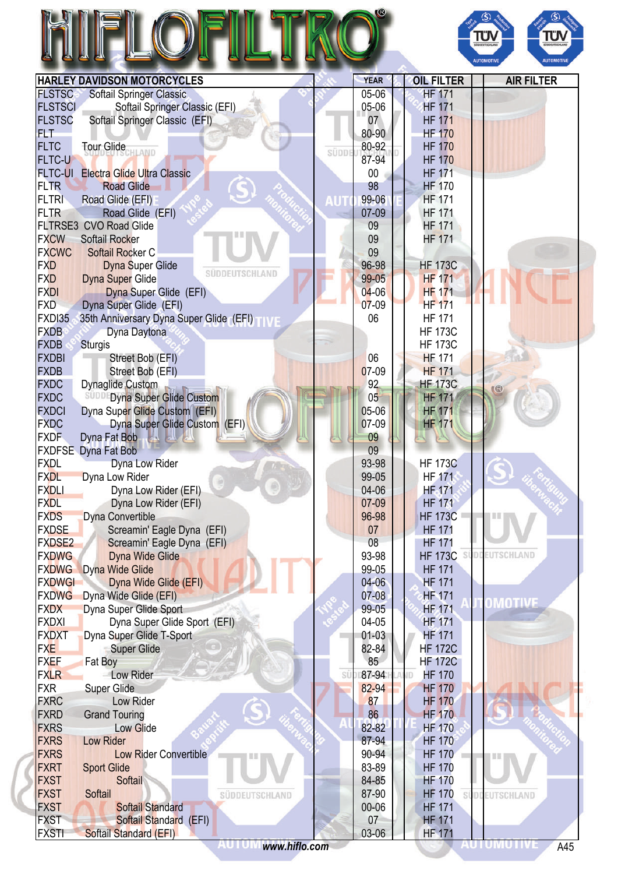|                             |                                                          |       |                |                                 | ΤΰΝ<br>TΰΝ<br><b>UDDEUTSCHLAN</b><br><b>AUTOMOTIVE</b><br><b>AUTOMOTIV</b> |
|-----------------------------|----------------------------------------------------------|-------|----------------|---------------------------------|----------------------------------------------------------------------------|
|                             | <b>HARLEY DAVIDSON MOTORCYCLES</b>                       |       | <b>YEAR</b>    | <b>OIL FILTER</b>               | <b>AIR FILTER</b>                                                          |
| <b>FLSTSC</b>               | Softail Springer Classic                                 |       | 05-06          | <b>HF 171</b>                   |                                                                            |
| <b>FLSTSCI</b>              | Softail Springer Classic (EFI)                           |       | 05-06          | <b>HF 171</b>                   |                                                                            |
| <b>FLSTSC</b>               | Softail Springer Classic (EFI)                           |       | 07             | <b>HF 171</b>                   |                                                                            |
| FLT-                        |                                                          |       | 80-90          | <b>HF 170</b>                   |                                                                            |
| <b>FLTC</b>                 | Tour Glide <sub>CHLAND</sub>                             | SÜDDE | 80-92          | <b>HF 170</b>                   |                                                                            |
| <b>FLTC-U</b>               |                                                          |       | 87-94          | <b>HF 170</b>                   |                                                                            |
| <b>FLTC-UI</b>              | <b>Electra Glide Ultra Classic</b>                       |       | $00\,$         | <b>HF 171</b>                   |                                                                            |
| <b>FLTR</b>                 | <b>Road Glide</b>                                        |       | 98             | <b>HF 170</b>                   |                                                                            |
| <b>FLTRI</b>                | Road Glide (EFI)                                         | דע    | 99-06          | <b>HF 171</b>                   |                                                                            |
| <b>FLTR</b>                 | Road Glide (EFI)                                         |       | 07-09          | <b>HF 171</b>                   |                                                                            |
| <b>FXCW</b>                 | FLTRSE3 CVO Road Glide                                   |       | 09             | <b>HF 171</b><br><b>HF 171</b>  |                                                                            |
| <b>FXCWC</b>                | Softail Rocker<br>Softail Rocker C                       |       | 09<br>09       |                                 |                                                                            |
| <b>FXD</b>                  | <b>Dyna Super Glide</b>                                  |       | 96-98          | <b>HF 173C</b>                  |                                                                            |
| <b>FXD</b>                  | SÜDDEUTSCHLAND<br><b>Dyna Super Glide</b>                |       | 99-05          | <b>HF 171</b>                   |                                                                            |
| <b>FXDI</b>                 | Dyna Super Glide (EFI)                                   |       | $04 - 06$      | <b>HF 171</b>                   |                                                                            |
| <b>FXD</b>                  | Dyna Super Glide (EFI)                                   |       | $07-09$        | <b>HF 171</b>                   |                                                                            |
| <b>FXDI35</b>               | 35th Anniversary Dyna Super Glide (EFI)                  |       | 06             | <b>HF 171</b>                   |                                                                            |
| <b>FXDB</b>                 | Dyna Daytona                                             |       |                | <b>HF 173C</b>                  |                                                                            |
| <b>FXDB</b>                 | <b>Sturgis</b>                                           |       |                | <b>HF 173C</b>                  |                                                                            |
| <b>FXDBI</b>                | Street Bob (EFI)                                         |       | 06             | <b>HF 171</b>                   |                                                                            |
| <b>FXDB</b>                 | Street Bob (EFI)                                         |       | 07-09          | <b>HF 171</b>                   |                                                                            |
| <b>FXDC</b>                 | Dynaglide Custom                                         |       | 92             | <b>HF 173C</b>                  |                                                                            |
| <b>FXDC</b>                 | <b>SUDDEDyna Super Glide Custom</b>                      |       | 05             | <b>HF 171</b>                   |                                                                            |
| <b>FXDCI</b>                | Dyna Super Glide Custom (EFI)                            |       | 05-06          | <b>HF 171</b>                   |                                                                            |
| <b>FXDC</b>                 | Dyna Super Glide Custom (EFI)                            |       | 07-09          | <b>HF 171</b>                   |                                                                            |
| <b>FXDF</b>                 | Dyna Fat Bob                                             |       | 09             |                                 |                                                                            |
|                             | <b>FXDFSE</b> Dyna Fat Bob                               |       | 09             |                                 |                                                                            |
| <b>FXDL</b>                 | Dyna Low Rider                                           |       | 93-98          | <b>HF 173C</b>                  |                                                                            |
| <b>FXDL</b>                 | Dyna Low Rider                                           |       | 99-05          | <b>HF 171</b>                   |                                                                            |
| <b>FXDLI</b>                | Dyna Low Rider (EFI)                                     |       | 04-06          | <b>HF-171</b>                   |                                                                            |
| <b>FXDL</b>                 | Dyna Low Rider (EFI)                                     |       | 07-09          | <b>HF 171</b><br><b>HF 173C</b> |                                                                            |
| <b>FXDS</b><br><b>FXDSE</b> | Dyna Convertible                                         |       | 96-98<br>07    | <b>HF 171</b>                   |                                                                            |
| <b>FXDSE2</b>               | Screamin' Eagle Dyna (EFI)<br>Screamin' Eagle Dyna (EFI) |       | 08             | <b>HF 171</b>                   |                                                                            |
| <b>FXDWG</b>                | <b>Dyna Wide Glide</b>                                   |       | 93-98          | <b>HF 173C</b>                  | EUTSCHLAND                                                                 |
| <b>FXDWG</b>                | <b>Dyna Wide Glide</b>                                   |       | 99-05          | <b>HF 171</b>                   |                                                                            |
| <b>FXDWGI</b>               | Dyna Wide Glide (EFI)                                    |       | $04 - 06$      | <b>HF 171</b>                   |                                                                            |
| <b>FXDWG</b>                | Dyna Wide Glide (EFI)                                    |       | $07 - 08$      | <b>HF 171</b>                   |                                                                            |
| <b>FXDX</b>                 | Dyna Super Glide Sport                                   |       | 99-05          | <b>HF 171</b>                   | OMOTIVI                                                                    |
| <b>FXDXI</b>                | Dyna Super Glide Sport (EFI)                             |       | 04-05          | <b>HF 171</b>                   |                                                                            |
| <b>FXDXT</b>                | Dyna Super Glide T-Sport                                 |       | $01 - 03$      | <b>HF 171</b>                   |                                                                            |
| <b>FXE</b>                  | <b>Super Glide</b>                                       |       | 82-84          | <b>HF 172C</b>                  |                                                                            |
| <b>FXEF</b>                 | Fat Boy                                                  |       | 85             | <b>HF 172C</b>                  |                                                                            |
| <b>FXLR</b>                 | Low Rider                                                | SÜ    | 87-94          | <b>HF 170</b><br><b>ND</b>      |                                                                            |
| <b>FXR</b>                  | <b>Super Glide</b>                                       |       | 82-94          | <b>HF 170</b>                   |                                                                            |
| <b>FXRC</b>                 | Low Rider                                                |       | 87             | <b>HF 170</b>                   |                                                                            |
| <b>FXRD</b>                 | <b>Grand Touring</b>                                     |       | 86             | <b>HF 170</b>                   |                                                                            |
| <b>FXRS</b>                 | <b>Low Glide</b>                                         |       | 82-82          | <b>HF 170</b>                   |                                                                            |
| <b>FXRS</b>                 | <b>Low Rider</b>                                         |       | 87-94          | <b>HF 170</b>                   |                                                                            |
| <b>FXRS</b><br><b>FXRT</b>  | <b>Low Rider Convertible</b>                             |       | 90-94<br>83-89 | <b>HF 170</b><br><b>HF 170</b>  |                                                                            |
| <b>FXST</b>                 | <b>Sport Glide</b><br>Softail                            |       | 84-85          | <b>HF 170</b>                   |                                                                            |
| <b>FXST</b>                 | Softail<br>SÜDDEUTSCHLAND                                |       | 87-90          | <b>HF 170</b>                   | SÜDDEUTSCHLAND                                                             |
| <b>FXST</b>                 | <b>Softail Standard</b>                                  |       | 00-06          | <b>HF 171</b>                   |                                                                            |
| <b>FXST</b>                 | Softail Standard (EFI)                                   |       | 07             | <b>HF 171</b>                   |                                                                            |
| <b>FXSTI</b>                | Softail Standard (EFI)                                   |       | 03-06          | <b>HF 171</b>                   |                                                                            |
|                             |                                                          |       |                |                                 | <b>AUTUMUTIVI</b><br>A45                                                   |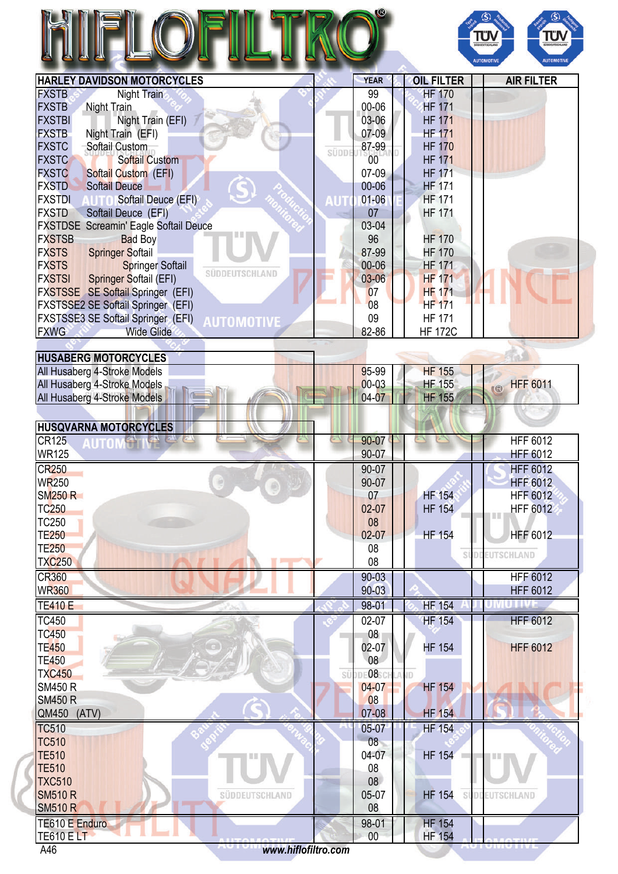|                                                                  |       |                   |                                | ΤÜΝ<br>πυ<br><b>SÜDDEUTSCHLAN</b><br><b>AUTOMOTIVE</b><br><b>AUTOMOTIVE</b> |
|------------------------------------------------------------------|-------|-------------------|--------------------------------|-----------------------------------------------------------------------------|
| <b>HARLEY DAVIDSON MOTORCYCLES</b>                               |       | <b>YEAR</b><br>99 | <b>OIL FILTER</b>              | <b>AIR FILTER</b>                                                           |
| <b>FXSTB</b><br>Night Train<br><b>FXSTB</b>                      |       | 00-06             | <b>HF 170</b><br><b>HF 171</b> |                                                                             |
| Night Train<br>Night Train (EFI)<br><b>FXSTBI</b>                |       | 03-06             | <b>HF 171</b>                  |                                                                             |
| <b>FXSTB</b>                                                     |       | 07-09             | <b>HF 171</b>                  |                                                                             |
| Night Train (EFI)<br><b>FXSTC</b><br>Softail Custom              |       | 87-99             | <b>HF 170</b>                  |                                                                             |
| <b>FXSTC</b><br><b>Softail Custom</b>                            | SÜDDI | 00                | <b>HF 171</b>                  |                                                                             |
| <b>FXSTC</b><br><b>Softail Custom (EFI)</b>                      |       | $07-09$           | <b>HF 171</b>                  |                                                                             |
| <b>FXSTD</b><br><b>Softail Deuce</b>                             |       | 00-06             | <b>HF 171</b>                  |                                                                             |
| <b>FXSTDI</b><br>Softail Deuce (EFI)                             |       | $01 - 06$         | <b>HF 171</b>                  |                                                                             |
| <b>FXSTD</b><br>Softail Deuce (EFI)                              |       | 07                | <b>HF 171</b>                  |                                                                             |
| <b>FXSTDSE Screamin' Eagle Softail Deuce</b>                     |       | 03-04             |                                |                                                                             |
| <b>FXSTSB</b><br><b>Bad Boy</b>                                  |       | 96                | <b>HF 170</b>                  |                                                                             |
| <b>FXSTS</b><br><b>Springer Softail</b>                          |       | 87-99             | <b>HF 170</b>                  |                                                                             |
| <b>FXSTS</b><br><b>Springer Softail</b>                          |       | 00-06             | <b>HF 171</b>                  |                                                                             |
| SÜDDEUTSCHLAND<br><b>FXSTSI</b><br><b>Springer Softail (EFI)</b> |       | $03 - 06$         | <b>HF 171</b>                  |                                                                             |
| FXSTSSE SE Softail Springer (EFI)                                |       | 07                | <b>HF 171</b>                  |                                                                             |
| FXSTSSE2 SE Softail Springer (EFI)                               |       | 08                | <b>HF 171</b>                  |                                                                             |
| FXSTSSE3 SE Softail Springer (EFI)<br><b>AUTOMOTIVE</b>          |       | 09                | <b>HF 171</b>                  |                                                                             |
| <b>FXWG</b><br><b>Wide Glide</b>                                 |       | 82-86             | <b>HF 172C</b>                 |                                                                             |
|                                                                  |       |                   |                                |                                                                             |
| <b>HUSABERG MOTORCYCLES</b>                                      |       |                   |                                |                                                                             |
| All Husaberg 4-Stroke Models                                     |       | 95-99             | <b>HF 155</b>                  |                                                                             |
| All Husaberg 4-Stroke Models                                     |       | $00 - 03$         | <b>HF 155</b>                  | <b>HFF 6011</b><br>$\circ$                                                  |
| All Husaberg 4-Stroke Models                                     |       | 04-07             | <b>HF 155</b>                  |                                                                             |
|                                                                  |       |                   |                                |                                                                             |
| <b>HUSQVARNA MOTORCYCLES</b>                                     |       |                   |                                |                                                                             |
| <b>CR125</b><br><b>WR125</b>                                     |       | 90-07<br>90-07    |                                | <b>HFF 6012</b><br><b>HFF 6012</b>                                          |
|                                                                  |       |                   |                                |                                                                             |
| <b>CR250</b>                                                     |       | 90-07             |                                | <b>HFF 6012</b>                                                             |
| <b>WR250</b><br>$\circledcirc$<br><b>SM250 R</b>                 |       | 90-07<br>07       | <b>HF 154</b>                  | <b>HFF 6012</b><br><b>HFF 6012</b>                                          |
| <b>TC250</b>                                                     |       | 02-07             | <b>HF 154</b>                  | <b>HFF 6012</b>                                                             |
| <b>TC250</b>                                                     |       | 08                |                                | I II II                                                                     |
| <b>TE250</b>                                                     |       | $02-07$           | <b>HF 154</b>                  | <b>HFF 6012</b>                                                             |
| <b>TE250</b>                                                     |       | 08                |                                |                                                                             |
| <b>TXC250</b><br>n er                                            |       | 08                | SI                             | <b>EUTSCHLAND</b>                                                           |
| <b>CR360</b>                                                     |       | $90 - 03$         |                                | <b>HFF 6012</b>                                                             |
| <b>WR360</b>                                                     |       | $90 - 03$         |                                | <b>HFF 6012</b>                                                             |
| <b>TE410 E</b>                                                   |       | 98-01             | <b>HF 154</b>                  | <b>UTIV</b>                                                                 |
| <b>TC450</b>                                                     |       | 02-07             | <b>HF 154</b>                  | <b>HFF 6012</b>                                                             |
| <b>TC450</b>                                                     |       | 08 <sub>1</sub>   |                                |                                                                             |
| <b>TE450</b>                                                     |       | $02 - 07$         | <b>HF 154</b>                  | <b>HFF 6012</b>                                                             |
| <b>TE450</b>                                                     |       | 08                |                                |                                                                             |
| <b>TXC450</b>                                                    | SÜ    | DE081             | ίD                             |                                                                             |
| <b>SM450 R</b>                                                   |       | 04-07             | <b>HF 154</b>                  |                                                                             |
| <b>SM450 R</b>                                                   |       | 08                |                                |                                                                             |
| QM450 (ATV)                                                      |       | 07-08             | <b>HF 154</b>                  |                                                                             |
| <b>TC510</b>                                                     |       | 05-07             | HF 154                         |                                                                             |
| <b>TC510</b>                                                     |       | 08                |                                |                                                                             |
| <b>TE510</b>                                                     |       | 04-07             | HF 154                         |                                                                             |
| <b>TE510</b>                                                     |       | 08                |                                |                                                                             |
| <b>TXC510</b>                                                    |       | 08                |                                |                                                                             |
| <b>SM510 R</b><br>SÜDDEUTSCHLAND                                 |       | 05-07             | <b>HF 154</b>                  | SUDDEUTSCHLAND                                                              |
| <b>SM510 R</b>                                                   |       | 08                |                                |                                                                             |
| TE610 E Enduro                                                   |       | 98-01             | <b>HF 154</b>                  |                                                                             |
| <b>TE610 ELT</b>                                                 |       | 00                | <b>HF 154</b>                  | $\sim$ $\sim$ 11.75                                                         |
| www.hiflofiltro.com<br>A46                                       |       |                   |                                |                                                                             |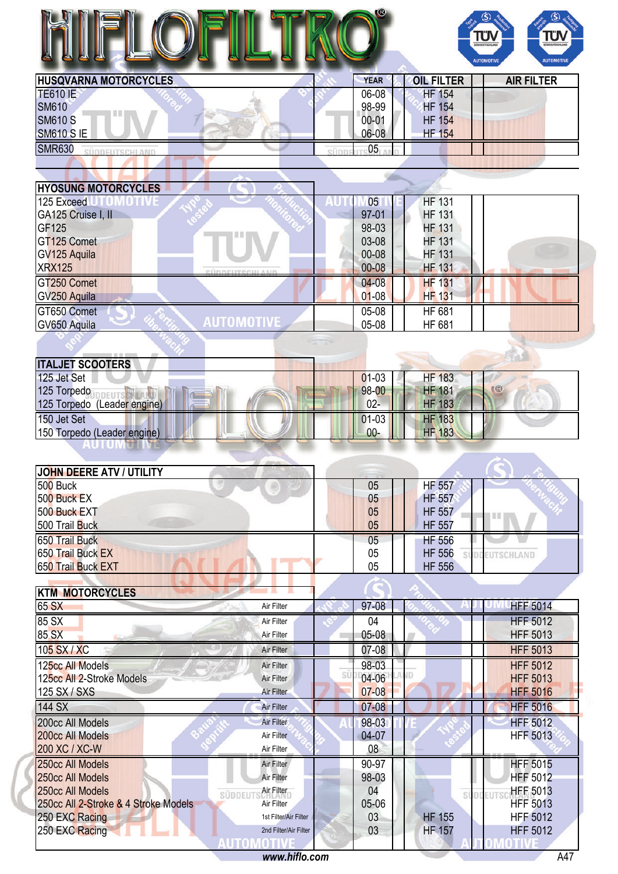|                              | $\bullet$   |                   | SUDDEUTSCHLAND<br><b>SUDDEUTSCHLAND</b><br><b>AUTOMOTIVI</b><br><b>AUTOMOTIVE</b> |
|------------------------------|-------------|-------------------|-----------------------------------------------------------------------------------|
| <b>HUSQVARNA MOTORCYCLES</b> | <b>YEAR</b> | <b>OIL FILTER</b> | <b>AIR FILTER</b>                                                                 |
| <b>TE610 IE</b>              | $06 - 08$   | <b>HF 154</b>     |                                                                                   |
| <b>SM610</b>                 | 98-99       | <b>HF 154</b>     |                                                                                   |
| <b>SM610 S</b>               | $00 - 01$   | <b>HF 154</b>     |                                                                                   |
| <b>SM610 SIE</b>             | 06-08       | <b>HF 154</b>     |                                                                                   |
| <b>SMR630</b>                | 05          |                   |                                                                                   |
|                              |             |                   |                                                                                   |
|                              |             |                   |                                                                                   |
| <b>HYOSUNG MOTORCYCLES</b>   |             |                   |                                                                                   |
| 125 Evenna                   | <b>OF</b>   | <b>LIE 121</b>    |                                                                                   |

| 10TIVE<br>125 Exceed       | 05 <sub>1</sub> | <b>HF 131</b> |  |
|----------------------------|-----------------|---------------|--|
| GA125 Cruise I, II         | $97 - 01$       | <b>HF 131</b> |  |
| GF125                      | 98-03           | <b>HF 131</b> |  |
| GT125 Comet                | 03-08           | <b>HF 131</b> |  |
| GV125 Aquila               | $00 - 08$       | <b>HF 131</b> |  |
| <b>XRX125</b><br>ofinnei   | $00 - 08$       | <b>HF 131</b> |  |
| GT250 Comet                | $04 - 08$       | <b>HF 131</b> |  |
| GV250 Aquila               | $01 - 08$       | <b>HF 131</b> |  |
| GT650 Comet                | $05-08$         | <b>HF 681</b> |  |
| AUTOMOTIVE<br>GV650 Aquila | 05-08           | HF 681        |  |
|                            |                 |               |  |
|                            |                 |               |  |

| <b>ITALJET SCOOTERS</b>     |         |               |    |
|-----------------------------|---------|---------------|----|
| 125 Jet Set                 | $01-03$ | <b>HF 183</b> |    |
| 125 Torpedo                 | 98-00   | <b>HF 181</b> | KR |
| 125 Torpedo (Leader engine) | $02-$   | <b>HF 183</b> |    |
| 150 Jet Set                 | $01-03$ | <b>HF 183</b> |    |
| 150 Torpedo (Leader engine) | $00 -$  | <b>HF 183</b> |    |
|                             |         |               |    |

| JOHN DEERE ATV / UTILITY |    |               |           |
|--------------------------|----|---------------|-----------|
| <b>500 Buck</b>          | 05 | <b>HF 557</b> |           |
| 500 Buck EX              | 05 | <b>HF 557</b> |           |
| 500 Buck EXT             | 05 | <b>HF 557</b> |           |
| 500 Trail Buck           | 05 | <b>HF 557</b> |           |
| 650 Trail Buck           | 05 | <b>HF 556</b> |           |
| 650 Trail Buck EX        | 05 | <b>HF 556</b> | UTSCHLAND |
| 650 Trail Buck EXT       | 05 | <b>HF 556</b> |           |
|                          |    |               |           |

| <b>KTM MOTORCYCLES</b>               |                       |                 |               |                 |
|--------------------------------------|-----------------------|-----------------|---------------|-----------------|
| 65 SX                                | Air Filter            | $97 - 08$       |               | <b>HFF 5014</b> |
| 85 SX                                | Air Filter            | 04              |               | <b>HFF 5012</b> |
| 85 SX                                | Air Filter            | $05 - 08$       |               | <b>HFF 5013</b> |
| 105 SX / XC                          | Air Filter            | $07-08$         |               | <b>HFF 5013</b> |
| 125cc All Models                     | Air Filter            | 98-03           |               | <b>HFF 5012</b> |
| 125cc All 2-Stroke Models            | Air Filter            | Sί<br>$04 - 06$ |               | <b>HFF 5013</b> |
| 125 SX / SXS                         | Air Filter            | $07 - 08$       |               | <b>HFF 5016</b> |
| 144 SX                               | <b>Air Filter</b>     | $07 - 08$       |               | <b>HFF 5016</b> |
| 200cc All Models                     | Air Filter            | 98-03           |               | <b>HFF 5012</b> |
| 200cc All Models                     | Air Filter            | 04-07           |               | <b>HFF 5013</b> |
| 200 XC / XC-W                        | Air Filter            | 08              |               |                 |
| 250cc All Models                     | Air Filter            | 90-97           |               | <b>HFF 5015</b> |
| 250cc All Models                     | Air Filter            | 98-03           |               | <b>HFF 5012</b> |
| 250cc All Models                     | Air Filter<br>SÜDDEU  | 04              | S)            | <b>HFF 5013</b> |
| 250cc All 2-Stroke & 4 Stroke Models | Air Filter            | 05-06           |               | <b>HFF 5013</b> |
| 250 EXC Racing                       | 1st Filter/Air Filter | 03              | <b>HF 155</b> | <b>HFF 5012</b> |
| 250 EXC Racing                       | 2nd Filter/Air Filter | 03              | <b>HF 157</b> | <b>HFF 5012</b> |
|                                      |                       |                 |               |                 |
|                                      | www.hiflo.com         |                 |               | A47             |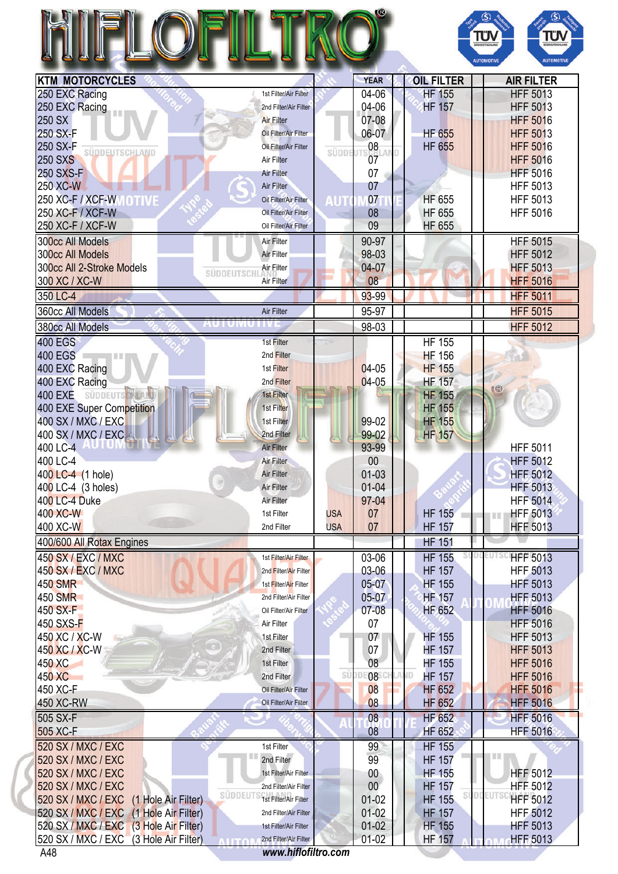| <b>KTM MOTORCYCLES</b>                                    |                                                |            | <b>YEAR</b>        |                                    | ΤÜ<br>Τΰ<br><b>DODUTSCHLL</b><br><b>UDDEUTSCHLAN</b><br><b>AUTOMOTIVI</b><br><b>AUTOMOTIVE</b><br><b>AIR FILTER</b> |
|-----------------------------------------------------------|------------------------------------------------|------------|--------------------|------------------------------------|---------------------------------------------------------------------------------------------------------------------|
|                                                           | 1st Filter/Air Filter                          |            | 04-06              | <b>OIL FILTER</b><br><b>HF 155</b> | <b>HFF 5013</b>                                                                                                     |
| 250 EXC Racing<br>250 EXC Racing                          | 2nd Filter/Air Filter                          |            | 04-06              | <b>HF 157</b>                      | <b>HFF 5013</b>                                                                                                     |
| 250 SX                                                    | <b>Air Filter</b>                              |            | 07-08              |                                    | <b>HFF 5016</b>                                                                                                     |
| 250 SX-F                                                  | Oil Filter/Air Filter                          |            | 06-07              | <b>HF 655</b>                      | <b>HFF 5013</b>                                                                                                     |
| 250 SX-F                                                  | Oil Filter/Air Filter                          |            | 08                 | <b>HF 655</b>                      | <b>HFF 5016</b>                                                                                                     |
| <b>SÜDDEUTSCHLAND</b><br><b>250 SXS</b>                   | Air Filter                                     | SÜDDE      | 07                 |                                    | <b>HFF 5016</b>                                                                                                     |
| 250 SXS-F                                                 | <b>Air Filter</b>                              |            | 07                 |                                    | <b>HFF 5016</b>                                                                                                     |
| 250 XC-W                                                  | Air Filter                                     |            | 07                 |                                    | <b>HFF 5013</b>                                                                                                     |
| 250 XC-F / XCF-W MOTIVE                                   | Oil Filter/Air Filter                          | AUT        | 07                 | <b>HF 655</b>                      | <b>HFF 5013</b>                                                                                                     |
| 250 XC-F / XCF-W                                          | Oil Filter/Air Filter                          |            | 08                 | <b>HF 655</b>                      | <b>HFF 5016</b>                                                                                                     |
| 250 XC-F / XCF-W                                          | Oil Filter/Air Filter                          |            | 09                 | <b>HF 655</b>                      |                                                                                                                     |
| 300cc All Models                                          | Air Filter                                     |            | 90-97              |                                    | <b>HFF 5015</b>                                                                                                     |
| <b>300cc All Models</b>                                   | Air Filter                                     |            | 98-03              |                                    | <b>HFF 5012</b>                                                                                                     |
| 300cc All 2-Stroke Models                                 | Air Filter                                     |            | $04 - 07$          |                                    | <b>HFF 5013</b>                                                                                                     |
| <b>SUDDEUTSCH</b><br>300 XC / XC-W                        | Air Filter                                     |            | 08                 |                                    | <b>HFF 5016</b>                                                                                                     |
| 350 LC-4                                                  |                                                |            | 93-99              |                                    | <b>HFF 5011</b>                                                                                                     |
| 360cc All Models                                          | Air Filter                                     |            | 95-97              |                                    | <b>HFF 5015</b>                                                                                                     |
| AU I UMU I IVI<br>380cc All Models                        |                                                |            | 98-03              |                                    | <b>HFF 5012</b>                                                                                                     |
| <b>400 EGS</b>                                            | 1st Filter                                     |            |                    | <b>HF 155</b>                      |                                                                                                                     |
| <b>400 EGS</b><br><b>Expertise</b>                        | 2nd Filter                                     |            |                    | <b>HF 156</b>                      |                                                                                                                     |
| 400 EXC Racing                                            | 1st Filter                                     |            | $04-05$            | <b>HF 155</b>                      |                                                                                                                     |
| 400 EXC Racing                                            | 2nd Filter                                     |            | $04-05$            | <b>HF 157</b>                      |                                                                                                                     |
| 400 EXE SÜDDEUTS HALL                                     | 1st Filter                                     |            |                    | <b>HF 155</b>                      | $\mathbb{G}$                                                                                                        |
| 400 EXE Super Competition                                 | 1st Filter                                     |            |                    | <b>HF 155</b>                      |                                                                                                                     |
| 400 SX / MXC / EXC                                        | 1st Filter                                     |            | 99-02              | <b>HF 155</b>                      |                                                                                                                     |
| 400 SX / MXC / EXC                                        | 2nd Filter                                     |            | 99-02              | <b>HF 157</b>                      |                                                                                                                     |
| 400 LC-4                                                  | <b>Air Filter</b>                              |            | 93-99              |                                    | <b>HFF 5011</b>                                                                                                     |
| 400 LC-4                                                  | Air Filter                                     |            | 00                 |                                    | <b>HFF 5012</b>                                                                                                     |
| 400 LC-4 (1 hole)                                         | Air Filter                                     |            | 01-03              |                                    | <b>HFF 5012</b>                                                                                                     |
| 400 LC-4 (3 holes)                                        | Air Filter                                     |            | $01 - 04$          |                                    | <b>HFF 5013</b>                                                                                                     |
| 400 LC-4 Duke                                             | Air Filter                                     |            | 97-04              |                                    | <b>HFF 5014</b>                                                                                                     |
| 400 XC-W                                                  | 1st Filter                                     | <b>USA</b> | 07                 | <b>HF 155</b>                      | <b>HFF 5013</b><br>Ш                                                                                                |
| 400 XC-W                                                  | 2nd Filter                                     | <b>USA</b> | 07                 | <b>HF 157</b>                      | <b>HFF 5013</b>                                                                                                     |
| 400/600 All Rotax Engines                                 |                                                |            |                    | <b>HF 151</b>                      |                                                                                                                     |
| <b>450 SX / EXC / MXC</b>                                 | 1st Filter/Air Filter                          |            | 03-06              | <b>HF 155</b>                      | <b>HFF 5013</b>                                                                                                     |
| <b>450 SX / EXC / MXC</b>                                 | 2nd Filter/Air Filter                          |            | 03-06              | <b>HF 157</b>                      | <b>HFF 5013</b>                                                                                                     |
| <b>450 SMR</b>                                            | 1st Filter/Air Filter                          |            | 05-07              | <b>HF 155</b>                      | <b>HFF 5013</b>                                                                                                     |
| <b>450 SMR</b><br>450 SX-F                                | 2nd Filter/Air Filter<br>Oil Filter/Air Filter |            | 05-07<br>$07 - 08$ | <b>HF 157</b>                      | <b>HFF 5013</b>                                                                                                     |
| 450 SXS-F                                                 | Air Filter                                     |            | 07                 | <b>HF 652</b>                      | <b>HFF 5016</b><br><b>HFF 5016</b>                                                                                  |
| 450 XC / XC-W                                             | 1st Filter                                     |            | 07                 | <b>HF 155</b>                      | <b>HFF 5013</b>                                                                                                     |
| 450 XC / XC-W                                             | 2nd Filter                                     |            | 07                 | <b>HF 157</b>                      | <b>HFF 5013</b>                                                                                                     |
| 450 XC                                                    | 1st Filter                                     |            | 08                 | <b>HF 155</b>                      | <b>HFF 5016</b>                                                                                                     |
| 450 XC                                                    | 2nd Filter                                     | Sί         | 08                 | JID<br><b>HF 157</b>               | <b>HFF 5016</b>                                                                                                     |
| 450 XC-F                                                  | Oil Filter/Air Filter                          |            | 08                 | <b>HF 652</b>                      | <b>HFF 5016</b>                                                                                                     |
| 450 XC-RW                                                 | Oil Filter/Air Filter                          |            | 08                 | <b>HF 652</b>                      | <b>HFF 5016</b>                                                                                                     |
| 505 SX-F                                                  |                                                |            | 08                 | HF 652                             | <b>HFF 5016</b>                                                                                                     |
| 505 XC-F                                                  |                                                |            | 08                 | <b>HF 652</b>                      | <b>HFF 5016</b>                                                                                                     |
| 520 SX / MXC / EXC                                        | 1st Filter                                     |            | 99                 | <b>HF 155</b>                      |                                                                                                                     |
| 520 SX / MXC / EXC                                        | 2nd Filter                                     |            | 99                 | <b>HF 157</b>                      |                                                                                                                     |
| 520 SX / MXC / EXC                                        | 1st Filter/Air Filter                          |            | $00\,$             | <b>HF 155</b>                      | <b>HFF 5012</b>                                                                                                     |
| 520 SX / MXC / EXC<br><b>SÜDDEUTS</b>                     | 2nd Filter/Air Filter                          |            | 00                 | <b>HF 157</b>                      | <b>HFF 5012</b><br><b>EUTS</b>                                                                                      |
| 520 SX / MXC / EXC<br>(1 Hole Air Filter)                 | 1st Filter/Air Filter                          |            | $01 - 02$          | <b>HF 155</b>                      | <b>HFF 5012</b>                                                                                                     |
| <b>520 SX / MXC / EXC</b><br>(1 Hole Air Filter)          | 2nd Filter/Air Filter                          |            | $01 - 02$          | <b>HF 157</b>                      | <b>HFF 5012</b>                                                                                                     |
| 520 SX / MXC / EXC<br>(3 Hole Air Filter)                 | 1st Filter/Air Filter                          |            | $01-02$            | <b>HF 155</b>                      | <b>HFF 5013</b>                                                                                                     |
| 520 SX / MXC / EXC<br>(3 Hole Air Filter)<br><b>ALITA</b> | 2nd Filter/Air Filter                          |            | $01 - 02$          | <b>HF 157</b>                      | <b>HFF 5013</b>                                                                                                     |
| A48                                                       | www.hiflofiltro.com                            |            |                    |                                    |                                                                                                                     |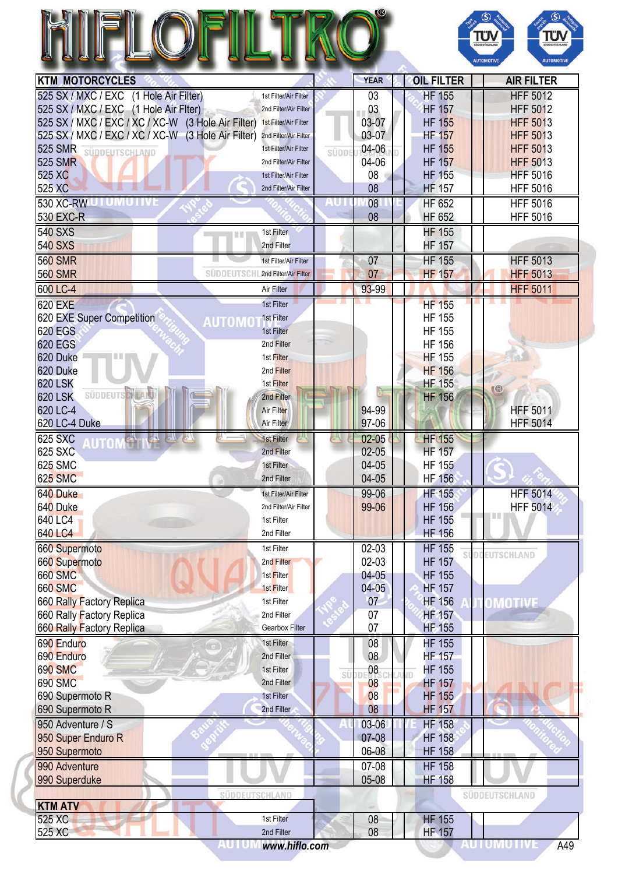|                                                    |                                          |                |                                | Τΰ<br>ΤΰΝ<br><b>JODEUTSCHLA</b><br>SÜDDEUTSCHLAND<br><b>AUTOMOTIV</b><br><b>AUTOMOTIVE</b> |
|----------------------------------------------------|------------------------------------------|----------------|--------------------------------|--------------------------------------------------------------------------------------------|
| <b>KTM MOTORCYCLES</b>                             |                                          | <b>YEAR</b>    | <b>OIL FILTER</b>              | <b>AIR FILTER</b>                                                                          |
| 525 SX / MXC / EXC (1 Hole Air Filter)             | 1st Filter/Air Filter                    | 03             | <b>HF 155</b>                  | <b>HFF 5012</b>                                                                            |
| 525 SX / MXC / EXC (1 Hole Air Flter)              | 2nd Filter/Air Filter                    | 03             | <b>HF 157</b>                  | <b>HFF 5012</b>                                                                            |
| 525 SX / MXC / EXC / XC / XC-W (3 Hole Air Filter) | 1st Filter/Air Filter                    | 03-07          | <b>HF 155</b>                  | <b>HFF 5013</b>                                                                            |
| 525 SX / MXC / EXC / XC / XC-W (3 Hole Air Filter) | 2nd Filter/Air Filter                    | 03-07          | <b>HF 157</b>                  | <b>HFF 5013</b>                                                                            |
| <b>525 SMR</b><br><b>SÜDDEUTSCHLAND</b>            | 1st Filter/Air Filter                    | 04-06<br>SÜDDI | <b>HF 155</b>                  | <b>HFF 5013</b>                                                                            |
| <b>525 SMR</b>                                     | 2nd Filter/Air Filter                    | 04-06          | <b>HF 157</b>                  | <b>HFF 5013</b>                                                                            |
| 525 XC                                             | 1st Filter/Air Filter                    | 08             | <b>HF 155</b>                  | <b>HFF 5016</b>                                                                            |
| 525 XC                                             | 2nd Filter/Air Filter                    | 08             | <b>HF 157</b>                  | <b>HFF 5016</b>                                                                            |
| 530 XC-RWU LUMU LIVE                               |                                          | 08<br>40.      | <b>HF 652</b>                  | <b>HFF 5016</b>                                                                            |
| <b>530 EXC-R</b>                                   |                                          | 08             | <b>HF 652</b>                  | <b>HFF 5016</b>                                                                            |
| <b>540 SXS</b>                                     | 1st Filter<br>目目                         |                | <b>HF 155</b>                  |                                                                                            |
| <b>540 SXS</b>                                     | 2nd Filter                               |                | <b>HF 157</b>                  |                                                                                            |
| <b>560 SMR</b>                                     | 1st Filter/Air Filter                    | 07             | <b>HF 155</b>                  | <b>HFF 5013</b>                                                                            |
| <b>560 SMR</b>                                     | <b>SUDDEUTSCHL 2nd Filter/Air Filter</b> | 07             | <b>HF 157</b>                  | <b>HFF 5013</b>                                                                            |
| 600 LC-4                                           | Air Filter                               | 93-99          |                                | <b>HFF 5011</b>                                                                            |
| <b>620 EXE</b>                                     | 1st Filter                               |                | <b>HF 155</b>                  |                                                                                            |
| 620 EXE Super Competition                          | 1st Filter<br>AUTOMO                     |                | <b>HF 155</b>                  |                                                                                            |
| <b>620 EGS</b>                                     | 1st Filter                               |                | <b>HF 155</b>                  |                                                                                            |
| <b>620 EGS</b>                                     | 2nd Filter                               |                | <b>HF 156</b>                  |                                                                                            |
| 620 Duke                                           | 1st Filter                               |                | <b>HF 155</b>                  |                                                                                            |
| 620 Duke                                           | 2nd Filter                               |                | <b>HF 156</b>                  |                                                                                            |
| <b>620 LSK</b><br>SÜDDEUTS                         | 1st Filter                               |                | <b>HF 155</b>                  | $^\circledR$                                                                               |
| <b>620 LSK</b><br>620 LC-4                         | 2nd Filter<br>Air Filter                 | 94-99          | <b>HF 156</b>                  | <b>HFF 5011</b>                                                                            |
| 620 LC-4 Duke                                      | Air Filter                               | 97-06          |                                | <b>HFF 5014</b>                                                                            |
| <b>625 SXC</b><br><b>AT 1 TH</b><br>25             | 1st Filter                               | $02 - 05$      | <b>HF 155</b>                  |                                                                                            |
| UTOM <sup>AL</sup><br><b>625 SXC</b>               | 2nd Filter                               | $02 - 05$      | <b>HF 157</b>                  |                                                                                            |
| <b>625 SMC</b>                                     | 1st Filter                               | 04-05          | <b>HF 155</b>                  |                                                                                            |
| <b>625 SMC</b>                                     | 2nd Filter                               | $04 - 05$      | <b>HF 156</b>                  |                                                                                            |
| 640 Duke                                           | 1st Filter/Air Filter                    | 99-06          | <b>HF 155</b>                  | <b>HFF 5014</b>                                                                            |
| 640 Duke                                           | 2nd Filter/Air Filter                    | 99-06          | <b>HF 156</b>                  | <b>HFF 5014</b>                                                                            |
| 640 LC4                                            | 1st Filter                               |                | <b>HF 155</b>                  | I II II                                                                                    |
| 640 LC4                                            | 2nd Filter                               |                | <b>HF 156</b>                  |                                                                                            |
| 660 Supermoto                                      | 1st Filter                               | $02-03$        | <b>HF 155</b>                  |                                                                                            |
| 660 Supermoto                                      | 2nd Filter                               | 02-03          | SI<br><b>HF 157</b>            | <b>EUTSCHLAND</b>                                                                          |
| <b>660 SMC</b>                                     | 1st Filter                               | $04 - 05$      | <b>HF 155</b>                  |                                                                                            |
| <b>660 SMC</b>                                     | 1st Filter                               | $04 - 05$      | <b>HF 157</b>                  |                                                                                            |
| 660 Rally Factory Replica                          | 1st Filter                               | 07             | <b>HF 156</b>                  | OMOTIVE                                                                                    |
| 660 Rally Factory Replica                          | 2nd Filter                               | 07             | HF 157                         |                                                                                            |
| 660 Rally Factory Replica                          | <b>Gearbox Filter</b>                    | 07             | <b>HF 155</b>                  |                                                                                            |
| 690 Enduro                                         | 1st Filter                               | 08             | <b>HF 155</b>                  |                                                                                            |
| 690 Enduro                                         | 2nd Filter                               | 08             | <b>HF 157</b>                  |                                                                                            |
| <b>690 SMC</b>                                     | 1st Filter                               | 08<br>si       | <b>HF 155</b>                  |                                                                                            |
| <b>690 SMC</b>                                     | 2nd Filter                               | 08             | <b>HF 157</b>                  |                                                                                            |
| 690 Supermoto R                                    | 1st Filter                               | 08             | <b>HF 155</b>                  |                                                                                            |
| 690 Supermoto R                                    | 2nd Filter                               | 08             | <b>HF 157</b>                  |                                                                                            |
| 950 Adventure / S                                  |                                          | 03-06          | <b>HF 158</b>                  |                                                                                            |
| 950 Super Enduro R<br>950 Supermoto                |                                          | 07-08<br>06-08 | <b>HF 158</b><br><b>HF 158</b> |                                                                                            |
| 990 Adventure                                      |                                          | 07-08          | <b>HF 158</b>                  |                                                                                            |
| 990 Superduke                                      |                                          | 05-08          | <b>HF 158</b>                  |                                                                                            |
|                                                    |                                          |                |                                |                                                                                            |
|                                                    |                                          |                |                                |                                                                                            |
|                                                    | SÜDDEUTSCHLAND                           |                |                                | SÜDDEUTSCHLAND                                                                             |
| <b>KTM ATV</b><br>525 XC                           | 1st Filter                               | 08             | <b>HF 155</b>                  |                                                                                            |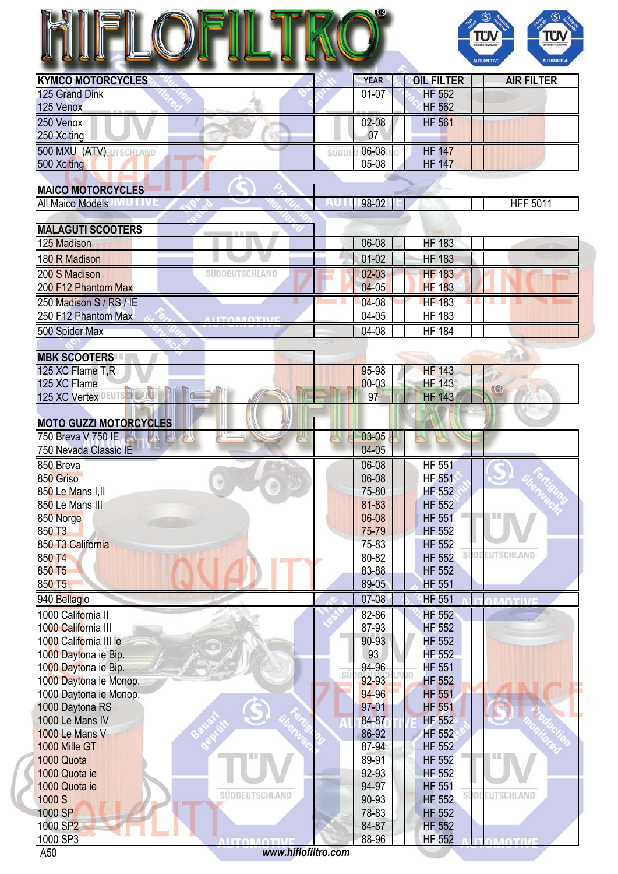

| <b>KYMCO MOTORCYCLES</b> | <b>YEAR</b> | <b>OIL FILTER</b> | <b>AIR FILTER</b> |
|--------------------------|-------------|-------------------|-------------------|
| 125 Grand Dink           | $01 - 07$   | <b>HF 562</b>     |                   |
| 125 Venox                |             | <b>HF 562</b>     |                   |
| 250 Venox                | 02-08       | <b>HF 561</b>     |                   |
| 250 Xciting              | 07          |                   |                   |
| 500 MXU (ATV)            | 06-08       | <b>HF 147</b>     |                   |
| 500 Xciting              | 05-08       | <b>HF 147</b>     |                   |

| <b>MAICO MOTORCYCLES</b>                 |                                                   |                 |
|------------------------------------------|---------------------------------------------------|-----------------|
| <b>All Maico Models</b>                  | 98-02                                             | <b>HFF 5011</b> |
|                                          |                                                   |                 |
| <b>MALAGUTI SCOOTERS</b>                 |                                                   |                 |
| 125 Madison                              | <b>HF 183</b><br>06-08                            |                 |
| 180 R Madison                            | <b>HF 183</b><br>$01 - 02$                        |                 |
| 200 S Madison<br>SUDDEUTSCHLAND          | <b>HF 183</b><br>$02 - 03$                        |                 |
| 200 F12 Phantom Max                      | <b>HF 183</b><br>$04 - 05$                        |                 |
| 250 Madison S / RS / IE                  | <b>HF 183</b><br>$04 - 08$                        | a se            |
| 250 F12 Phantom Max<br><b>AUTOMOTIVE</b> | 04-05<br><b>HF 183</b>                            |                 |
| 500 Spider Max                           | <b>HF 184</b><br>04-08                            |                 |
|                                          |                                                   |                 |
| <b>MBK SCOOTERS</b>                      |                                                   |                 |
| 125 XC Flame T,R                         | <b>HF 143</b><br>95-98                            |                 |
| 125 XC Flame                             | $00 - 03$<br><b>HF 143</b>                        | $\circledR$     |
| 125 XC Vertex                            | 97<br><b>HF 143</b>                               |                 |
|                                          |                                                   |                 |
| <b>MOTO GUZZI MOTORCYCLES</b>            |                                                   |                 |
| 750 Breva V 750 IE<br><b>AN A AL</b>     | 03-05                                             |                 |
| 750 Nevada Classic IE                    | $04 - 05$                                         |                 |
| 850 Breva                                | <b>HF 551</b><br>06-08                            |                 |
| 850 Griso                                | 06-08<br><b>HF 551</b><br>ø                       |                 |
| 850 Le Mans I, II                        | 75-80<br>HF 552                                   |                 |
| 850 Le Mans III                          | 81-83<br><b>HF 552</b>                            |                 |
| 850 Norge                                | 06-08<br><b>HF 551</b>                            |                 |
| 850 T3                                   | 75-79<br><b>HF 552</b>                            |                 |
| 850 T3 California                        | 75-83<br><b>HF 552</b>                            |                 |
| 850 T4                                   | 80-82<br><b>HF 552</b>                            | EUTSCHLAND      |
| 850 T5                                   | 83-88<br><b>HF 552</b>                            |                 |
| 850 T5                                   | 89-05<br><b>HF 551</b>                            |                 |
| 940 Bellagio                             | $07 - 08$<br><b>HF 551</b>                        | <b>TO YEAR</b>  |
| 1000 California II                       | <b>HF 552</b><br>82-86                            |                 |
| 1000 California III                      | 87-93<br><b>HF 552</b>                            |                 |
| 1000 California III ie                   | 90-93<br><b>HF 552</b>                            |                 |
| 1000 Daytona ie Bip.                     | <b>HF 552</b><br>93                               |                 |
| 1000 Daytona ie Bip.                     | 94-96<br><b>HF 551</b><br>sü                      |                 |
| 1000 Daytona ie Monop.                   | 92-93<br><b>HF 552</b>                            |                 |
| 1000 Daytona ie Monop.                   | 94-96<br><b>HF 551</b>                            |                 |
| 1000 Daytona RS                          | 97-01<br><b>HF 551</b>                            |                 |
| 1000 Le Mans IV                          | 84-87<br>HF 552                                   |                 |
| 1000 Le Mans V                           | 86-92<br>HF 552                                   |                 |
| 1000 Mille GT                            | 87-94<br><b>HF 552</b>                            |                 |
| 1000 Quota                               | 89-91<br><b>HF 552</b>                            |                 |
| 1000 Quota ie                            | 92-93<br><b>HF 552</b>                            |                 |
| 1000 Quota ie<br>SÜDDEUTSCHLAND<br>1000c | <b>HF 551</b><br>94-97<br>an no<br><b>LIE EEQ</b> |                 |

1000 SP2<br>
1000 SP3<br>
A50 www.hiflofiltro.com<br>
A50 www.hiflofiltro.com<br>
288-96 HF 552 A50 *<www.hiflofiltro.com>*

**MOTIVI** 

1000 S HF 552 1000 SP **78-83** HF 552 1000 SP2 84-87 HF 552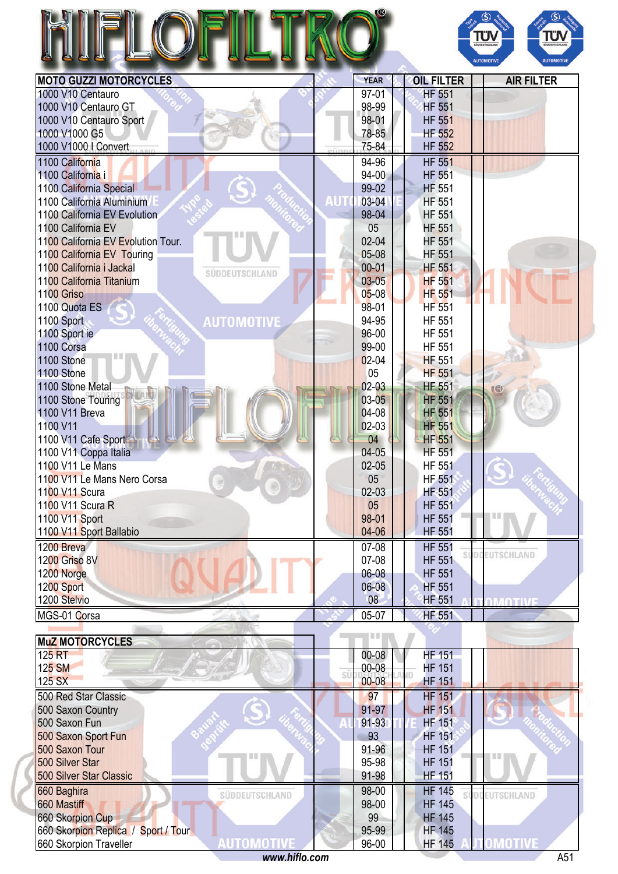|                                                          |                    |                                | ΤÜν<br>ΤΰΛ<br><b>SÜDDEUTSCHLAN</b><br><b>AUTOMOTIVE</b><br><b>AUTOMOTIVI</b> |
|----------------------------------------------------------|--------------------|--------------------------------|------------------------------------------------------------------------------|
| <b>MOTO GUZZI MOTORCYCLES</b>                            | <b>YEAR</b>        | <b>OIL FILTER</b>              | <b>AIR FILTER</b>                                                            |
| 1000 V10 Centauro<br>1000 V10 Centauro GT                | 97-01<br>98-99     | <b>HF 551</b><br><b>HF 551</b> |                                                                              |
| 1000 V10 Centauro Sport                                  | 98-01              | <b>HF 551</b>                  |                                                                              |
| 1000 V1000 G5                                            | 78-85              | <b>HF 552</b>                  |                                                                              |
| 1000 V1000   Convert                                     | 75-84              | <b>HF 552</b>                  |                                                                              |
| 1100 California                                          | 94-96              | <b>HF 551</b>                  |                                                                              |
| 1100 California i                                        | $94-00$            | <b>HF 551</b>                  |                                                                              |
| 1100 California Special                                  | 99-02              | <b>HF 551</b>                  |                                                                              |
| AUT<br>1100 California Aluminium                         | 03-04              | <b>HF 551</b>                  |                                                                              |
| 1100 California EV Evolution                             | 98-04              | <b>HF 551</b>                  |                                                                              |
| 1100 California EV<br>1100 California EV Evolution Tour. | 05<br>$02 - 04$    | <b>HF 551</b><br><b>HF 551</b> |                                                                              |
| 1100 California EV Touring                               | 05-08              | <b>HF 551</b>                  |                                                                              |
| 1100 California i Jackal                                 | $00 - 01$          | <b>HF 551</b>                  |                                                                              |
| SÜDDEUTSCHLAND<br>1100 California Titanium               | $03 - 05$          | <b>HF 551</b>                  |                                                                              |
| 1100 Griso                                               | $05 - 08$          | <b>HF 551</b>                  |                                                                              |
| 1100 Quota ES                                            | 98-01              | <b>HF 551</b>                  |                                                                              |
| <b>AUTOMOTIVE</b><br>1100 Sport                          | 94-95              | <b>HF 551</b>                  |                                                                              |
| 1100 Sport ie                                            | 96-00              | <b>HF 551</b>                  |                                                                              |
| 1100 Corsa<br>1100 Stone                                 | 99-00<br>$02 - 04$ | HF 551<br><b>HF 551</b>        |                                                                              |
| 1100 Stone                                               | 05                 | <b>HF 551</b>                  |                                                                              |
| 1100 Stone Metal                                         | $02 - 03$          | <b>HF 551</b>                  | R                                                                            |
| 1100 Stone Touring                                       | $03 - 05$          | <b>HF 551</b>                  |                                                                              |
| 1100 V11 Breva                                           | 04-08              | <b>HF 551</b>                  |                                                                              |
| 1100 V11                                                 | 02-03              | <b>HF 551</b>                  |                                                                              |
| 1100 V11 Cafe Sport                                      | 04                 | <b>HF 551</b>                  |                                                                              |
| 1100 V11 Coppa Italia<br>1100 V11 Le Mans                | 04-05<br>$02 - 05$ | <b>HF 551</b><br><b>HF 551</b> |                                                                              |
| 1100 V11 Le Mans Nero Corsa                              | 05                 | <b>HF 551</b>                  |                                                                              |
| 1100 V11 Scura                                           | 02-03              | <b>HF 551</b>                  |                                                                              |
| 1100 V11 Scura R                                         | 05                 | <b>HF 551</b>                  |                                                                              |
| 1100 V11 Sport                                           | 98-01              | <b>HF 551</b>                  | III                                                                          |
| 1100 V11 Sport Ballabio                                  | 04-06              | <b>HF 551</b>                  |                                                                              |
| 1200 Breva                                               | 07-08              | <b>HF 551</b>                  | <b>DDEUTSCHLAND</b>                                                          |
| <b>1200 Griso 8V</b><br>1200 Norge                       | 07-08<br>06-08     | <b>HF 551</b><br><b>HF 551</b> |                                                                              |
| 1200 Sport                                               | 06-08              | <b>HF 551</b>                  |                                                                              |
| 1200 Stelvio                                             | 08                 | <b>HF 551</b>                  | <b>DMOTIVE</b>                                                               |
| MGS-01 Corsa                                             | 05-07              | <b>HF 551</b>                  |                                                                              |
|                                                          | <b>TIME</b>        |                                |                                                                              |
| <b>MuZ MOTORCYCLES</b>                                   |                    |                                |                                                                              |
| 125 RT<br>125 SM                                         | 00-08<br>00-08     | <b>HF 151</b><br><b>HF 151</b> |                                                                              |
| SÜ<br>125 SX                                             | $00 - 08$          | <b>HF 151</b>                  |                                                                              |
| 500 Red Star Classic                                     | 97                 | <b>HF 151</b>                  |                                                                              |
| 500 Saxon Country                                        | 91-97              | <b>HF 151</b>                  |                                                                              |
| 500 Saxon Fun                                            | 91-93              | <b>HF 151</b>                  |                                                                              |
| 500 Saxon Sport Fun                                      | 93                 | <b>HF 151</b>                  |                                                                              |
| 500 Saxon Tour                                           | 91-96              | <b>HF 151</b>                  |                                                                              |
| 500 Silver Star<br>500 Silver Star Classic               | 95-98<br>91-98     | <b>HF 151</b><br><b>HF 151</b> |                                                                              |
| 660 Baghira                                              | 98-00              | <b>HF 145</b>                  |                                                                              |
| SÜDDEUTSCHLAND<br>660 Mastiff                            | 98-00              | sí<br><b>HF 145</b>            | <b>DOEUTSCHLAND</b>                                                          |
| <b>660 Skorpion Cup</b>                                  | 99                 | <b>HF 145</b>                  |                                                                              |
| 660 Skorpion Replica / Sport / Tour                      | 95-99              | <b>HF 145</b>                  |                                                                              |
| AUTOMOTIV<br>660 Skorpion Traveller                      | 96-00              | <b>HF 145</b>                  | OMOTIVE                                                                      |
| www.hiflo.com                                            |                    |                                | A51                                                                          |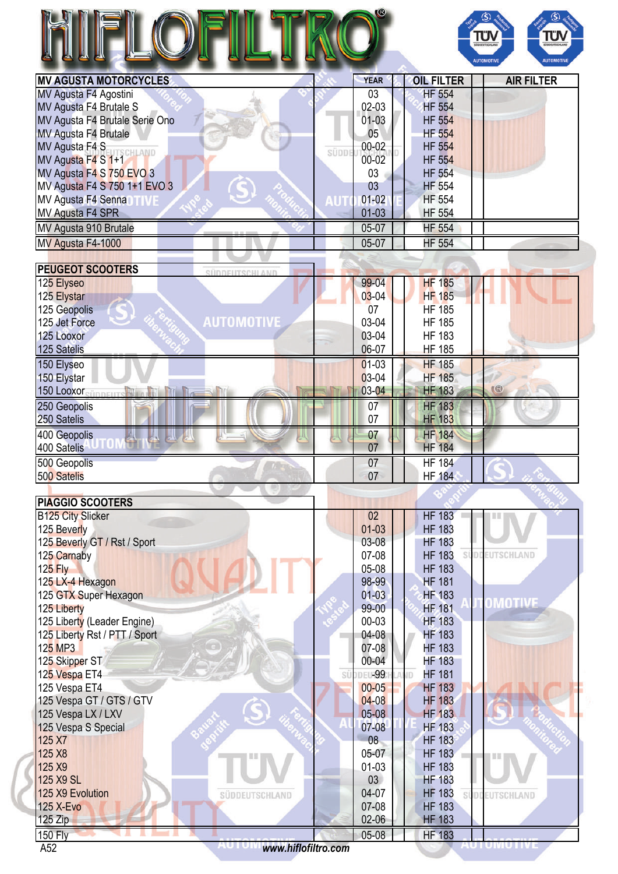|                                         |            |                 |                            | <b>TUN</b><br><b>TÜV</b><br>SÜDDEUTSCHLAND |
|-----------------------------------------|------------|-----------------|----------------------------|--------------------------------------------|
| <b>MV AGUSTA MOTORCYCLES</b>            |            | <b>YEAR</b>     |                            | <b>AUTOMOTIVE</b><br><b>AUTOMOTIVE</b>     |
|                                         |            |                 | <b>OIL FILTER</b>          | <b>AIR FILTER</b>                          |
| MV Agusta F4 Agostini                   |            | 03              | <b>HF 554</b>              |                                            |
| <b>MV Agusta F4 Brutale S</b>           |            | 02-03           | <b>HF 554</b>              |                                            |
| MV Agusta F4 Brutale Serie Ono          |            | $01-03$         | <b>HF 554</b>              |                                            |
| MV Agusta F4 Brutale                    |            | 05              | <b>HF 554</b>              |                                            |
| MV Agusta F4 S<br>CHLAND                | SÜDDI      | $00 - 02$       | <b>HF 554</b>              |                                            |
| MV Agusta F4 S 1+1                      |            | 00-02           | <b>HF 554</b>              |                                            |
| MV Agusta F4 S 750 EVO 3                |            | 03              | <b>HF 554</b>              |                                            |
| MV Agusta F4 S 750 1+1 EVO 3            |            | 03              | <b>HF 554</b>              |                                            |
| MV Agusta F4 Senna<br>TWF               | <b>AUT</b> | $01 - 02$       | <b>HF 554</b>              |                                            |
| MV Agusta F4 SPR                        |            | $01 - 03$       | <b>HF 554</b>              |                                            |
| MV Agusta 910 Brutale                   |            | 05-07           | <b>HF 554</b>              |                                            |
| MV Agusta F4-1000                       |            | 05-07           | <b>HF 554</b>              |                                            |
|                                         |            |                 |                            |                                            |
| <b>PEUGEOT SCOOTERS</b>                 |            |                 |                            |                                            |
| SÜDDEUTSCHLAND<br>125 Elyseo            |            | 99-04           | <b>HF 185</b>              |                                            |
| 125 Elystar                             |            | $03 - 04$       | <b>HF 185</b>              |                                            |
|                                         |            | 07              | <b>HF 185</b>              |                                            |
| 125 Geopolis<br><b>AUTOMOTIVE</b>       |            |                 |                            |                                            |
| 125 Jet Force                           |            | 03-04           | <b>HF 185</b>              |                                            |
| 125 Looxor                              |            | 03-04           | <b>HF 183</b>              |                                            |
| 125 Satelis                             |            | 06-07           | <b>HF 185</b>              |                                            |
| 150 Elyseo                              |            | $01-03$         | <b>HF 185</b>              |                                            |
| 150 Elystar                             |            | 03-04           | <b>HF 185</b>              |                                            |
| 150 Looxor Sinney The Milleton Milleton |            | 03-04           | <b>HF 183</b>              | <b>KG</b>                                  |
| 250 Geopolis                            |            | 07              | <b>HF 183</b>              |                                            |
| 250 Satelis                             |            | 07              | <b>HF 183</b>              |                                            |
| 400 Geopolis                            |            | 07              | <b>HF 184</b>              |                                            |
| AL.,<br>人人人人<br>400 Satelis             |            | 07              | <b>HF 184</b>              |                                            |
|                                         |            |                 |                            |                                            |
| 500 Geopolis                            |            | 07              | <b>HF 184</b>              |                                            |
| 500 Satelis                             |            | 07              | <b>HF 184</b>              |                                            |
| PIAGGIO SCOOTERS                        |            |                 |                            |                                            |
| <b>B125 City Slicker</b>                |            | 02 <sub>2</sub> | <b>HF 183</b>              |                                            |
| 125 Beverly                             |            | $01-03$         | <b>HF 183</b>              |                                            |
|                                         |            | $03-08$         | <b>HF 183</b>              |                                            |
| 125 Beverly GT / Rst / Sport            |            |                 |                            |                                            |
| 125 Carnaby                             |            | 07-08           | <b>HF 183</b>              | <b>DDEUTSCHLAND</b>                        |
| $125$ Fly                               |            | 05-08           | <b>HF 183</b>              |                                            |
| 125 LX-4 Hexagon                        |            | 98-99           | <b>HF 181</b>              |                                            |
| 125 GTX Super Hexagon                   |            | $01 - 03$       | <b>HF 183</b>              | <b>OMOTIVE</b>                             |
| 125 Liberty                             |            | 99-00           | <b>HF 181</b>              |                                            |
| 125 Liberty (Leader Engine)             |            | 00-03           | <b>HF 183</b>              |                                            |
| 125 Liberty Rst / PTT / Sport           |            | 04-08           | <b>HF 183</b>              |                                            |
| 125 MP3                                 |            | 07-08           | <b>HF 183</b>              |                                            |
| 125 Skipper ST                          |            | 00-04           | <b>HF 183</b>              |                                            |
| 125 Vespa ET4                           |            | SÜDDEL-99       | <b>HF 181</b><br><b>ND</b> |                                            |
| 125 Vespa ET4                           |            | $00 - 05$       | <b>HF 183</b>              |                                            |
| 125 Vespa GT / GTS / GTV                |            | $04 - 08$       | <b>HF 183</b>              |                                            |
| 125 Vespa LX / LXV                      |            | 05-08           | <b>HF 183</b>              |                                            |
| 125 Vespa S Special                     |            | 07-08           | <b>HF 183</b>              |                                            |
| 125 X7                                  |            | 08              | <b>HF 183</b>              |                                            |
| 125 X8                                  |            | 05-07           | <b>HF 183</b>              |                                            |
| 125 X9                                  |            | $01-03$         | <b>HF 183</b>              |                                            |
| 125 X9 SL                               |            | 03              | <b>HF 183</b>              |                                            |
| 125 X9 Evolution<br>SÜDDEUTSCHLAND      |            | 04-07           | <b>HF 183</b>              | SÜDDEUTSCHLAND                             |
| <b>125 X-Evo</b>                        |            | 07-08           | <b>HF 183</b>              |                                            |
| 125 Zip                                 |            | $02-06$         | <b>HF 183</b>              |                                            |
| <b>150 Fly</b>                          |            | 05-08           | <b>HF 183</b>              |                                            |
|                                         |            |                 |                            |                                            |

A52 *<www.hiflofiltro.com>*

AU I UMU I IVE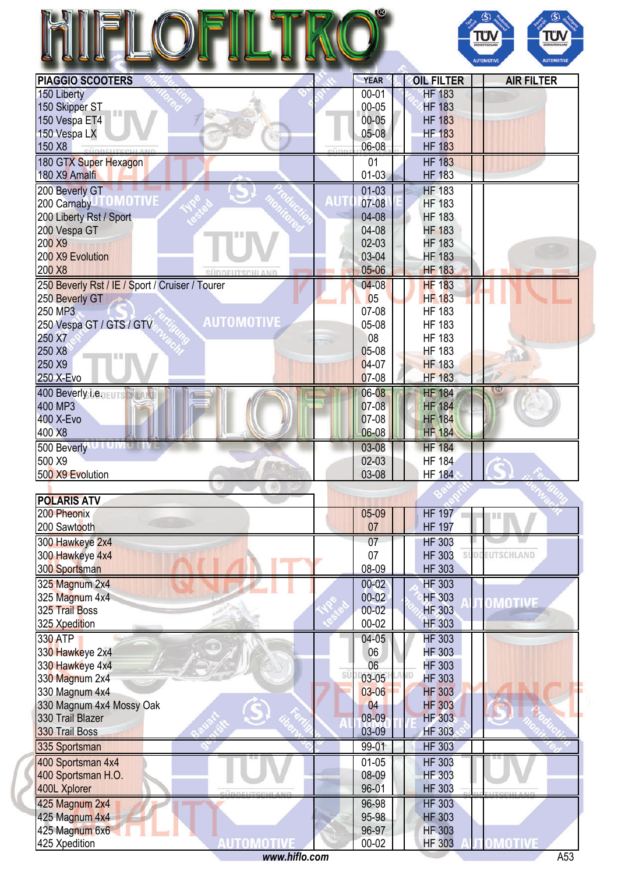| <b>YEAR</b><br>PIAGGIO SCOOTERS<br><b>OIL FILTER</b><br>150 Liberty<br>$00 - 01$<br><b>HF 183</b><br>150 Skipper ST<br>00-05<br><b>HF 183</b><br>$00 - 05$<br><b>HF 183</b><br>150 Vespa ET4<br><b>HF 183</b><br>150 Vespa LX<br>$05-08$<br><b>HF 183</b><br>150 X8<br>06-08<br><b>HF 183</b><br>180 GTX Super Hexagon<br>01<br>180 X9 Amalfi<br>$01 - 03$<br><b>HF 183</b><br><b>HF 183</b><br>$01 - 03$<br>200 Beverly GT<br>200 Carnaby TOMOTIVE<br>זש<br>07-08<br><b>HF 183</b><br>200 Liberty Rst / Sport<br>04-08<br><b>HF 183</b> | <b>AIR FILTER</b> |
|------------------------------------------------------------------------------------------------------------------------------------------------------------------------------------------------------------------------------------------------------------------------------------------------------------------------------------------------------------------------------------------------------------------------------------------------------------------------------------------------------------------------------------------|-------------------|
|                                                                                                                                                                                                                                                                                                                                                                                                                                                                                                                                          |                   |
|                                                                                                                                                                                                                                                                                                                                                                                                                                                                                                                                          |                   |
|                                                                                                                                                                                                                                                                                                                                                                                                                                                                                                                                          |                   |
|                                                                                                                                                                                                                                                                                                                                                                                                                                                                                                                                          |                   |
|                                                                                                                                                                                                                                                                                                                                                                                                                                                                                                                                          |                   |
|                                                                                                                                                                                                                                                                                                                                                                                                                                                                                                                                          |                   |
|                                                                                                                                                                                                                                                                                                                                                                                                                                                                                                                                          |                   |
|                                                                                                                                                                                                                                                                                                                                                                                                                                                                                                                                          |                   |
|                                                                                                                                                                                                                                                                                                                                                                                                                                                                                                                                          |                   |
|                                                                                                                                                                                                                                                                                                                                                                                                                                                                                                                                          |                   |
|                                                                                                                                                                                                                                                                                                                                                                                                                                                                                                                                          |                   |
|                                                                                                                                                                                                                                                                                                                                                                                                                                                                                                                                          |                   |
| 04-08<br>200 Vespa GT<br><b>HF 183</b>                                                                                                                                                                                                                                                                                                                                                                                                                                                                                                   |                   |
| 200 X9<br>$02-03$<br><b>HF 183</b>                                                                                                                                                                                                                                                                                                                                                                                                                                                                                                       |                   |
| 200 X9 Evolution<br>03-04<br><b>HF 183</b>                                                                                                                                                                                                                                                                                                                                                                                                                                                                                               |                   |
| $05 - 06$<br>200 X8<br><b>HF 183</b><br><b>SÜDDEUTSCHLANI</b>                                                                                                                                                                                                                                                                                                                                                                                                                                                                            |                   |
| <b>HF 183</b><br>250 Beverly Rst / IE / Sport / Cruiser / Tourer<br>$04 - 08$                                                                                                                                                                                                                                                                                                                                                                                                                                                            |                   |
| 05<br><b>HF 183</b><br>250 Beverly GT                                                                                                                                                                                                                                                                                                                                                                                                                                                                                                    |                   |
| 250 MP3<br>07-08<br><b>HF 183</b>                                                                                                                                                                                                                                                                                                                                                                                                                                                                                                        |                   |
| <b>AUTOMOTIVE</b><br>250 Vespa GT / GTS / GTV<br>05-08<br><b>HF 183</b>                                                                                                                                                                                                                                                                                                                                                                                                                                                                  |                   |
| 250 X7<br>08<br><b>HF 183</b>                                                                                                                                                                                                                                                                                                                                                                                                                                                                                                            |                   |
| 250 X8<br>$05-08$<br><b>HF 183</b>                                                                                                                                                                                                                                                                                                                                                                                                                                                                                                       |                   |
| 250 X9<br>04-07<br><b>HF 183</b>                                                                                                                                                                                                                                                                                                                                                                                                                                                                                                         |                   |
| $07-08$<br>250 X-Evo<br><b>HF 183</b>                                                                                                                                                                                                                                                                                                                                                                                                                                                                                                    |                   |
| <b>HF 184</b><br>06-08<br>400 Beverly i.e. EUTS NEW                                                                                                                                                                                                                                                                                                                                                                                                                                                                                      |                   |
| 07-08<br>400 MP3<br><b>HF 184</b>                                                                                                                                                                                                                                                                                                                                                                                                                                                                                                        |                   |
| 400 X-Evo<br>07-08<br><b>HF 184</b>                                                                                                                                                                                                                                                                                                                                                                                                                                                                                                      |                   |
| 400 X8<br>06-08<br><b>HF 184</b>                                                                                                                                                                                                                                                                                                                                                                                                                                                                                                         |                   |
|                                                                                                                                                                                                                                                                                                                                                                                                                                                                                                                                          |                   |
| 500 Beverly <b>University</b><br><b>HF</b> 184<br>03-08                                                                                                                                                                                                                                                                                                                                                                                                                                                                                  |                   |
| 500 X9<br>$02 - 03$<br><b>HF 184</b>                                                                                                                                                                                                                                                                                                                                                                                                                                                                                                     |                   |
| 03-08<br>500 X9 Evolution<br><b>HF 184</b>                                                                                                                                                                                                                                                                                                                                                                                                                                                                                               |                   |
|                                                                                                                                                                                                                                                                                                                                                                                                                                                                                                                                          |                   |
|                                                                                                                                                                                                                                                                                                                                                                                                                                                                                                                                          |                   |
| <b>POLARIS ATV</b>                                                                                                                                                                                                                                                                                                                                                                                                                                                                                                                       |                   |
| <b>HF 197</b><br>200 Pheonix<br>05-09<br>III                                                                                                                                                                                                                                                                                                                                                                                                                                                                                             |                   |
| <b>HF 197</b><br>200 Sawtooth<br>07                                                                                                                                                                                                                                                                                                                                                                                                                                                                                                      |                   |
| 300 Hawkeye 2x4<br><b>HF 303</b><br>07                                                                                                                                                                                                                                                                                                                                                                                                                                                                                                   |                   |
| SÜDDEUTSCHLAND<br>300 Hawkeye 4x4<br>07<br><b>HF 303</b>                                                                                                                                                                                                                                                                                                                                                                                                                                                                                 |                   |
| <b>HF 303</b><br>300 Sportsman<br>08-09                                                                                                                                                                                                                                                                                                                                                                                                                                                                                                  |                   |
| <b>HF 303</b><br>325 Magnum 2x4<br>$00 - 02$                                                                                                                                                                                                                                                                                                                                                                                                                                                                                             |                   |
| $00 - 02$<br>325 Magnum 4x4<br><b>HF 303</b>                                                                                                                                                                                                                                                                                                                                                                                                                                                                                             |                   |
| OMOTIVE<br>325 Trail Boss<br>$00 - 02$<br>HF 303                                                                                                                                                                                                                                                                                                                                                                                                                                                                                         |                   |
| $00 - 02$<br><b>HF 303</b>                                                                                                                                                                                                                                                                                                                                                                                                                                                                                                               |                   |
| 325 Xpedition                                                                                                                                                                                                                                                                                                                                                                                                                                                                                                                            |                   |
| 330 ATP<br><b>HF 303</b><br>$04 - 05$                                                                                                                                                                                                                                                                                                                                                                                                                                                                                                    |                   |
| 06<br><b>HF 303</b><br>330 Hawkeye 2x4                                                                                                                                                                                                                                                                                                                                                                                                                                                                                                   |                   |
| 06<br><b>HF 303</b><br>330 Hawkeye 4x4<br>SÜ                                                                                                                                                                                                                                                                                                                                                                                                                                                                                             |                   |
| $03-05$<br><b>HF 303</b><br>330 Magnum 2x4                                                                                                                                                                                                                                                                                                                                                                                                                                                                                               |                   |
| 330 Magnum 4x4<br>$03 - 06$<br><b>HF 303</b>                                                                                                                                                                                                                                                                                                                                                                                                                                                                                             |                   |
| <b>HF 303</b><br>330 Magnum 4x4 Mossy Oak<br>04                                                                                                                                                                                                                                                                                                                                                                                                                                                                                          |                   |
| 330 Trail Blazer<br>08-09<br><b>HF 303</b>                                                                                                                                                                                                                                                                                                                                                                                                                                                                                               |                   |
| 330 Trail Boss<br>03-09<br>HF 303                                                                                                                                                                                                                                                                                                                                                                                                                                                                                                        |                   |
| 99-01<br><b>HF 303</b><br>335 Sportsman                                                                                                                                                                                                                                                                                                                                                                                                                                                                                                  |                   |
| 400 Sportsman 4x4<br><b>HF 303</b><br>$01-05$                                                                                                                                                                                                                                                                                                                                                                                                                                                                                            |                   |
| <b>HF 303</b><br>400 Sportsman H.O.<br>08-09                                                                                                                                                                                                                                                                                                                                                                                                                                                                                             |                   |
| 96-01<br><b>HF 303</b><br>400L Xplorer                                                                                                                                                                                                                                                                                                                                                                                                                                                                                                   |                   |
| 425 Magnum 2x4<br><b>HF 303</b><br>96-98                                                                                                                                                                                                                                                                                                                                                                                                                                                                                                 |                   |
| 425 Magnum 4x4<br>95-98<br><b>HF 303</b>                                                                                                                                                                                                                                                                                                                                                                                                                                                                                                 |                   |
| 96-97<br><b>HF 303</b><br>425 Magnum 6x6                                                                                                                                                                                                                                                                                                                                                                                                                                                                                                 |                   |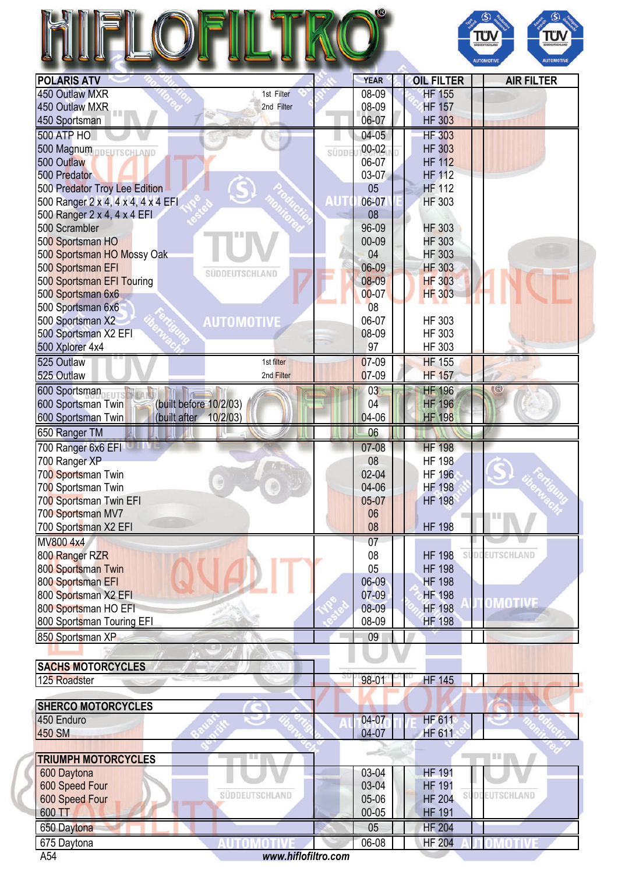| N                   | (3)                         |
|---------------------|-----------------------------|
| <b>BALLBIA LTLL</b> | $\sim$ $\sim$ $\sim$ $\sim$ |



| <b>POLARIS ATV</b>                             |       | <b>YEAR</b> | <b>OIL FILTER</b> | <b>AIR FILTER</b>   |
|------------------------------------------------|-------|-------------|-------------------|---------------------|
| 450 Outlaw MXR<br>1st Filter                   |       | 08-09       | <b>HF 155</b>     |                     |
| 450 Outlaw MXR<br>2nd Filter                   |       | 08-09       | <b>HF 157</b>     |                     |
| 450 Sportsman                                  |       | 06-07       | <b>HF 303</b>     |                     |
| <b>500 ATP HO</b>                              |       | $04 - 05$   | <b>HF 303</b>     |                     |
| 500 Magnum DDEUTSCHLAND                        | SÜDDI | $00 - 02$   | <b>HF 303</b>     |                     |
| 500 Outlaw                                     |       | 06-07       | <b>HF 112</b>     |                     |
| 500 Predator                                   |       | $03-07$     | <b>HF 112</b>     |                     |
| 500 Predator Troy Lee Edition                  |       | 05          | <b>HF 112</b>     |                     |
| 500 Ranger 2 x 4, 4 x 4, 4 x 4 EFI             | AUT   | 06-07       | <b>HF 303</b>     |                     |
| 500 Ranger 2 x 4, 4 x 4 EFI                    |       | 08          |                   |                     |
| 500 Scrambler                                  |       | 96-09       | <b>HF 303</b>     |                     |
| 500 Sportsman HO                               |       | 00-09       | <b>HF 303</b>     |                     |
| 500 Sportsman HO Mossy Oak                     |       | 04          | <b>HF 303</b>     |                     |
| 500 Sportsman EFI<br>SUDDEUTSCHLAND            |       | 06-09       | <b>HF 303</b>     |                     |
| 500 Sportsman EFI Touring                      |       | $08 - 09$   | <b>HF 303</b>     |                     |
| 500 Sportsman 6x6                              |       | $00 - 07$   | <b>HF 303</b>     |                     |
| 500 Sportsman 6x6                              |       | 08          |                   |                     |
| <b>AUTOMOTIVE</b><br>500 Sportsman X2          |       | 06-07       | HF 303            |                     |
| 500 Sportsman X2 EFI                           |       | 08-09       | <b>HF 303</b>     |                     |
| 500 Xplorer 4x4                                |       | 97          | <b>HF 303</b>     |                     |
| 525 Outlaw<br>1st filter                       |       | 07-09       | <b>HF 155</b>     |                     |
| 525 Outlaw<br>2nd Filter                       |       | 07-09       | <b>HF 157</b>     |                     |
| 600 Sportsman                                  |       | 03          | <b>HF 196</b>     | <b>IB</b>           |
| (built before 10/2/03)<br>600 Sportsman Twin   |       | 04          | <b>HF 196</b>     |                     |
| 10/2/03)<br>600 Sportsman Twin<br>(built after |       | 04-06       | <b>HF 198</b>     |                     |
| 650 Ranger TM                                  |       | 06          |                   |                     |
| 700 Ranger 6x6 EFI                             |       | 07-08       | <b>HF 198</b>     |                     |
| 700 Ranger XP                                  |       | 08          | <b>HF 198</b>     |                     |
| 700 Sportsman Twin                             |       | $02 - 04$   | <b>HF 196</b>     |                     |
| 700 Sportsman Twin                             |       | 04-06       | <b>HF 198</b>     |                     |
| 700 Sportsman Twin EFI                         |       | 05-07       | <b>HF 198</b>     |                     |
| 700 Sportsman MV7                              |       | 06          |                   | Ш                   |
| 700 Sportsman X2 EFI                           |       | 08          | <b>HF 198</b>     |                     |
| MV800 4x4                                      |       | 07          |                   |                     |
| 800 Ranger RZR                                 |       | 08          | <b>HF 198</b>     | SÜDDEUTSCHLAND      |
| 800 Sportsman Twin                             |       | 05          | <b>HF 198</b>     |                     |
| 800 Sportsman EFI                              |       | 06-09       | <b>HF 198</b>     |                     |
| 800 Sportsman X2 EFI                           |       | $07-09$     | <b>HF 198</b>     |                     |
| 800 Sportsman HO EFI                           |       | 08-09       | <b>HF 198</b>     | <b>OMOTIVE</b>      |
| 800 Sportsman Touring EFI                      |       | 08-09       | <b>HF 198</b>     |                     |
| 850 Sportsman XP                               |       | 09          |                   |                     |
|                                                |       |             |                   |                     |
| <b>SACHS MOTORCYCLES</b>                       |       |             |                   |                     |
| 125 Roadster                                   |       | 98-01       | <b>HF 145</b>     |                     |
|                                                |       |             |                   |                     |
| <b>SHERCO MOTORCYCLES</b><br>الو               |       |             |                   |                     |
| 450 Enduro                                     |       | $04 - 07$   | <b>HF 611</b>     |                     |
| <b>450 SM</b>                                  |       | 04-07       | <b>HF 611</b>     |                     |
| <b>TRIUMPH MOTORCYCLES</b><br>圆圈               |       |             |                   | <b>THE</b>          |
| 600 Daytona                                    |       | 03-04       | <b>HF 191</b>     |                     |
| 600 Speed Four                                 |       | 03-04       | <b>HF 191</b>     |                     |
| SÜDDEUTSCHLAND<br>600 Speed Four               |       | 05-06       | <b>HF 204</b>     | SÜDDEUTSCHLAND      |
| 600 TT                                         |       | $00 - 05$   | <b>HF 191</b>     |                     |
| 650 Daytona                                    |       | 05          | <b>HF 204</b>     |                     |
| 675 Daytona<br>AUTOMOTIVI                      |       | 06-08       | <b>HF 204</b>     | <b>OMOTIVE</b><br>m |
|                                                |       |             |                   |                     |

A54 *<www.hiflofiltro.com>*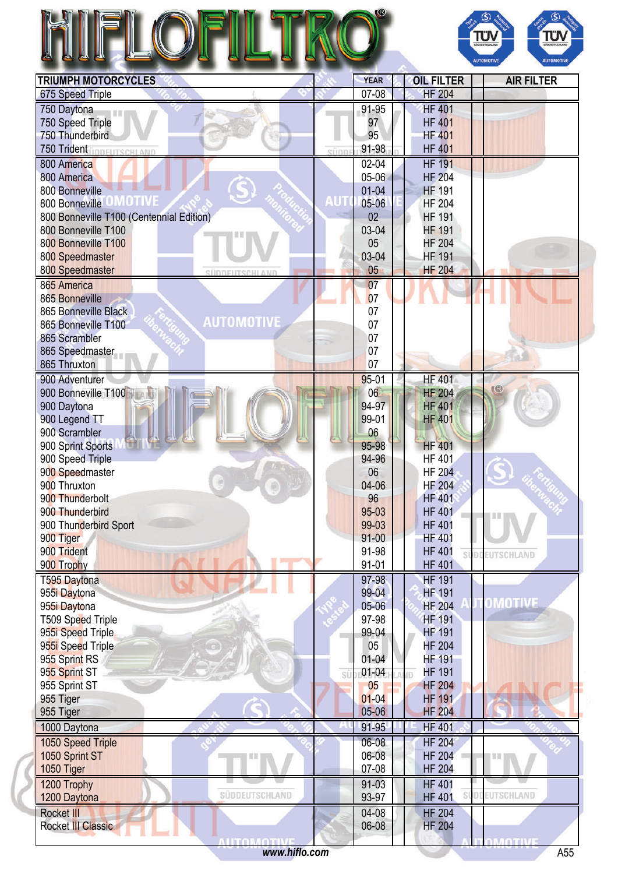|                                            |                    |                                | Τΰ<br>Tΰ<br>SÜDDEUTSCHLAN<br><b>AUTOMOTIVE</b><br><b>AUTOMOTIVE</b> |
|--------------------------------------------|--------------------|--------------------------------|---------------------------------------------------------------------|
| <b>TRIUMPH MOTORCYCLES</b>                 | <b>YEAR</b>        | <b>OIL FILTER</b>              | <b>AIR FILTER</b>                                                   |
| 675 Speed Triple                           | $07 - 08$          | <b>HF 204</b>                  |                                                                     |
| 750 Daytona<br>11 M M                      | 91-95              | <b>HF 401</b>                  |                                                                     |
| 750 Speed Triple                           | 97                 | <b>HF 401</b>                  |                                                                     |
| 750 Thunderbird                            | 95                 | <b>HF 401</b>                  |                                                                     |
| <b>750 Trident inner ITSCHLAND</b><br>sünn | 91-98              | <b>HF 401</b>                  |                                                                     |
| 800 America                                | $02 - 04$          | <b>HF 191</b>                  |                                                                     |
| 800 America                                | $05 - 06$          | <b>HF 204</b>                  |                                                                     |
| 800 Bonneville                             | $01 - 04$          | <b>HF 191</b>                  |                                                                     |
| 800 Bonneville                             | 05-06              | <b>HF 204</b>                  |                                                                     |
| 800 Bonneville T100 (Centennial Edition)   | 02                 | <b>HF 191</b>                  |                                                                     |
| 800 Bonneville T100                        | 03-04              | <b>HF 191</b>                  |                                                                     |
| 800 Bonneville T100                        | 05<br>03-04        | <b>HF 204</b><br><b>HF 191</b> |                                                                     |
| 800 Speedmaster<br>800 Speedmaster         | 05                 | <b>HF 204</b>                  |                                                                     |
| SÜDDEUTSCHLAND<br>865 America              | 07                 |                                |                                                                     |
| 865 Bonneville                             | 07                 |                                |                                                                     |
| 865 Bonneville Black                       | 07                 |                                |                                                                     |
| <b>AUTOMOTIVE</b><br>865 Bonneville T100   | 07                 |                                |                                                                     |
| 865 Scrambler                              | 07                 |                                |                                                                     |
| 865 Speedmaster                            | 07                 |                                |                                                                     |
| 865 Thruxton                               | 07                 |                                |                                                                     |
| 900 Adventurer                             | $95 - 01$          | <b>HF 401</b>                  |                                                                     |
| 900 Bonneville T100                        | 06                 | <b>HF 204</b>                  |                                                                     |
| 900 Daytona                                | 94-97              | <b>HF 401</b>                  |                                                                     |
| 900 Legend TT                              | 99-01              | <b>HF 401</b>                  |                                                                     |
| 900 Scrambler                              | 06                 |                                |                                                                     |
| 900 Sprint Sports                          | 95-98              | <b>HF 401</b>                  |                                                                     |
| 900 Speed Triple                           | 94-96              | <b>HF 401</b>                  |                                                                     |
| 900 Speedmaster                            | 06                 | <b>HF 204</b>                  |                                                                     |
| 900 Thruxton                               | 04-06              | <b>HF 204</b>                  |                                                                     |
| 900 Thunderbolt<br>900 Thunderbird         | 96<br>$95-03$      | <b>HF 401</b><br><b>HF 401</b> |                                                                     |
| 900 Thunderbird Sport                      | 99-03              | <b>HF 401</b>                  | I II II                                                             |
| 900 Tiger                                  | $91 - 00$          | <b>HF 401</b>                  |                                                                     |
| 900 Trident                                | 91-98              | <b>HF 401</b>                  | <b>EUTSCHLAND</b>                                                   |
| 900 Trophy                                 | $91 - 01$          | <b>HF 401</b>                  |                                                                     |
| T595 Daytona                               | 97-98              | <b>HF 191</b>                  |                                                                     |
| 955i Daytona                               | 99-04              | <b>HF 191</b>                  |                                                                     |
| 955i Daytona                               | 05-06              | <b>HF 204</b>                  | <b>OMOTIVE</b>                                                      |
| T509 Speed Triple                          | 97-98              | <b>HF 191</b>                  |                                                                     |
| 955i Speed Triple                          | 99-04              | <b>HF 191</b>                  |                                                                     |
| 955i Speed Triple                          | 05                 | <b>HF 204</b>                  |                                                                     |
| 955 Sprint RS                              | $01 - 04$          | <b>HF 191</b>                  |                                                                     |
| 955 Sprint ST                              | $01 - 04$<br>SÜ    | <b>HF 191</b>                  |                                                                     |
| 955 Sprint ST                              | 05                 | <b>HF 204</b>                  |                                                                     |
| 955 Tiger                                  | $01 - 04$<br>05-06 | <b>HF 191</b>                  |                                                                     |
| 955 Tiger                                  |                    | <b>HF 204</b>                  |                                                                     |
| 1000 Daytona                               | 91-95              | <b>HF 401</b>                  |                                                                     |
| 1050 Speed Triple                          | 06-08              | <b>HF 204</b>                  |                                                                     |
| 1050 Sprint ST                             | 06-08<br>07-08     | <b>HF 204</b>                  |                                                                     |
| 1050 Tiger                                 |                    | <b>HF 204</b>                  |                                                                     |
| 1200 Trophy<br>SÜDDEUTSCHLAND              | 91-03              | <b>HF 401</b>                  | EUTSCHLAND                                                          |
| 1200 Daytona                               | 93-97              | <b>HF 401</b>                  |                                                                     |
| <b>Rocket III</b><br>Rocket III Classic    | 04-08<br>06-08     | <b>HF 204</b><br><b>HF 204</b> |                                                                     |
|                                            |                    |                                |                                                                     |

**OTIV** 

AOTIVI